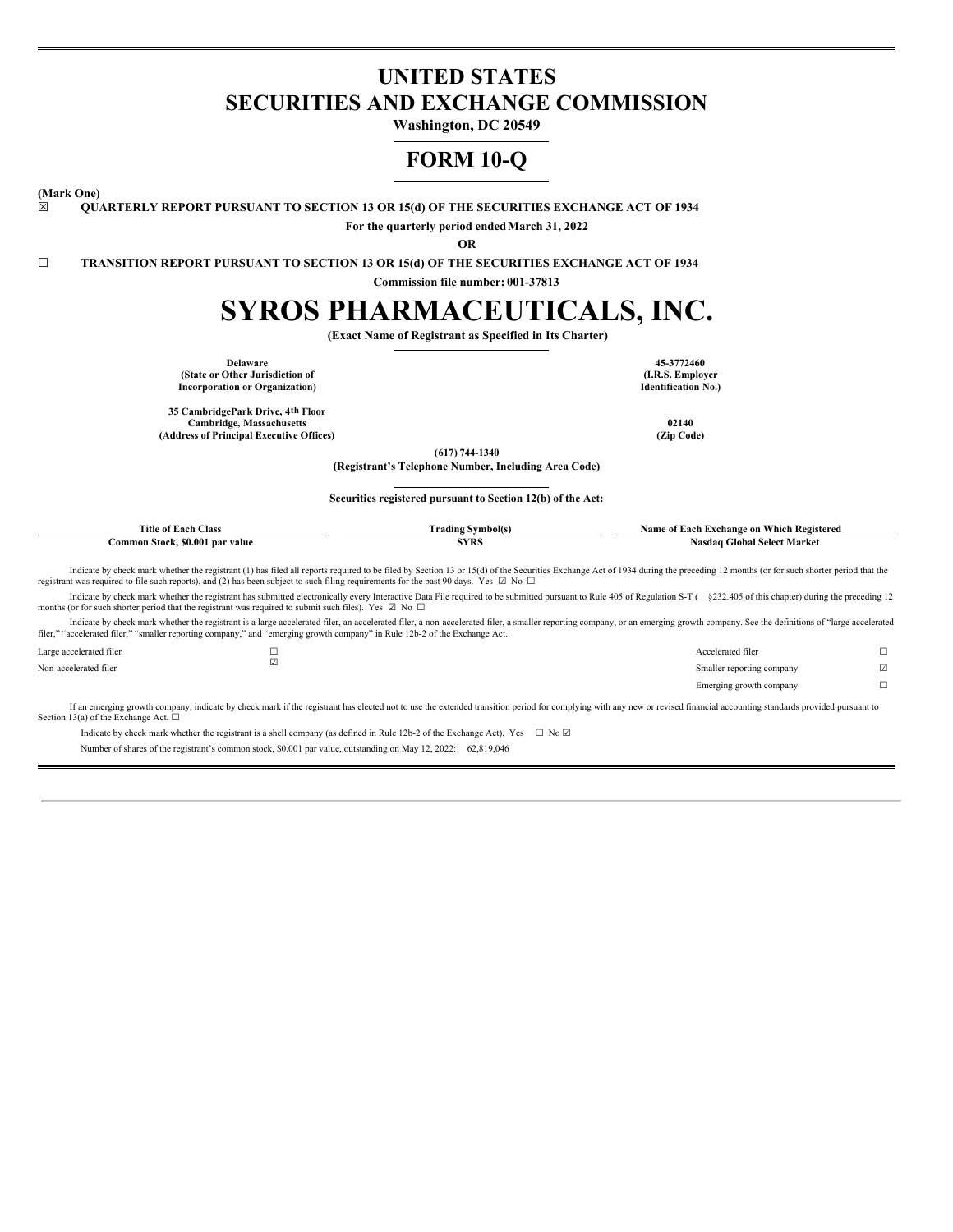# **UNITED STATES SECURITIES AND EXCHANGE COMMISSION**

**Washington, DC 20549**

# **FORM 10-Q**

**(Mark One)**

**☒ QUARTERLY REPORT PURSUANT TO SECTION 13 OR 15(d) OF THE SECURITIES EXCHANGE ACT OF 1934**

**For the quarterly period endedMarch 31, 2022**

**OR**

**☐ TRANSITION REPORT PURSUANT TO SECTION 13 OR 15(d) OF THE SECURITIES EXCHANGE ACT OF 1934**

**Commission file number: 001-37813**

# **SYROS PHARMACEUTICALS, INC.**

**(Exact Name of Registrant as Specified in Its Charter)**

**Delaware 45-3772460 (State or Other Jurisdiction of**

**Incorporation or Organization) 35 CambridgePark Drive, 4th Floor**

**Cambridge, Massachusetts 02140**  $(Address of Principal Executive Office)$ 

**(I.R.S. Employer Identification No.)**

**(617) 744-1340**

**(Registrant's Telephone Number, Including Area Code)**

**Securities registered pursuant to Section 12(b) of the Act:**

| <b>Title of Each Class</b>                                                                                                                                                                                                                                                                                                                                                            |                                                                                                                            | <b>Trading Symbol(s)</b>                                                                                                                 | Name of Each Exchange on Which Registered                                                                                                                                                                                      |   |  |  |  |
|---------------------------------------------------------------------------------------------------------------------------------------------------------------------------------------------------------------------------------------------------------------------------------------------------------------------------------------------------------------------------------------|----------------------------------------------------------------------------------------------------------------------------|------------------------------------------------------------------------------------------------------------------------------------------|--------------------------------------------------------------------------------------------------------------------------------------------------------------------------------------------------------------------------------|---|--|--|--|
| Common Stock, \$0.001 par value                                                                                                                                                                                                                                                                                                                                                       |                                                                                                                            | <b>SYRS</b>                                                                                                                              | <b>Nasdaq Global Select Market</b>                                                                                                                                                                                             |   |  |  |  |
| Indicate by check mark whether the registrant (1) has filed all reports required to be filed by Section 13 or 15(d) of the Securities Exchange Act of 1934 during the preceding 12 months (or for such shorter period that the<br>registrant was required to file such reports), and (2) has been subject to such filing requirements for the past 90 days. Yes $\boxtimes$ No $\Box$ |                                                                                                                            |                                                                                                                                          |                                                                                                                                                                                                                                |   |  |  |  |
|                                                                                                                                                                                                                                                                                                                                                                                       | months (or for such shorter period that the registrant was required to submit such files). Yes $\boxtimes$ No $\Box$       |                                                                                                                                          | Indicate by check mark whether the registrant has submitted electronically every Interactive Data File required to be submitted pursuant to Rule 405 of Regulation S-T (\$232.405 of this chapter) during the preceding 12     |   |  |  |  |
|                                                                                                                                                                                                                                                                                                                                                                                       | filer," "accelerated filer," "smaller reporting company," and "emerging growth company" in Rule 12b-2 of the Exchange Act. |                                                                                                                                          | Indicate by check mark whether the registrant is a large accelerated filer, an accelerated filer, a non-accelerated filer, a smaller reporting company, or an emerging growth company. See the definitions of "large accelerat |   |  |  |  |
| Large accelerated filer                                                                                                                                                                                                                                                                                                                                                               |                                                                                                                            |                                                                                                                                          | Accelerated filer                                                                                                                                                                                                              |   |  |  |  |
| Non-accelerated filer                                                                                                                                                                                                                                                                                                                                                                 | ☑                                                                                                                          |                                                                                                                                          | Smaller reporting company                                                                                                                                                                                                      | ☑ |  |  |  |
|                                                                                                                                                                                                                                                                                                                                                                                       |                                                                                                                            |                                                                                                                                          | Emerging growth company                                                                                                                                                                                                        |   |  |  |  |
| Section 13(a) of the Exchange Act. $\Box$                                                                                                                                                                                                                                                                                                                                             |                                                                                                                            |                                                                                                                                          | If an emerging growth company, indicate by check mark if the registrant has elected not to use the extended transition period for complying with any new or revised financial accounting standards provided pursuant to        |   |  |  |  |
|                                                                                                                                                                                                                                                                                                                                                                                       |                                                                                                                            | Indicate by check mark whether the registrant is a shell company (as defined in Rule 12b-2 of the Exchange Act). Yes<br>$\Box$ No $\Box$ |                                                                                                                                                                                                                                |   |  |  |  |
|                                                                                                                                                                                                                                                                                                                                                                                       | Number of shares of the registrant's common stock, \$0,001 par value, outstanding on May 12, 2022: 62,819,046              |                                                                                                                                          |                                                                                                                                                                                                                                |   |  |  |  |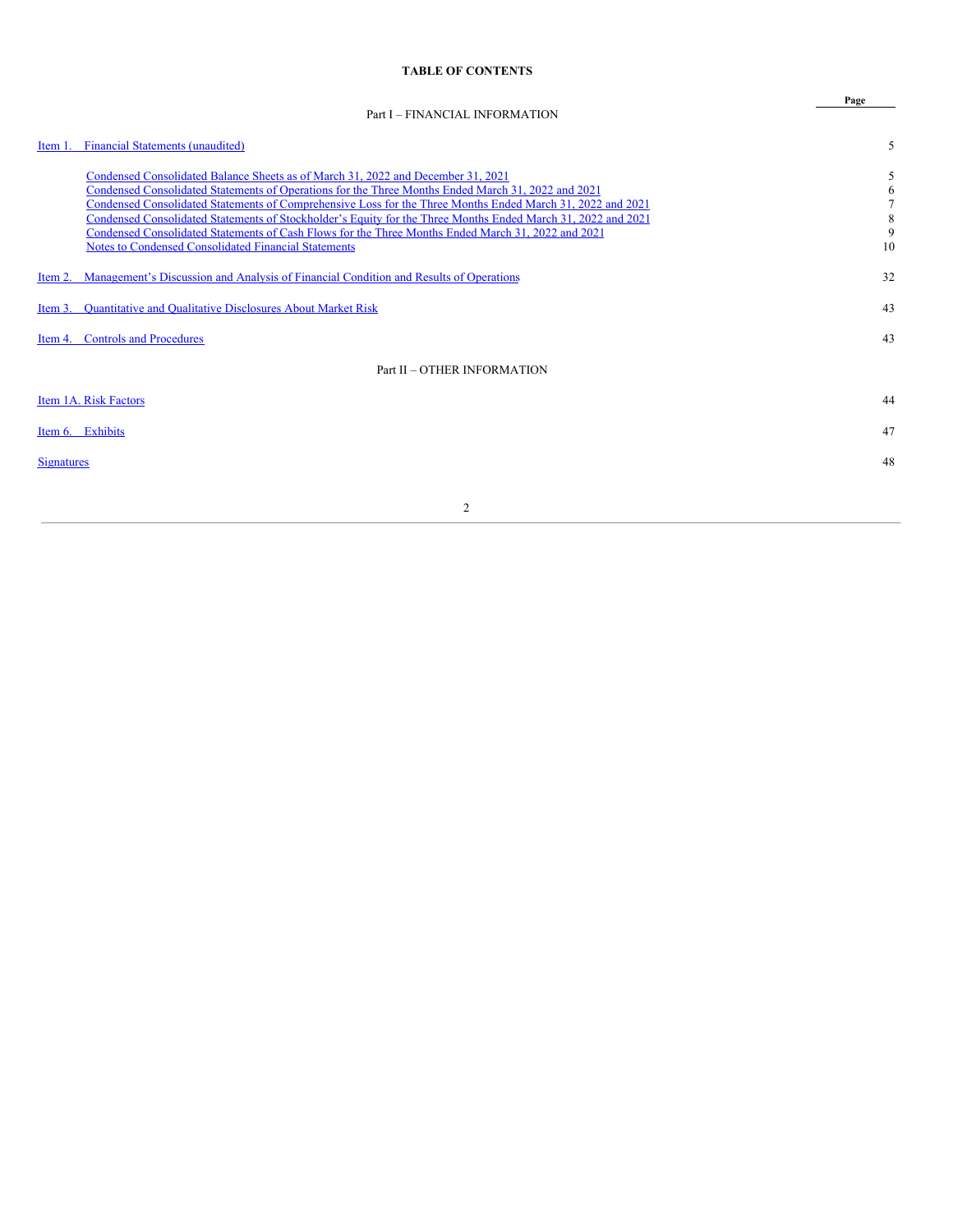# **TABLE OF CONTENTS**

**Page**

Part I – FINANCIAL INFORMATION

# Item 1. Financial Statements [\(unaudited\)](#page-4-0) 5

|                   | Condensed Consolidated Balance Sheets as of March 31, 2022 and December 31, 2021<br>Condensed Consolidated Statements of Operations for the Three Months Ended March 31, 2022 and 2021<br>Condensed Consolidated Statements of Comprehensive Loss for the Three Months Ended March 31, 2022 and 2021<br>Condensed Consolidated Statements of Stockholder's Equity for the Three Months Ended March 31, 2022 and 2021<br>Condensed Consolidated Statements of Cash Flows for the Three Months Ended March 31, 2022 and 2021<br><b>Notes to Condensed Consolidated Financial Statements</b> | 5<br>8<br>9<br>10 |
|-------------------|-------------------------------------------------------------------------------------------------------------------------------------------------------------------------------------------------------------------------------------------------------------------------------------------------------------------------------------------------------------------------------------------------------------------------------------------------------------------------------------------------------------------------------------------------------------------------------------------|-------------------|
| Item 2.           | Management's Discussion and Analysis of Financial Condition and Results of Operations                                                                                                                                                                                                                                                                                                                                                                                                                                                                                                     | 32                |
| Item 3.           | <b>Quantitative and Qualitative Disclosures About Market Risk</b>                                                                                                                                                                                                                                                                                                                                                                                                                                                                                                                         | 43                |
|                   | Item 4. Controls and Procedures                                                                                                                                                                                                                                                                                                                                                                                                                                                                                                                                                           | 43                |
|                   | Part II - OTHER INFORMATION                                                                                                                                                                                                                                                                                                                                                                                                                                                                                                                                                               |                   |
|                   | Item 1A. Risk Factors                                                                                                                                                                                                                                                                                                                                                                                                                                                                                                                                                                     | 44                |
|                   | Item 6. Exhibits                                                                                                                                                                                                                                                                                                                                                                                                                                                                                                                                                                          | 47                |
| <b>Signatures</b> |                                                                                                                                                                                                                                                                                                                                                                                                                                                                                                                                                                                           | 48                |
|                   |                                                                                                                                                                                                                                                                                                                                                                                                                                                                                                                                                                                           |                   |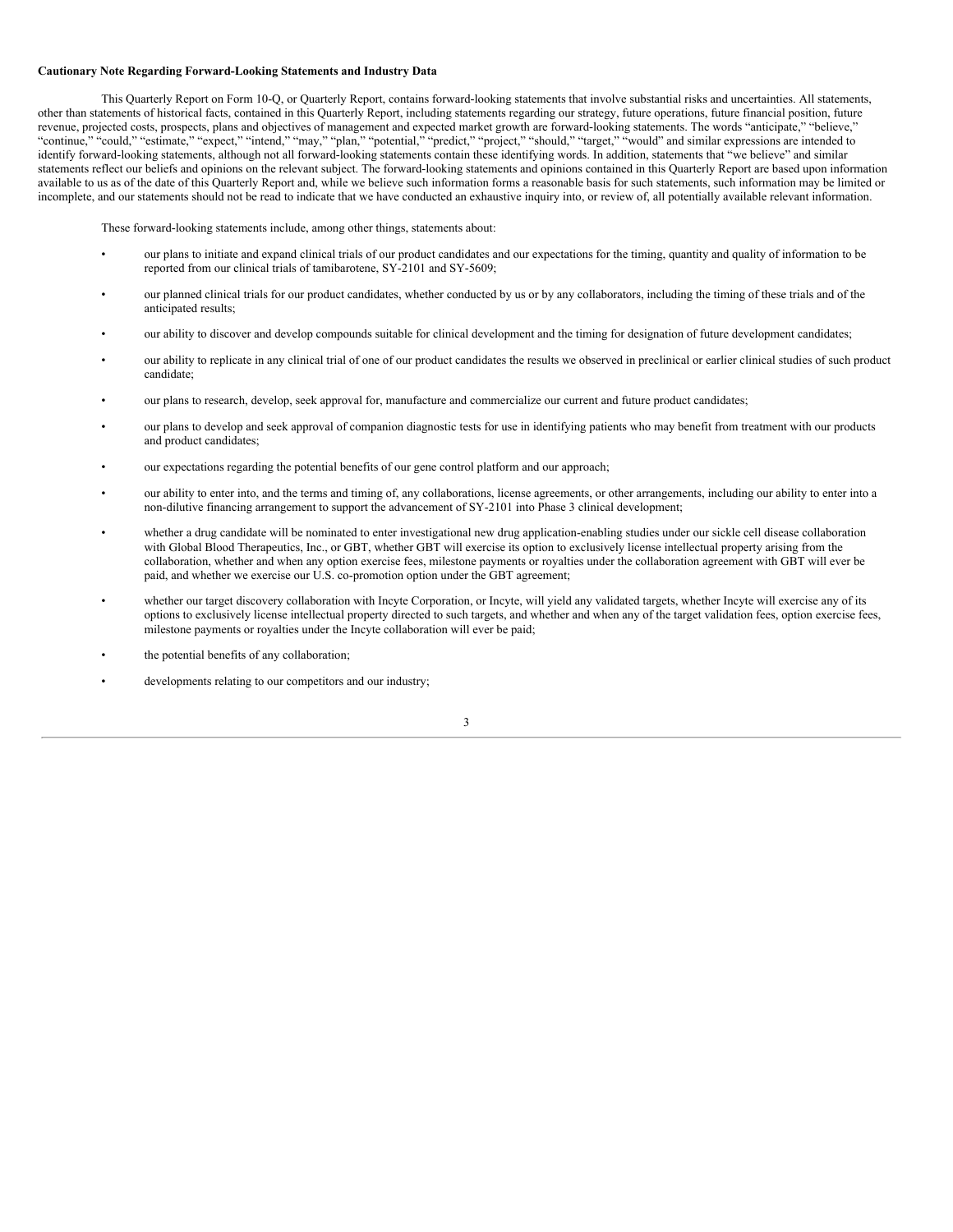#### **Cautionary Note Regarding Forward-Looking Statements and Industry Data**

This Quarterly Report on Form 10-Q, or Quarterly Report, contains forward-looking statements that involve substantial risks and uncertainties. All statements, other than statements of historical facts, contained in this Quarterly Report, including statements regarding our strategy, future operations, future financial position, future revenue, projected costs, prospects, plans and objectives of management and expected market growth are forward-looking statements. The words "anticipate," "believe," "continue," "could," "estimate," "expect," "intend," "may," "plan," "potential," "predict," "project," "should," "target," "would" and similar expressions are intended to identify forward‑looking statements, although not all forward‑looking statements contain these identifying words. In addition, statements that "we believe" and similar statements reflect our beliefs and opinions on the relevant subject. The forward-looking statements and opinions contained in this Quarterly Report are based upon information available to us as of the date of this Quarterly Report and, while we believe such information forms a reasonable basis for such statements, such information may be limited or incomplete, and our statements should not be read to indicate that we have conducted an exhaustive inquiry into, or review of, all potentially available relevant information.

These forward-looking statements include, among other things, statements about:

- our plans to initiate and expand clinical trials of our product candidates and our expectations for the timing, quantity and quality of information to be reported from our clinical trials of tamibarotene, SY-2101 and SY-5609;
- our planned clinical trials for our product candidates, whether conducted by us or by any collaborators, including the timing of these trials and of the anticipated results;
- our ability to discover and develop compounds suitable for clinical development and the timing for designation of future development candidates;
- our ability to replicate in any clinical trial of one of our product candidates the results we observed in preclinical or earlier clinical studies of such product candidate;
- our plans to research, develop, seek approval for, manufacture and commercialize our current and future product candidates;
- our plans to develop and seek approval of companion diagnostic tests for use in identifying patients who may benefit from treatment with our products and product candidates;
- our expectations regarding the potential benefits of our gene control platform and our approach;
- our ability to enter into, and the terms and timing of, any collaborations, license agreements, or other arrangements, including our ability to enter into a non-dilutive financing arrangement to support the advancement of SY-2101 into Phase 3 clinical development;
- whether a drug candidate will be nominated to enter investigational new drug application-enabling studies under our sickle cell disease collaboration with Global Blood Therapeutics, Inc., or GBT, whether GBT will exercise its option to exclusively license intellectual property arising from the collaboration, whether and when any option exercise fees, milestone payments or royalties under the collaboration agreement with GBT will ever be paid, and whether we exercise our U.S. co-promotion option under the GBT agreement;
- whether our target discovery collaboration with Incyte Corporation, or Incyte, will yield any validated targets, whether Incyte will exercise any of its options to exclusively license intellectual property directed to such targets, and whether and when any of the target validation fees, option exercise fees, milestone payments or royalties under the Incyte collaboration will ever be paid;
- the potential benefits of any collaboration;
- developments relating to our competitors and our industry;

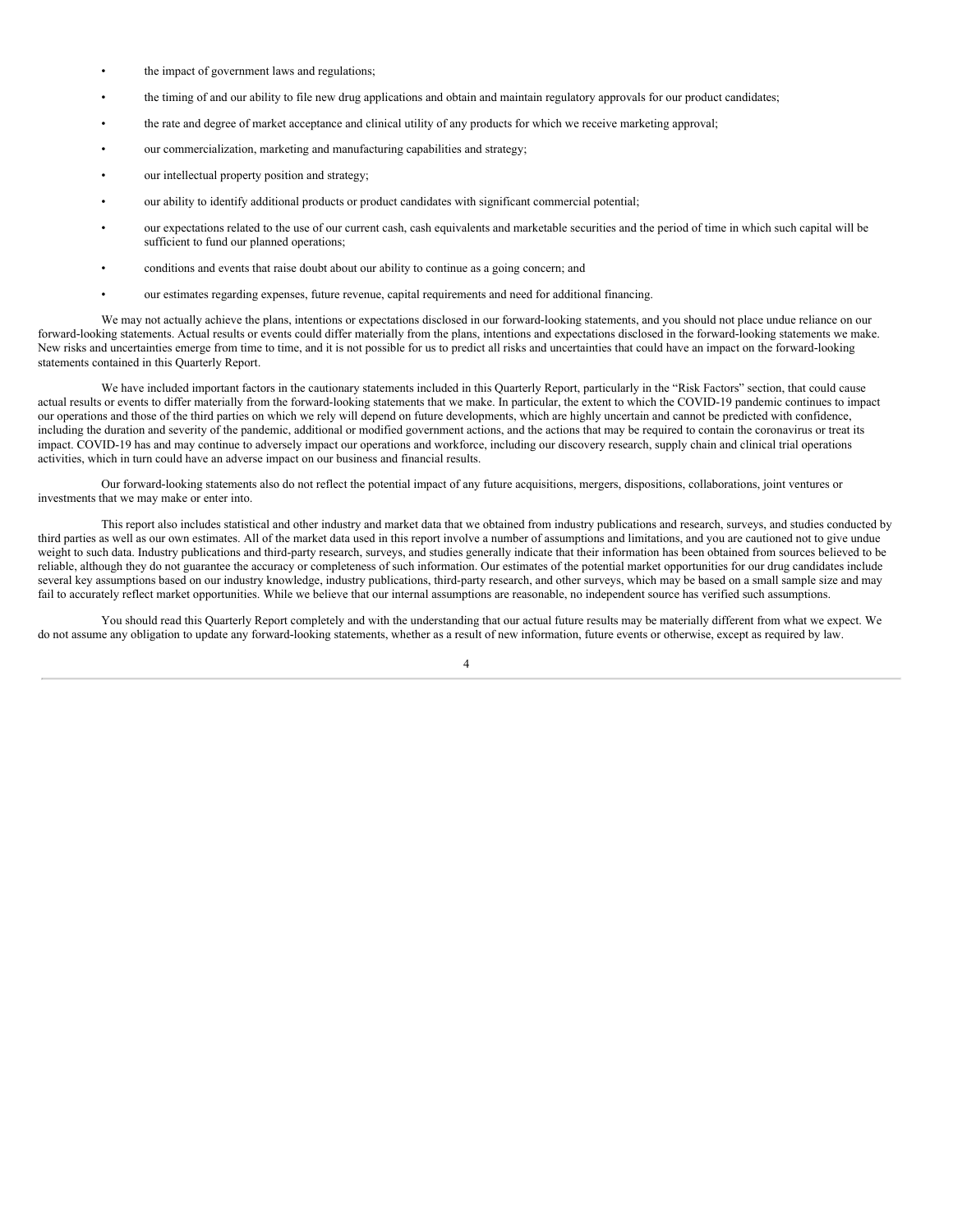- the impact of government laws and regulations;
- the timing of and our ability to file new drug applications and obtain and maintain regulatory approvals for our product candidates;
- the rate and degree of market acceptance and clinical utility of any products for which we receive marketing approval;
- our commercialization, marketing and manufacturing capabilities and strategy;
- our intellectual property position and strategy;
- our ability to identify additional products or product candidates with significant commercial potential;
- our expectations related to the use of our current cash, cash equivalents and marketable securities and the period of time in which such capital will be sufficient to fund our planned operations;
- conditions and events that raise doubt about our ability to continue as a going concern; and
- our estimates regarding expenses, future revenue, capital requirements and need for additional financing.

We may not actually achieve the plans, intentions or expectations disclosed in our forward-looking statements, and you should not place undue reliance on our forward‑looking statements. Actual results or events could differ materially from the plans, intentions and expectations disclosed in the forward‑looking statements we make. New risks and uncertainties emerge from time to time, and it is not possible for us to predict all risks and uncertainties that could have an impact on the forward-looking statements contained in this Quarterly Report.

We have included important factors in the cautionary statements included in this Quarterly Report, particularly in the "Risk Factors" section, that could cause actual results or events to differ materially from the forward-looking statements that we make. In particular, the extent to which the COVID-19 pandemic continues to impact our operations and those of the third parties on which we rely will depend on future developments, which are highly uncertain and cannot be predicted with confidence, including the duration and severity of the pandemic, additional or modified government actions, and the actions that may be required to contain the coronavirus or treat its impact. COVID-19 has and may continue to adversely impact our operations and workforce, including our discovery research, supply chain and clinical trial operations activities, which in turn could have an adverse impact on our business and financial results.

Our forward‑looking statements also do not reflect the potential impact of any future acquisitions, mergers, dispositions, collaborations, joint ventures or investments that we may make or enter into.

This report also includes statistical and other industry and market data that we obtained from industry publications and research, surveys, and studies conducted by third parties as well as our own estimates. All of the market data used in this report involve a number of assumptions and limitations, and you are cautioned not to give undue weight to such data. Industry publications and third-party research, surveys, and studies generally indicate that their information has been obtained from sources believed to be reliable, although they do not guarantee the accuracy or completeness of such information. Our estimates of the potential market opportunities for our drug candidates include several key assumptions based on our industry knowledge, industry publications, third-party research, and other surveys, which may be based on a small sample size and may fail to accurately reflect market opportunities. While we believe that our internal assumptions are reasonable, no independent source has verified such assumptions.

You should read this Quarterly Report completely and with the understanding that our actual future results may be materially different from what we expect. We do not assume any obligation to update any forward-looking statements, whether as a result of new information, future events or otherwise, except as required by law.

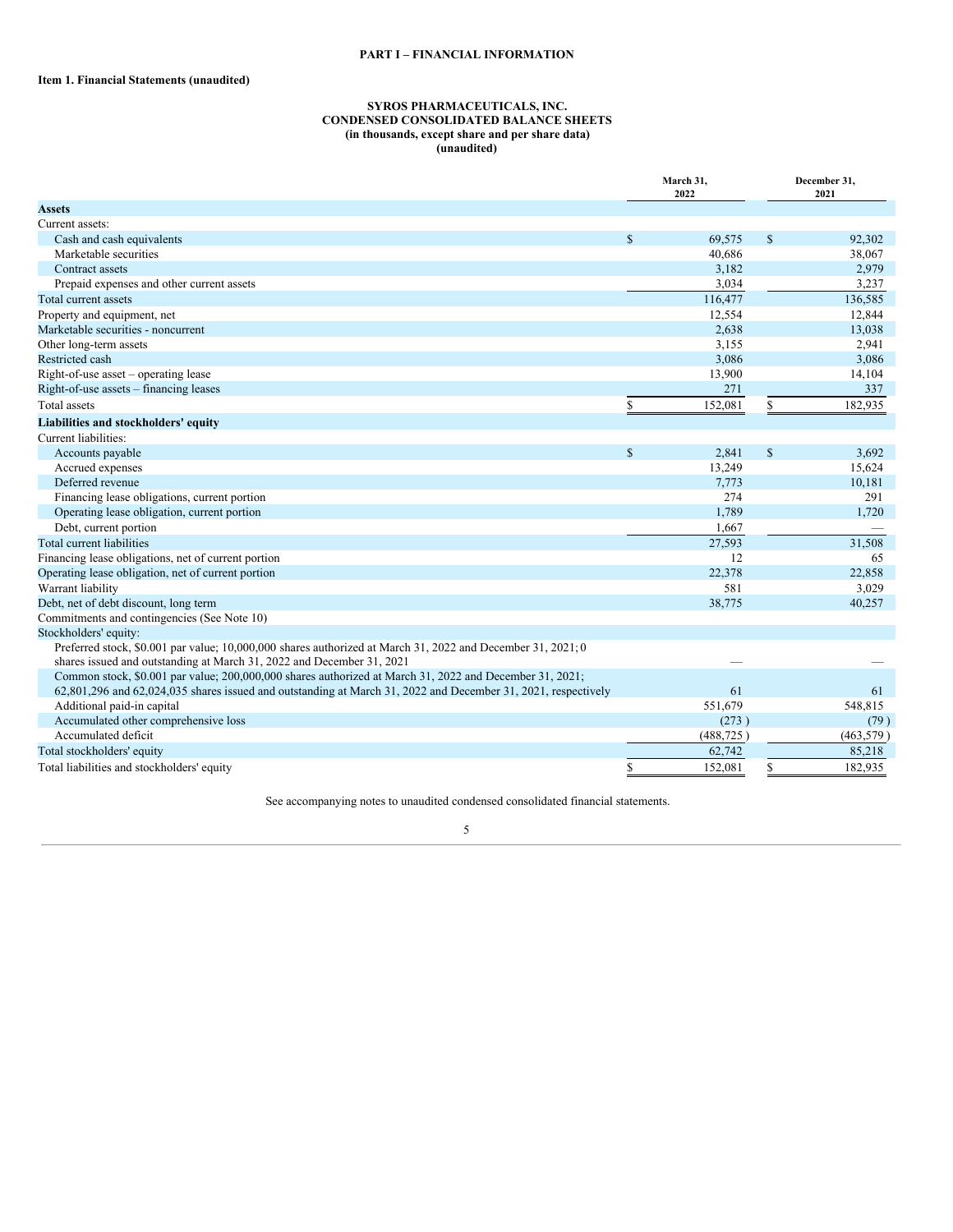# **PART I – FINANCIAL INFORMATION**

#### **SYROS PHARMACEUTICALS, INC. CONDENSED CONSOLIDATED BALANCE SHEETS (in thousands, except share and per share data) (unaudited)**

<span id="page-4-1"></span><span id="page-4-0"></span>

|                                                                                                                                                                                                                          |               | March 31,<br>2022 |               | December 31,<br>2021 |
|--------------------------------------------------------------------------------------------------------------------------------------------------------------------------------------------------------------------------|---------------|-------------------|---------------|----------------------|
| <b>Assets</b>                                                                                                                                                                                                            |               |                   |               |                      |
| Current assets:                                                                                                                                                                                                          |               |                   |               |                      |
| Cash and cash equivalents                                                                                                                                                                                                | <sup>\$</sup> | 69,575            | $\mathbb{S}$  | 92,302               |
| Marketable securities                                                                                                                                                                                                    |               | 40.686            |               | 38,067               |
| Contract assets                                                                                                                                                                                                          |               | 3,182             |               | 2,979                |
| Prepaid expenses and other current assets                                                                                                                                                                                |               | 3,034             |               | 3,237                |
| Total current assets                                                                                                                                                                                                     |               | 116,477           |               | 136,585              |
| Property and equipment, net                                                                                                                                                                                              |               | 12,554            |               | 12,844               |
| Marketable securities - noncurrent                                                                                                                                                                                       |               | 2,638             |               | 13,038               |
| Other long-term assets                                                                                                                                                                                                   |               | 3,155             |               | 2,941                |
| Restricted cash                                                                                                                                                                                                          |               | 3,086             |               | 3,086                |
| Right-of-use asset – operating lease                                                                                                                                                                                     |               | 13,900            |               | 14,104               |
| Right-of-use assets – financing leases                                                                                                                                                                                   |               | 271               |               | 337                  |
| <b>Total</b> assets                                                                                                                                                                                                      | \$            | 152,081           | \$            | 182,935              |
| Liabilities and stockholders' equity                                                                                                                                                                                     |               |                   |               |                      |
| Current liabilities:                                                                                                                                                                                                     |               |                   |               |                      |
| Accounts payable                                                                                                                                                                                                         | $\mathbf S$   | 2,841             | $\mathsf{\$}$ | 3,692                |
| Accrued expenses                                                                                                                                                                                                         |               | 13,249            |               | 15,624               |
| Deferred revenue                                                                                                                                                                                                         |               | 7,773             |               | 10,181               |
| Financing lease obligations, current portion                                                                                                                                                                             |               | 274               |               | 291                  |
| Operating lease obligation, current portion                                                                                                                                                                              |               | 1,789             |               | 1,720                |
| Debt, current portion                                                                                                                                                                                                    |               | 1,667             |               |                      |
| <b>Total current liabilities</b>                                                                                                                                                                                         |               | 27,593            |               | 31,508               |
| Financing lease obligations, net of current portion                                                                                                                                                                      |               | 12                |               | 65                   |
| Operating lease obligation, net of current portion                                                                                                                                                                       |               | 22,378            |               | 22,858               |
| Warrant liability                                                                                                                                                                                                        |               | 581               |               | 3,029                |
| Debt, net of debt discount, long term                                                                                                                                                                                    |               | 38,775            |               | 40,257               |
| Commitments and contingencies (See Note 10)                                                                                                                                                                              |               |                   |               |                      |
| Stockholders' equity:                                                                                                                                                                                                    |               |                   |               |                      |
| Preferred stock, \$0.001 par value; 10,000,000 shares authorized at March 31, 2022 and December 31, 2021; 0                                                                                                              |               |                   |               |                      |
| shares issued and outstanding at March 31, 2022 and December 31, 2021                                                                                                                                                    |               |                   |               |                      |
| Common stock, \$0.001 par value; 200,000,000 shares authorized at March 31, 2022 and December 31, 2021;<br>62,801,296 and 62,024,035 shares issued and outstanding at March 31, 2022 and December 31, 2021, respectively |               | 61                |               | 61                   |
| Additional paid-in capital                                                                                                                                                                                               |               | 551,679           |               | 548,815              |
| Accumulated other comprehensive loss                                                                                                                                                                                     |               | (273)             |               | (79)                 |
| Accumulated deficit                                                                                                                                                                                                      |               | (488, 725)        |               | (463, 579)           |
| Total stockholders' equity                                                                                                                                                                                               |               | 62,742            |               | 85,218               |
| Total liabilities and stockholders' equity                                                                                                                                                                               | \$            | 152,081           | \$            | 182.935              |

See accompanying notes to unaudited condensed consolidated financial statements.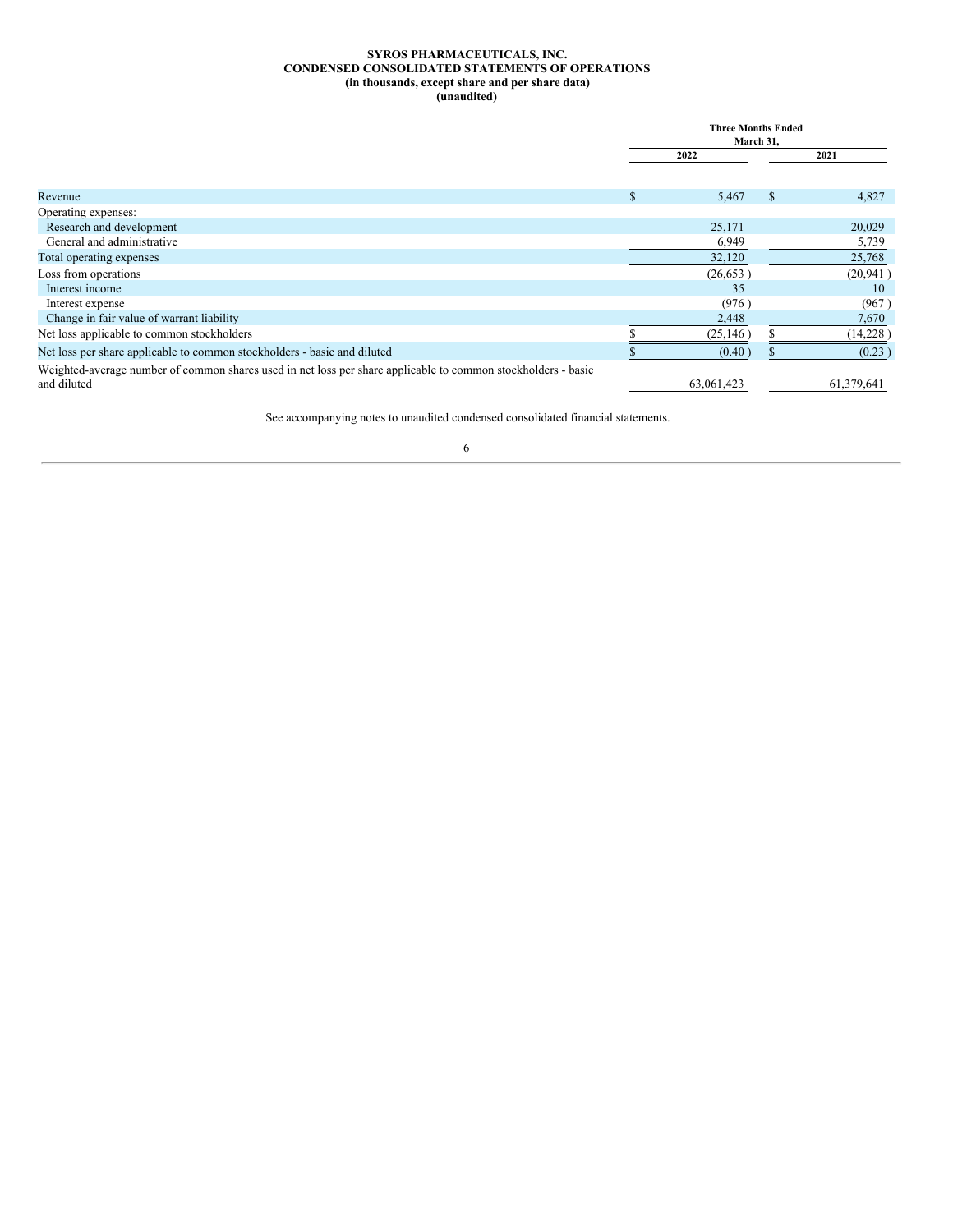#### **SYROS PHARMACEUTICALS, INC. CONDENSED CONSOLIDATED STATEMENTS OF OPERATIONS (in thousands, except share and per share data) (unaudited)**

<span id="page-5-0"></span>

|                                                                                                                              | <b>Three Months Ended</b><br>March 31, |            |    |            |  |  |
|------------------------------------------------------------------------------------------------------------------------------|----------------------------------------|------------|----|------------|--|--|
|                                                                                                                              |                                        | 2022       |    | 2021       |  |  |
|                                                                                                                              |                                        |            |    |            |  |  |
| Revenue                                                                                                                      | \$                                     | 5,467      | \$ | 4,827      |  |  |
| Operating expenses:                                                                                                          |                                        |            |    |            |  |  |
| Research and development                                                                                                     |                                        | 25,171     |    | 20,029     |  |  |
| General and administrative                                                                                                   |                                        | 6,949      |    | 5,739      |  |  |
| Total operating expenses                                                                                                     |                                        | 32,120     |    | 25,768     |  |  |
| Loss from operations                                                                                                         |                                        | (26, 653)  |    | (20, 941)  |  |  |
| Interest income                                                                                                              |                                        | 35         |    | 10         |  |  |
| Interest expense                                                                                                             |                                        | (976)      |    | (967)      |  |  |
| Change in fair value of warrant liability                                                                                    |                                        | 2,448      |    | 7,670      |  |  |
| Net loss applicable to common stockholders                                                                                   |                                        | (25, 146)  |    | (14,228)   |  |  |
| Net loss per share applicable to common stockholders - basic and diluted                                                     |                                        | (0.40)     |    | (0.23)     |  |  |
| Weighted-average number of common shares used in net loss per share applicable to common stockholders - basic<br>and diluted |                                        | 63,061,423 |    | 61,379,641 |  |  |

See accompanying notes to unaudited condensed consolidated financial statements.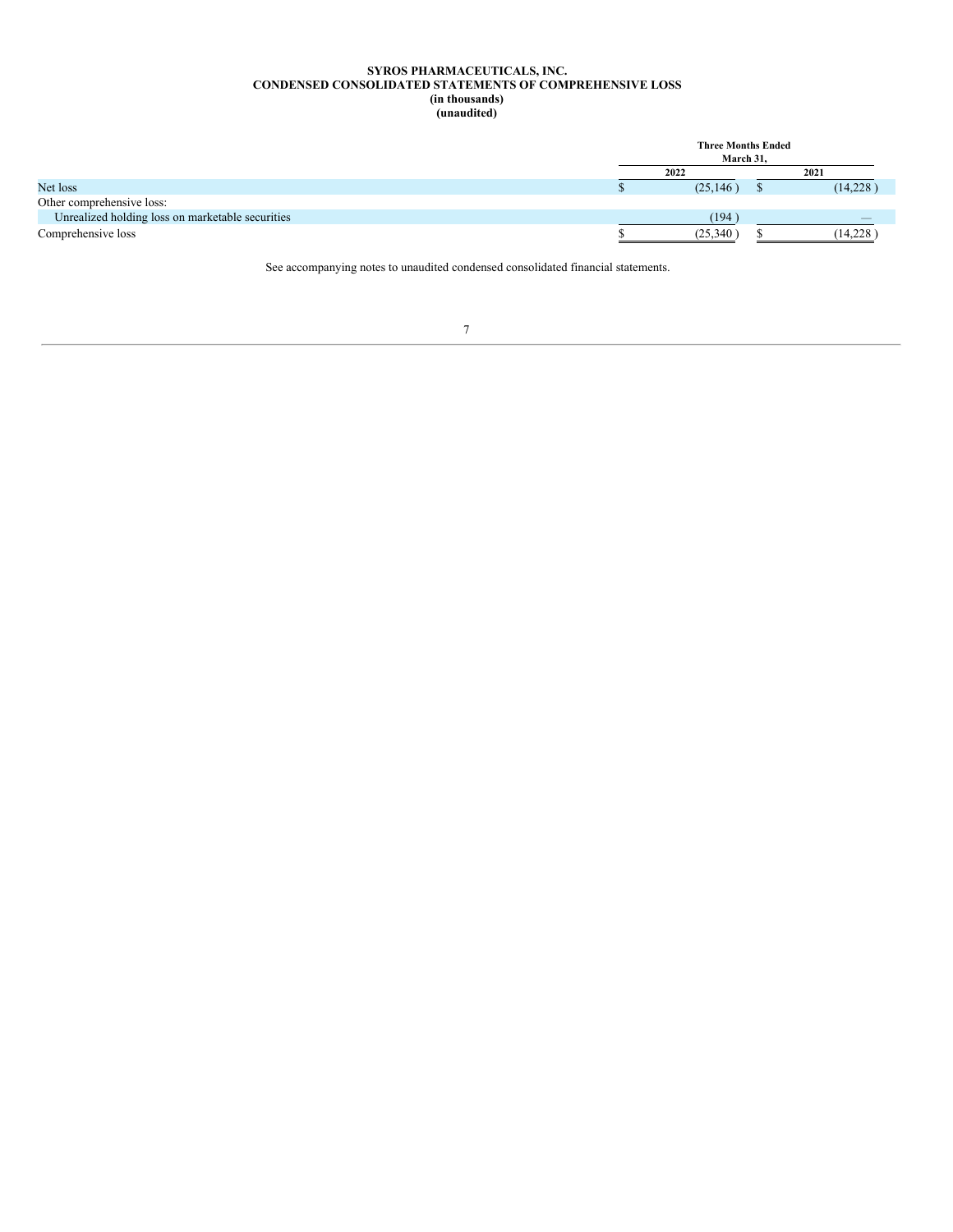#### **SYROS PHARMACEUTICALS, INC. CONDENSED CONSOLIDATED STATEMENTS OF COMPREHENSIVE LOSS (in thousands) (unaudited)**

<span id="page-6-0"></span>

|                                                  |      | <b>Three Months Ended</b><br>March 31, |  |                          |  |  |
|--------------------------------------------------|------|----------------------------------------|--|--------------------------|--|--|
|                                                  | 2022 |                                        |  |                          |  |  |
| Net loss                                         |      | (25, 146)                              |  | (14,228)                 |  |  |
| Other comprehensive loss:                        |      |                                        |  |                          |  |  |
| Unrealized holding loss on marketable securities |      | (194)                                  |  | $\overline{\phantom{a}}$ |  |  |
| Comprehensive loss                               |      | (25,340)                               |  | (14, 228)                |  |  |

See accompanying notes to unaudited condensed consolidated financial statements.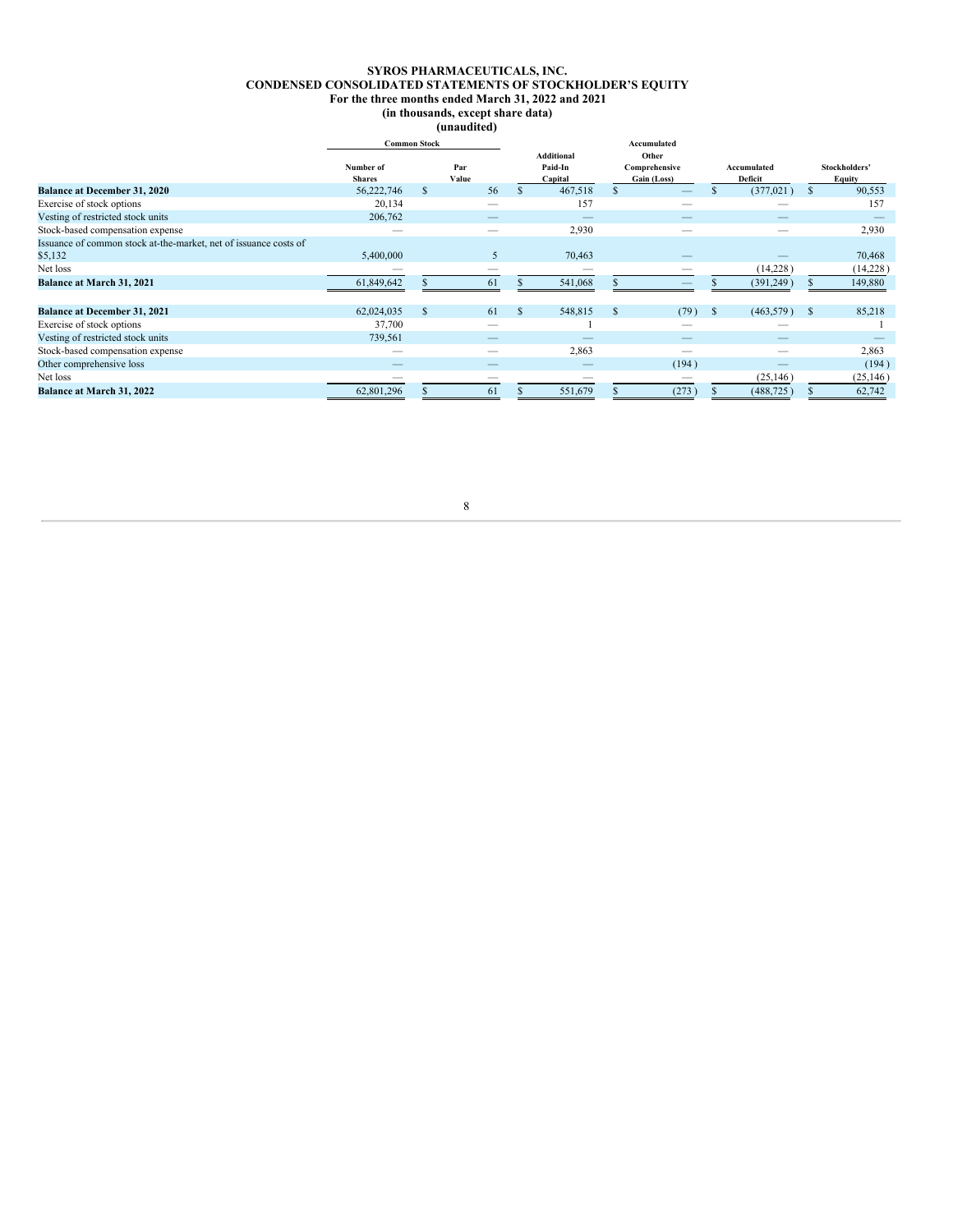# **SYROS PHARMACEUTICALS, INC. CONDENSED CONSOLIDATED STATEMENTS OF STOCKHOLDER'S EQUITY For the three months ended March 31, 2022 and 2021 (in thousands, except share data)**

**(unaudited)**

<span id="page-7-0"></span>

|                                                                             | <b>Common Stock</b>        |    |              |                          |    |                                                                                  |   | Accumulated              |    |                         |    |           |
|-----------------------------------------------------------------------------|----------------------------|----|--------------|--------------------------|----|----------------------------------------------------------------------------------|---|--------------------------|----|-------------------------|----|-----------|
|                                                                             | Number of<br><b>Shares</b> |    | Par<br>Value |                          |    | <b>Additional</b><br>Other<br>Paid-In<br>Comprehensive<br>Capital<br>Gain (Loss) |   | Accumulated<br>Deficit   |    | Stockholders'<br>Equity |    |           |
| <b>Balance at December 31, 2020</b>                                         | 56,222,746                 | S. |              | 56                       |    | 467,518                                                                          |   |                          |    | (377, 021)              |    | 90,553    |
| Exercise of stock options                                                   | 20,134                     |    |              | $\overline{\phantom{a}}$ |    | 157                                                                              |   | $\overline{\phantom{a}}$ |    | --                      |    | 157       |
| Vesting of restricted stock units                                           | 206,762                    |    |              |                          |    |                                                                                  |   |                          |    | _                       |    |           |
| Stock-based compensation expense                                            |                            |    |              |                          |    | 2,930                                                                            |   |                          |    |                         |    | 2,930     |
| Issuance of common stock at-the-market, net of issuance costs of<br>\$5,132 | 5,400,000                  |    |              | 5                        |    | 70,463                                                                           |   |                          |    |                         |    | 70,468    |
| Net loss                                                                    |                            |    |              |                          |    |                                                                                  |   |                          |    | (14,228)                |    | (14,228)  |
| Balance at March 31, 2021                                                   | 61,849,642                 |    |              | 61                       |    | 541,068                                                                          |   |                          |    | (391,249)               |    | 149,880   |
| <b>Balance at December 31, 2021</b>                                         | 62,024,035                 |    |              | 61                       | S. | 548,815                                                                          | S | (79)                     | -S | (463, 579)              | -S | 85,218    |
| Exercise of stock options                                                   | 37,700                     |    |              | $\overline{\phantom{a}}$ |    |                                                                                  |   |                          |    |                         |    |           |
| Vesting of restricted stock units                                           | 739,561                    |    |              |                          |    |                                                                                  |   |                          |    |                         |    |           |
| Stock-based compensation expense                                            |                            |    |              |                          |    | 2,863                                                                            |   |                          |    |                         |    | 2,863     |
| Other comprehensive loss                                                    |                            |    |              |                          |    |                                                                                  |   | (194)                    |    | _                       |    | (194)     |
| Net loss                                                                    | __                         |    |              | $\overline{\phantom{a}}$ |    | $\overline{\phantom{a}}$                                                         |   | __                       |    | (25, 146)               |    | (25, 146) |
| Balance at March 31, 2022                                                   | 62,801,296                 |    |              | 61                       |    | 551,679                                                                          |   | (273)                    |    | (488, 725)              |    | 62,742    |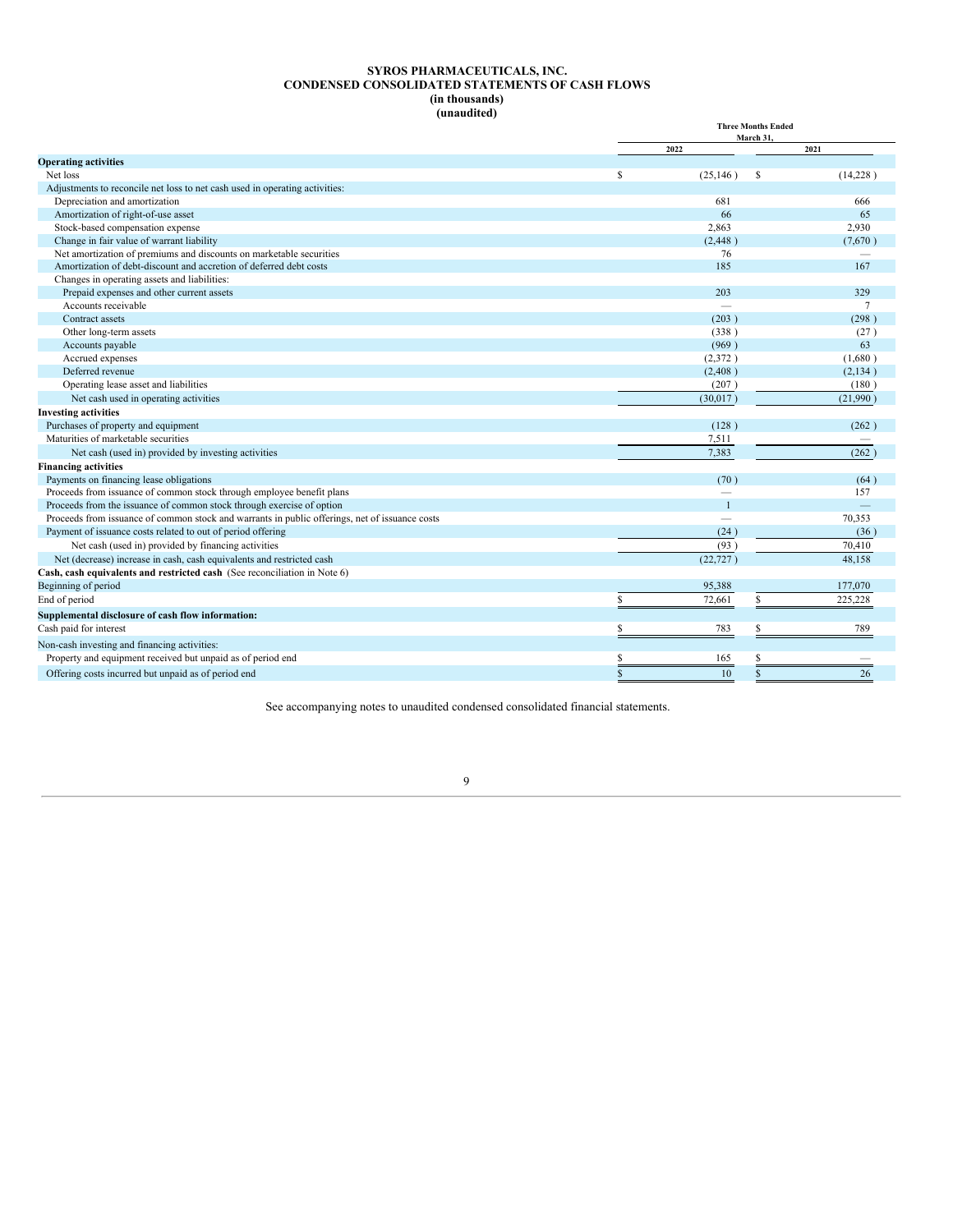#### **SYROS PHARMACEUTICALS, INC. CONDENSED CONSOLIDATED STATEMENTS OF CASH FLOWS (in thousands) (unaudited)**

<span id="page-8-0"></span>

|                                                                                                |    | <b>Three Months Ended</b>  |          |
|------------------------------------------------------------------------------------------------|----|----------------------------|----------|
|                                                                                                |    | March 31.<br>2022          | 2021     |
| <b>Operating activities</b>                                                                    |    |                            |          |
| Net loss                                                                                       | S  | (25, 146)<br><sup>\$</sup> | (14,228) |
| Adjustments to reconcile net loss to net cash used in operating activities:                    |    |                            |          |
| Depreciation and amortization                                                                  |    | 681                        | 666      |
| Amortization of right-of-use asset                                                             |    | 66                         | 65       |
| Stock-based compensation expense                                                               |    | 2,863                      | 2,930    |
| Change in fair value of warrant liability                                                      |    | (2, 448)                   | (7,670)  |
| Net amortization of premiums and discounts on marketable securities                            |    | 76                         |          |
| Amortization of debt-discount and accretion of deferred debt costs                             |    | 185                        | 167      |
| Changes in operating assets and liabilities:                                                   |    |                            |          |
| Prepaid expenses and other current assets                                                      |    | 203                        | 329      |
| Accounts receivable                                                                            |    |                            | $\tau$   |
| Contract assets                                                                                |    | (203)                      | (298)    |
| Other long-term assets                                                                         |    | (338)                      | (27)     |
| Accounts payable                                                                               |    | (969)                      | 63       |
| Accrued expenses                                                                               |    | (2,372)                    | (1,680)  |
| Deferred revenue                                                                               |    | (2,408)                    | (2, 134) |
| Operating lease asset and liabilities                                                          |    | (207)                      | (180)    |
| Net cash used in operating activities                                                          |    | (30,017)                   | (21,990) |
| <b>Investing activities</b>                                                                    |    |                            |          |
| Purchases of property and equipment                                                            |    | (128)                      | (262)    |
| Maturities of marketable securities                                                            |    | 7,511                      |          |
| Net cash (used in) provided by investing activities                                            |    | 7,383                      | (262)    |
| <b>Financing activities</b>                                                                    |    |                            |          |
| Payments on financing lease obligations                                                        |    | (70)                       | (64)     |
| Proceeds from issuance of common stock through employee benefit plans                          |    |                            | 157      |
| Proceeds from the issuance of common stock through exercise of option                          |    |                            |          |
| Proceeds from issuance of common stock and warrants in public offerings, net of issuance costs |    |                            | 70,353   |
| Payment of issuance costs related to out of period offering                                    |    | (24)                       | (36)     |
| Net cash (used in) provided by financing activities                                            |    | (93)                       | 70,410   |
| Net (decrease) increase in cash, cash equivalents and restricted cash                          |    | (22, 727)                  | 48,158   |
| Cash, cash equivalents and restricted cash (See reconciliation in Note 6)                      |    |                            |          |
| Beginning of period                                                                            |    | 95,388                     | 177,070  |
| End of period                                                                                  |    | 72,661                     | 225,228  |
| Supplemental disclosure of cash flow information:                                              |    |                            |          |
| Cash paid for interest                                                                         |    | 783                        | 789      |
| Non-cash investing and financing activities:                                                   |    |                            |          |
| Property and equipment received but unpaid as of period end                                    |    | 165                        |          |
|                                                                                                |    |                            |          |
| Offering costs incurred but unpaid as of period end                                            | \$ | 10<br>\$.                  | 26       |

See accompanying notes to unaudited condensed consolidated financial statements.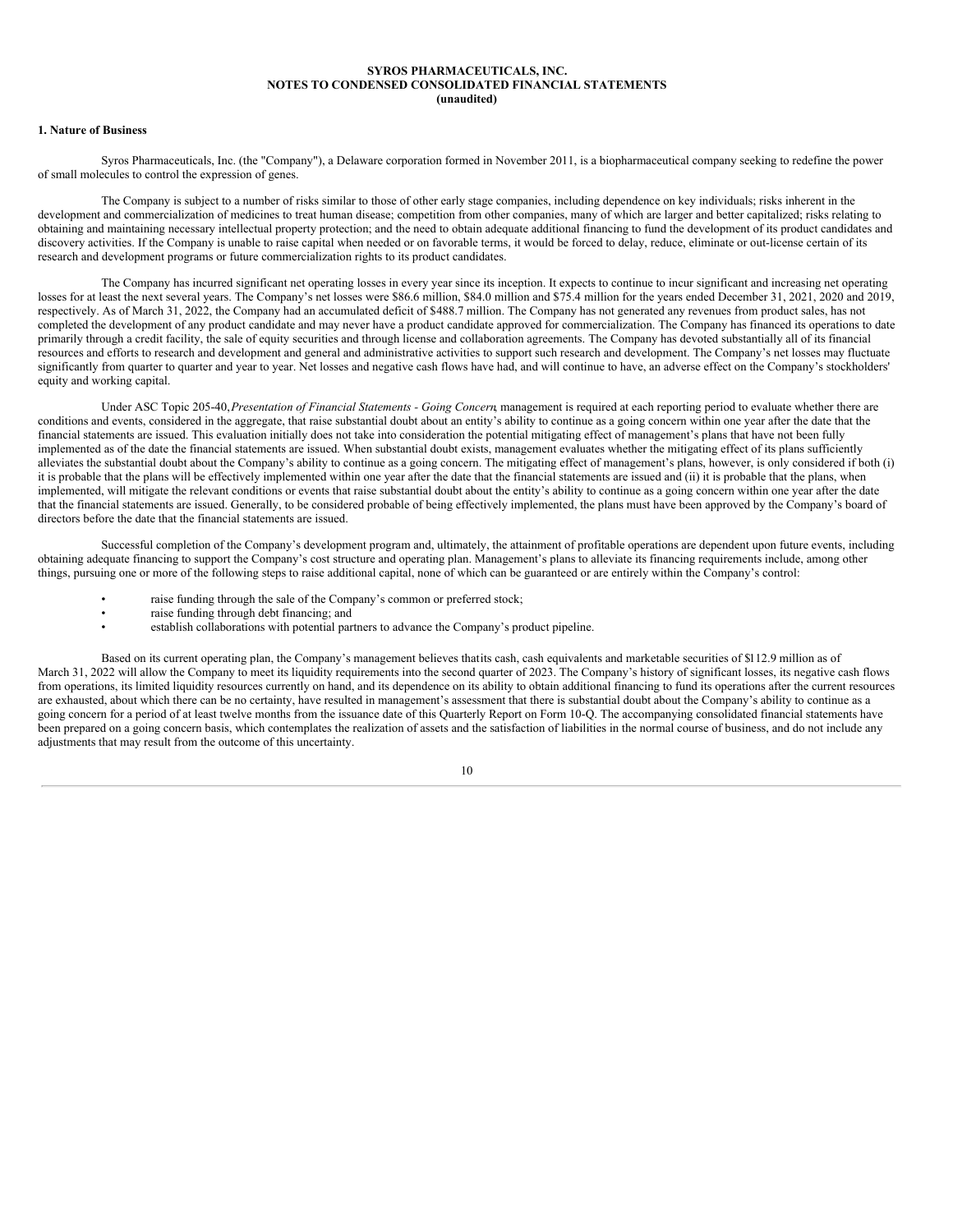#### **SYROS PHARMACEUTICALS, INC. NOTES TO CONDENSED CONSOLIDATED FINANCIAL STATEMENTS (unaudited)**

# <span id="page-9-0"></span>**1. Nature of Business**

Syros Pharmaceuticals, Inc. (the "Company"), a Delaware corporation formed in November 2011, is a biopharmaceutical company seeking to redefine the power of small molecules to control the expression of genes.

The Company is subject to a number of risks similar to those of other early stage companies, including dependence on key individuals; risks inherent in the development and commercialization of medicines to treat human disease; competition from other companies, many of which are larger and better capitalized; risks relating to obtaining and maintaining necessary intellectual property protection; and the need to obtain adequate additional financing to fund the development of its product candidates and discovery activities. If the Company is unable to raise capital when needed or on favorable terms, it would be forced to delay, reduce, eliminate or out-license certain of its research and development programs or future commercialization rights to its product candidates.

The Company has incurred significant net operating losses in every year since its inception. It expects to continue to incur significant and increasing net operating losses for at least the next several years. The Company's net losses were \$86.6 million, \$84.0 million and \$75.4 million for the years ended December 31, 2021, 2020 and 2019, respectively. As of March 31, 2022, the Company had an accumulated deficit of \$488.7 million. The Company has not generated any revenues from product sales, has not completed the development of any product candidate and may never have a product candidate approved for commercialization. The Company has financed its operations to date primarily through a credit facility, the sale of equity securities and through license and collaboration agreements. The Company has devoted substantially all of its financial resources and efforts to research and development and general and administrative activities to support such research and development. The Company's net losses may fluctuate significantly from quarter to quarter and year to year. Net losses and negative cash flows have had, and will continue to have, an adverse effect on the Company's stockholders' equity and working capital.

Under ASC Topic 205-40,*Presentation of Financial Statements - Going Concern*, management is required at each reporting period to evaluate whether there are conditions and events, considered in the aggregate, that raise substantial doubt about an entity's ability to continue as a going concern within one year after the date that the financial statements are issued. This evaluation initially does not take into consideration the potential mitigating effect of management's plans that have not been fully implemented as of the date the financial statements are issued. When substantial doubt exists, management evaluates whether the mitigating effect of its plans sufficiently alleviates the substantial doubt about the Company's ability to continue as a going concern. The mitigating effect of management's plans, however, is only considered if both (i) it is probable that the plans will be effectively implemented within one year after the date that the financial statements are issued and (ii) it is probable that the plans, when implemented, will mitigate the relevant conditions or events that raise substantial doubt about the entity's ability to continue as a going concern within one year after the date that the financial statements are issued. Generally, to be considered probable of being effectively implemented, the plans must have been approved by the Company's board of directors before the date that the financial statements are issued.

Successful completion of the Company's development program and, ultimately, the attainment of profitable operations are dependent upon future events, including obtaining adequate financing to support the Company's cost structure and operating plan. Management's plans to alleviate its financing requirements include, among other things, pursuing one or more of the following steps to raise additional capital, none of which can be guaranteed or are entirely within the Company's control:

- raise funding through the sale of the Company's common or preferred stock;
- raise funding through debt financing; and
- establish collaborations with potential partners to advance the Company's product pipeline.

Based on its current operating plan, the Company's management believes thatits cash, cash equivalents and marketable securities of \$112.9 million as of March 31, 2022 will allow the Company to meet its liquidity requirements into the second quarter of 2023. The Company's history of significant losses, its negative cash flows from operations, its limited liquidity resources currently on hand, and its dependence on its ability to obtain additional financing to fund its operations after the current resources are exhausted, about which there can be no certainty, have resulted in management's assessment that there is substantial doubt about the Company's ability to continue as a going concern for a period of at least twelve months from the issuance date of this Quarterly Report on Form 10-Q. The accompanying consolidated financial statements have been prepared on a going concern basis, which contemplates the realization of assets and the satisfaction of liabilities in the normal course of business, and do not include any adjustments that may result from the outcome of this uncertainty.

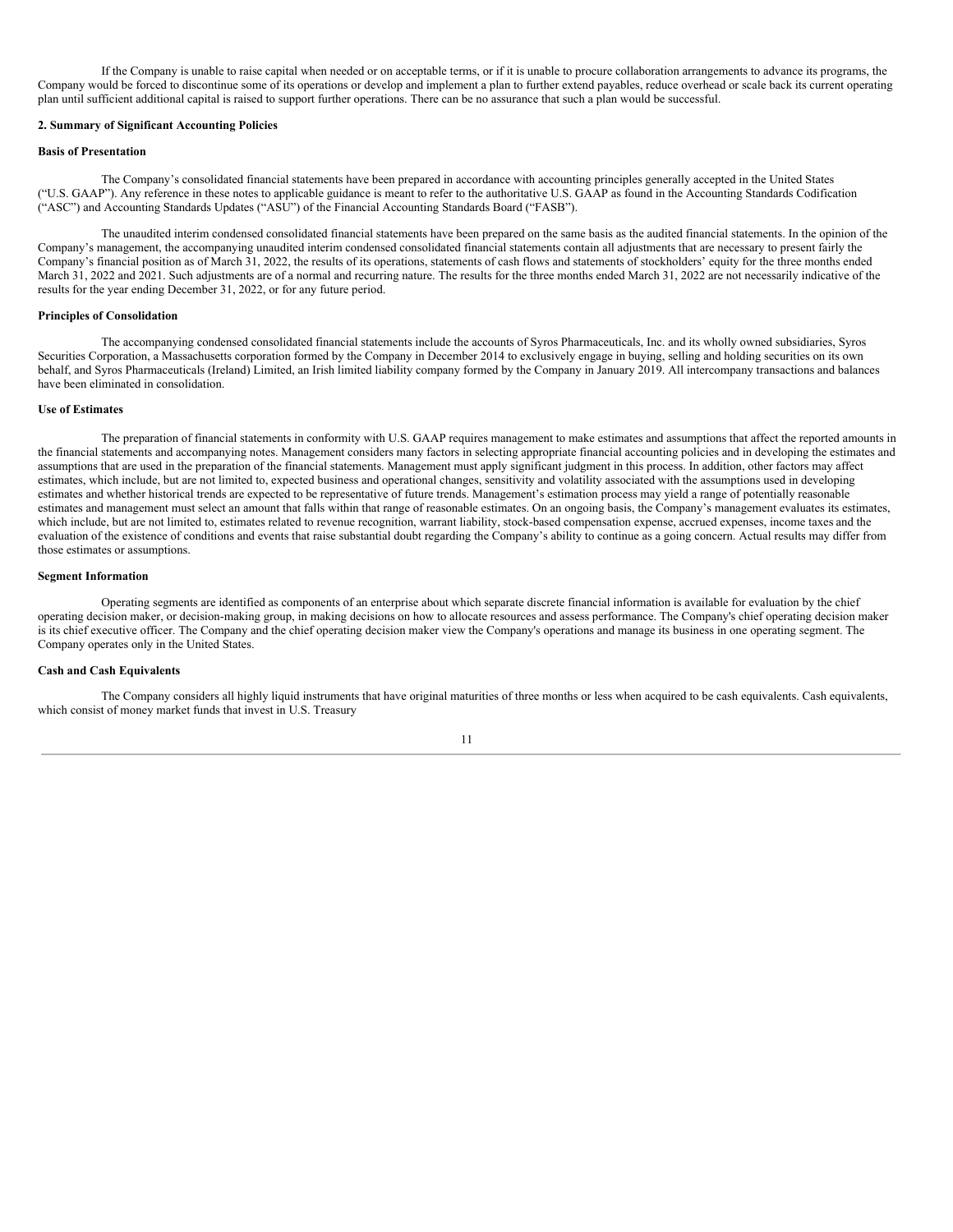If the Company is unable to raise capital when needed or on acceptable terms, or if it is unable to procure collaboration arrangements to advance its programs, the Company would be forced to discontinue some of its operations or develop and implement a plan to further extend payables, reduce overhead or scale back its current operating plan until sufficient additional capital is raised to support further operations. There can be no assurance that such a plan would be successful.

#### **2. Summary of Significant Accounting Policies**

## **Basis of Presentation**

The Company's consolidated financial statements have been prepared in accordance with accounting principles generally accepted in the United States ("U.S. GAAP"). Any reference in these notes to applicable guidance is meant to refer to the authoritative U.S. GAAP as found in the Accounting Standards Codification ("ASC") and Accounting Standards Updates ("ASU") of the Financial Accounting Standards Board ("FASB").

The unaudited interim condensed consolidated financial statements have been prepared on the same basis as the audited financial statements. In the opinion of the Company's management, the accompanying unaudited interim condensed consolidated financial statements contain all adjustments that are necessary to present fairly the Company's financial position as of March 31, 2022, the results of its operations, statements of cash flows and statements of stockholders' equity for the three months ended March 31, 2022 and 2021. Such adjustments are of a normal and recurring nature. The results for the three months ended March 31, 2022 are not necessarily indicative of the results for the year ending December 31, 2022, or for any future period.

#### **Principles of Consolidation**

The accompanying condensed consolidated financial statements include the accounts of Syros Pharmaceuticals, Inc. and its wholly owned subsidiaries, Syros Securities Corporation, a Massachusetts corporation formed by the Company in December 2014 to exclusively engage in buying, selling and holding securities on its own behalf, and Syros Pharmaceuticals (Ireland) Limited, an Irish limited liability company formed by the Company in January 2019. All intercompany transactions and balances have been eliminated in consolidation.

#### **Use of Estimates**

The preparation of financial statements in conformity with U.S. GAAP requires management to make estimates and assumptions that affect the reported amounts in the financial statements and accompanying notes. Management considers many factors in selecting appropriate financial accounting policies and in developing the estimates and assumptions that are used in the preparation of the financial statements. Management must apply significant judgment in this process. In addition, other factors may affect estimates, which include, but are not limited to, expected business and operational changes, sensitivity and volatility associated with the assumptions used in developing estimates and whether historical trends are expected to be representative of future trends. Management's estimation process may yield a range of potentially reasonable estimates and management must select an amount that falls within that range of reasonable estimates. On an ongoing basis, the Company's management evaluates its estimates, which include, but are not limited to, estimates related to revenue recognition, warrant liability, stock-based compensation expense, accrued expenses, income taxes and the evaluation of the existence of conditions and events that raise substantial doubt regarding the Company's ability to continue as a going concern. Actual results may differ from those estimates or assumptions.

#### **Segment Information**

Operating segments are identified as components of an enterprise about which separate discrete financial information is available for evaluation by the chief operating decision maker, or decision-making group, in making decisions on how to allocate resources and assess performance. The Company's chief operating decision maker is its chief executive officer. The Company and the chief operating decision maker view the Company's operations and manage its business in one operating segment. The Company operates only in the United States.

# **Cash and Cash Equivalents**

The Company considers all highly liquid instruments that have original maturities of three months or less when acquired to be cash equivalents. Cash equivalents, which consist of money market funds that invest in U.S. Treasury

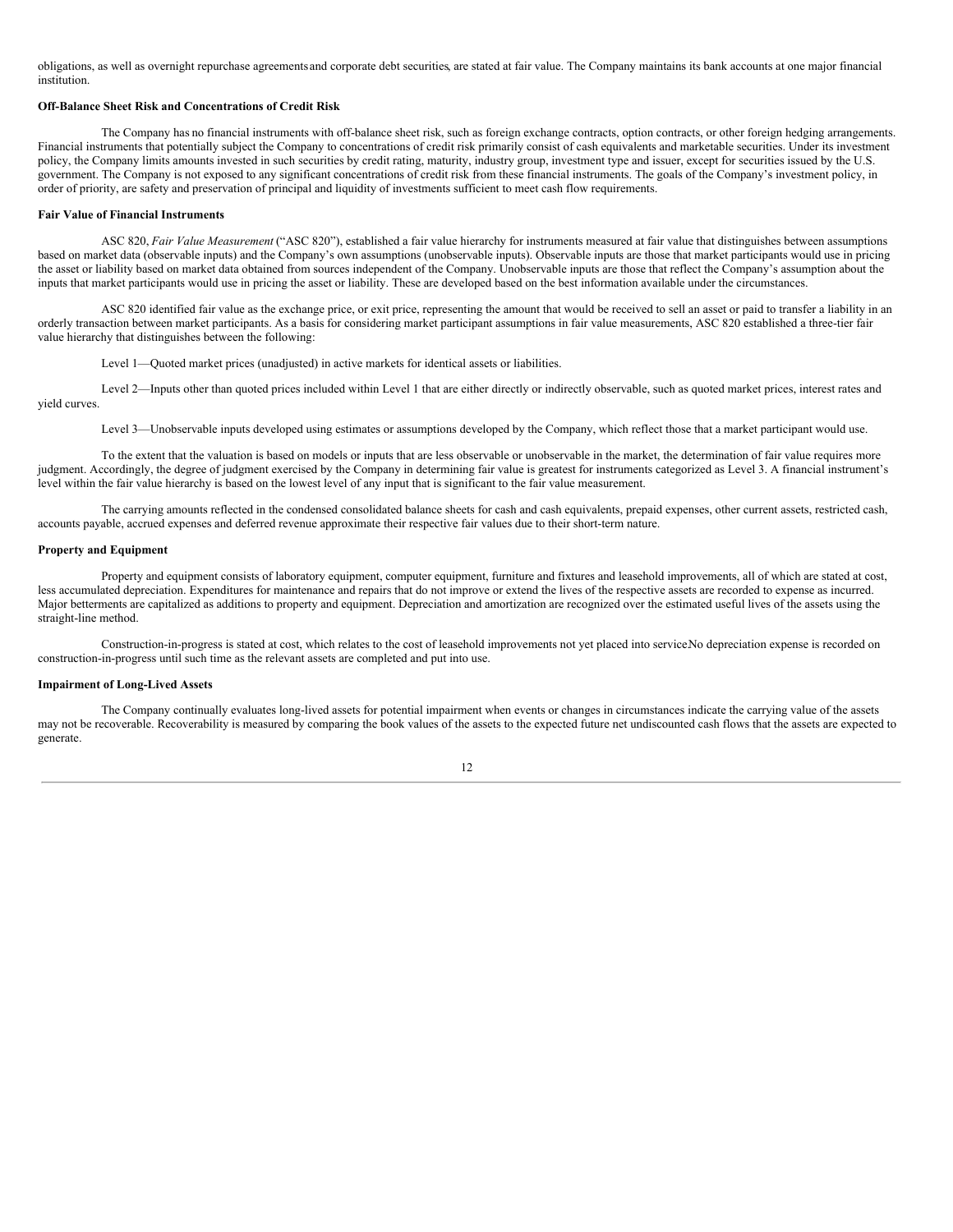obligations, as well as overnight repurchase agreements and corporate debt securities, are stated at fair value. The Company maintains its bank accounts at one major financial institution.

#### **Off-Balance Sheet Risk and Concentrations of Credit Risk**

The Company has no financial instruments with off-balance sheet risk, such as foreign exchange contracts, option contracts, or other foreign hedging arrangements. Financial instruments that potentially subject the Company to concentrations of credit risk primarily consist of cash equivalents and marketable securities. Under its investment policy, the Company limits amounts invested in such securities by credit rating, maturity, industry group, investment type and issuer, except for securities issued by the U.S. government. The Company is not exposed to any significant concentrations of credit risk from these financial instruments. The goals of the Company's investment policy, in order of priority, are safety and preservation of principal and liquidity of investments sufficient to meet cash flow requirements.

#### **Fair Value of Financial Instruments**

ASC 820, *Fair Value Measurement* ("ASC 820"), established a fair value hierarchy for instruments measured at fair value that distinguishes between assumptions based on market data (observable inputs) and the Company's own assumptions (unobservable inputs). Observable inputs are those that market participants would use in pricing the asset or liability based on market data obtained from sources independent of the Company. Unobservable inputs are those that reflect the Company's assumption about the inputs that market participants would use in pricing the asset or liability. These are developed based on the best information available under the circumstances.

ASC 820 identified fair value as the exchange price, or exit price, representing the amount that would be received to sell an asset or paid to transfer a liability in an orderly transaction between market participants. As a basis for considering market participant assumptions in fair value measurements, ASC 820 established a three-tier fair value hierarchy that distinguishes between the following:

Level 1—Quoted market prices (unadjusted) in active markets for identical assets or liabilities.

Level 2—Inputs other than quoted prices included within Level 1 that are either directly or indirectly observable, such as quoted market prices, interest rates and yield curves.

Level 3—Unobservable inputs developed using estimates or assumptions developed by the Company, which reflect those that a market participant would use.

To the extent that the valuation is based on models or inputs that are less observable or unobservable in the market, the determination of fair value requires more judgment. Accordingly, the degree of judgment exercised by the Company in determining fair value is greatest for instruments categorized as Level 3. A financial instrument's level within the fair value hierarchy is based on the lowest level of any input that is significant to the fair value measurement.

The carrying amounts reflected in the condensed consolidated balance sheets for cash and cash equivalents, prepaid expenses, other current assets, restricted cash, accounts payable, accrued expenses and deferred revenue approximate their respective fair values due to their short-term nature.

#### **Property and Equipment**

Property and equipment consists of laboratory equipment, computer equipment, furniture and fixtures and leasehold improvements, all of which are stated at cost, less accumulated depreciation. Expenditures for maintenance and repairs that do not improve or extend the lives of the respective assets are recorded to expense as incurred. Major betterments are capitalized as additions to property and equipment. Depreciation and amortization are recognized over the estimated useful lives of the assets using the straight-line method.

Construction-in-progress is stated at cost, which relates to the cost of leasehold improvements not yet placed into service.No depreciation expense is recorded on construction-in-progress until such time as the relevant assets are completed and put into use.

#### **Impairment of Long-Lived Assets**

The Company continually evaluates long-lived assets for potential impairment when events or changes in circumstances indicate the carrying value of the assets may not be recoverable. Recoverability is measured by comparing the book values of the assets to the expected future net undiscounted cash flows that the assets are expected to generate.

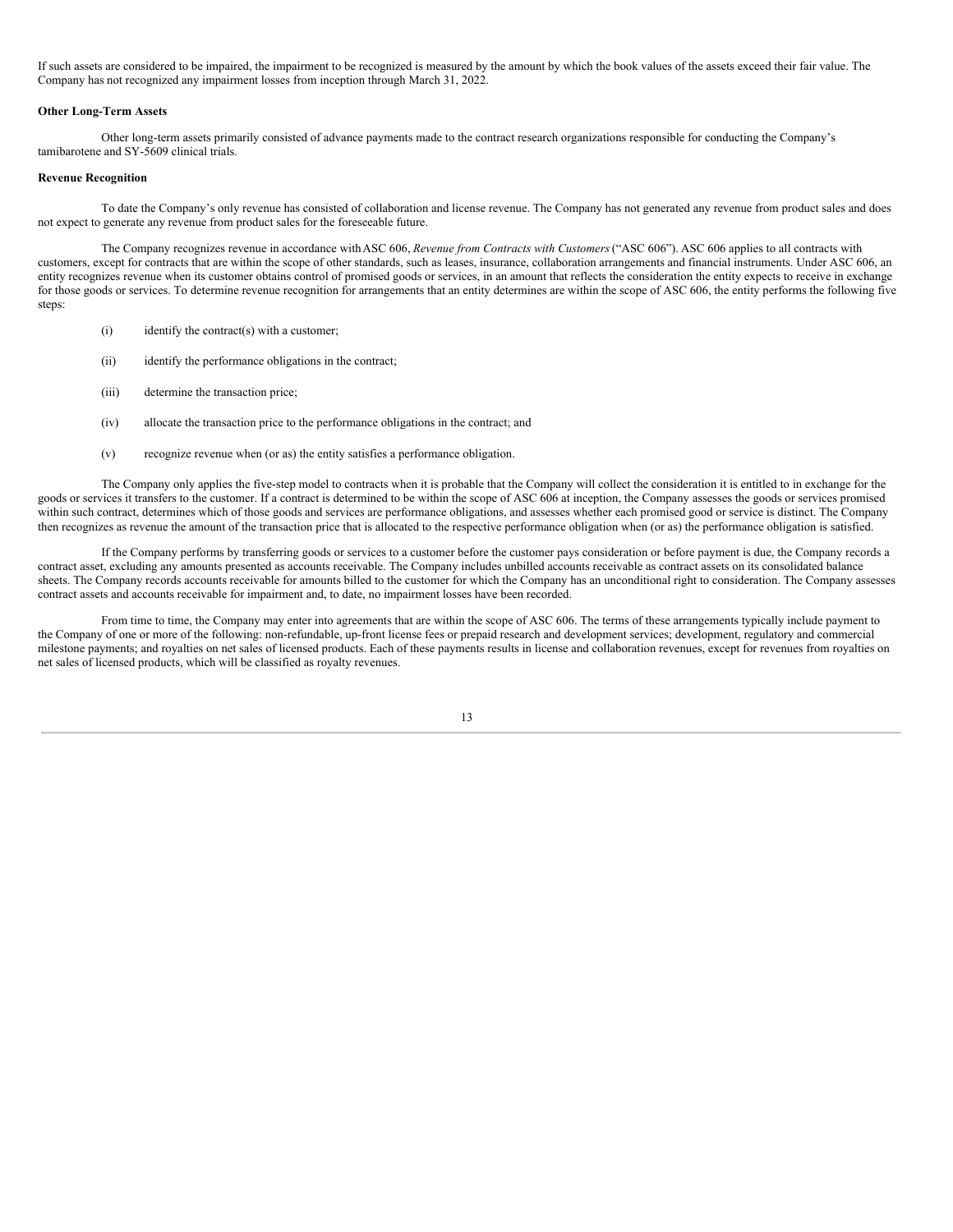If such assets are considered to be impaired, the impairment to be recognized is measured by the amount by which the book values of the assets exceed their fair value. The Company has not recognized any impairment losses from inception through March 31, 2022.

#### **Other Long-Term Assets**

Other long-term assets primarily consisted of advance payments made to the contract research organizations responsible for conducting the Company's tamibarotene and SY-5609 clinical trials.

#### **Revenue Recognition**

To date the Company's only revenue has consisted of collaboration and license revenue. The Company has not generated any revenue from product sales and does not expect to generate any revenue from product sales for the foreseeable future.

The Company recognizes revenue in accordance withASC 606, *Revenue from Contracts with Customers*("ASC 606"). ASC 606 applies to all contracts with customers, except for contracts that are within the scope of other standards, such as leases, insurance, collaboration arrangements and financial instruments. Under ASC 606, an entity recognizes revenue when its customer obtains control of promised goods or services, in an amount that reflects the consideration the entity expects to receive in exchange for those goods or services. To determine revenue recognition for arrangements that an entity determines are within the scope of ASC 606, the entity performs the following five steps:

- (i) identify the contract(s) with a customer;
- (ii) identify the performance obligations in the contract;
- (iii) determine the transaction price;
- (iv) allocate the transaction price to the performance obligations in the contract; and
- (v) recognize revenue when (or as) the entity satisfies a performance obligation.

The Company only applies the five-step model to contracts when it is probable that the Company will collect the consideration it is entitled to in exchange for the goods or services it transfers to the customer. If a contract is determined to be within the scope of ASC 606 at inception, the Company assesses the goods or services promised within such contract, determines which of those goods and services are performance obligations, and assesses whether each promised good or service is distinct. The Company then recognizes as revenue the amount of the transaction price that is allocated to the respective performance obligation when (or as) the performance obligation is satisfied.

If the Company performs by transferring goods or services to a customer before the customer pays consideration or before payment is due, the Company records a contract asset, excluding any amounts presented as accounts receivable. The Company includes unbilled accounts receivable as contract assets on its consolidated balance sheets. The Company records accounts receivable for amounts billed to the customer for which the Company has an unconditional right to consideration. The Company assesses contract assets and accounts receivable for impairment and, to date, no impairment losses have been recorded.

From time to time, the Company may enter into agreements that are within the scope of ASC 606. The terms of these arrangements typically include payment to the Company of one or more of the following: non-refundable, up-front license fees or prepaid research and development services; development, regulatory and commercial milestone payments; and royalties on net sales of licensed products. Each of these payments results in license and collaboration revenues, except for revenues from royalties on net sales of licensed products, which will be classified as royalty revenues.

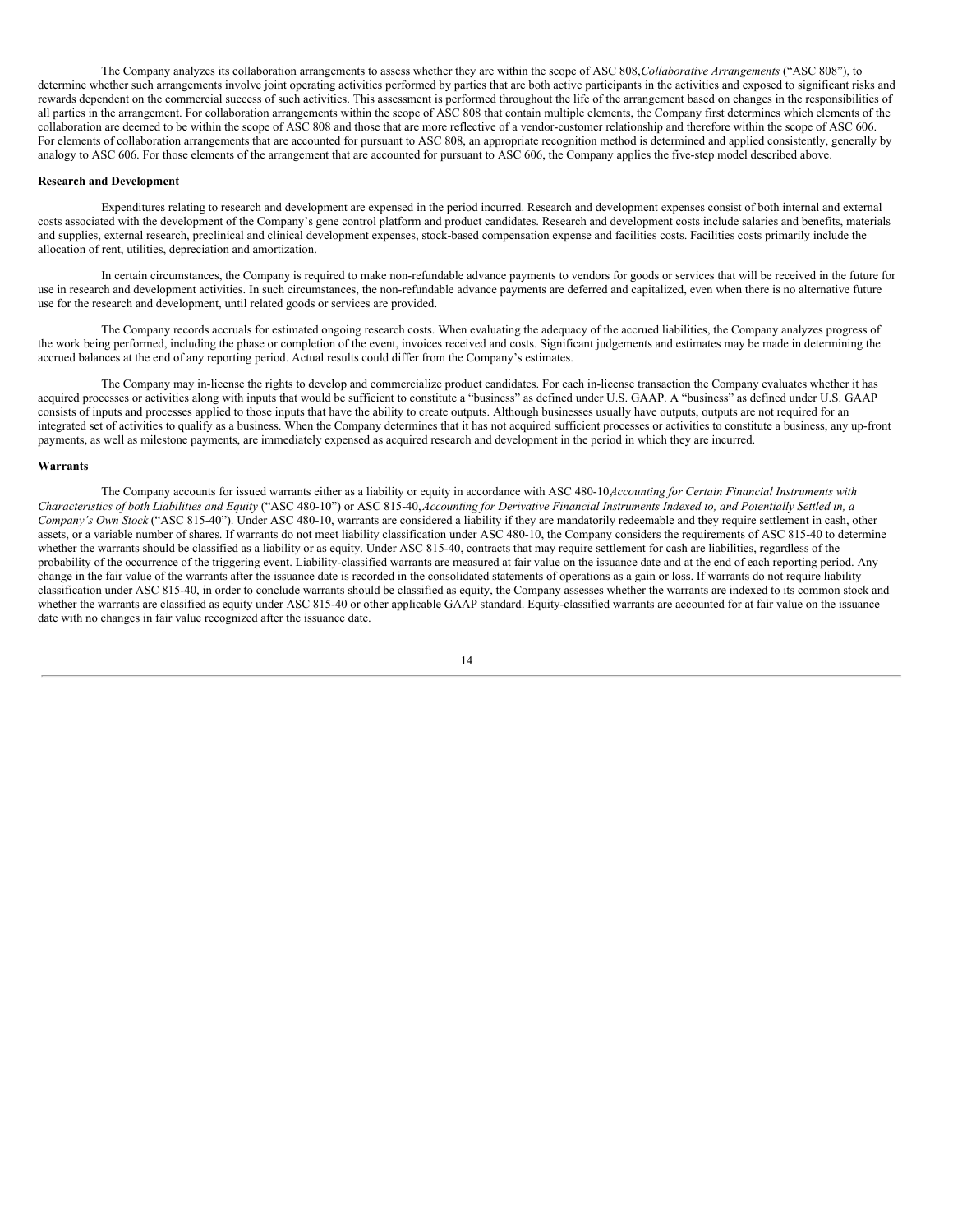The Company analyzes its collaboration arrangements to assess whether they are within the scope of ASC 808,*Collaborative Arrangements* ("ASC 808"), to determine whether such arrangements involve joint operating activities performed by parties that are both active participants in the activities and exposed to significant risks and rewards dependent on the commercial success of such activities. This assessment is performed throughout the life of the arrangement based on changes in the responsibilities of all parties in the arrangement. For collaboration arrangements within the scope of ASC 808 that contain multiple elements, the Company first determines which elements of the collaboration are deemed to be within the scope of ASC 808 and those that are more reflective of a vendor-customer relationship and therefore within the scope of ASC 606. For elements of collaboration arrangements that are accounted for pursuant to ASC 808, an appropriate recognition method is determined and applied consistently, generally by analogy to ASC 606. For those elements of the arrangement that are accounted for pursuant to ASC 606, the Company applies the five-step model described above.

#### **Research and Development**

Expenditures relating to research and development are expensed in the period incurred. Research and development expenses consist of both internal and external costs associated with the development of the Company's gene control platform and product candidates. Research and development costs include salaries and benefits, materials and supplies, external research, preclinical and clinical development expenses, stock-based compensation expense and facilities costs. Facilities costs primarily include the allocation of rent, utilities, depreciation and amortization.

In certain circumstances, the Company is required to make non-refundable advance payments to vendors for goods or services that will be received in the future for use in research and development activities. In such circumstances, the non-refundable advance payments are deferred and capitalized, even when there is no alternative future use for the research and development, until related goods or services are provided.

The Company records accruals for estimated ongoing research costs. When evaluating the adequacy of the accrued liabilities, the Company analyzes progress of the work being performed, including the phase or completion of the event, invoices received and costs. Significant judgements and estimates may be made in determining the accrued balances at the end of any reporting period. Actual results could differ from the Company's estimates.

The Company may in-license the rights to develop and commercialize product candidates. For each in-license transaction the Company evaluates whether it has acquired processes or activities along with inputs that would be sufficient to constitute a "business" as defined under U.S. GAAP. A "business" as defined under U.S. GAAP consists of inputs and processes applied to those inputs that have the ability to create outputs. Although businesses usually have outputs, outputs are not required for an integrated set of activities to qualify as a business. When the Company determines that it has not acquired sufficient processes or activities to constitute a business, any up-front payments, as well as milestone payments, are immediately expensed as acquired research and development in the period in which they are incurred.

#### **Warrants**

The Company accounts for issued warrants either as a liability or equity in accordance with ASC 480-10,*Accounting for Certain Financial Instruments with* Characteristics of both Liabilities and Equity ("ASC 480-10") or ASC 815-40, Accounting for Derivative Financial Instruments Indexed to, and Potentially Settled in, a *Company's Own Stock* ("ASC 815-40"). Under ASC 480-10, warrants are considered a liability if they are mandatorily redeemable and they require settlement in cash, other assets, or a variable number of shares. If warrants do not meet liability classification under ASC 480-10, the Company considers the requirements of ASC 815-40 to determine whether the warrants should be classified as a liability or as equity. Under ASC 815-40, contracts that may require settlement for cash are liabilities, regardless of the probability of the occurrence of the triggering event. Liability-classified warrants are measured at fair value on the issuance date and at the end of each reporting period. Any change in the fair value of the warrants after the issuance date is recorded in the consolidated statements of operations as a gain or loss. If warrants do not require liability classification under ASC 815-40, in order to conclude warrants should be classified as equity, the Company assesses whether the warrants are indexed to its common stock and whether the warrants are classified as equity under ASC 815-40 or other applicable GAAP standard. Equity-classified warrants are accounted for at fair value on the issuance date with no changes in fair value recognized after the issuance date.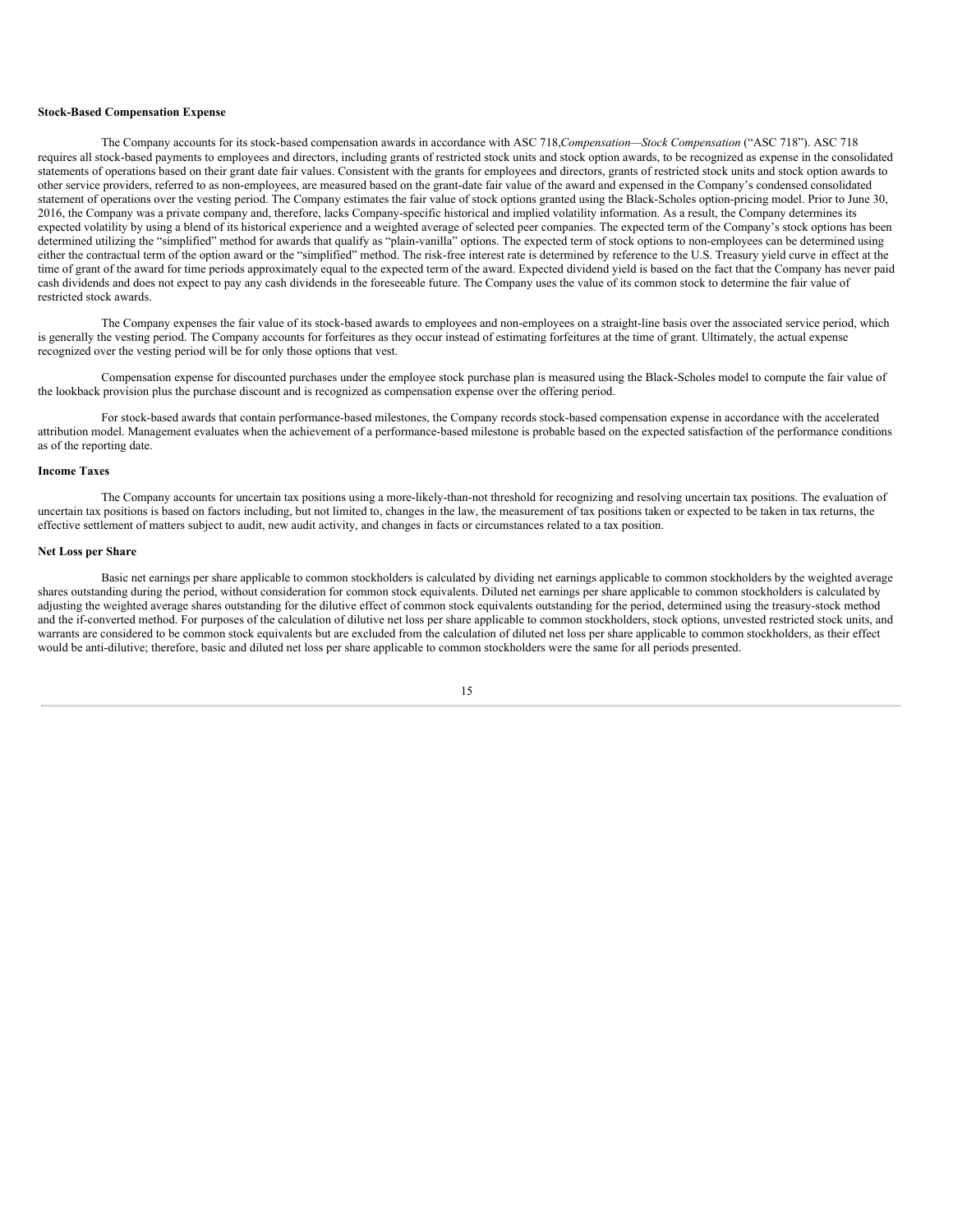#### **Stock-Based Compensation Expense**

The Company accounts for its stock-based compensation awards in accordance with ASC 718,*Compensation—Stock Compensation* ("ASC 718"). ASC 718 requires all stock-based payments to employees and directors, including grants of restricted stock units and stock option awards, to be recognized as expense in the consolidated statements of operations based on their grant date fair values. Consistent with the grants for employees and directors, grants of restricted stock units and stock option awards to other service providers, referred to as non-employees, are measured based on the grant-date fair value of the award and expensed in the Company's condensed consolidated statement of operations over the vesting period. The Company estimates the fair value of stock options granted using the Black-Scholes option-pricing model. Prior to June 30, 2016, the Company was a private company and, therefore, lacks Company-specific historical and implied volatility information. As a result, the Company determines its expected volatility by using a blend of its historical experience and a weighted average of selected peer companies. The expected term of the Company's stock options has been determined utilizing the "simplified" method for awards that qualify as "plain-vanilla" options. The expected term of stock options to non-employees can be determined using either the contractual term of the option award or the "simplified" method. The risk-free interest rate is determined by reference to the U.S. Treasury yield curve in effect at the time of grant of the award for time periods approximately equal to the expected term of the award. Expected dividend yield is based on the fact that the Company has never paid cash dividends and does not expect to pay any cash dividends in the foreseeable future. The Company uses the value of its common stock to determine the fair value of restricted stock awards.

The Company expenses the fair value of its stock-based awards to employees and non-employees on a straight-line basis over the associated service period, which is generally the vesting period. The Company accounts for forfeitures as they occur instead of estimating forfeitures at the time of grant. Ultimately, the actual expense recognized over the vesting period will be for only those options that vest.

Compensation expense for discounted purchases under the employee stock purchase plan is measured using the Black-Scholes model to compute the fair value of the lookback provision plus the purchase discount and is recognized as compensation expense over the offering period.

For stock-based awards that contain performance-based milestones, the Company records stock-based compensation expense in accordance with the accelerated attribution model. Management evaluates when the achievement of a performance-based milestone is probable based on the expected satisfaction of the performance conditions as of the reporting date.

#### **Income Taxes**

The Company accounts for uncertain tax positions using a more-likely-than-not threshold for recognizing and resolving uncertain tax positions. The evaluation of uncertain tax positions is based on factors including, but not limited to, changes in the law, the measurement of tax positions taken or expected to be taken in tax returns, the effective settlement of matters subject to audit, new audit activity, and changes in facts or circumstances related to a tax position.

#### **Net Loss per Share**

Basic net earnings per share applicable to common stockholders is calculated by dividing net earnings applicable to common stockholders by the weighted average shares outstanding during the period, without consideration for common stock equivalents. Diluted net earnings per share applicable to common stockholders is calculated by adjusting the weighted average shares outstanding for the dilutive effect of common stock equivalents outstanding for the period, determined using the treasury-stock method and the if-converted method. For purposes of the calculation of dilutive net loss per share applicable to common stockholders, stock options, unvested restricted stock units, and warrants are considered to be common stock equivalents but are excluded from the calculation of diluted net loss per share applicable to common stockholders, as their effect would be anti-dilutive; therefore, basic and diluted net loss per share applicable to common stockholders were the same for all periods presented.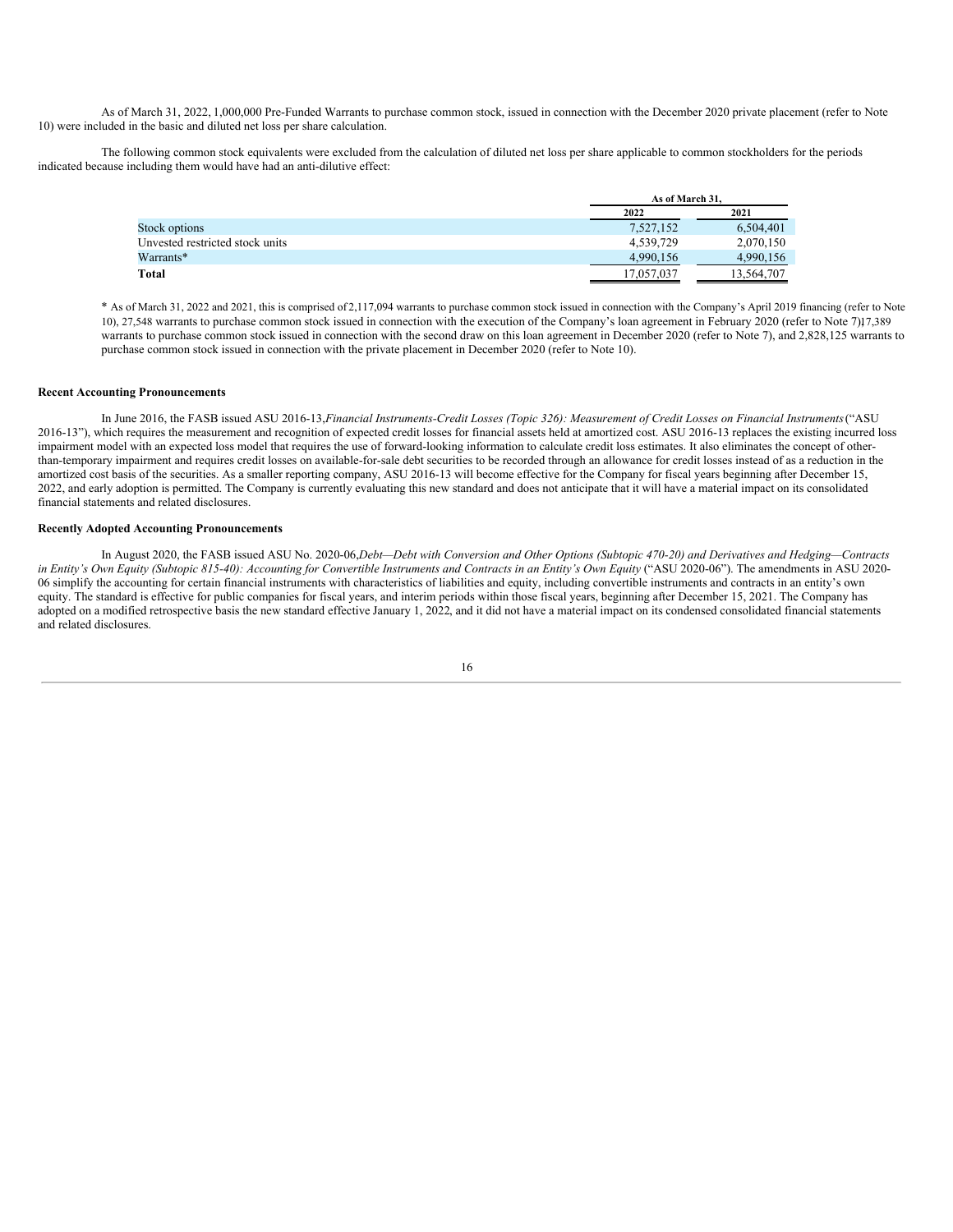As of March 31, 2022, 1,000,000 Pre-Funded Warrants to purchase common stock, issued in connection with the December 2020 private placement (refer to Note 10) were included in the basic and diluted net loss per share calculation.

The following common stock equivalents were excluded from the calculation of diluted net loss per share applicable to common stockholders for the periods indicated because including them would have had an anti-dilutive effect:

|                                 | As of March 31. |            |
|---------------------------------|-----------------|------------|
|                                 | 2022            | 2021       |
| Stock options                   | 7,527,152       | 6,504,401  |
| Unvested restricted stock units | 4,539,729       | 2,070,150  |
| Warrants*                       | 4,990,156       | 4,990,156  |
| Total                           | 17.057.037      | 13.564.707 |

\* As of March 31, 2022 and 2021, this is comprised of2,117,094 warrants to purchase common stock issued in connection with the Company's April 2019 financing (refer to Note 10), 27,548 warrants to purchase common stock issued in connection with the execution of the Company's loan agreement in February 2020 (refer to Note 7)1,7,389 warrants to purchase common stock issued in connection with the second draw on this loan agreement in December 2020 (refer to Note 7), and 2,828,125 warrants to purchase common stock issued in connection with the private placement in December 2020 (refer to Note 10).

#### **Recent Accounting Pronouncements**

In June 2016, the FASB issued ASU 2016-13, Financial Instruments-Credit Losses (Topic 326): Measurement of Credit Losses on Financial Instruments ("ASU 2016-13"), which requires the measurement and recognition of expected credit losses for financial assets held at amortized cost. ASU 2016-13 replaces the existing incurred loss impairment model with an expected loss model that requires the use of forward-looking information to calculate credit loss estimates. It also eliminates the concept of otherthan-temporary impairment and requires credit losses on available-for-sale debt securities to be recorded through an allowance for credit losses instead of as a reduction in the amortized cost basis of the securities. As a smaller reporting company, ASU 2016-13 will become effective for the Company for fiscal years beginning after December 15, 2022, and early adoption is permitted. The Company is currently evaluating this new standard and does not anticipate that it will have a material impact on its consolidated financial statements and related disclosures.

# **Recently Adopted Accounting Pronouncements**

In August 2020, the FASB issued ASU No. 2020-06, Debt—Debt with Conversion and Other Options (Subtopic 470-20) and Derivatives and Hedging-Contracts in Entity's Own Equity (Subtopic 815-40): Accounting for Convertible Instruments and Contracts in an Entity's Own Equity ("ASU 2020-06"). The amendments in ASU 2020-06 simplify the accounting for certain financial instruments with characteristics of liabilities and equity, including convertible instruments and contracts in an entity's own equity. The standard is effective for public companies for fiscal years, and interim periods within those fiscal years, beginning after December 15, 2021. The Company has adopted on a modified retrospective basis the new standard effective January 1, 2022, and it did not have a material impact on its condensed consolidated financial statements and related disclosures.

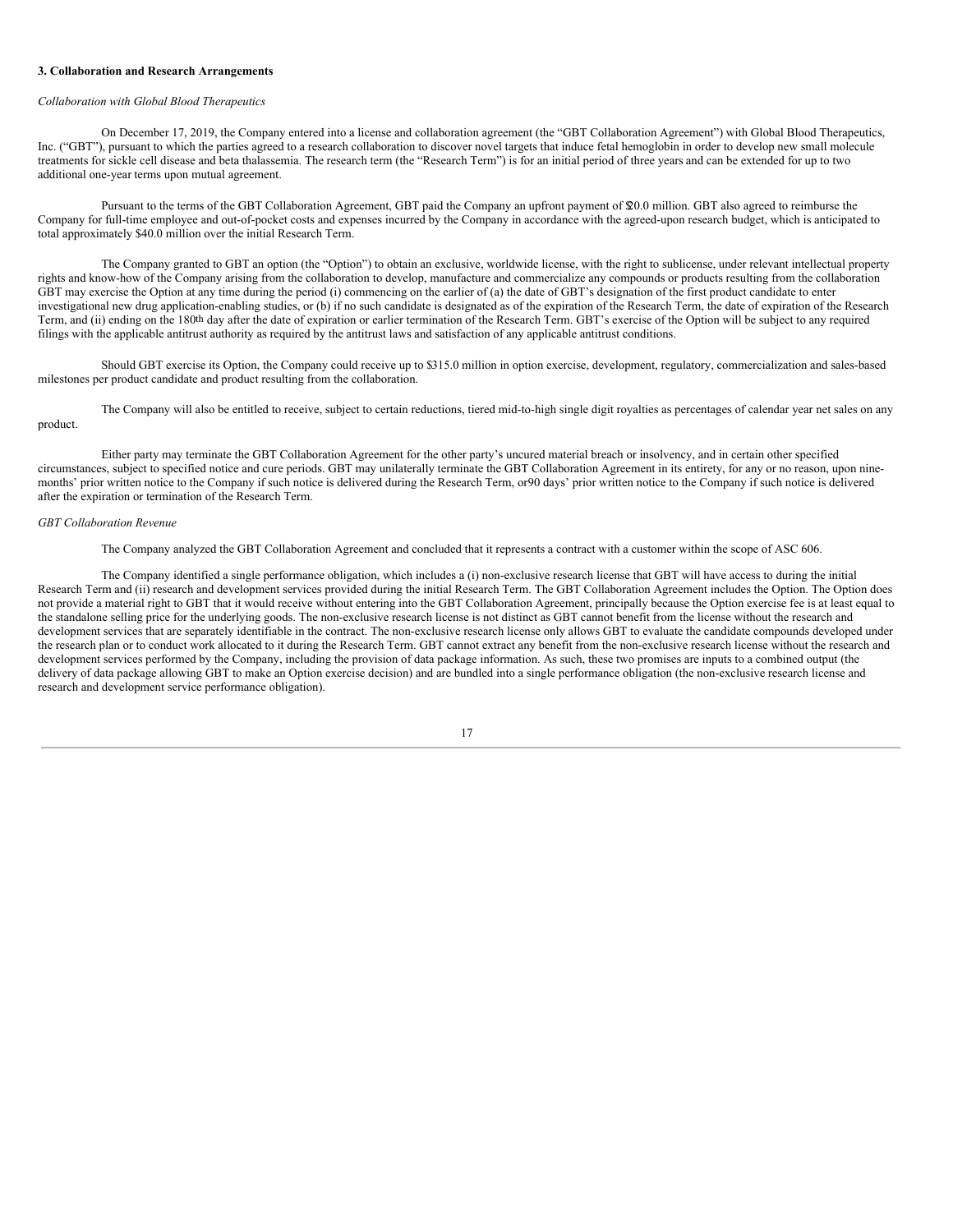#### **3. Collaboration and Research Arrangements**

#### *Collaboration with Global Blood Therapeutics*

On December 17, 2019, the Company entered into a license and collaboration agreement (the "GBT Collaboration Agreement") with Global Blood Therapeutics, Inc. ("GBT"), pursuant to which the parties agreed to a research collaboration to discover novel targets that induce fetal hemoglobin in order to develop new small molecule treatments for sickle cell disease and beta thalassemia. The research term (the "Research Term") is for an initial period of three years and can be extended for up to two additional one-year terms upon mutual agreement.

Pursuant to the terms of the GBT Collaboration Agreement, GBT paid the Company an upfront payment of \$20.0 million. GBT also agreed to reimburse the Company for full-time employee and out-of-pocket costs and expenses incurred by the Company in accordance with the agreed-upon research budget, which is anticipated to total approximately \$40.0 million over the initial Research Term.

The Company granted to GBT an option (the "Option") to obtain an exclusive, worldwide license, with the right to sublicense, under relevant intellectual property rights and know-how of the Company arising from the collaboration to develop, manufacture and commercialize any compounds or products resulting from the collaboration. GBT may exercise the Option at any time during the period (i) commencing on the earlier of (a) the date of GBT's designation of the first product candidate to enter investigational new drug application-enabling studies, or (b) if no such candidate is designated as of the expiration of the Research Term, the date of expiration of the Research Term, and (ii) ending on the 180th day after the date of expiration or earlier termination of the Research Term. GBT's exercise of the Option will be subject to any required filings with the applicable antitrust authority as required by the antitrust laws and satisfaction of any applicable antitrust conditions.

Should GBT exercise its Option, the Company could receive up to \$315.0 million in option exercise, development, regulatory, commercialization and sales-based milestones per product candidate and product resulting from the collaboration.

The Company will also be entitled to receive, subject to certain reductions, tiered mid-to-high single digit royalties as percentages of calendar year net sales on any product.

Either party may terminate the GBT Collaboration Agreement for the other party's uncured material breach or insolvency, and in certain other specified circumstances, subject to specified notice and cure periods. GBT may unilaterally terminate the GBT Collaboration Agreement in its entirety, for any or no reason, upon ninemonths' prior written notice to the Company if such notice is delivered during the Research Term, or90 days' prior written notice to the Company if such notice is delivered after the expiration or termination of the Research Term.

#### *GBT Collaboration Revenue*

The Company analyzed the GBT Collaboration Agreement and concluded that it represents a contract with a customer within the scope of ASC 606.

The Company identified a single performance obligation, which includes a (i) non-exclusive research license that GBT will have access to during the initial Research Term and (ii) research and development services provided during the initial Research Term. The GBT Collaboration Agreement includes the Option. The Option does not provide a material right to GBT that it would receive without entering into the GBT Collaboration Agreement, principally because the Option exercise fee is at least equal to the standalone selling price for the underlying goods. The non-exclusive research license is not distinct as GBT cannot benefit from the license without the research and development services that are separately identifiable in the contract. The non-exclusive research license only allows GBT to evaluate the candidate compounds developed under the research plan or to conduct work allocated to it during the Research Term. GBT cannot extract any benefit from the non-exclusive research license without the research and development services performed by the Company, including the provision of data package information. As such, these two promises are inputs to a combined output (the delivery of data package allowing GBT to make an Option exercise decision) and are bundled into a single performance obligation (the non-exclusive research license and research and development service performance obligation).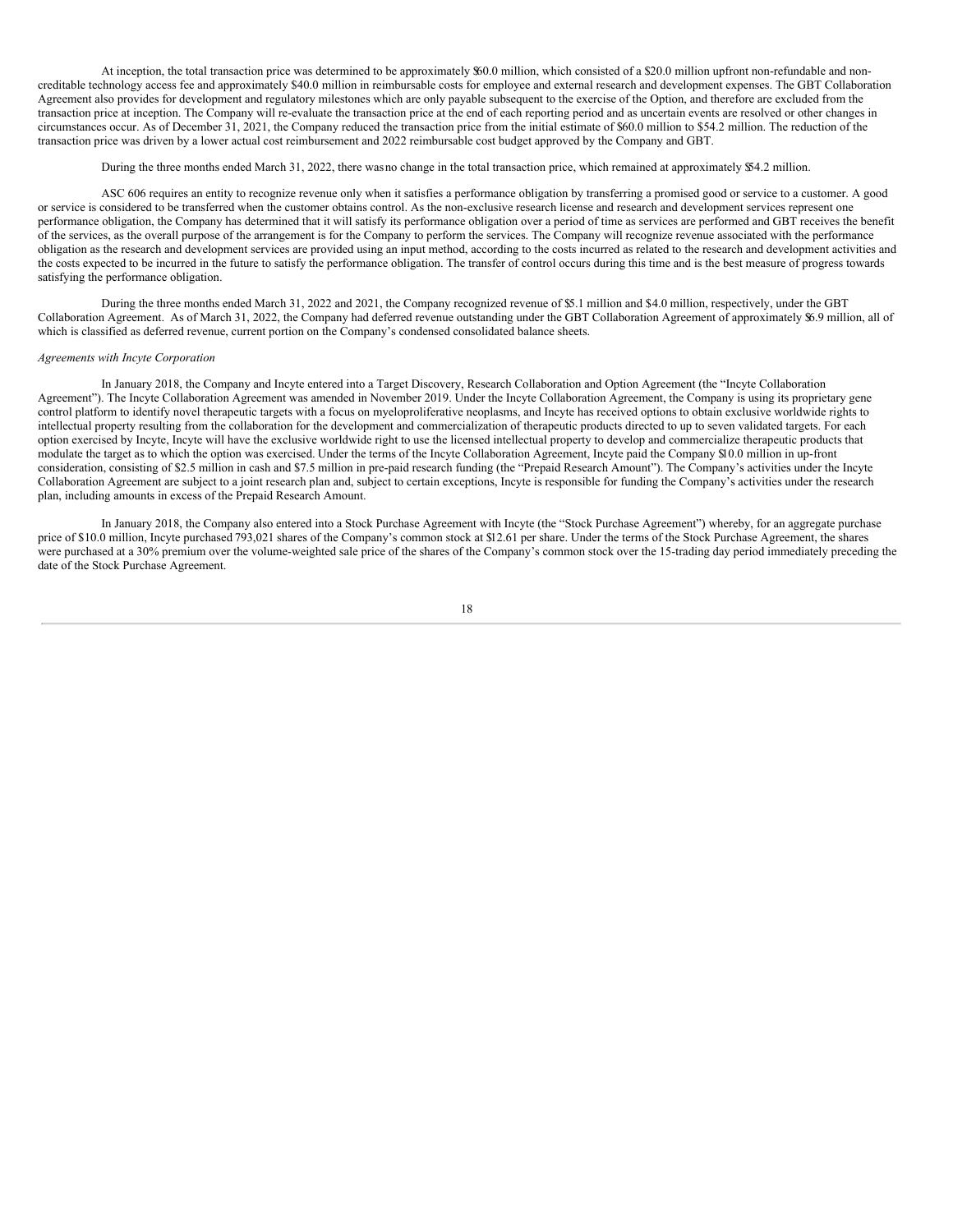At inception, the total transaction price was determined to be approximately \$60.0 million, which consisted of a \$20.0 million upfront non-refundable and noncreditable technology access fee and approximately \$40.0 million in reimbursable costs for employee and external research and development expenses. The GBT Collaboration Agreement also provides for development and regulatory milestones which are only payable subsequent to the exercise of the Option, and therefore are excluded from the transaction price at inception. The Company will re-evaluate the transaction price at the end of each reporting period and as uncertain events are resolved or other changes in circumstances occur. As of December 31, 2021, the Company reduced the transaction price from the initial estimate of \$60.0 million to \$54.2 million. The reduction of the transaction price was driven by a lower actual cost reimbursement and 2022 reimbursable cost budget approved by the Company and GBT.

During the three months ended March 31, 2022, there wasno change in the total transaction price, which remained at approximately \$54.2 million.

ASC 606 requires an entity to recognize revenue only when it satisfies a performance obligation by transferring a promised good or service to a customer. A good or service is considered to be transferred when the customer obtains control. As the non-exclusive research license and research and development services represent one performance obligation, the Company has determined that it will satisfy its performance obligation over a period of time as services are performed and GBT receives the benefit of the services, as the overall purpose of the arrangement is for the Company to perform the services. The Company will recognize revenue associated with the performance obligation as the research and development services are provided using an input method, according to the costs incurred as related to the research and development activities and the costs expected to be incurred in the future to satisfy the performance obligation. The transfer of control occurs during this time and is the best measure of progress towards satisfying the performance obligation.

During the three months ended March 31, 2022 and 2021, the Company recognized revenue of \$5.1 million and \$4.0 million, respectively, under the GBT Collaboration Agreement. As of March 31, 2022, the Company had deferred revenue outstanding under the GBT Collaboration Agreement of approximately \$6.9 million, all of which is classified as deferred revenue, current portion on the Company's condensed consolidated balance sheets.

#### *Agreements with Incyte Corporation*

In January 2018, the Company and Incyte entered into a Target Discovery, Research Collaboration and Option Agreement (the "Incyte Collaboration Agreement"). The Incyte Collaboration Agreement was amended in November 2019. Under the Incyte Collaboration Agreement, the Company is using its proprietary gene control platform to identify novel therapeutic targets with a focus on myeloproliferative neoplasms, and Incyte has received options to obtain exclusive worldwide rights to intellectual property resulting from the collaboration for the development and commercialization of therapeutic products directed to up to seven validated targets. For each option exercised by Incyte, Incyte will have the exclusive worldwide right to use the licensed intellectual property to develop and commercialize therapeutic products that modulate the target as to which the option was exercised. Under the terms of the Incyte Collaboration Agreement, Incyte paid the Company \$10.0 million in up-front consideration, consisting of \$2.5 million in cash and \$7.5 million in pre-paid research funding (the "Prepaid Research Amount"). The Company's activities under the Incyte Collaboration Agreement are subject to a joint research plan and, subject to certain exceptions, Incyte is responsible for funding the Company's activities under the research plan, including amounts in excess of the Prepaid Research Amount.

In January 2018, the Company also entered into a Stock Purchase Agreement with Incyte (the "Stock Purchase Agreement") whereby, for an aggregate purchase price of \$10.0 million, Incyte purchased 793,021 shares of the Company's common stock at \$12.61 per share. Under the terms of the Stock Purchase Agreement, the shares were purchased at a 30% premium over the volume-weighted sale price of the shares of the Company's common stock over the 15-trading day period immediately preceding the date of the Stock Purchase Agreement.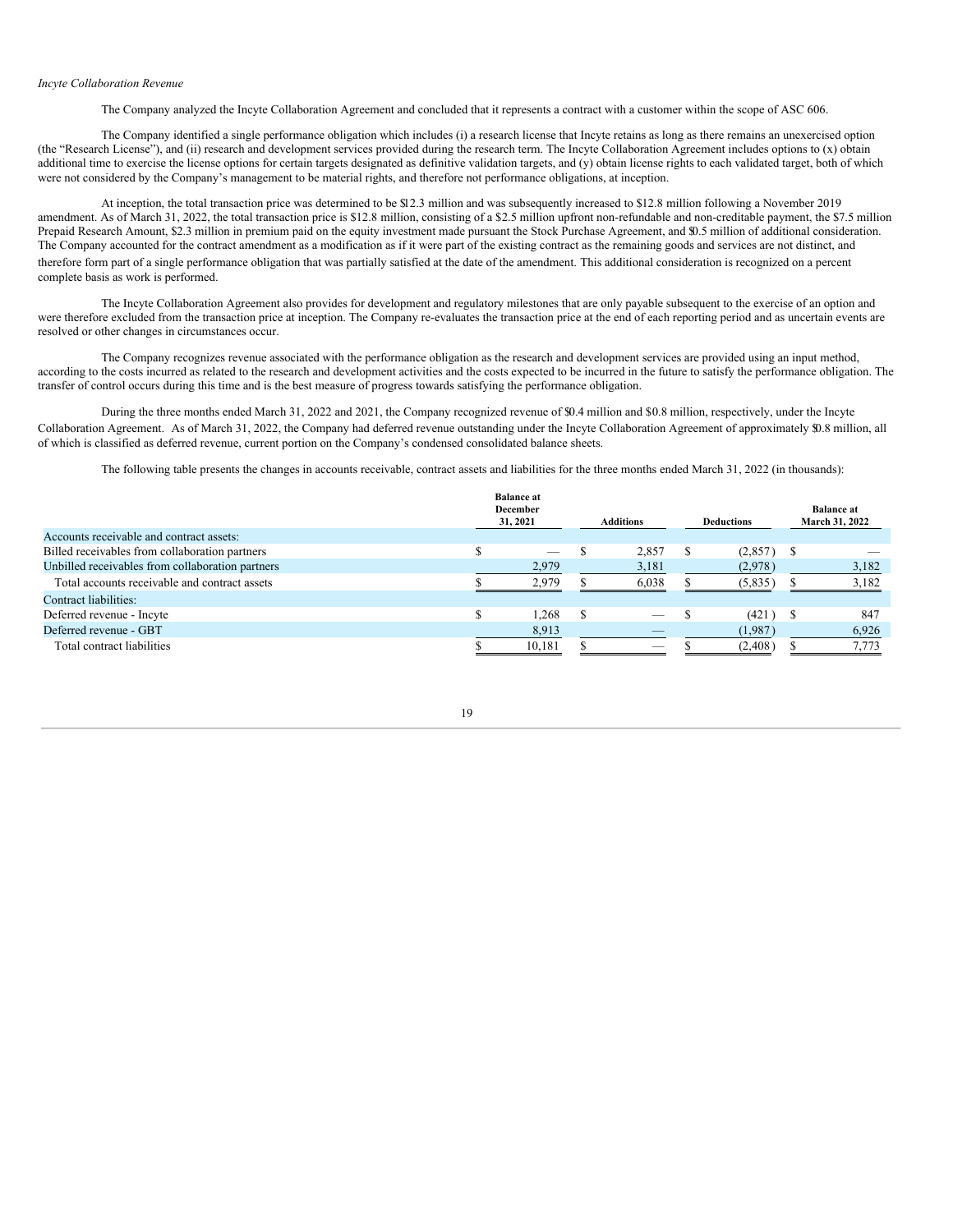#### *Incyte Collaboration Revenue*

The Company analyzed the Incyte Collaboration Agreement and concluded that it represents a contract with a customer within the scope of ASC 606.

The Company identified a single performance obligation which includes (i) a research license that Incyte retains as long as there remains an unexercised option (the "Research License"), and (ii) research and development services provided during the research term. The Incyte Collaboration Agreement includes options to (x) obtain additional time to exercise the license options for certain targets designated as definitive validation targets, and (y) obtain license rights to each validated target, both of which were not considered by the Company's management to be material rights, and therefore not performance obligations, at inception.

At inception, the total transaction price was determined to be \$12.3 million and was subsequently increased to \$12.8 million following a November 2019 amendment. As of March 31, 2022, the total transaction price is \$12.8 million, consisting of a \$2.5 million upfront non-refundable and non-creditable payment, the \$7.5 million Prepaid Research Amount, \$2.3 million in premium paid on the equity investment made pursuant the Stock Purchase Agreement, and \$0.5 million of additional consideration. The Company accounted for the contract amendment as a modification as if it were part of the existing contract as the remaining goods and services are not distinct, and therefore form part of a single performance obligation that was partially satisfied at the date of the amendment. This additional consideration is recognized on a percent complete basis as work is performed.

The Incyte Collaboration Agreement also provides for development and regulatory milestones that are only payable subsequent to the exercise of an option and were therefore excluded from the transaction price at inception. The Company re-evaluates the transaction price at the end of each reporting period and as uncertain events are resolved or other changes in circumstances occur.

The Company recognizes revenue associated with the performance obligation as the research and development services are provided using an input method, according to the costs incurred as related to the research and development activities and the costs expected to be incurred in the future to satisfy the performance obligation. The transfer of control occurs during this time and is the best measure of progress towards satisfying the performance obligation.

During the three months ended March 31, 2022 and 2021, the Company recognized revenue of \$0.4 million and \$0.8 million, respectively, under the Incyte Collaboration Agreement. As of March 31, 2022, the Company had deferred revenue outstanding under the Incyte Collaboration Agreement of approximately \$0.8 million, all of which is classified as deferred revenue, current portion on the Company's condensed consolidated balance sheets.

The following table presents the changes in accounts receivable, contract assets and liabilities for the three months ended March 31, 2022 (in thousands):

|                                                  | <b>Balance at</b><br><b>December</b><br>31, 2021<br><b>Additions</b> |        |  |                          | <b>Deductions</b> |    | <b>Balance at</b><br>March 31, 2022 |
|--------------------------------------------------|----------------------------------------------------------------------|--------|--|--------------------------|-------------------|----|-------------------------------------|
| Accounts receivable and contract assets:         |                                                                      |        |  |                          |                   |    |                                     |
| Billed receivables from collaboration partners   |                                                                      |        |  | 2,857                    | (2, 857)          |    |                                     |
| Unbilled receivables from collaboration partners |                                                                      | 2,979  |  | 3,181                    | (2,978)           |    | 3,182                               |
| Total accounts receivable and contract assets    |                                                                      | 2,979  |  | 6,038                    | (5,835)           |    | 3,182                               |
| Contract liabilities:                            |                                                                      |        |  |                          |                   |    |                                     |
| Deferred revenue - Incyte                        |                                                                      | 1,268  |  |                          | (421)             | -S | 847                                 |
| Deferred revenue - GBT                           |                                                                      | 8,913  |  | $\overline{\phantom{a}}$ | (1,987)           |    | 6,926                               |
| Total contract liabilities                       |                                                                      | 10.181 |  | _                        | (2.408)           |    | 7.773                               |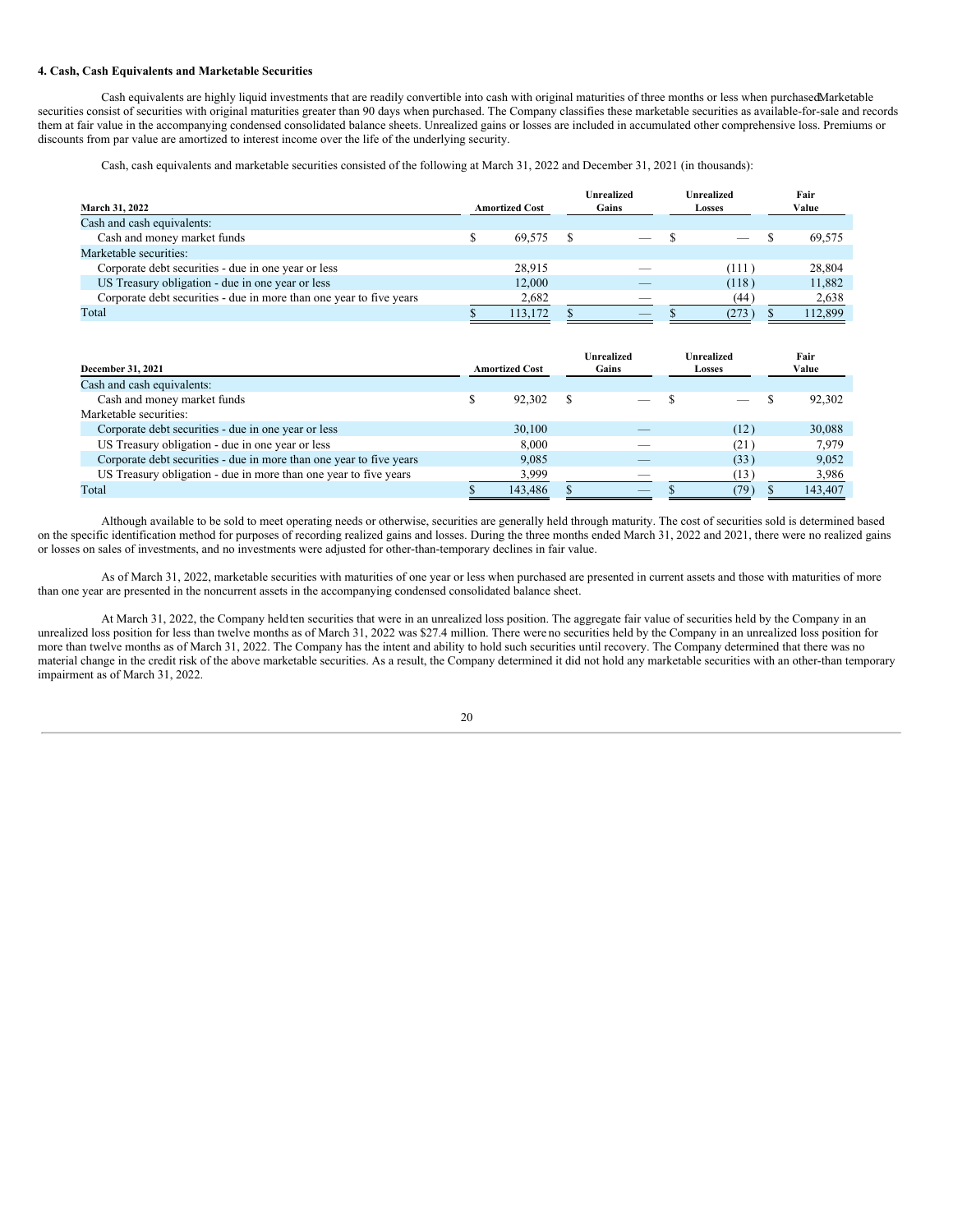#### **4. Cash, Cash Equivalents and Marketable Securities**

Cash equivalents are highly liquid investments that are readily convertible into cash with original maturities of three months or less when purchasedMarketable securities consist of securities with original maturities greater than 90 days when purchased. The Company classifies these marketable securities as available-for-sale and records them at fair value in the accompanying condensed consolidated balance sheets. Unrealized gains or losses are included in accumulated other comprehensive loss. Premiums or discounts from par value are amortized to interest income over the life of the underlying security.

Cash, cash equivalents and marketable securities consisted of the following at March 31, 2022 and December 31, 2021 (in thousands):

| <b>March 31, 2022</b>                                               |    | <b>Amortized Cost</b> | Unrealized<br>Gains | Unrealized<br><b>Losses</b> | Fair<br>Value |
|---------------------------------------------------------------------|----|-----------------------|---------------------|-----------------------------|---------------|
| Cash and cash equivalents:                                          |    |                       |                     |                             |               |
| Cash and money market funds                                         | J. | 69.575                | _                   | $\overline{\phantom{a}}$    | 69.575        |
| Marketable securities:                                              |    |                       |                     |                             |               |
| Corporate debt securities - due in one year or less                 |    | 28,915                |                     | (111)                       | 28,804        |
| US Treasury obligation - due in one year or less                    |    | 12,000                |                     | (118)                       | 11,882        |
| Corporate debt securities - due in more than one year to five years |    | 2,682                 |                     | (44)                        | 2,638         |
| Total                                                               |    | 113,172               | _                   | (273                        | 112,899       |

| <b>December 31, 2021</b>                                            | <b>Amortized Cost</b> | Unrealized<br>Gains      | <b>Unrealized</b><br><b>Losses</b> | Fair<br>Value |
|---------------------------------------------------------------------|-----------------------|--------------------------|------------------------------------|---------------|
| Cash and cash equivalents:<br>Cash and money market funds           | 92.302                |                          |                                    | 92.302        |
| Marketable securities:                                              |                       |                          |                                    |               |
| Corporate debt securities - due in one year or less                 | 30,100                |                          | (12)                               | 30,088        |
| US Treasury obligation - due in one year or less                    | 8.000                 |                          | (21)                               | 7.979         |
| Corporate debt securities - due in more than one year to five years | 9.085                 |                          | (33)                               | 9,052         |
| US Treasury obligation - due in more than one year to five years    | 3,999                 |                          | (13)                               | 3,986         |
| Total                                                               | 143.486               | $\overline{\phantom{a}}$ | 79                                 | 143,407       |

Although available to be sold to meet operating needs or otherwise, securities are generally held through maturity. The cost of securities sold is determined based on the specific identification method for purposes of recording realized gains and losses. During the three months ended March 31, 2022 and 2021, there were no realized gains or losses on sales of investments, and no investments were adjusted for other-than-temporary declines in fair value.

As of March 31, 2022, marketable securities with maturities of one year or less when purchased are presented in current assets and those with maturities of more than one year are presented in the noncurrent assets in the accompanying condensed consolidated balance sheet.

At March 31, 2022, the Company heldten securities that were in an unrealized loss position. The aggregate fair value of securities held by the Company in an unrealized loss position for less than twelve months as of March 31, 2022 was \$27.4 million. There were no securities held by the Company in an unrealized loss position for more than twelve months as of March 31, 2022. The Company has the intent and ability to hold such securities until recovery. The Company determined that there was no material change in the credit risk of the above marketable securities. As a result, the Company determined it did not hold any marketable securities with an other-than temporary impairment as of March 31, 2022.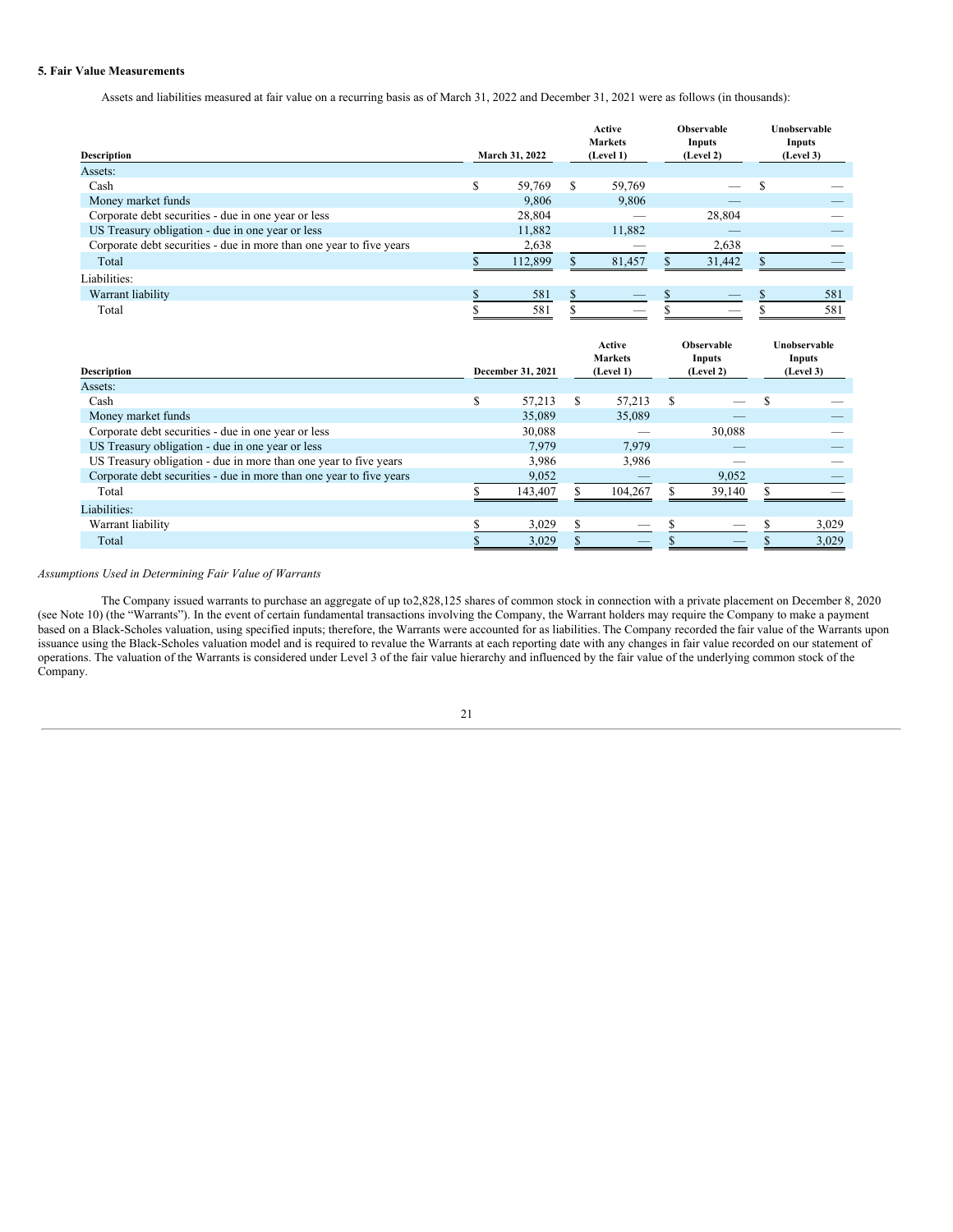# **5. Fair Value Measurements**

Assets and liabilities measured at fair value on a recurring basis as of March 31, 2022 and December 31, 2021 were as follows (in thousands):

|                                                                     |          |                |    | Active<br><b>Markets</b> | <b>Observable</b><br>Inputs | Unobservable<br>Inputs |
|---------------------------------------------------------------------|----------|----------------|----|--------------------------|-----------------------------|------------------------|
| <b>Description</b>                                                  |          | March 31, 2022 |    | (Level 1)                | (Level 2)                   | (Level 3)              |
| Assets:                                                             |          |                |    |                          |                             |                        |
| Cash                                                                | \$       | 59.769         | S. | 59,769                   | -                           |                        |
| Money market funds                                                  |          | 9.806          |    | 9,806                    | _                           |                        |
| Corporate debt securities - due in one year or less                 |          | 28,804         |    |                          | 28,804                      |                        |
| US Treasury obligation - due in one year or less                    |          | 11,882         |    | 11,882                   |                             |                        |
| Corporate debt securities - due in more than one year to five years |          | 2,638          |    |                          | 2,638                       |                        |
| Total                                                               |          | 112,899        |    | 81,457                   | 31,442                      |                        |
| Liabilities:                                                        |          |                |    |                          |                             |                        |
| Warrant liability                                                   | $\sigma$ | 581            |    |                          | _                           | 581                    |
| Total                                                               |          | 581            |    |                          |                             | 581                    |

|                                                                     |   |                   | Active<br><b>Markets</b> |   | <b>Observable</b><br>Inputs | Unobservable<br>Inputs |
|---------------------------------------------------------------------|---|-------------------|--------------------------|---|-----------------------------|------------------------|
| <b>Description</b>                                                  |   | December 31, 2021 | (Level 1)                |   | (Level 2)                   | (Level 3)              |
| Assets:                                                             |   |                   |                          |   |                             |                        |
| Cash                                                                | S | 57.213            | \$<br>57.213             | S |                             |                        |
| Money market funds                                                  |   | 35,089            | 35,089                   |   |                             |                        |
| Corporate debt securities - due in one year or less                 |   | 30,088            |                          |   | 30,088                      |                        |
| US Treasury obligation - due in one year or less                    |   | 7.979             | 7,979                    |   |                             |                        |
| US Treasury obligation - due in more than one year to five years    |   | 3,986             | 3,986                    |   |                             |                        |
| Corporate debt securities - due in more than one year to five years |   | 9,052             |                          |   | 9,052                       |                        |
| Total                                                               |   | 143,407           | 104,267                  |   | 39,140                      |                        |
| Liabilities:                                                        |   |                   |                          |   |                             |                        |
| Warrant liability                                                   |   | 3,029             | \$<br>_                  |   |                             | 3,029                  |
| Total                                                               |   | 3,029             | _                        |   |                             | 3,029                  |

*Assumptions Used in Determining Fair Value of Warrants*

The Company issued warrants to purchase an aggregate of up to2,828,125 shares of common stock in connection with a private placement on December 8, 2020 (see Note 10) (the "Warrants"). In the event of certain fundamental transactions involving the Company, the Warrant holders may require the Company to make a payment based on a Black-Scholes valuation, using specified inputs; therefore, the Warrants were accounted for as liabilities. The Company recorded the fair value of the Warrants upon issuance using the Black-Scholes valuation model and is required to revalue the Warrants at each reporting date with any changes in fair value recorded on our statement of operations. The valuation of the Warrants is considered under Level 3 of the fair value hierarchy and influenced by the fair value of the underlying common stock of the Company.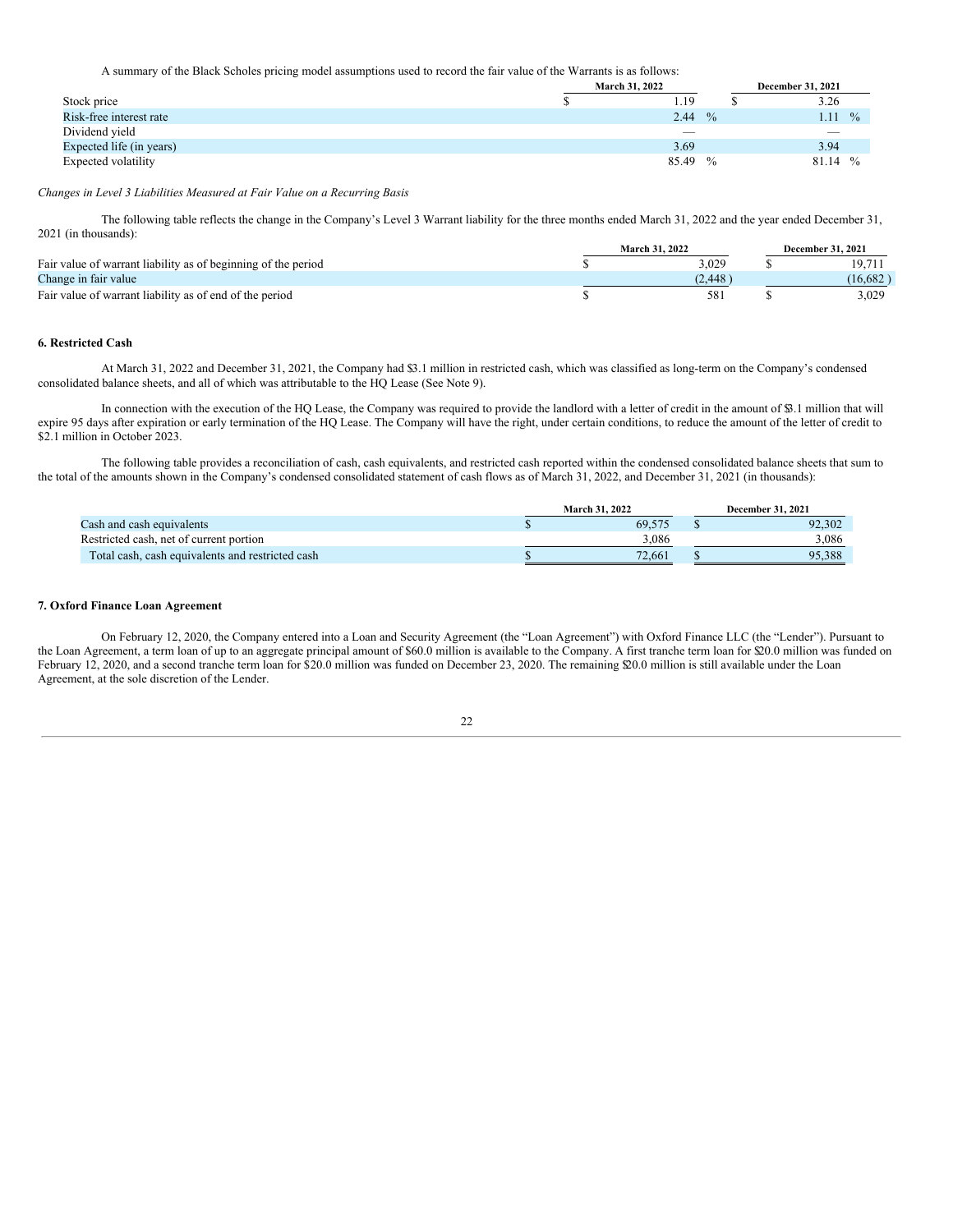A summary of the Black Scholes pricing model assumptions used to record the fair value of the Warrants is as follows:

|                          | <b>March 31, 2022</b> |                        | December 31, 2021               |
|--------------------------|-----------------------|------------------------|---------------------------------|
| Stock price              |                       | 1.19                   | 3.26                            |
| Risk-free interest rate  |                       | 2.44<br>$\frac{0}{0}$  | 1.11 $\%$                       |
| Dividend yield           |                       |                        | $\hspace{0.1mm}-\hspace{0.1mm}$ |
| Expected life (in years) |                       | 3.69                   | 3.94                            |
| Expected volatility      |                       | 85.49<br>$\frac{0}{0}$ | $81.14\%$                       |

*Changes in Level 3 Liabilities Measured at Fair Value on a Recurring Basis*

The following table reflects the change in the Company's Level 3 Warrant liability for the three months ended March 31, 2022 and the year ended December 31, 2021 (in thousands):

|                                                               | <b>March 31, 2022</b> | <b>December 31, 2021</b> |
|---------------------------------------------------------------|-----------------------|--------------------------|
| Fair value of warrant liability as of beginning of the period | 3.029                 | 19.71 <sub>1</sub>       |
| Change in fair value                                          | (2.448                | (16.682)                 |
| Fair value of warrant liability as of end of the period       | 58!                   | 3,029                    |

# **6. Restricted Cash**

At March 31, 2022 and December 31, 2021, the Company had \$3.1 million in restricted cash, which was classified as long-term on the Company's condensed consolidated balance sheets, and all of which was attributable to the HQ Lease (See Note 9).

In connection with the execution of the HQ Lease, the Company was required to provide the landlord with a letter of credit in the amount of \$3.1 million that will expire 95 days after expiration or early termination of the HQ Lease. The Company will have the right, under certain conditions, to reduce the amount of the letter of credit to \$2.1 million in October 2023.

The following table provides a reconciliation of cash, cash equivalents, and restricted cash reported within the condensed consolidated balance sheets that sum to the total of the amounts shown in the Company's condensed consolidated statement of cash flows as of March 31, 2022, and December 31, 2021 (in thousands):

|                                                  |  | <b>March 31, 2022</b> |  | December 31, 2021 |  |  |
|--------------------------------------------------|--|-----------------------|--|-------------------|--|--|
| Cash and cash equivalents                        |  | 69.575                |  | 92,302            |  |  |
| Restricted cash, net of current portion          |  | 086                   |  | 3.086             |  |  |
| Total cash, cash equivalents and restricted cash |  | 72,661                |  | 95.388            |  |  |

#### **7. Oxford Finance Loan Agreement**

On February 12, 2020, the Company entered into a Loan and Security Agreement (the "Loan Agreement") with Oxford Finance LLC (the "Lender"). Pursuant to the Loan Agreement, a term loan of up to an aggregate principal amount of \$60.0 million is available to the Company. A first tranche term loan for \$20.0 million was funded on February 12, 2020, and a second tranche term loan for \$20.0 million was funded on December 23, 2020. The remaining \$20.0 million is still available under the Loan Agreement, at the sole discretion of the Lender.

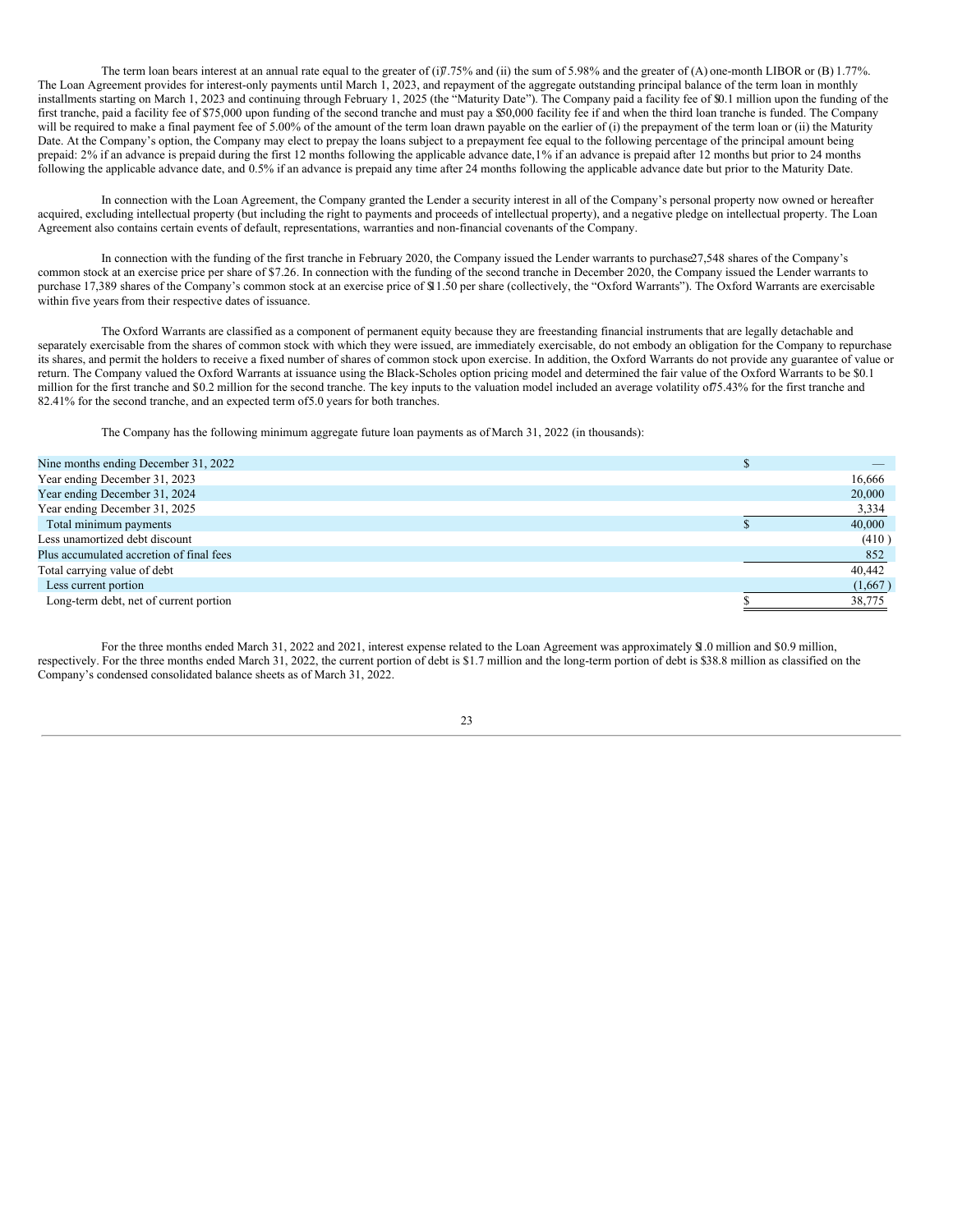The term loan bears interest at an annual rate equal to the greater of (i)7.75% and (ii) the sum of 5.98% and the greater of (A) one-month LIBOR or (B) 1.77%. The Loan Agreement provides for interest-only payments until March 1, 2023, and repayment of the aggregate outstanding principal balance of the term loan in monthly installments starting on March 1, 2023 and continuing through February 1, 2025 (the "Maturity Date"). The Company paid a facility fee of \$0.1 million upon the funding of the first tranche, paid a facility fee of \$75,000 upon funding of the second tranche and must pay a \$50,000 facility fee if and when the third loan tranche is funded. The Company will be required to make a final payment fee of 5.00% of the amount of the term loan drawn payable on the earlier of (i) the prepayment of the term loan or (ii) the Maturity Date. At the Company's option, the Company may elect to prepay the loans subject to a prepayment fee equal to the following percentage of the principal amount being prepaid: 2% if an advance is prepaid during the first 12 months following the applicable advance date,1% if an advance is prepaid after 12 months but prior to 24 months following the applicable advance date, and 0.5% if an advance is prepaid any time after 24 months following the applicable advance date but prior to the Maturity Date.

In connection with the Loan Agreement, the Company granted the Lender a security interest in all of the Company's personal property now owned or hereafter acquired, excluding intellectual property (but including the right to payments and proceeds of intellectual property), and a negative pledge on intellectual property. The Loan Agreement also contains certain events of default, representations, warranties and non-financial covenants of the Company.

In connection with the funding of the first tranche in February 2020, the Company issued the Lender warrants to purchase27,548 shares of the Company's common stock at an exercise price per share of \$7.26. In connection with the funding of the second tranche in December 2020, the Company issued the Lender warrants to purchase 17,389 shares of the Company's common stock at an exercise price of \$11.50 per share (collectively, the "Oxford Warrants"). The Oxford Warrants are exercisable within five years from their respective dates of issuance.

The Oxford Warrants are classified as a component of permanent equity because they are freestanding financial instruments that are legally detachable and separately exercisable from the shares of common stock with which they were issued, are immediately exercisable, do not embody an obligation for the Company to repurchase its shares, and permit the holders to receive a fixed number of shares of common stock upon exercise. In addition, the Oxford Warrants do not provide any guarantee of value or return. The Company valued the Oxford Warrants at issuance using the Black-Scholes option pricing model and determined the fair value of the Oxford Warrants to be \$0.1 million for the first tranche and \$0.2 million for the second tranche. The key inputs to the valuation model included an average volatility of 5.43% for the first tranche and 82.41% for the second tranche, and an expected term of5.0 years for both tranches.

The Company has the following minimum aggregate future loan payments as of March 31, 2022 (in thousands):

| Nine months ending December 31, 2022     |         |
|------------------------------------------|---------|
| Year ending December 31, 2023            | 16.666  |
| Year ending December 31, 2024            | 20,000  |
| Year ending December 31, 2025            | 3,334   |
| Total minimum payments                   | 40,000  |
| Less unamortized debt discount           | (410)   |
| Plus accumulated accretion of final fees | 852     |
| Total carrying value of debt             | 40,442  |
| Less current portion                     | (1,667) |
| Long-term debt, net of current portion   | 38,775  |

For the three months ended March 31, 2022 and 2021, interest expense related to the Loan Agreement was approximately \$1.0 million and \$0.9 million, respectively. For the three months ended March 31, 2022, the current portion of debt is \$1.7 million and the long-term portion of debt is \$38.8 million as classified on the Company's condensed consolidated balance sheets as of March 31, 2022.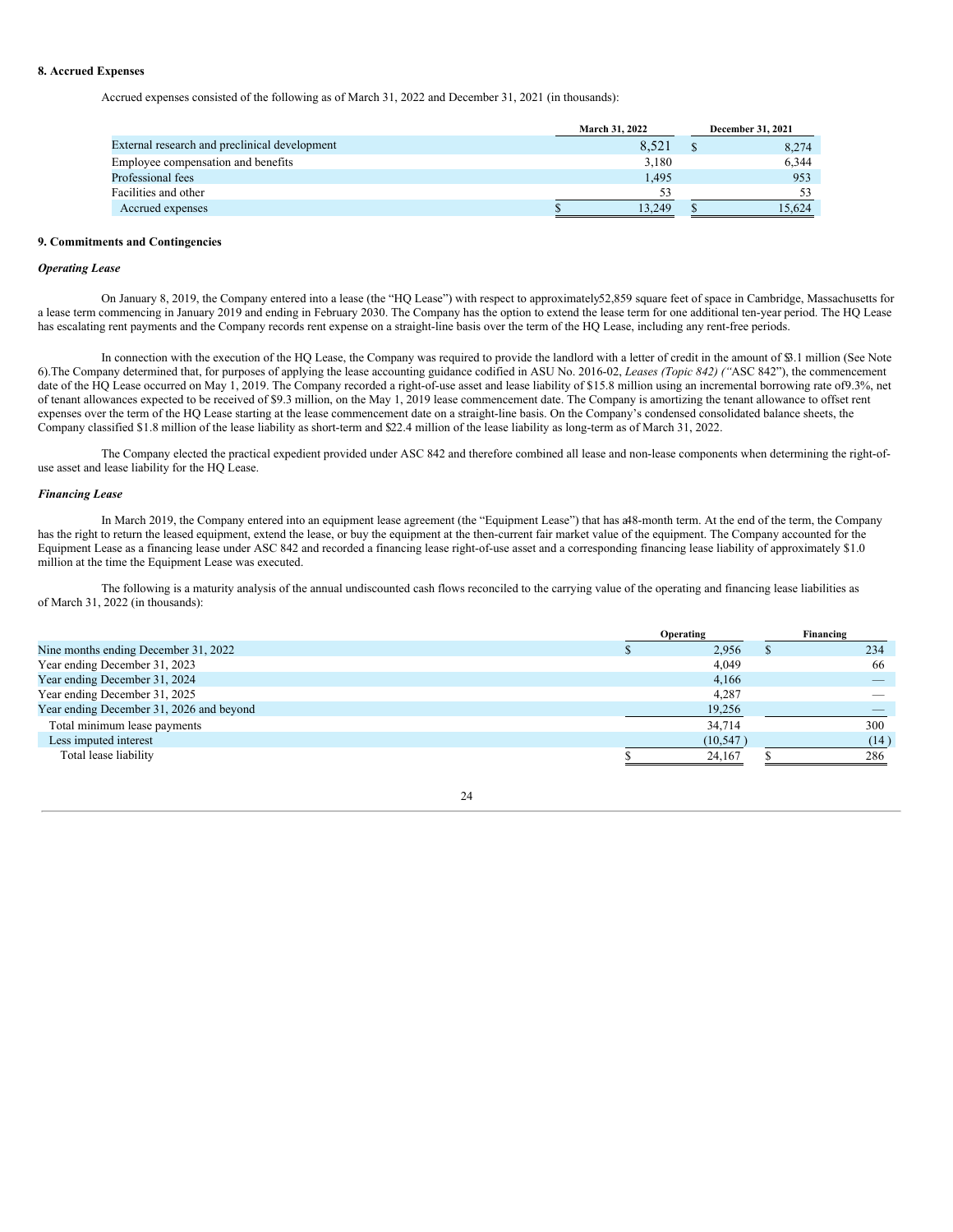#### **8. Accrued Expenses**

Accrued expenses consisted of the following as of March 31, 2022 and December 31, 2021 (in thousands):

|                                               | <b>March 31, 2022</b> | December 31, 2021 |
|-----------------------------------------------|-----------------------|-------------------|
| External research and preclinical development | 8.521                 | 8.274             |
| Employee compensation and benefits            | 3,180                 | 6.344             |
| Professional fees                             | 1.495                 | 953               |
| Facilities and other                          | 53                    |                   |
| Accrued expenses                              | 13.249                | 15.624            |

#### **9. Commitments and Contingencies**

## *Operating Lease*

On January 8, 2019, the Company entered into a lease (the "HQ Lease") with respect to approximately52,859 square feet of space in Cambridge, Massachusetts for a lease term commencing in January 2019 and ending in February 2030. The Company has the option to extend the lease term for one additional ten-year period. The HQ Lease has escalating rent payments and the Company records rent expense on a straight-line basis over the term of the HQ Lease, including any rent-free periods.

In connection with the execution of the HQ Lease, the Company was required to provide the landlord with a letter of credit in the amount of \$3.1 million (See Note 6).The Company determined that, for purposes of applying the lease accounting guidance codified in ASU No. 2016-02, *Leases (Topic 842) ("*ASC 842"), the commencement date of the HQ Lease occurred on May 1, 2019. The Company recorded a right-of-use asset and lease liability of \$15.8 million using an incremental borrowing rate of9.3%, net of tenant allowances expected to be received of \$9.3 million, on the May 1, 2019 lease commencement date. The Company is amortizing the tenant allowance to offset rent expenses over the term of the HQ Lease starting at the lease commencement date on a straight-line basis. On the Company's condensed consolidated balance sheets, the Company classified \$1.8 million of the lease liability as short-term and \$22.4 million of the lease liability as long-term as of March 31, 2022.

The Company elected the practical expedient provided under ASC 842 and therefore combined all lease and non-lease components when determining the right-ofuse asset and lease liability for the HQ Lease.

# *Financing Lease*

In March 2019, the Company entered into an equipment lease agreement (the "Equipment Lease") that has a48-month term. At the end of the term, the Company has the right to return the leased equipment, extend the lease, or buy the equipment at the then-current fair market value of the equipment. The Company accounted for the Equipment Lease as a financing lease under ASC 842 and recorded a financing lease right-of-use asset and a corresponding financing lease liability of approximately \$1.0 million at the time the Equipment Lease was executed.

The following is a maturity analysis of the annual undiscounted cash flows reconciled to the carrying value of the operating and financing lease liabilities as of March 31, 2022 (in thousands):

|                                          | Operating |           | Financing |      |
|------------------------------------------|-----------|-----------|-----------|------|
| Nine months ending December 31, 2022     |           | 2.956     |           | 234  |
| Year ending December 31, 2023            |           | 4,049     |           | 66   |
| Year ending December 31, 2024            |           | 4.166     |           |      |
| Year ending December 31, 2025            |           | 4,287     |           |      |
| Year ending December 31, 2026 and beyond |           | 19,256    |           |      |
| Total minimum lease payments             |           | 34.714    |           | 300  |
| Less imputed interest                    |           | (10, 547) |           | (14) |
| Total lease liability                    |           | 24.167    |           | 286  |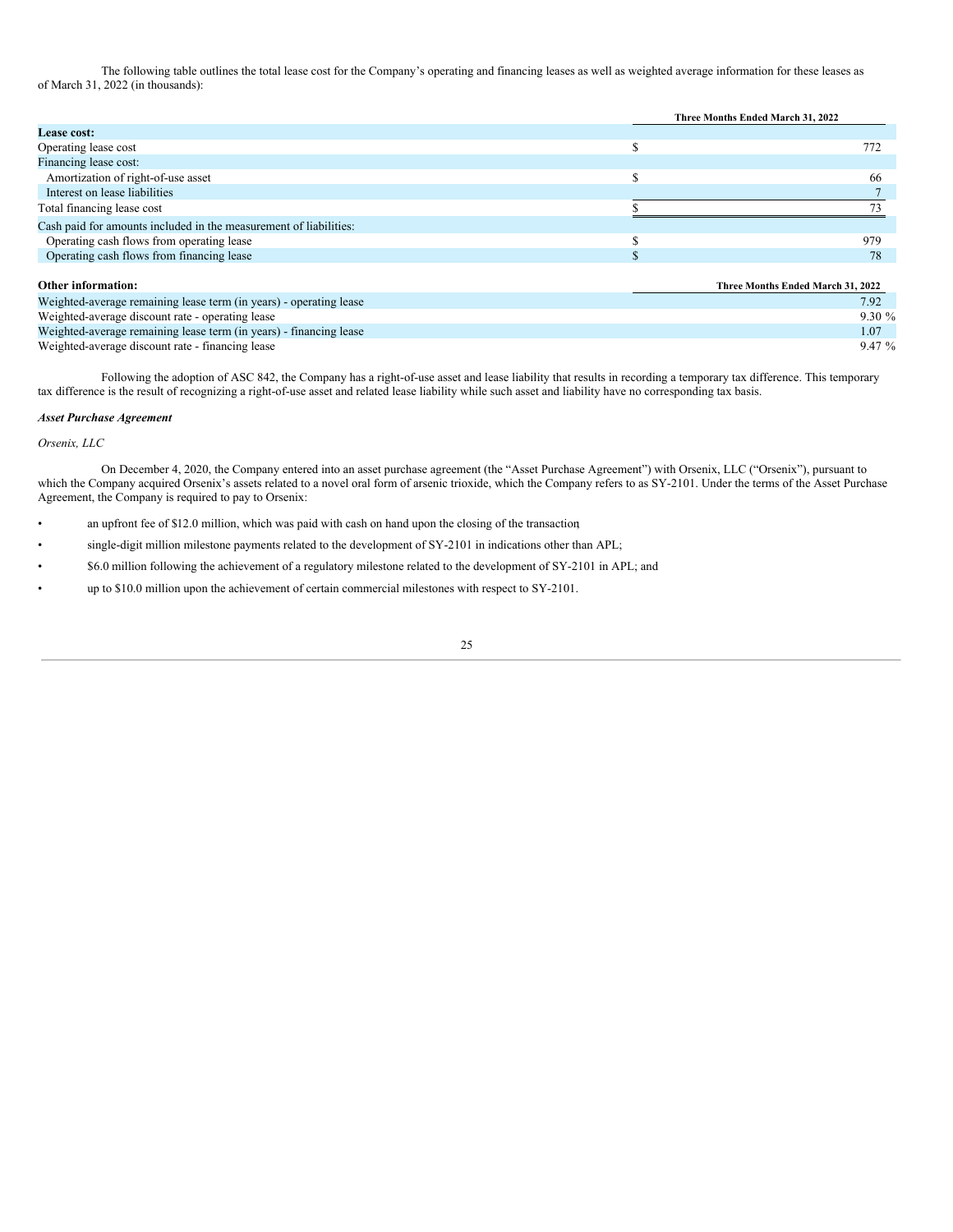The following table outlines the total lease cost for the Company's operating and financing leases as well as weighted average information for these leases as of March 31, 2022 (in thousands):

|                                                                    |   | Three Months Ended March 31, 2022 |
|--------------------------------------------------------------------|---|-----------------------------------|
| Lease cost:                                                        |   |                                   |
| Operating lease cost                                               | S | 772                               |
| Financing lease cost:                                              |   |                                   |
| Amortization of right-of-use asset                                 | S | 66                                |
| Interest on lease liabilities                                      |   |                                   |
| Total financing lease cost                                         |   |                                   |
| Cash paid for amounts included in the measurement of liabilities:  |   |                                   |
| Operating cash flows from operating lease                          |   | 979                               |
| Operating cash flows from financing lease                          |   | 78                                |
| Other information:                                                 |   | Three Months Ended March 31, 2022 |
| Weighted-average remaining lease term (in years) - operating lease |   | 7.92                              |
| Weighted-average discount rate - operating lease                   |   | $9.30\%$                          |
| Weighted-average remaining lease term (in years) - financing lease |   | 1.07                              |
| Weighted-average discount rate - financing lease                   |   | 9.47%                             |

Following the adoption of ASC 842, the Company has a right-of-use asset and lease liability that results in recording a temporary tax difference. This temporary tax difference is the result of recognizing a right-of-use asset and related lease liability while such asset and liability have no corresponding tax basis.

#### *Asset Purchase Agreement*

# *Orsenix, LLC*

On December 4, 2020, the Company entered into an asset purchase agreement (the "Asset Purchase Agreement") with Orsenix, LLC ("Orsenix"), pursuant to which the Company acquired Orsenix's assets related to a novel oral form of arsenic trioxide, which the Company refers to as SY-2101. Under the terms of the Asset Purchase Agreement, the Company is required to pay to Orsenix:

• an upfront fee of \$12.0 million, which was paid with cash on hand upon the closing of the transaction;

• single-digit million milestone payments related to the development of SY-2101 in indications other than APL;

• \$6.0 million following the achievement of a regulatory milestone related to the development of SY-2101 in APL; and

• up to \$10.0 million upon the achievement of certain commercial milestones with respect to SY-2101.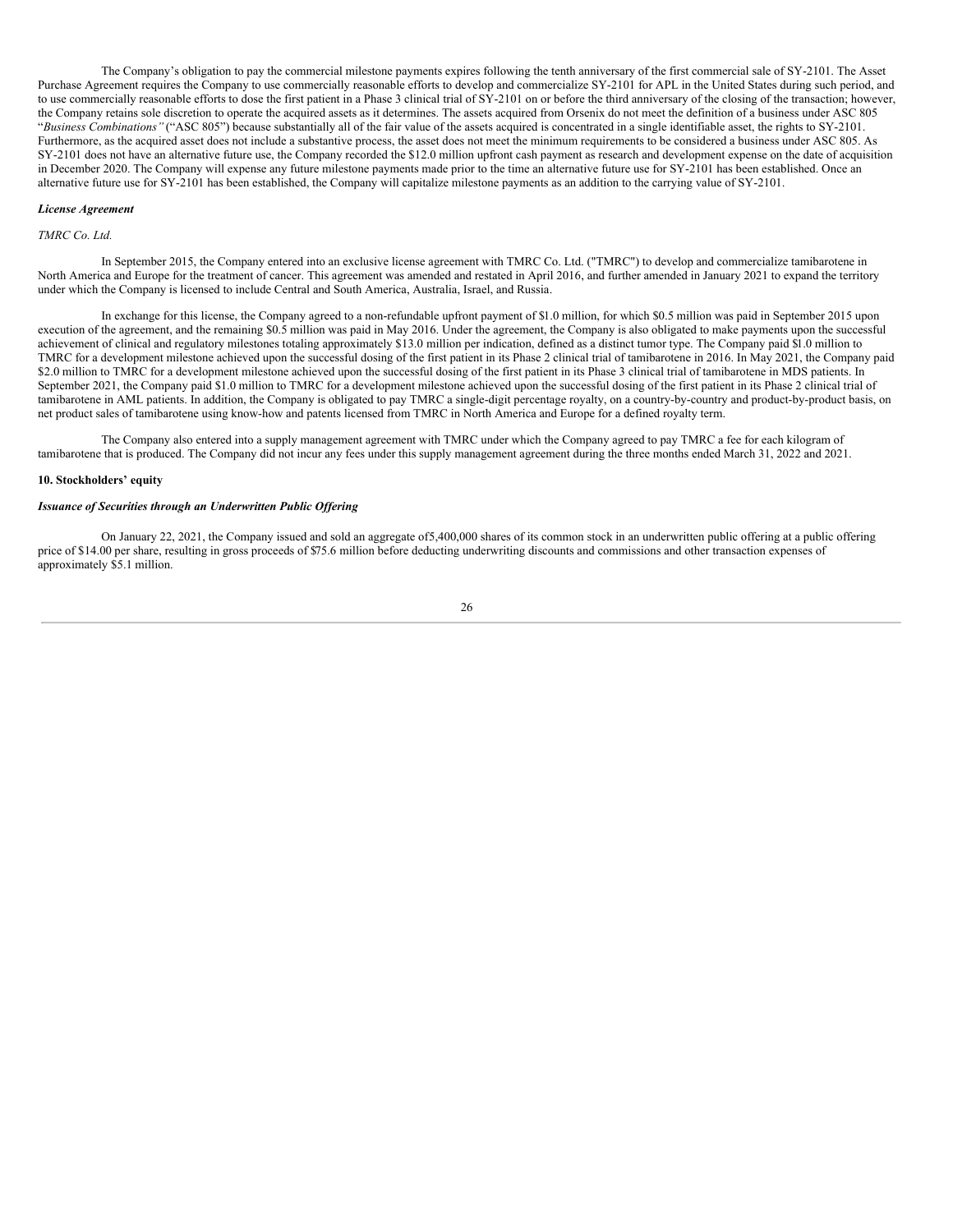The Company's obligation to pay the commercial milestone payments expires following the tenth anniversary of the first commercial sale of SY-2101. The Asset Purchase Agreement requires the Company to use commercially reasonable efforts to develop and commercialize SY-2101 for APL in the United States during such period, and to use commercially reasonable efforts to dose the first patient in a Phase 3 clinical trial of SY-2101 on or before the third anniversary of the closing of the transaction; however, the Company retains sole discretion to operate the acquired assets as it determines. The assets acquired from Orsenix do not meet the definition of a business under ASC 805 "*Business Combinations"* ("ASC 805") because substantially all of the fair value of the assets acquired is concentrated in a single identifiable asset, the rights to SY-2101. Furthermore, as the acquired asset does not include a substantive process, the asset does not meet the minimum requirements to be considered a business under ASC 805. As SY-2101 does not have an alternative future use, the Company recorded the \$12.0 million upfront cash payment as research and development expense on the date of acquisition in December 2020. The Company will expense any future milestone payments made prior to the time an alternative future use for SY-2101 has been established. Once an alternative future use for SY-2101 has been established, the Company will capitalize milestone payments as an addition to the carrying value of SY-2101.

#### *License Agreement*

#### *TMRC Co. Ltd.*

In September 2015, the Company entered into an exclusive license agreement with TMRC Co. Ltd. ("TMRC") to develop and commercialize tamibarotene in North America and Europe for the treatment of cancer. This agreement was amended and restated in April 2016, and further amended in January 2021 to expand the territory under which the Company is licensed to include Central and South America, Australia, Israel, and Russia.

In exchange for this license, the Company agreed to a non-refundable upfront payment of \$1.0 million, for which \$0.5 million was paid in September 2015 upon execution of the agreement, and the remaining \$0.5 million was paid in May 2016. Under the agreement, the Company is also obligated to make payments upon the successful achievement of clinical and regulatory milestones totaling approximately \$13.0 million per indication, defined as a distinct tumor type. The Company paid \$1.0 million to TMRC for a development milestone achieved upon the successful dosing of the first patient in its Phase 2 clinical trial of tamibarotene in 2016. In May 2021, the Company paid \$2.0 million to TMRC for a development milestone achieved upon the successful dosing of the first patient in its Phase 3 clinical trial of tamibarotene in MDS patients. In September 2021, the Company paid \$1.0 million to TMRC for a development milestone achieved upon the successful dosing of the first patient in its Phase 2 clinical trial of tamibarotene in AML patients. In addition, the Company is obligated to pay TMRC a single-digit percentage royalty, on a country-by-country and product-by-product basis, on net product sales of tamibarotene using know-how and patents licensed from TMRC in North America and Europe for a defined royalty term.

The Company also entered into a supply management agreement with TMRC under which the Company agreed to pay TMRC a fee for each kilogram of tamibarotene that is produced. The Company did not incur any fees under this supply management agreement during the three months ended March 31, 2022 and 2021.

#### **10. Stockholders' equity**

#### *Issuance of Securities through an Underwritten Public Of ering*

On January 22, 2021, the Company issued and sold an aggregate of5,400,000 shares of its common stock in an underwritten public offering at a public offering price of \$14.00 per share, resulting in gross proceeds of \$75.6 million before deducting underwriting discounts and commissions and other transaction expenses of approximately \$5.1 million.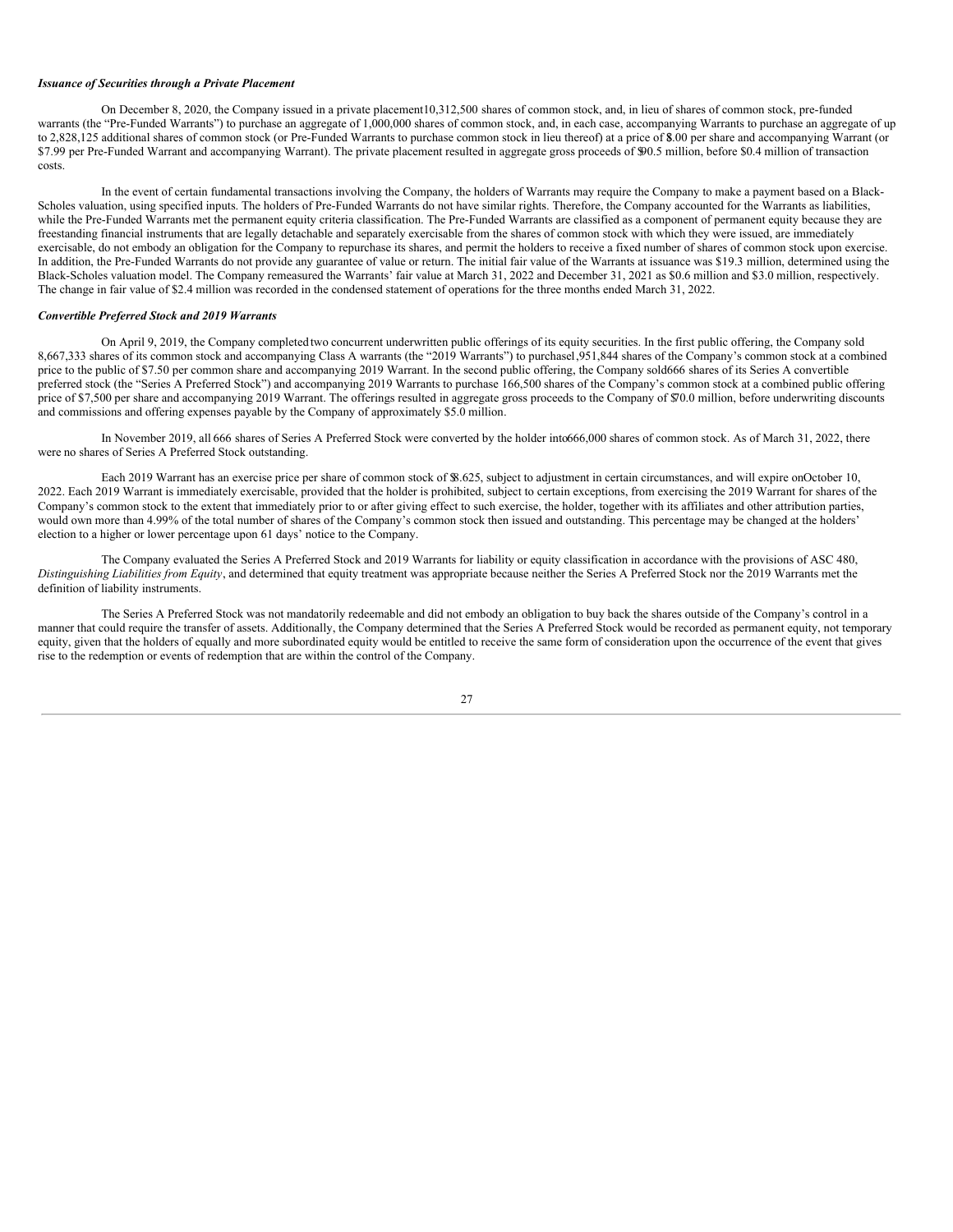#### *Issuance of Securities through a Private Placement*

On December 8, 2020, the Company issued in a private placement10,312,500 shares of common stock, and, in lieu of shares of common stock, pre-funded warrants (the "Pre-Funded Warrants") to purchase an aggregate of 1,000,000 shares of common stock, and, in each case, accompanying Warrants to purchase an aggregate of up to 2,828,125 additional shares of common stock (or Pre-Funded Warrants to purchase common stock in lieu thereof) at a price of 8\$.00 per share and accompanying Warrant (or \$7.99 per Pre-Funded Warrant and accompanying Warrant). The private placement resulted in aggregate gross proceeds of \$90.5 million, before \$0.4 million of transaction costs.

In the event of certain fundamental transactions involving the Company, the holders of Warrants may require the Company to make a payment based on a Black-Scholes valuation, using specified inputs. The holders of Pre-Funded Warrants do not have similar rights. Therefore, the Company accounted for the Warrants as liabilities, while the Pre-Funded Warrants met the permanent equity criteria classification. The Pre-Funded Warrants are classified as a component of permanent equity because they are freestanding financial instruments that are legally detachable and separately exercisable from the shares of common stock with which they were issued, are immediately exercisable, do not embody an obligation for the Company to repurchase its shares, and permit the holders to receive a fixed number of shares of common stock upon exercise. In addition, the Pre-Funded Warrants do not provide any guarantee of value or return. The initial fair value of the Warrants at issuance was \$19.3 million, determined using the Black-Scholes valuation model. The Company remeasured the Warrants' fair value at March 31, 2022 and December 31, 2021 as \$0.6 million and \$3.0 million, respectively. The change in fair value of \$2.4 million was recorded in the condensed statement of operations for the three months ended March 31, 2022.

#### *Convertible Preferred Stock and 2019 Warrants*

On April 9, 2019, the Company completed two concurrent underwritten public offerings of its equity securities. In the first public offering, the Company sold 8,667,333 shares of its common stock and accompanying Class A warrants (the "2019 Warrants") to purchase1,951,844 shares of the Company's common stock at a combined price to the public of \$7.50 per common share and accompanying 2019 Warrant. In the second public offering, the Company sold666 shares of its Series A convertible preferred stock (the "Series A Preferred Stock") and accompanying 2019 Warrants to purchase 166,500 shares of the Company's common stock at a combined public offering price of \$7,500 per share and accompanying 2019 Warrant. The offerings resulted in aggregate gross proceeds to the Company of \$70.0 million, before underwriting discounts and commissions and offering expenses payable by the Company of approximately \$5.0 million.

In November 2019, all 666 shares of Series A Preferred Stock were converted by the holder into666,000 shares of common stock. As of March 31, 2022, there were no shares of Series A Preferred Stock outstanding.

Each 2019 Warrant has an exercise price per share of common stock of \$8.625, subject to adjustment in certain circumstances, and will expire onOctober 10, 2022. Each 2019 Warrant is immediately exercisable, provided that the holder is prohibited, subject to certain exceptions, from exercising the 2019 Warrant for shares of the Company's common stock to the extent that immediately prior to or after giving effect to such exercise, the holder, together with its affiliates and other attribution parties, would own more than 4.99% of the total number of shares of the Company's common stock then issued and outstanding. This percentage may be changed at the holders' election to a higher or lower percentage upon 61 days' notice to the Company.

The Company evaluated the Series A Preferred Stock and 2019 Warrants for liability or equity classification in accordance with the provisions of ASC 480, *Distinguishing Liabilities from Equity*, and determined that equity treatment was appropriate because neither the Series A Preferred Stock nor the 2019 Warrants met the definition of liability instruments.

The Series A Preferred Stock was not mandatorily redeemable and did not embody an obligation to buy back the shares outside of the Company's control in a manner that could require the transfer of assets. Additionally, the Company determined that the Series A Preferred Stock would be recorded as permanent equity, not temporary equity, given that the holders of equally and more subordinated equity would be entitled to receive the same form of consideration upon the occurrence of the event that gives rise to the redemption or events of redemption that are within the control of the Company.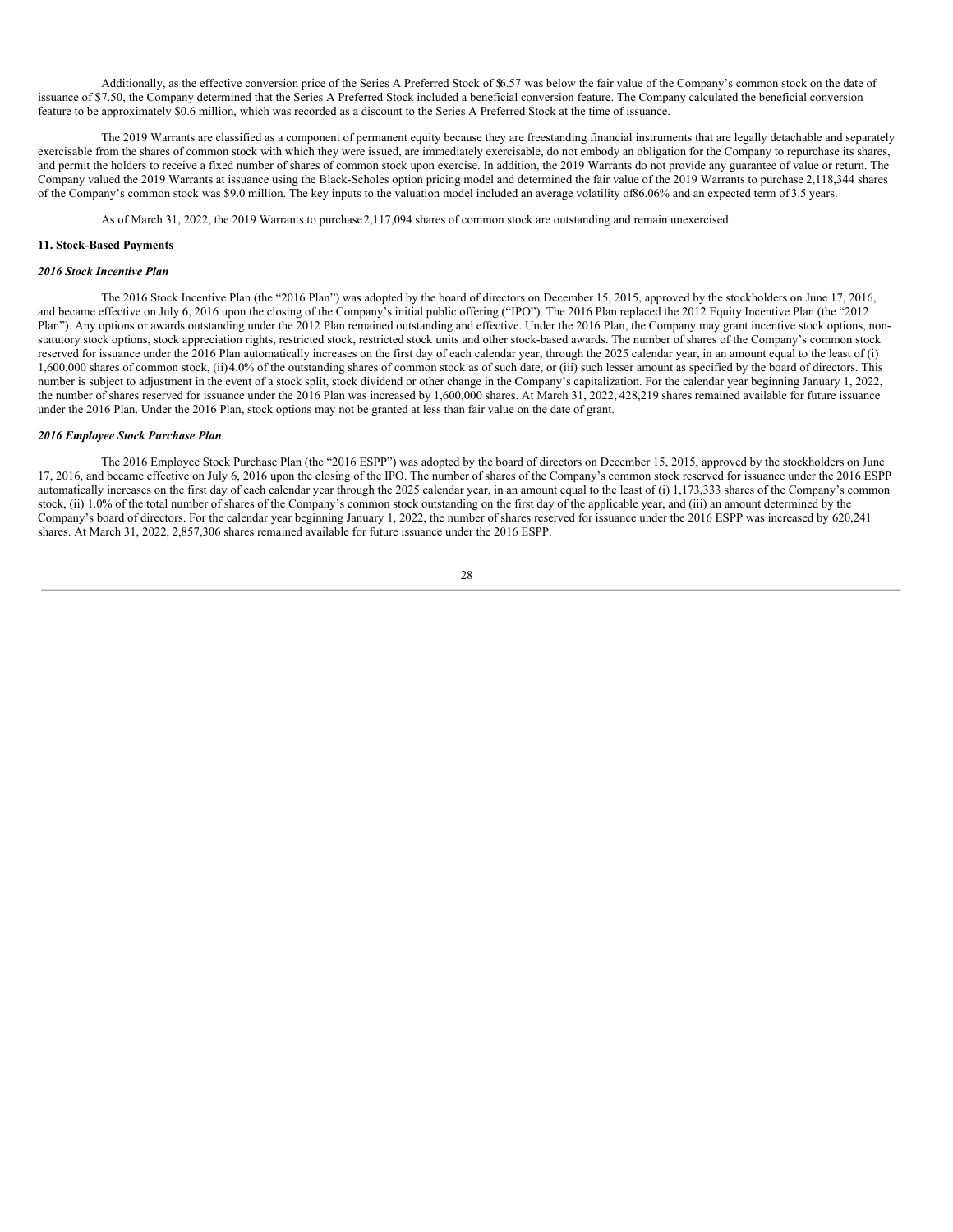Additionally, as the effective conversion price of the Series A Preferred Stock of \$6.57 was below the fair value of the Company's common stock on the date of issuance of \$7.50, the Company determined that the Series A Preferred Stock included a beneficial conversion feature. The Company calculated the beneficial conversion feature to be approximately \$0.6 million, which was recorded as a discount to the Series A Preferred Stock at the time of issuance.

The 2019 Warrants are classified as a component of permanent equity because they are freestanding financial instruments that are legally detachable and separately exercisable from the shares of common stock with which they were issued, are immediately exercisable, do not embody an obligation for the Company to repurchase its shares, and permit the holders to receive a fixed number of shares of common stock upon exercise. In addition, the 2019 Warrants do not provide any guarantee of value or return. The Company valued the 2019 Warrants at issuance using the Black-Scholes option pricing model and determined the fair value of the 2019 Warrants to purchase 2,118,344 shares of the Company's common stock was \$9.0 million. The key inputs to the valuation model included an average volatility of86.06% and an expected term of 3.5 years.

As of March 31, 2022, the 2019 Warrants to purchase2,117,094 shares of common stock are outstanding and remain unexercised.

#### **11. Stock-Based Payments**

#### *2016 Stock Incentive Plan*

The 2016 Stock Incentive Plan (the "2016 Plan") was adopted by the board of directors on December 15, 2015, approved by the stockholders on June 17, 2016, and became effective on July 6, 2016 upon the closing of the Company's initial public offering ("IPO"). The 2016 Plan replaced the 2012 Equity Incentive Plan (the "2012 Plan"). Any options or awards outstanding under the 2012 Plan remained outstanding and effective. Under the 2016 Plan, the Company may grant incentive stock options, nonstatutory stock options, stock appreciation rights, restricted stock, restricted stock units and other stock-based awards. The number of shares of the Company's common stock reserved for issuance under the 2016 Plan automatically increases on the first day of each calendar year, through the 2025 calendar year, in an amount equal to the least of (i) 1,600,000 shares of common stock, (ii)4.0% of the outstanding shares of common stock as of such date, or (iii) such lesser amount as specified by the board of directors. This number is subject to adjustment in the event of a stock split, stock dividend or other change in the Company's capitalization. For the calendar year beginning January 1, 2022, the number of shares reserved for issuance under the 2016 Plan was increased by 1,600,000 shares. At March 31, 2022, 428,219 shares remained available for future issuance under the 2016 Plan. Under the 2016 Plan, stock options may not be granted at less than fair value on the date of grant.

#### *2016 Employee Stock Purchase Plan*

The 2016 Employee Stock Purchase Plan (the "2016 ESPP") was adopted by the board of directors on December 15, 2015, approved by the stockholders on June 17, 2016, and became effective on July 6, 2016 upon the closing of the IPO. The number of shares of the Company's common stock reserved for issuance under the 2016 ESPP automatically increases on the first day of each calendar year through the 2025 calendar year, in an amount equal to the least of (i) 1,173,333 shares of the Company's common stock, (ii) 1.0% of the total number of shares of the Company's common stock outstanding on the first day of the applicable year, and (iii) an amount determined by the Company's board of directors. For the calendar year beginning January 1, 2022, the number of shares reserved for issuance under the 2016 ESPP was increased by 620,241 shares. At March 31, 2022, 2,857,306 shares remained available for future issuance under the 2016 ESPP.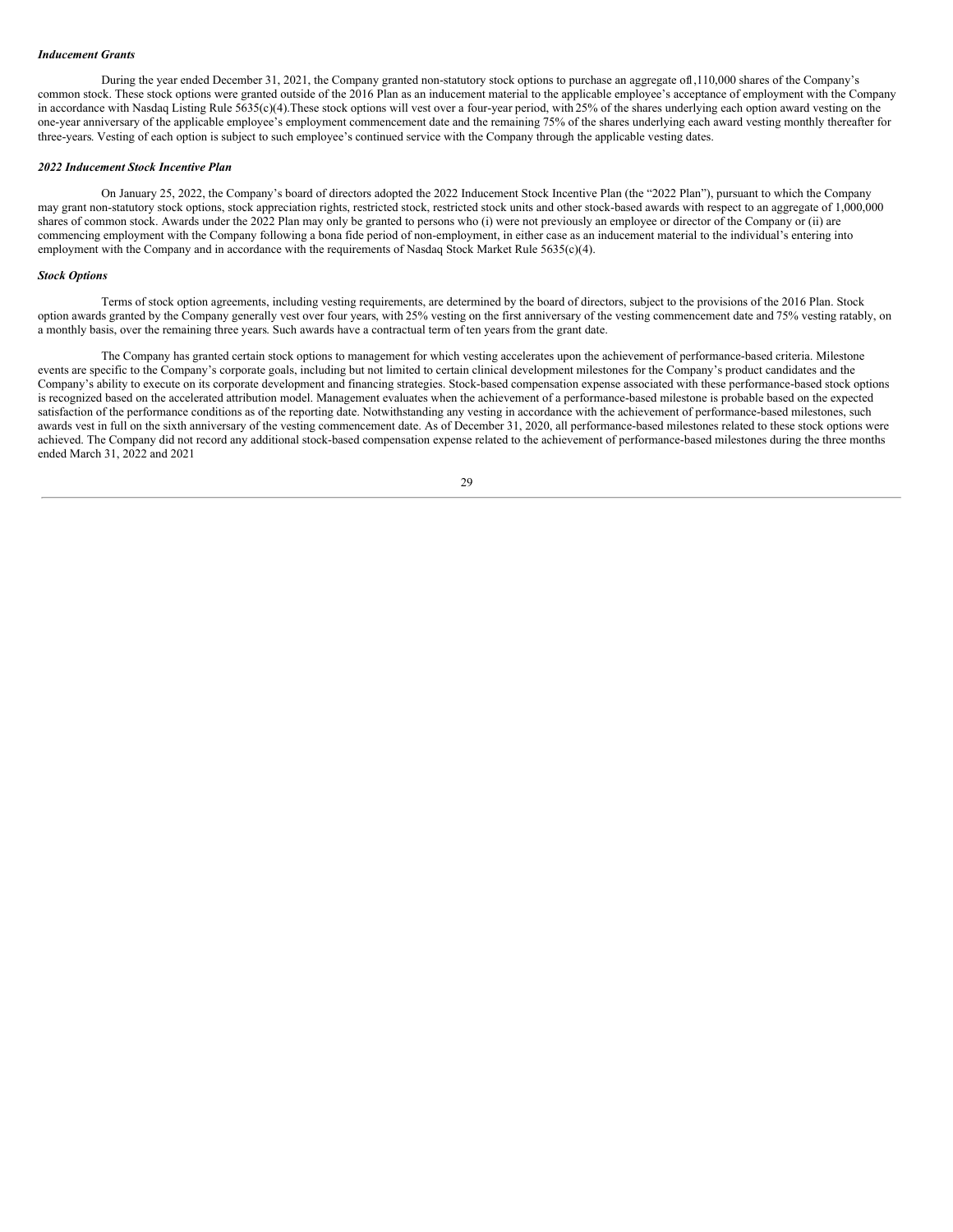#### *Inducement Grants*

During the year ended December 31, 2021, the Company granted non-statutory stock options to purchase an aggregate of 1,110,000 shares of the Company's common stock. These stock options were granted outside of the 2016 Plan as an inducement material to the applicable employee's acceptance of employment with the Company in accordance with Nasdaq Listing Rule 5635(c)(4). These stock options will vest over a four-year period, with 25% of the shares underlying each option award vesting on the one-year anniversary of the applicable employee's employment commencement date and the remaining 75% of the shares underlying each award vesting monthly thereafter for three-years. Vesting of each option is subject to such employee's continued service with the Company through the applicable vesting dates.

#### *2022 Inducement Stock Incentive Plan*

On January 25, 2022, the Company's board of directors adopted the 2022 Inducement Stock Incentive Plan (the "2022 Plan"), pursuant to which the Company may grant non-statutory stock options, stock appreciation rights, restricted stock, restricted stock units and other stock-based awards with respect to an aggregate of 1,000,000 shares of common stock. Awards under the 2022 Plan may only be granted to persons who (i) were not previously an employee or director of the Company or (ii) are commencing employment with the Company following a bona fide period of non-employment, in either case as an inducement material to the individual's entering into employment with the Company and in accordance with the requirements of Nasdaq Stock Market Rule 5635(c)(4).

#### *Stock Options*

Terms of stock option agreements, including vesting requirements, are determined by the board of directors, subject to the provisions of the 2016 Plan. Stock option awards granted by the Company generally vest over four years, with 25% vesting on the first anniversary of the vesting commencement date and 75% vesting ratably, on a monthly basis, over the remaining three years. Such awards have a contractual term of ten years from the grant date.

The Company has granted certain stock options to management for which vesting accelerates upon the achievement of performance-based criteria. Milestone events are specific to the Company's corporate goals, including but not limited to certain clinical development milestones for the Company's product candidates and the Company's ability to execute on its corporate development and financing strategies. Stock-based compensation expense associated with these performance-based stock options is recognized based on the accelerated attribution model. Management evaluates when the achievement of a performance-based milestone is probable based on the expected satisfaction of the performance conditions as of the reporting date. Notwithstanding any vesting in accordance with the achievement of performance-based milestones, such awards vest in full on the sixth anniversary of the vesting commencement date. As of December 31, 2020, all performance-based milestones related to these stock options were achieved. The Company did not record any additional stock-based compensation expense related to the achievement of performance-based milestones during the three months ended March 31, 2022 and 2021

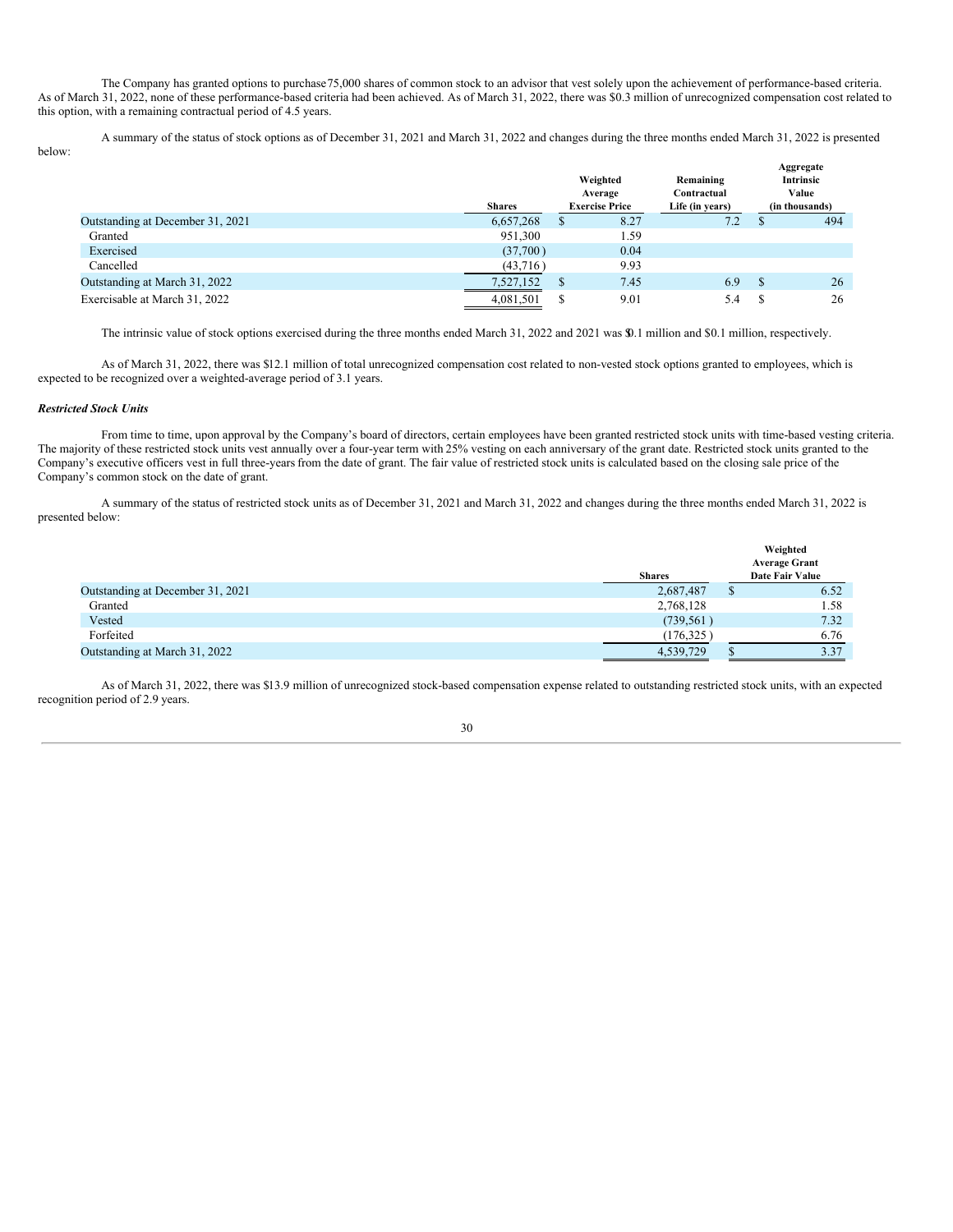The Company has granted options to purchase 75,000 shares of common stock to an advisor that vest solely upon the achievement of performance-based criteria. As of March 31, 2022, none of these performance-based criteria had been achieved. As of March 31, 2022, there was \$0.3 million of unrecognized compensation cost related to this option, with a remaining contractual period of 4.5 years.

A summary of the status of stock options as of December 31, 2021 and March 31, 2022 and changes during the three months ended March 31, 2022 is presented

|                                  | <b>Shares</b> |   | Weighted<br>Average<br><b>Exercise Price</b> | Remaining<br>Contractual<br>Life (in years) |    | Aggregate<br>Intrinsic<br>Value<br>(in thousands) |
|----------------------------------|---------------|---|----------------------------------------------|---------------------------------------------|----|---------------------------------------------------|
| Outstanding at December 31, 2021 | 6,657,268     | S | 8.27                                         | 7.2                                         | S  | 494                                               |
| Granted                          | 951,300       |   | 1.59                                         |                                             |    |                                                   |
| Exercised                        | (37,700)      |   | 0.04                                         |                                             |    |                                                   |
| Cancelled                        | (43,716)      |   | 9.93                                         |                                             |    |                                                   |
| Outstanding at March 31, 2022    | 7,527,152     |   | 7.45                                         | 6.9                                         | -S | 26                                                |
| Exercisable at March 31, 2022    | 4,081,501     |   | 9.01                                         | 5.4                                         | -S | 26                                                |

The intrinsic value of stock options exercised during the three months ended March 31, 2022 and 2021 was \$0.1 million and \$0.1 million, respectively.

As of March 31, 2022, there was \$12.1 million of total unrecognized compensation cost related to non-vested stock options granted to employees, which is expected to be recognized over a weighted-average period of 3.1 years.

# *Restricted Stock Units*

below:

From time to time, upon approval by the Company's board of directors, certain employees have been granted restricted stock units with time-based vesting criteria. The majority of these restricted stock units vest annually over a four-year term with 25% vesting on each anniversary of the grant date. Restricted stock units granted to the Company's executive officers vest in full three-years from the date of grant. The fair value of restricted stock units is calculated based on the closing sale price of the Company's common stock on the date of grant.

A summary of the status of restricted stock units as of December 31, 2021 and March 31, 2022 and changes during the three months ended March 31, 2022 is presented below:

|                                  |               | Weighted<br><b>Average Grant</b> |
|----------------------------------|---------------|----------------------------------|
|                                  | <b>Shares</b> | Date Fair Value                  |
| Outstanding at December 31, 2021 | 2,687,487     | 6.52                             |
| Granted                          | 2,768,128     | l.58                             |
| Vested                           | (739, 561)    | 7.32                             |
| Forfeited                        | (176, 325)    | 6.76                             |
| Outstanding at March 31, 2022    | 4,539,729     | 3.37                             |

As of March 31, 2022, there was \$13.9 million of unrecognized stock-based compensation expense related to outstanding restricted stock units, with an expected recognition period of 2.9 years.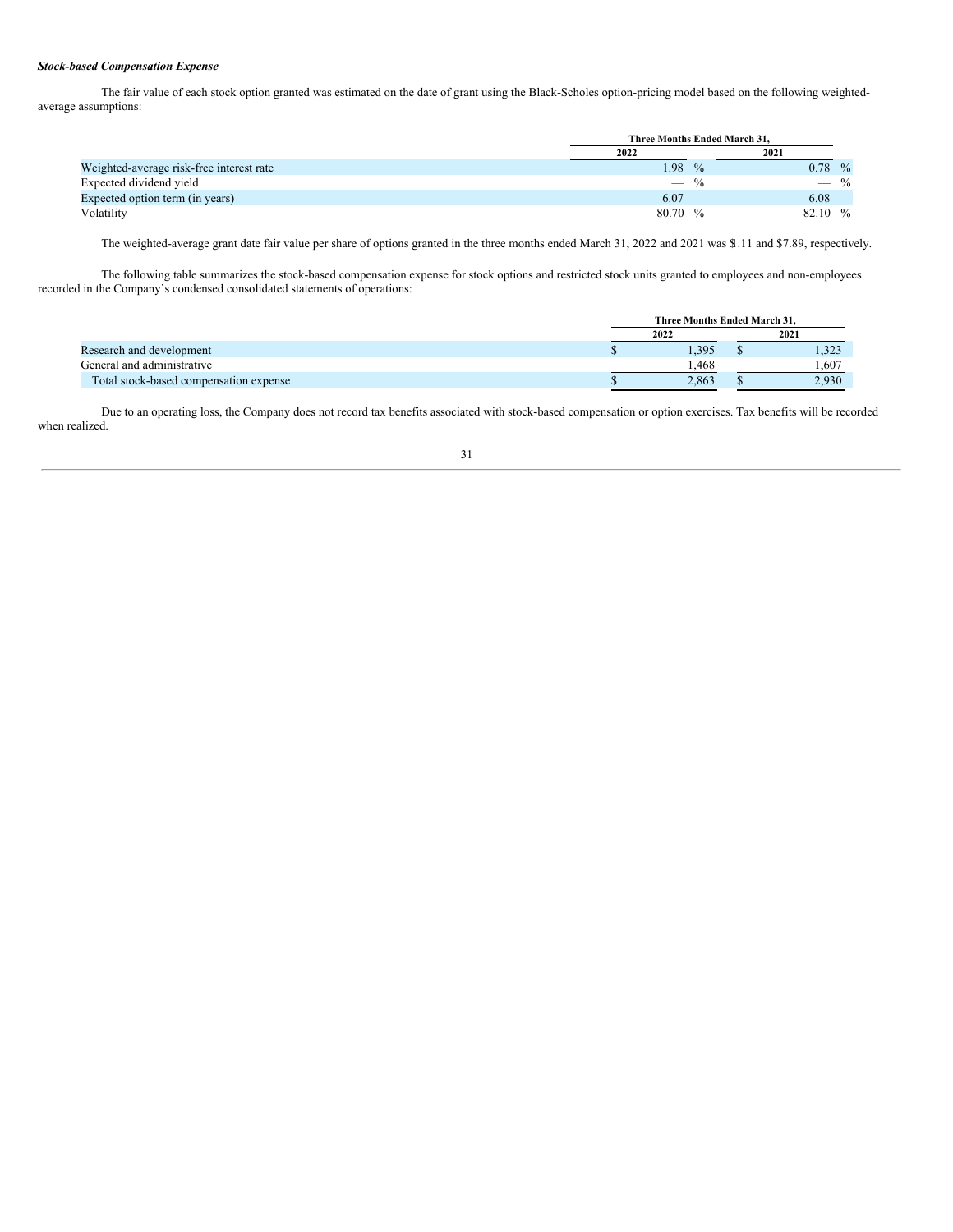#### *Stock-based Compensation Expense*

The fair value of each stock option granted was estimated on the date of grant using the Black-Scholes option-pricing model based on the following weightedaverage assumptions:

|                                          |                   | Three Months Ended March 31. |           |               |  |
|------------------------------------------|-------------------|------------------------------|-----------|---------------|--|
|                                          | 2022              |                              | 2021      |               |  |
| Weighted-average risk-free interest rate | 1.98              | $\frac{0}{0}$                | 0.78      | $\frac{6}{6}$ |  |
| Expected dividend yield                  | $\qquad \qquad -$ | $\frac{0}{0}$                |           | $-$ %         |  |
| Expected option term (in years)          | 6.07              |                              | 6.08      |               |  |
| Volatility                               | 80.70%            |                              | $82.10\%$ |               |  |

The weighted-average grant date fair value per share of options granted in the three months ended March 31, 2022 and 2021 was \$1.11 and \$7.89, respectively.

The following table summarizes the stock-based compensation expense for stock options and restricted stock units granted to employees and non-employees recorded in the Company's condensed consolidated statements of operations:

|                                        |      | Three Months Ended March 31. |  |       |  |
|----------------------------------------|------|------------------------------|--|-------|--|
|                                        | 2022 |                              |  | 2021  |  |
| Research and development               |      | 1,395                        |  | 1,323 |  |
| General and administrative             |      | .468                         |  | 607   |  |
| Total stock-based compensation expense |      | 2.863                        |  | 2.930 |  |

Due to an operating loss, the Company does not record tax benefits associated with stock-based compensation or option exercises. Tax benefits will be recorded when realized.

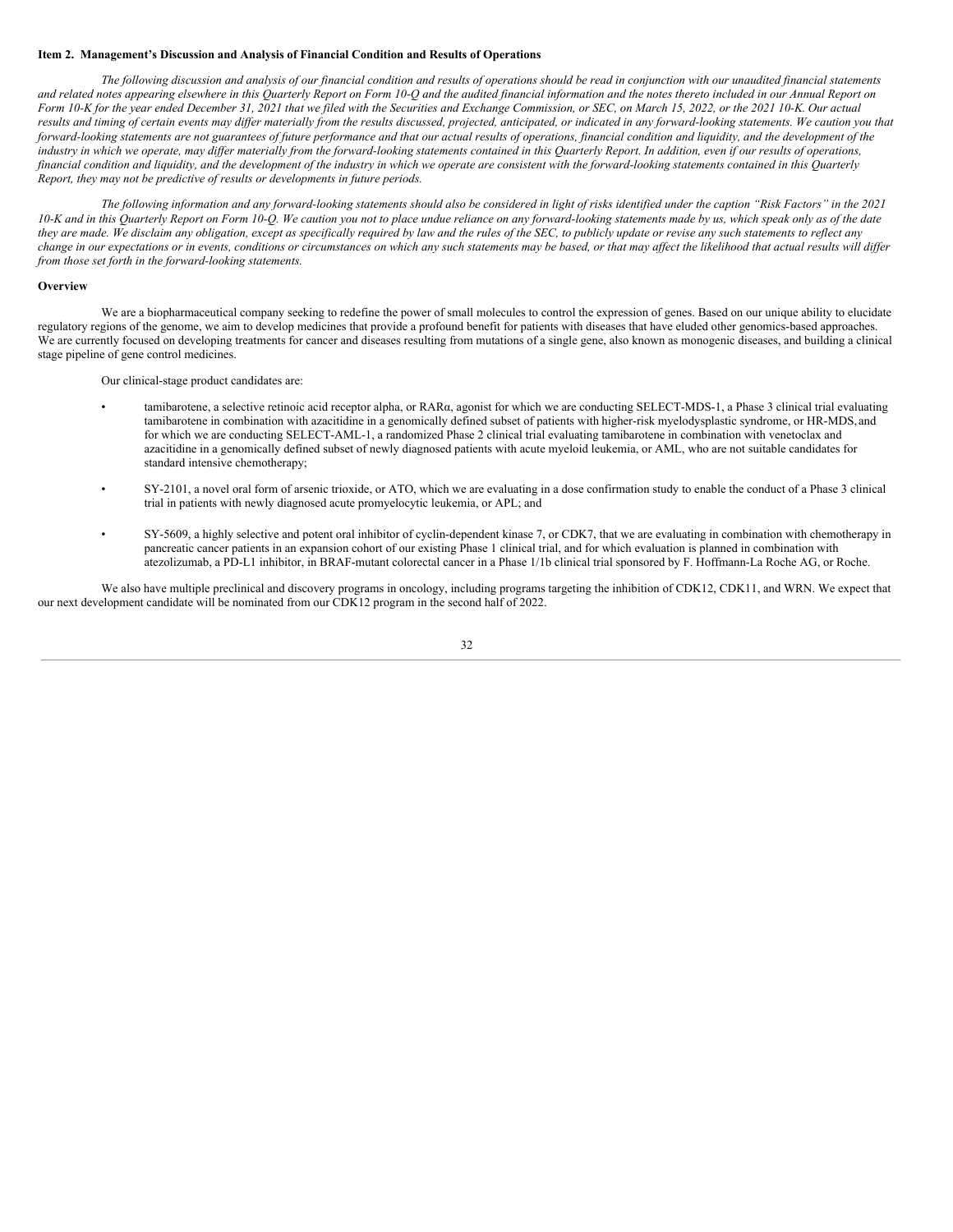## <span id="page-31-0"></span>**Item 2. Management's Discussion and Analysis of Financial Condition and Results of Operations**

The following discussion and analysis of our financial condition and results of operations should be read in conjunction with our unaudited financial statements and related notes appearing elsewhere in this Quarterly Report on Form 10-Q and the audited financial information and the notes thereto included in our Annual Report on Form 10-K for the year ended December 31, 2021 that we filed with the Securities and Exchange Commission, or SEC, on March 15, 2022, or the 2021 10-K. Our actual results and timing of certain events may differ materially from the results discussed, projected, anticipated, or indicated in any forward-looking statements. We caution you that forward-looking statements are not guarantees of future performance and that our actual results of operations, financial condition and liquidity, and the development of the industry in which we operate, may differ materially from the forward-looking statements contained in this Quarterly Report. In addition, even if our results of operations, financial condition and liquidity, and the development of the industry in which we operate are consistent with the forward-looking statements contained in this Quarterly *Report, they may not be predictive of results or developments in future periods.*

The following information and any forward-looking statements should also be considered in light of risks identified under the caption "Risk Factors" in the 2021 10-K and in this Quarterly Report on Form 10-Q. We caution you not to place undue reliance on any forward-looking statements made by us, which speak only as of the date they are made. We disclaim any obligation, except as specifically required by law and the rules of the SEC, to publicly update or revise any such statements to reflect any change in our expectations or in events, conditions or circumstances on which any such statements may be based, or that may affect the likelihood that actual results will differ *from those set forth in the forward-looking statements.*

#### **Overview**

We are a biopharmaceutical company seeking to redefine the power of small molecules to control the expression of genes. Based on our unique ability to elucidate regulatory regions of the genome, we aim to develop medicines that provide a profound benefit for patients with diseases that have eluded other genomics-based approaches. We are currently focused on developing treatments for cancer and diseases resulting from mutations of a single gene, also known as monogenic diseases, and building a clinical stage pipeline of gene control medicines.

Our clinical-stage product candidates are:

- tamibarotene, a selective retinoic acid receptor alpha, or RARα, agonist for which we are conducting SELECT-MDS-1, a Phase 3 clinical trial evaluating tamibarotene in combination with azacitidine in a genomically defined subset of patients with higher-risk myelodysplastic syndrome, or HR-MDS, and for which we are conducting SELECT-AML-1, a randomized Phase 2 clinical trial evaluating tamibarotene in combination with venetoclax and azacitidine in a genomically defined subset of newly diagnosed patients with acute myeloid leukemia, or AML, who are not suitable candidates for standard intensive chemotherapy;
- SY-2101, a novel oral form of arsenic trioxide, or ATO, which we are evaluating in a dose confirmation study to enable the conduct of a Phase 3 clinical trial in patients with newly diagnosed acute promyelocytic leukemia, or APL; and
- SY-5609, a highly selective and potent oral inhibitor of cyclin-dependent kinase 7, or CDK7, that we are evaluating in combination with chemotherapy in pancreatic cancer patients in an expansion cohort of our existing Phase 1 clinical trial, and for which evaluation is planned in combination with atezolizumab, a PD-L1 inhibitor, in BRAF-mutant colorectal cancer in a Phase 1/1b clinical trial sponsored by F. Hoffmann-La Roche AG, or Roche.

We also have multiple preclinical and discovery programs in oncology, including programs targeting the inhibition of CDK12, CDK11, and WRN. We expect that our next development candidate will be nominated from our CDK12 program in the second half of 2022.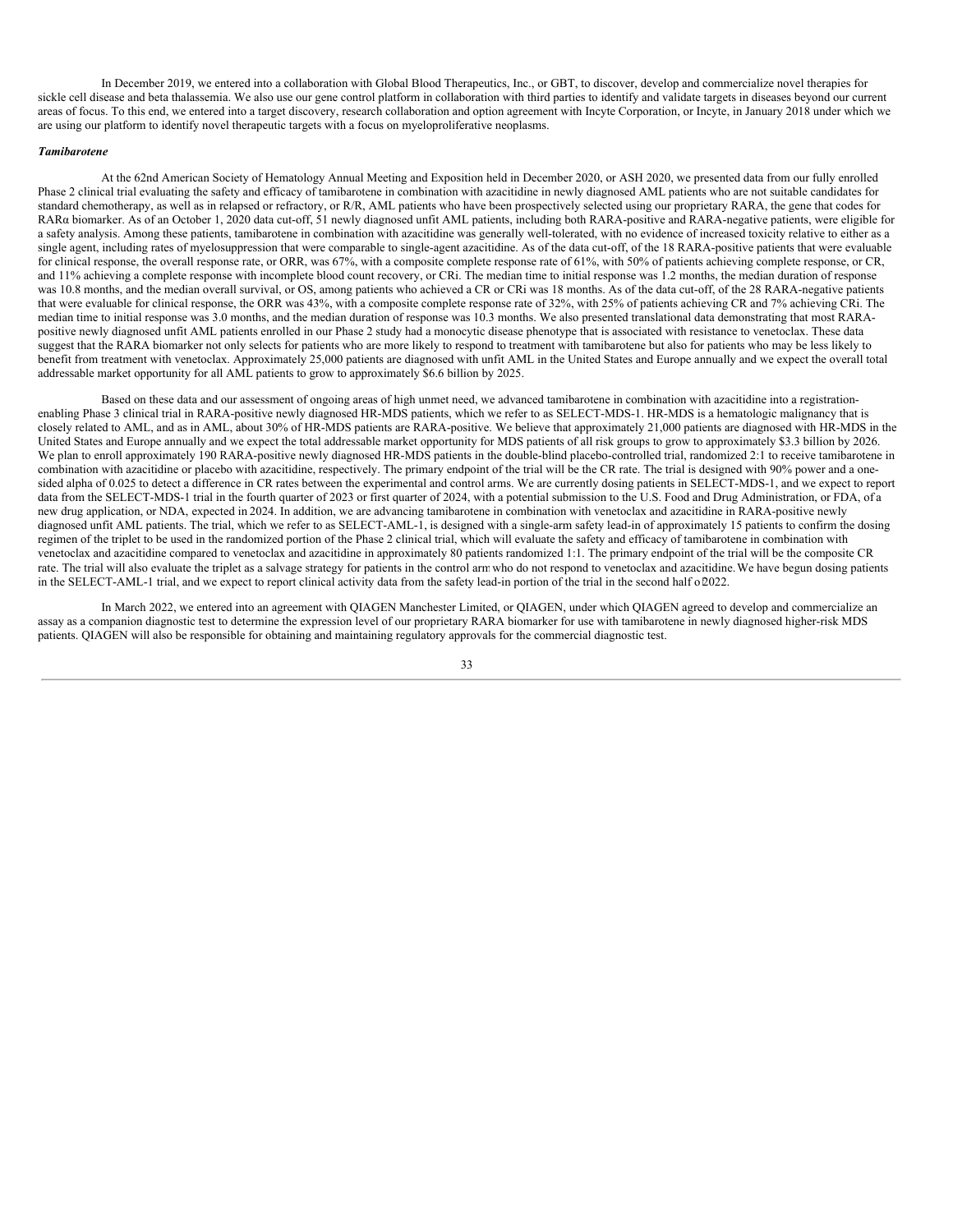In December 2019, we entered into a collaboration with Global Blood Therapeutics, Inc., or GBT, to discover, develop and commercialize novel therapies for sickle cell disease and beta thalassemia. We also use our gene control platform in collaboration with third parties to identify and validate targets in diseases beyond our current areas of focus. To this end, we entered into a target discovery, research collaboration and option agreement with Incyte Corporation, or Incyte, in January 2018 under which we are using our platform to identify novel therapeutic targets with a focus on myeloproliferative neoplasms.

#### *Tamibarotene*

At the 62nd American Society of Hematology Annual Meeting and Exposition held in December 2020, or ASH 2020, we presented data from our fully enrolled Phase 2 clinical trial evaluating the safety and efficacy of tamibarotene in combination with azacitidine in newly diagnosed AML patients who are not suitable candidates for standard chemotherapy, as well as in relapsed or refractory, or R/R, AML patients who have been prospectively selected using our proprietary RARA, the gene that codes for RARα biomarker. As of an October 1, 2020 data cut-off, 51 newly diagnosed unfit AML patients, including both RARA-positive and RARA-negative patients, were eligible for a safety analysis. Among these patients, tamibarotene in combination with azacitidine was generally well-tolerated, with no evidence of increased toxicity relative to either as a single agent, including rates of myelosuppression that were comparable to single-agent azacitidine. As of the data cut-off, of the 18 RARA-positive patients that were evaluable for clinical response, the overall response rate, or ORR, was 67%, with a composite complete response rate of 61%, with 50% of patients achieving complete response, or CR, and 11% achieving a complete response with incomplete blood count recovery, or CRi. The median time to initial response was 1.2 months, the median duration of response was 10.8 months, and the median overall survival, or OS, among patients who achieved a CR or CRi was 18 months. As of the data cut-off, of the 28 RARA-negative patients that were evaluable for clinical response, the ORR was 43%, with a composite complete response rate of 32%, with 25% of patients achieving CR and 7% achieving CRi. The median time to initial response was 3.0 months, and the median duration of response was 10.3 months. We also presented translational data demonstrating that most RARApositive newly diagnosed unfit AML patients enrolled in our Phase 2 study had a monocytic disease phenotype that is associated with resistance to venetoclax. These data suggest that the RARA biomarker not only selects for patients who are more likely to respond to treatment with tamibarotene but also for patients who may be less likely to benefit from treatment with venetoclax. Approximately 25,000 patients are diagnosed with unfit AML in the United States and Europe annually and we expect the overall total addressable market opportunity for all AML patients to grow to approximately \$6.6 billion by 2025.

Based on these data and our assessment of ongoing areas of high unmet need, we advanced tamibarotene in combination with azacitidine into a registrationenabling Phase 3 clinical trial in RARA-positive newly diagnosed HR-MDS patients, which we refer to as SELECT-MDS-1. HR-MDS is a hematologic malignancy that is closely related to AML, and as in AML, about 30% of HR-MDS patients are RARA-positive. We believe that approximately 21,000 patients are diagnosed with HR-MDS in the United States and Europe annually and we expect the total addressable market opportunity for MDS patients of all risk groups to grow to approximately \$3.3 billion by 2026. We plan to enroll approximately 190 RARA-positive newly diagnosed HR-MDS patients in the double-blind placebo-controlled trial, randomized 2:1 to receive tamibarotene in combination with azacitidine or placebo with azacitidine, respectively. The primary endpoint of the trial will be the CR rate. The trial is designed with 90% power and a onesided alpha of 0.025 to detect a difference in CR rates between the experimental and control arms. We are currently dosing patients in SELECT-MDS-1, and we expect to report data from the SELECT-MDS-1 trial in the fourth quarter of 2023 or first quarter of 2024, with a potential submission to the U.S. Food and Drug Administration, or FDA, of a new drug application, or NDA, expected in 2024. In addition, we are advancing tamibarotene in combination with venetoclax and azacitidine in RARA-positive newly diagnosed unfit AML patients. The trial, which we refer to as SELECT-AML-1, is designed with a single-arm safety lead-in of approximately 15 patients to confirm the dosing regimen of the triplet to be used in the randomized portion of the Phase 2 clinical trial, which will evaluate the safety and efficacy of tamibarotene in combination with venetoclax and azacitidine compared to venetoclax and azacitidine in approximately 80 patients randomized 1:1. The primary endpoint of the trial will be the composite CR rate. The trial will also evaluate the triplet as a salvage strategy for patients in the control arm who do not respond to venetoclax and azacitidine. We have begun dosing patients in the SELECT-AML-1 trial, and we expect to report clinical activity data from the safety lead-in portion of the trial in the second half of2022.

In March 2022, we entered into an agreement with QIAGEN Manchester Limited, or QIAGEN, under which QIAGEN agreed to develop and commercialize an assay as a companion diagnostic test to determine the expression level of our proprietary RARA biomarker for use with tamibarotene in newly diagnosed higher-risk MDS patients. QIAGEN will also be responsible for obtaining and maintaining regulatory approvals for the commercial diagnostic test.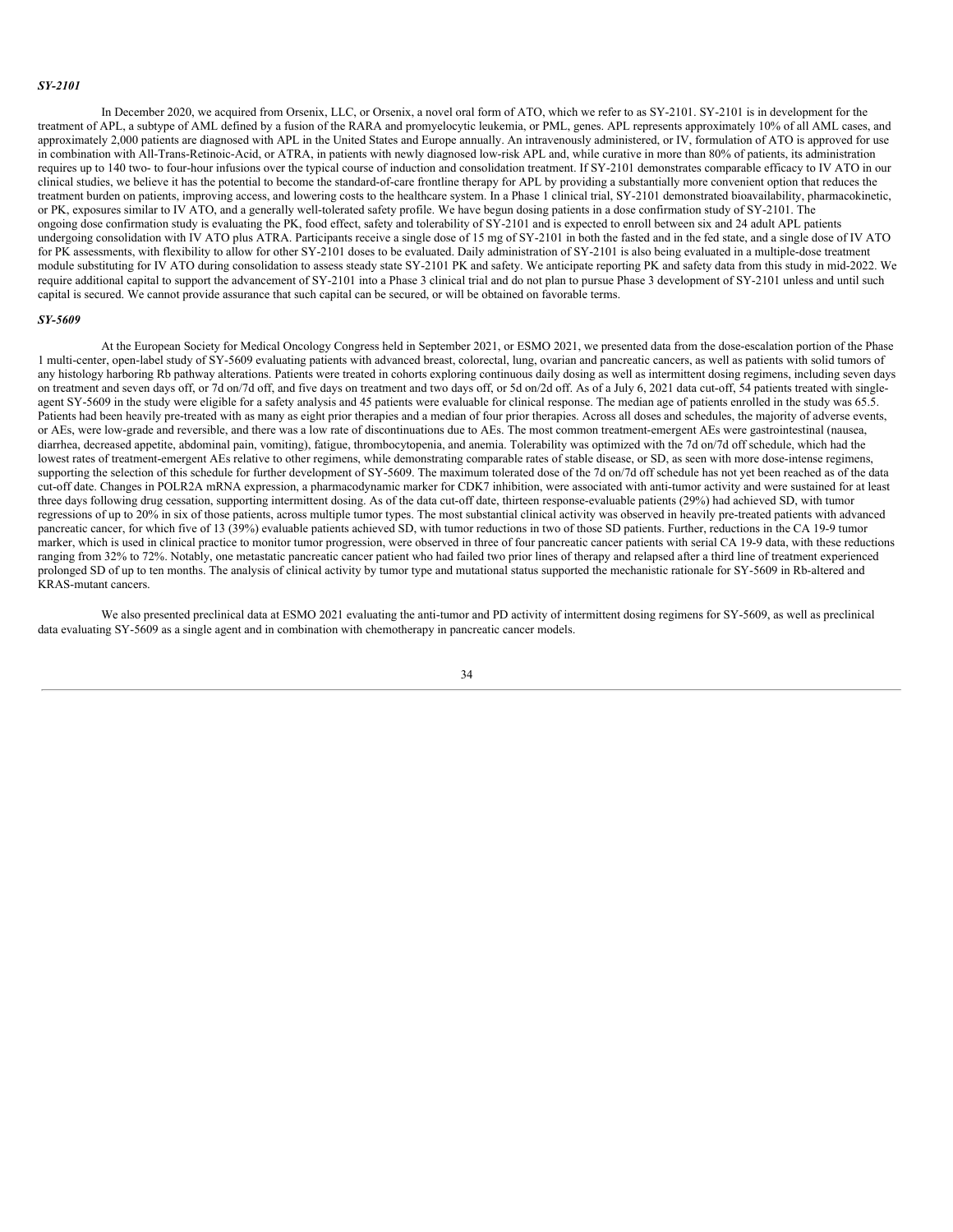#### *SY-2101*

In December 2020, we acquired from Orsenix, LLC, or Orsenix, a novel oral form of ATO, which we refer to as SY-2101. SY-2101 is in development for the treatment of APL, a subtype of AML defined by a fusion of the RARA and promyelocytic leukemia, or PML, genes. APL represents approximately 10% of all AML cases, and approximately 2,000 patients are diagnosed with APL in the United States and Europe annually. An intravenously administered, or IV, formulation of ATO is approved for use in combination with All-Trans-Retinoic-Acid, or ATRA, in patients with newly diagnosed low-risk APL and, while curative in more than 80% of patients, its administration requires up to 140 two- to four-hour infusions over the typical course of induction and consolidation treatment. If SY-2101 demonstrates comparable efficacy to IV ATO in our clinical studies, we believe it has the potential to become the standard-of-care frontline therapy for APL by providing a substantially more convenient option that reduces the treatment burden on patients, improving access, and lowering costs to the healthcare system. In a Phase 1 clinical trial, SY-2101 demonstrated bioavailability, pharmacokinetic, or PK, exposures similar to IV ATO, and a generally well-tolerated safety profile. We have begun dosing patients in a dose confirmation study of SY-2101. The ongoing dose confirmation study is evaluating the PK, food effect, safety and tolerability of SY-2101 and is expected to enroll between six and 24 adult APL patients undergoing consolidation with IV ATO plus ATRA. Participants receive a single dose of 15 mg of SY-2101 in both the fasted and in the fed state, and a single dose of IV ATO for PK assessments, with flexibility to allow for other SY-2101 doses to be evaluated. Daily administration of SY-2101 is also being evaluated in a multiple-dose treatment module substituting for IV ATO during consolidation to assess steady state SY-2101 PK and safety. We anticipate reporting PK and safety data from this study in mid-2022. We require additional capital to support the advancement of SY-2101 into a Phase 3 clinical trial and do not plan to pursue Phase 3 development of SY-2101 unless and until such capital is secured. We cannot provide assurance that such capital can be secured, or will be obtained on favorable terms.

#### *SY-5609*

At the European Society for Medical Oncology Congress held in September 2021, or ESMO 2021, we presented data from the dose-escalation portion of the Phase 1 multi-center, open-label study of SY-5609 evaluating patients with advanced breast, colorectal, lung, ovarian and pancreatic cancers, as well as patients with solid tumors of any histology harboring Rb pathway alterations. Patients were treated in cohorts exploring continuous daily dosing as well as intermittent dosing regimens, including seven days on treatment and seven days off, or 7d on/7d off, and five days on treatment and two days off, or 5d on/2d off. As of a July 6, 2021 data cut-off, 54 patients treated with singleagent SY-5609 in the study were eligible for a safety analysis and 45 patients were evaluable for clinical response. The median age of patients enrolled in the study was 65.5. Patients had been heavily pre-treated with as many as eight prior therapies and a median of four prior therapies. Across all doses and schedules, the majority of adverse events, or AEs, were low-grade and reversible, and there was a low rate of discontinuations due to AEs. The most common treatment-emergent AEs were gastrointestinal (nausea, diarrhea, decreased appetite, abdominal pain, vomiting), fatigue, thrombocytopenia, and anemia. Tolerability was optimized with the 7d on/7d off schedule, which had the lowest rates of treatment-emergent AEs relative to other regimens, while demonstrating comparable rates of stable disease, or SD, as seen with more dose-intense regimens, supporting the selection of this schedule for further development of SY-5609. The maximum tolerated dose of the 7d on/7d off schedule has not yet been reached as of the data cut-off date. Changes in POLR2A mRNA expression, a pharmacodynamic marker for CDK7 inhibition, were associated with anti-tumor activity and were sustained for at least three days following drug cessation, supporting intermittent dosing. As of the data cut-off date, thirteen response-evaluable patients (29%) had achieved SD, with tumor regressions of up to 20% in six of those patients, across multiple tumor types. The most substantial clinical activity was observed in heavily pre-treated patients with advanced pancreatic cancer, for which five of 13 (39%) evaluable patients achieved SD, with tumor reductions in two of those SD patients. Further, reductions in the CA 19-9 tumor marker, which is used in clinical practice to monitor tumor progression, were observed in three of four pancreatic cancer patients with serial CA 19-9 data, with these reductions ranging from 32% to 72%. Notably, one metastatic pancreatic cancer patient who had failed two prior lines of therapy and relapsed after a third line of treatment experienced prolonged SD of up to ten months. The analysis of clinical activity by tumor type and mutational status supported the mechanistic rationale for SY-5609 in Rb-altered and KRAS-mutant cancers.

We also presented preclinical data at ESMO 2021 evaluating the anti-tumor and PD activity of intermittent dosing regimens for SY-5609, as well as preclinical data evaluating SY-5609 as a single agent and in combination with chemotherapy in pancreatic cancer models.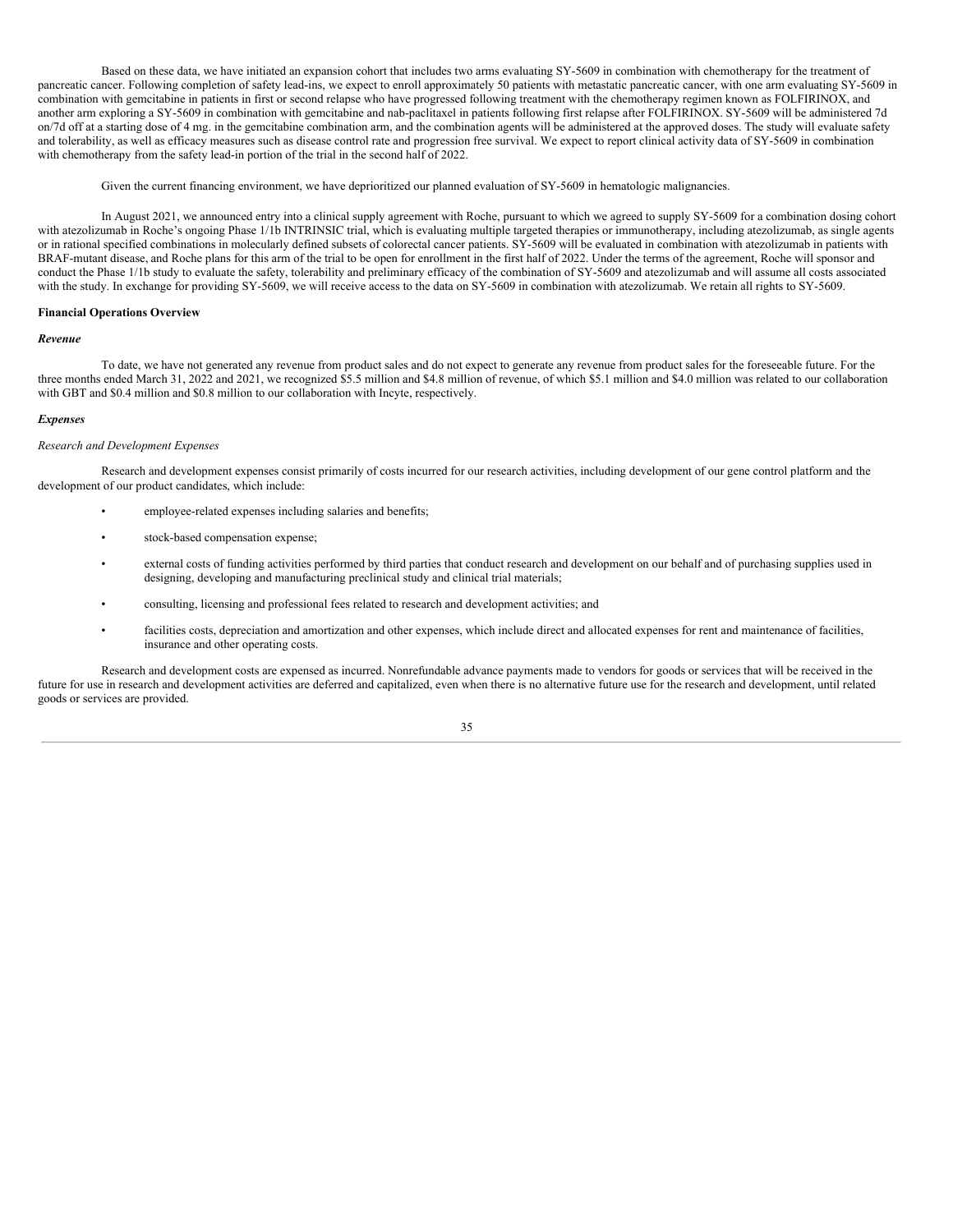Based on these data, we have initiated an expansion cohort that includes two arms evaluating SY-5609 in combination with chemotherapy for the treatment of pancreatic cancer. Following completion of safety lead-ins, we expect to enroll approximately 50 patients with metastatic pancreatic cancer, with one arm evaluating SY-5609 in combination with gemcitabine in patients in first or second relapse who have progressed following treatment with the chemotherapy regimen known as FOLFIRINOX, and another arm exploring a SY-5609 in combination with gemcitabine and nab-paclitaxel in patients following first relapse after FOLFIRINOX. SY-5609 will be administered 7d on/7d off at a starting dose of 4 mg. in the gemcitabine combination arm, and the combination agents will be administered at the approved doses. The study will evaluate safety and tolerability, as well as efficacy measures such as disease control rate and progression free survival. We expect to report clinical activity data of SY-5609 in combination with chemotherapy from the safety lead-in portion of the trial in the second half of 2022.

Given the current financing environment, we have deprioritized our planned evaluation of SY-5609 in hematologic malignancies.

In August 2021, we announced entry into a clinical supply agreement with Roche, pursuant to which we agreed to supply SY-5609 for a combination dosing cohort with atezolizumab in Roche's ongoing Phase 1/1b INTRINSIC trial, which is evaluating multiple targeted therapies or immunotherapy, including atezolizumab, as single agents or in rational specified combinations in molecularly defined subsets of colorectal cancer patients. SY-5609 will be evaluated in combination with atezolizumab in patients with BRAF-mutant disease, and Roche plans for this arm of the trial to be open for enrollment in the first half of 2022. Under the terms of the agreement, Roche will sponsor and conduct the Phase 1/1b study to evaluate the safety, tolerability and preliminary efficacy of the combination of SY-5609 and atezolizumab and will assume all costs associated with the study. In exchange for providing SY-5609, we will receive access to the data on SY-5609 in combination with atezolizumab. We retain all rights to SY-5609.

#### **Financial Operations Overview**

#### *Revenue*

To date, we have not generated any revenue from product sales and do not expect to generate any revenue from product sales for the foreseeable future. For the three months ended March 31, 2022 and 2021, we recognized \$5.5 million and \$4.8 million of revenue, of which \$5.1 million and \$4.0 million was related to our collaboration with GBT and \$0.4 million and \$0.8 million to our collaboration with Incyte, respectively.

#### *Expenses*

#### *Research and Development Expenses*

Research and development expenses consist primarily of costs incurred for our research activities, including development of our gene control platform and the development of our product candidates, which include:

- employee-related expenses including salaries and benefits;
- stock-based compensation expense;
- external costs of funding activities performed by third parties that conduct research and development on our behalf and of purchasing supplies used in designing, developing and manufacturing preclinical study and clinical trial materials;
- consulting, licensing and professional fees related to research and development activities; and
- facilities costs, depreciation and amortization and other expenses, which include direct and allocated expenses for rent and maintenance of facilities, insurance and other operating costs.

Research and development costs are expensed as incurred. Nonrefundable advance payments made to vendors for goods or services that will be received in the future for use in research and development activities are deferred and capitalized, even when there is no alternative future use for the research and development, until related goods or services are provided.

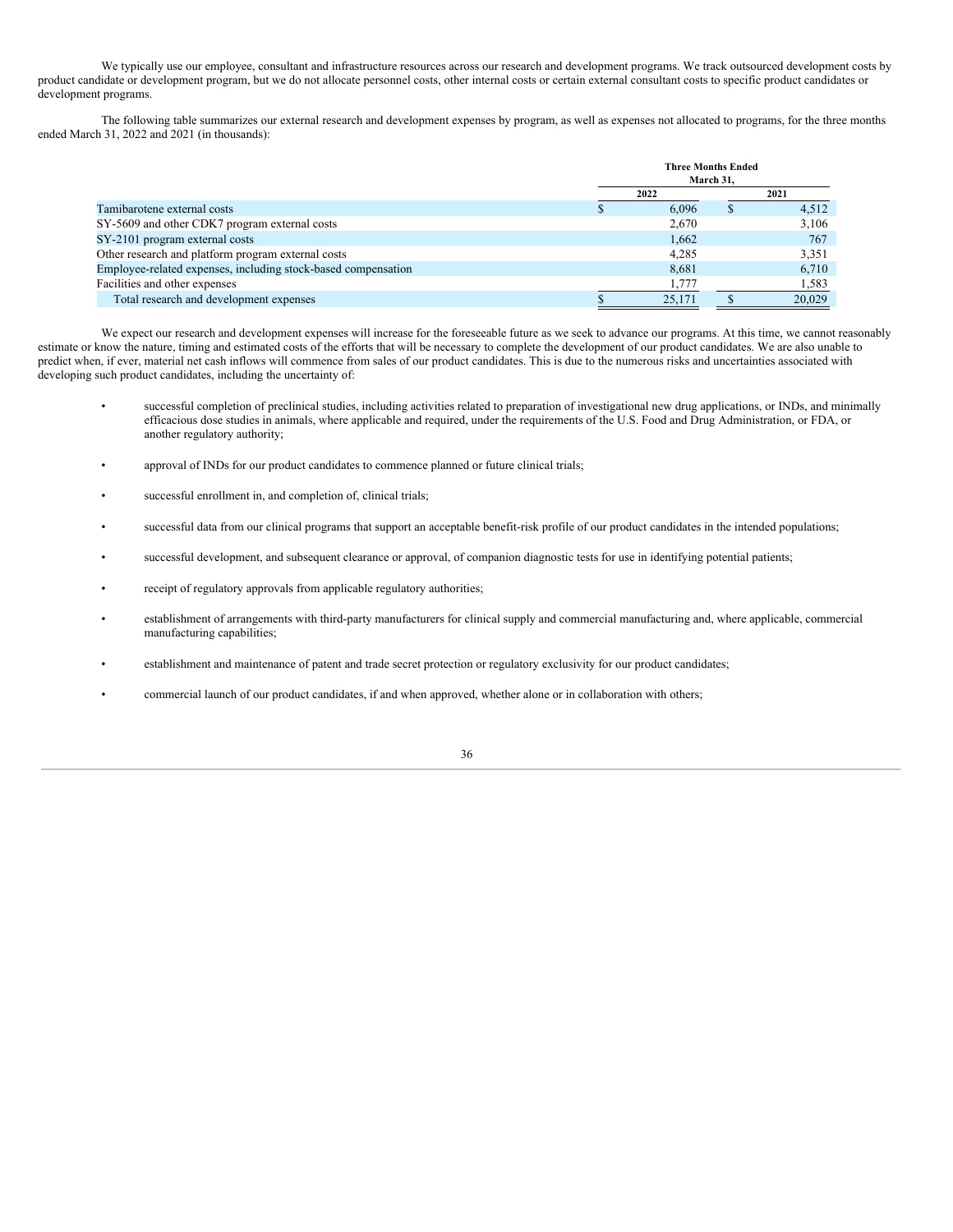We typically use our employee, consultant and infrastructure resources across our research and development programs. We track outsourced development costs by product candidate or development program, but we do not allocate personnel costs, other internal costs or certain external consultant costs to specific product candidates or development programs.

The following table summarizes our external research and development expenses by program, as well as expenses not allocated to programs, for the three months ended March 31, 2022 and 2021 (in thousands):

|                                                               | <b>Three Months Ended</b><br>March 31, |        |      |        |
|---------------------------------------------------------------|----------------------------------------|--------|------|--------|
|                                                               | 2022                                   |        | 2021 |        |
| Tamibarotene external costs                                   |                                        | 6.096  |      | 4.512  |
| SY-5609 and other CDK7 program external costs                 |                                        | 2,670  |      | 3,106  |
| SY-2101 program external costs                                |                                        | 1,662  |      | 767    |
| Other research and platform program external costs            |                                        | 4.285  |      | 3.351  |
| Employee-related expenses, including stock-based compensation |                                        | 8,681  |      | 6.710  |
| Facilities and other expenses                                 |                                        | 1,777  |      | 1,583  |
| Total research and development expenses                       |                                        | 25,171 |      | 20,029 |

We expect our research and development expenses will increase for the foreseeable future as we seek to advance our programs. At this time, we cannot reasonably estimate or know the nature, timing and estimated costs of the efforts that will be necessary to complete the development of our product candidates. We are also unable to predict when, if ever, material net cash inflows will commence from sales of our product candidates. This is due to the numerous risks and uncertainties associated with developing such product candidates, including the uncertainty of:

- successful completion of preclinical studies, including activities related to preparation of investigational new drug applications, or INDs, and minimally efficacious dose studies in animals, where applicable and required, under the requirements of the U.S. Food and Drug Administration, or FDA, or another regulatory authority;
- approval of INDs for our product candidates to commence planned or future clinical trials;
- successful enrollment in, and completion of, clinical trials;
- successful data from our clinical programs that support an acceptable benefit-risk profile of our product candidates in the intended populations;
- successful development, and subsequent clearance or approval, of companion diagnostic tests for use in identifying potential patients;
- receipt of regulatory approvals from applicable regulatory authorities;
- establishment of arrangements with third-party manufacturers for clinical supply and commercial manufacturing and, where applicable, commercial manufacturing capabilities;
- establishment and maintenance of patent and trade secret protection or regulatory exclusivity for our product candidates;
- commercial launch of our product candidates, if and when approved, whether alone or in collaboration with others;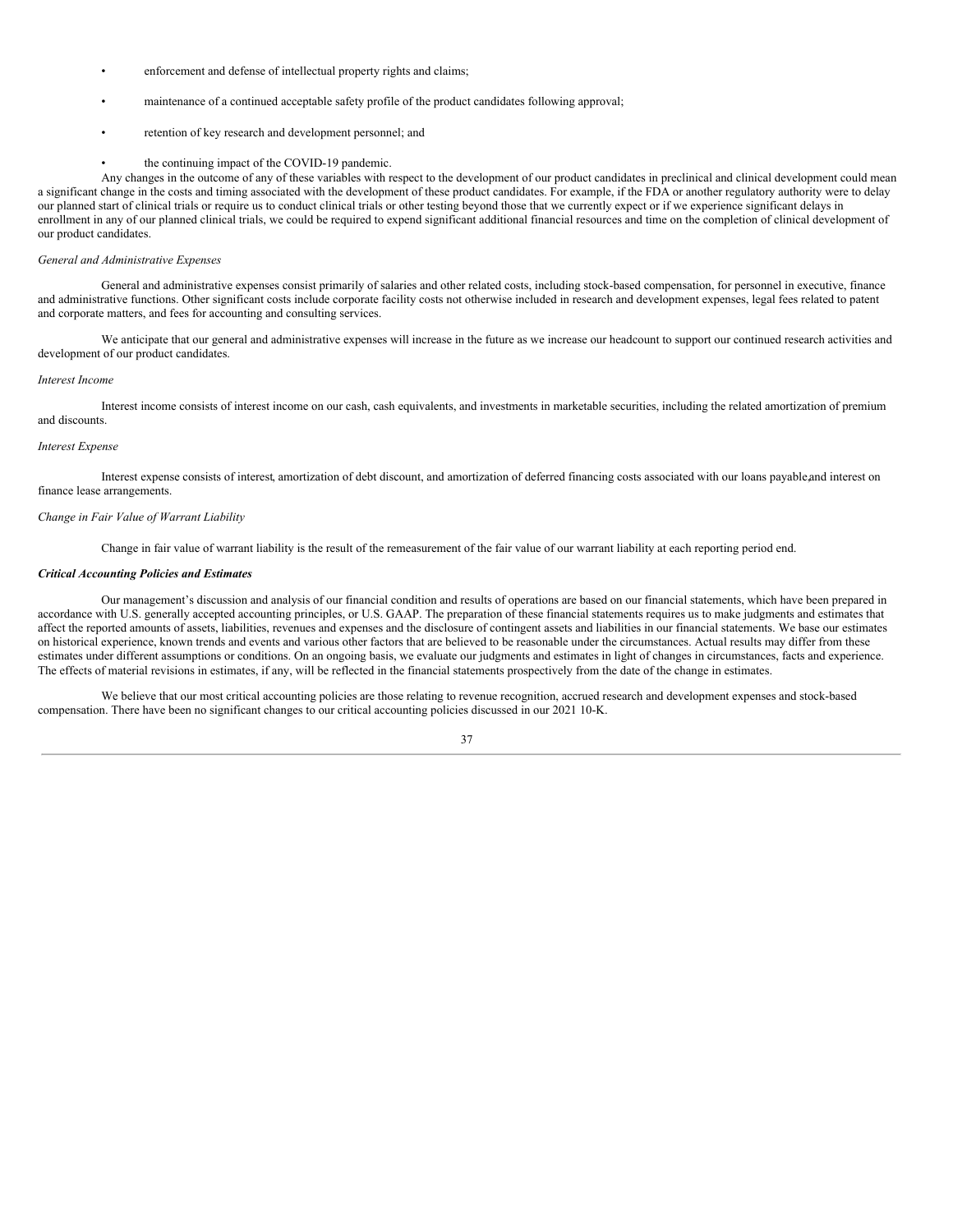- enforcement and defense of intellectual property rights and claims;
- maintenance of a continued acceptable safety profile of the product candidates following approval;
- retention of key research and development personnel; and
- the continuing impact of the COVID-19 pandemic.

Any changes in the outcome of any of these variables with respect to the development of our product candidates in preclinical and clinical development could mean a significant change in the costs and timing associated with the development of these product candidates. For example, if the FDA or another regulatory authority were to delay our planned start of clinical trials or require us to conduct clinical trials or other testing beyond those that we currently expect or if we experience significant delays in enrollment in any of our planned clinical trials, we could be required to expend significant additional financial resources and time on the completion of clinical development of our product candidates.

#### *General and Administrative Expenses*

General and administrative expenses consist primarily of salaries and other related costs, including stock-based compensation, for personnel in executive, finance and administrative functions. Other significant costs include corporate facility costs not otherwise included in research and development expenses, legal fees related to patent and corporate matters, and fees for accounting and consulting services.

We anticipate that our general and administrative expenses will increase in the future as we increase our headcount to support our continued research activities and development of our product candidates.

#### *Interest Income*

Interest income consists of interest income on our cash, cash equivalents, and investments in marketable securities, including the related amortization of premium and discounts.

#### *Interest Expense*

Interest expense consists of interest, amortization of debt discount, and amortization of deferred financing costs associated with our loans payable,and interest on finance lease arrangements.

#### *Change in Fair Value of Warrant Liability*

Change in fair value of warrant liability is the result of the remeasurement of the fair value of our warrant liability at each reporting period end.

#### *Critical Accounting Policies and Estimates*

Our management's discussion and analysis of our financial condition and results of operations are based on our financial statements, which have been prepared in accordance with U.S. generally accepted accounting principles, or U.S. GAAP. The preparation of these financial statements requires us to make judgments and estimates that affect the reported amounts of assets, liabilities, revenues and expenses and the disclosure of contingent assets and liabilities in our financial statements. We base our estimates on historical experience, known trends and events and various other factors that are believed to be reasonable under the circumstances. Actual results may differ from these estimates under different assumptions or conditions. On an ongoing basis, we evaluate our judgments and estimates in light of changes in circumstances, facts and experience. The effects of material revisions in estimates, if any, will be reflected in the financial statements prospectively from the date of the change in estimates.

We believe that our most critical accounting policies are those relating to revenue recognition, accrued research and development expenses and stock-based compensation. There have been no significant changes to our critical accounting policies discussed in our 2021 10-K.

37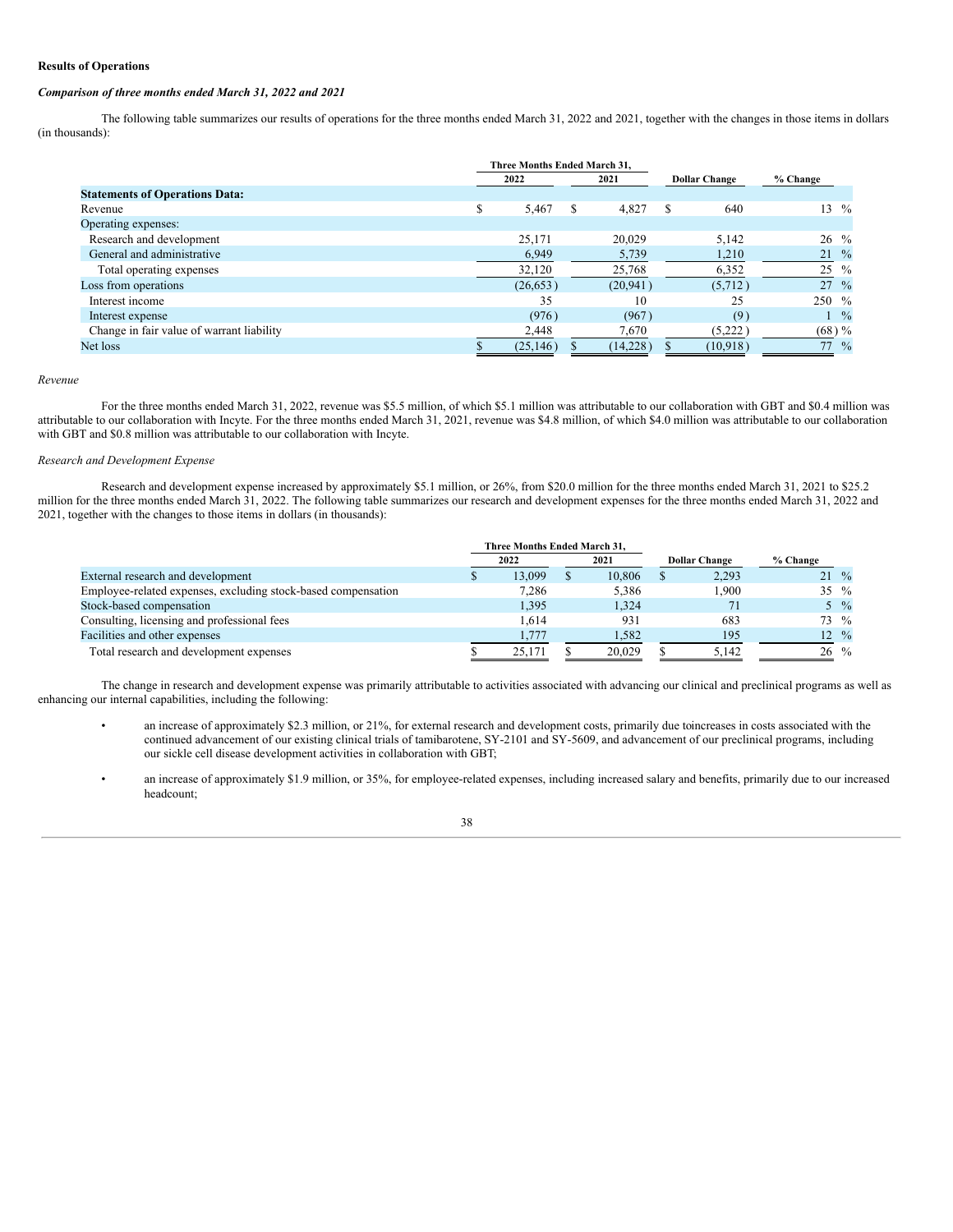#### **Results of Operations**

## *Comparison of three months ended March 31, 2022 and 2021*

The following table summarizes our results of operations for the three months ended March 31, 2022 and 2021, together with the changes in those items in dollars (in thousands):

|                                           | Three Months Ended March 31. |           |   |           |    |                      |                     |
|-------------------------------------------|------------------------------|-----------|---|-----------|----|----------------------|---------------------|
|                                           |                              | 2022      |   | 2021      |    | <b>Dollar Change</b> | % Change            |
| <b>Statements of Operations Data:</b>     |                              |           |   |           |    |                      |                     |
| Revenue                                   | S                            | 5,467     | S | 4,827     | -S | 640                  | 13<br>$\frac{0}{0}$ |
| Operating expenses:                       |                              |           |   |           |    |                      |                     |
| Research and development                  |                              | 25.171    |   | 20.029    |    | 5.142                | $26\frac{9}{6}$     |
| General and administrative                |                              | 6,949     |   | 5,739     |    | 1,210                | 21<br>$\frac{0}{0}$ |
| Total operating expenses                  |                              | 32,120    |   | 25,768    |    | 6,352                | $25 \frac{9}{6}$    |
| Loss from operations                      |                              | (26, 653) |   | (20, 941) |    | (5,712)              | $27 \frac{9}{6}$    |
| Interest income                           |                              | 35        |   | 10        |    | 25                   | 250 %               |
| Interest expense                          |                              | (976)     |   | (967)     |    | (9)                  | $1 \frac{9}{6}$     |
| Change in fair value of warrant liability |                              | 2,448     |   | 7,670     |    | (5,222)              | $(68) \%$           |
| Net loss                                  |                              | (25, 146) |   | (14,228)  |    | (10,918)             | $77 \frac{9}{6}$    |

#### *Revenue*

For the three months ended March 31, 2022, revenue was \$5.5 million, of which \$5.1 million was attributable to our collaboration with GBT and \$0.4 million was attributable to our collaboration with Incyte. For the three months ended March 31, 2021, revenue was \$4.8 million, of which \$4.0 million was attributable to our collaboration with GBT and \$0.8 million was attributable to our collaboration with Incyte.

### *Research and Development Expense*

Research and development expense increased by approximately \$5.1 million, or 26%, from \$20.0 million for the three months ended March 31, 2021 to \$25.2 million for the three months ended March 31, 2022. The following table summarizes our research and development expenses for the three months ended March 31, 2022 and 2021, together with the changes to those items in dollars (in thousands):

|                                                               | Three Months Ended March 31. |        |      |        |                      |       |                  |
|---------------------------------------------------------------|------------------------------|--------|------|--------|----------------------|-------|------------------|
|                                                               | 2022                         |        | 2021 |        | <b>Dollar Change</b> |       | % Change         |
| External research and development                             |                              | 13.099 |      | 10.806 |                      | 2.293 | $21 \frac{9}{6}$ |
| Employee-related expenses, excluding stock-based compensation |                              | 7,286  |      | 5.386  |                      | 1.900 | 35 $\%$          |
| Stock-based compensation                                      |                              | 1.395  |      | 1.324  |                      |       | $5 \frac{9}{6}$  |
| Consulting, licensing and professional fees                   |                              | .614   |      | 931    |                      | 683   | 73 %             |
| Facilities and other expenses                                 |                              | 1,777  |      | 1,582  |                      | 195   | $12 \frac{9}{6}$ |
| Total research and development expenses                       |                              | 25.171 |      | 20,029 |                      | 5.142 | $26\%$           |

The change in research and development expense was primarily attributable to activities associated with advancing our clinical and preclinical programs as well as enhancing our internal capabilities, including the following:

- an increase of approximately \$2.3 million, or 21%, for external research and development costs, primarily due toincreases in costs associated with the continued advancement of our existing clinical trials of tamibarotene, SY-2101 and SY-5609, and advancement of our preclinical programs, including our sickle cell disease development activities in collaboration with GBT;
- an increase of approximately \$1.9 million, or 35%, for employee-related expenses, including increased salary and benefits, primarily due to our increased headcount;

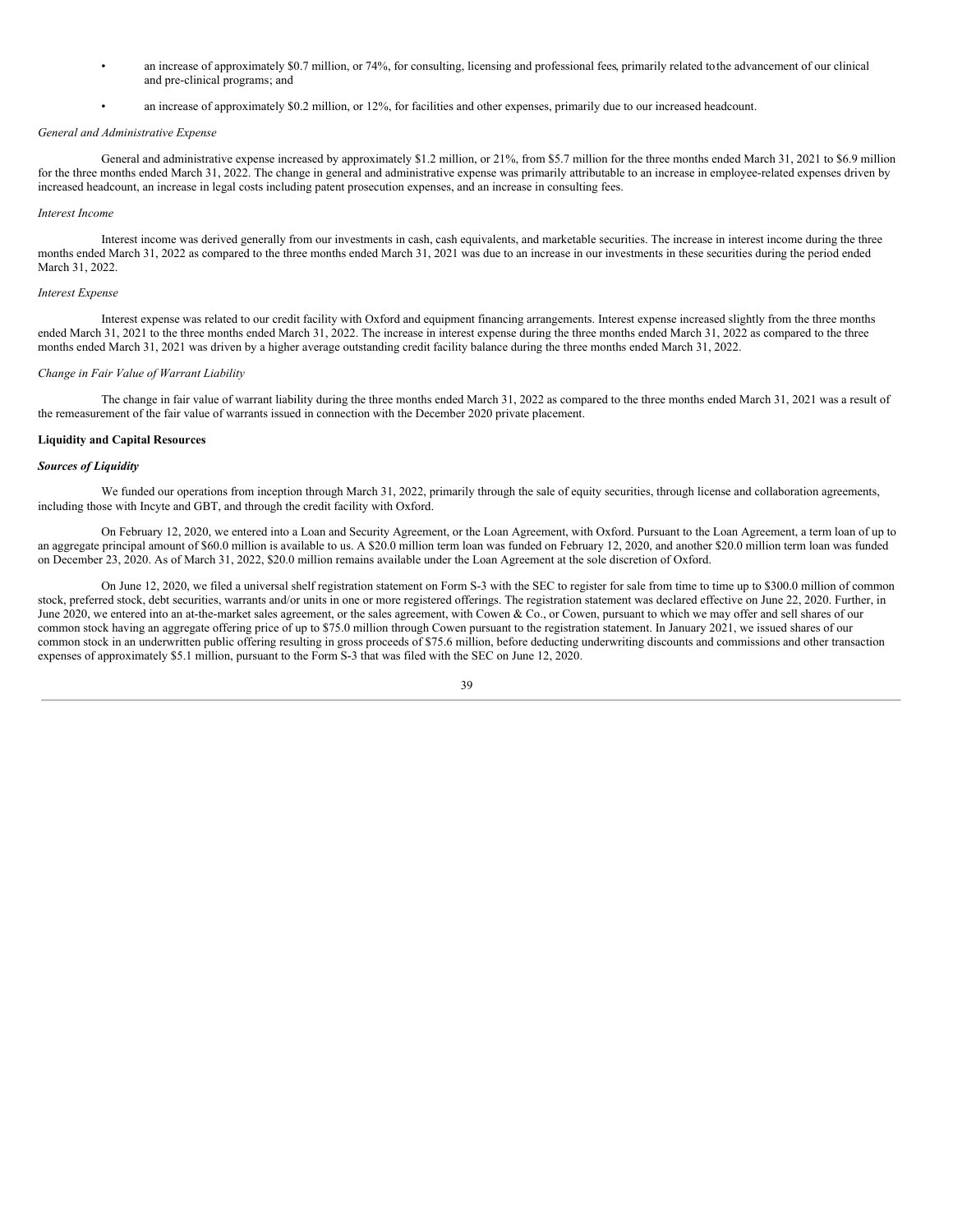- an increase of approximately \$0.7 million, or 74%, for consulting, licensing and professional fees, primarily related tothe advancement of our clinical and pre-clinical programs; and
- an increase of approximately \$0.2 million, or 12%, for facilities and other expenses, primarily due to our increased headcount.

### *General and Administrative Expense*

General and administrative expense increased by approximately \$1.2 million, or 21%, from \$5.7 million for the three months ended March 31, 2021 to \$6.9 million for the three months ended March 31, 2022. The change in general and administrative expense was primarily attributable to an increase in employee-related expenses driven by increased headcount, an increase in legal costs including patent prosecution expenses, and an increase in consulting fees.

### *Interest Income*

Interest income was derived generally from our investments in cash, cash equivalents, and marketable securities. The increase in interest income during the three months ended March 31, 2022 as compared to the three months ended March 31, 2021 was due to an increase in our investments in these securities during the period ended March 31, 2022.

#### *Interest Expense*

Interest expense was related to our credit facility with Oxford and equipment financing arrangements. Interest expense increased slightly from the three months ended March 31, 2021 to the three months ended March 31, 2022. The increase in interest expense during the three months ended March 31, 2022 as compared to the three months ended March 31, 2021 was driven by a higher average outstanding credit facility balance during the three months ended March 31, 2022.

#### *Change in Fair Value of Warrant Liability*

The change in fair value of warrant liability during the three months ended March 31, 2022 as compared to the three months ended March 31, 2021 was a result of the remeasurement of the fair value of warrants issued in connection with the December 2020 private placement.

#### **Liquidity and Capital Resources**

#### *Sources of Liquidity*

We funded our operations from inception through March 31, 2022, primarily through the sale of equity securities, through license and collaboration agreements, including those with Incyte and GBT, and through the credit facility with Oxford.

On February 12, 2020, we entered into a Loan and Security Agreement, or the Loan Agreement, with Oxford. Pursuant to the Loan Agreement, a term loan of up to an aggregate principal amount of \$60.0 million is available to us. A \$20.0 million term loan was funded on February 12, 2020, and another \$20.0 million term loan was funded on December 23, 2020. As of March 31, 2022, \$20.0 million remains available under the Loan Agreement at the sole discretion of Oxford.

On June 12, 2020, we filed a universal shelf registration statement on Form S-3 with the SEC to register for sale from time to time up to \$300.0 million of common stock, preferred stock, debt securities, warrants and/or units in one or more registered offerings. The registration statement was declared effective on June 22, 2020. Further, in June 2020, we entered into an at-the-market sales agreement, or the sales agreement, with Cowen & Co., or Cowen, pursuant to which we may offer and sell shares of our common stock having an aggregate offering price of up to \$75.0 million through Cowen pursuant to the registration statement. In January 2021, we issued shares of our common stock in an underwritten public offering resulting in gross proceeds of \$75.6 million, before deducting underwriting discounts and commissions and other transaction expenses of approximately \$5.1 million, pursuant to the Form S-3 that was filed with the SEC on June 12, 2020.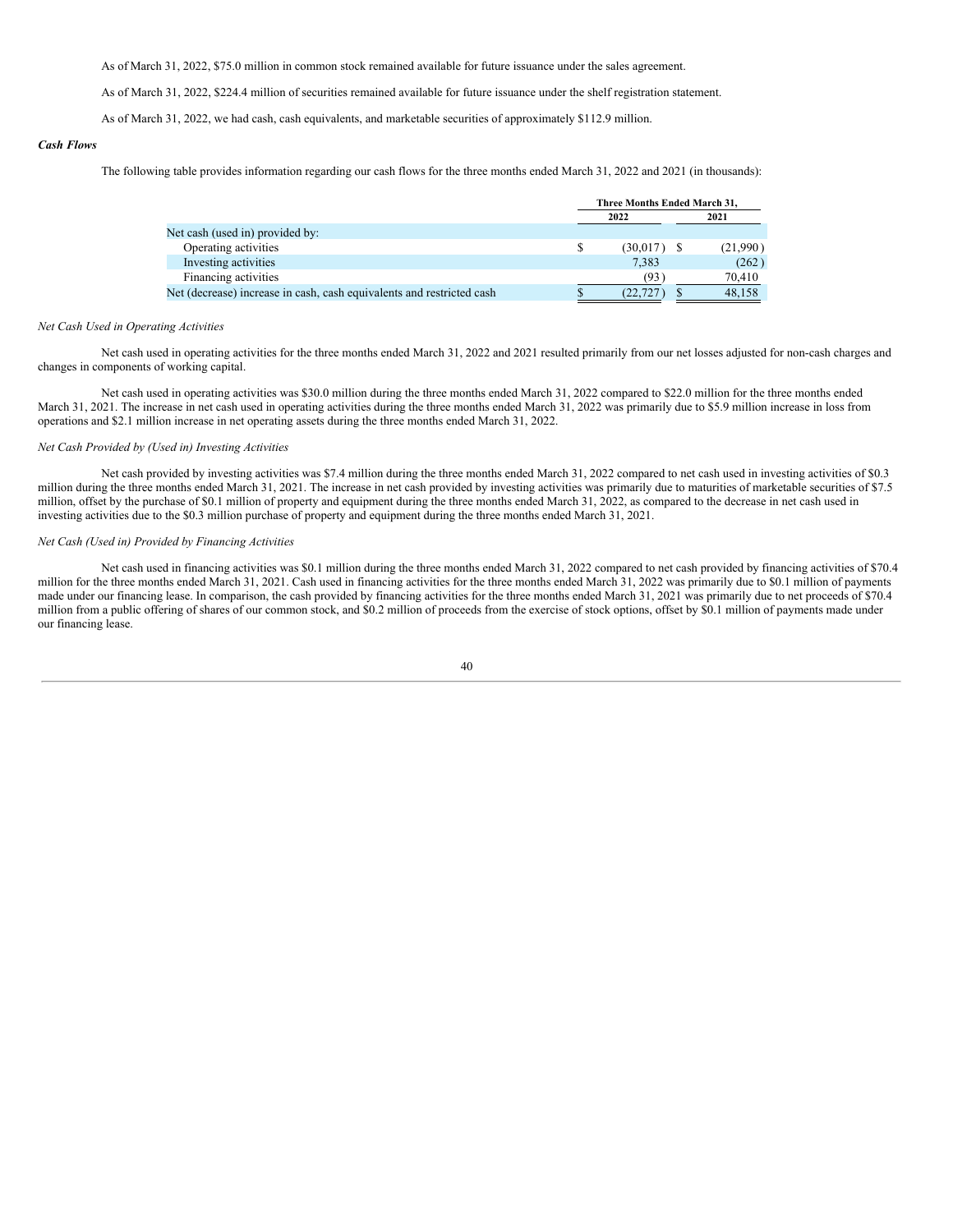As of March 31, 2022, \$75.0 million in common stock remained available for future issuance under the sales agreement.

As of March 31, 2022, \$224.4 million of securities remained available for future issuance under the shelf registration statement.

As of March 31, 2022, we had cash, cash equivalents, and marketable securities of approximately \$112.9 million.

### *Cash Flows*

The following table provides information regarding our cash flows for the three months ended March 31, 2022 and 2021 (in thousands):

|                                                                       |   | Three Months Ended March 31, |  |          |  |
|-----------------------------------------------------------------------|---|------------------------------|--|----------|--|
|                                                                       |   | 2022                         |  | 2021     |  |
| Net cash (used in) provided by:                                       |   |                              |  |          |  |
| Operating activities                                                  | S | $(30.017)$ \$                |  | (21,990) |  |
| Investing activities                                                  |   | 7,383                        |  | (262)    |  |
| Financing activities                                                  |   | (93)                         |  | 70,410   |  |
| Net (decrease) increase in cash, cash equivalents and restricted cash |   |                              |  | 48,158   |  |

#### *Net Cash Used in Operating Activities*

Net cash used in operating activities for the three months ended March 31, 2022 and 2021 resulted primarily from our net losses adjusted for non-cash charges and changes in components of working capital.

Net cash used in operating activities was \$30.0 million during the three months ended March 31, 2022 compared to \$22.0 million for the three months ended March 31, 2021. The increase in net cash used in operating activities during the three months ended March 31, 2022 was primarily due to \$5.9 million increase in loss from operations and \$2.1 million increase in net operating assets during the three months ended March 31, 2022.

#### *Net Cash Provided by (Used in) Investing Activities*

Net cash provided by investing activities was \$7.4 million during the three months ended March 31, 2022 compared to net cash used in investing activities of \$0.3 million during the three months ended March 31, 2021. The increase in net cash provided by investing activities was primarily due to maturities of marketable securities of \$7.5 million, offset by the purchase of \$0.1 million of property and equipment during the three months ended March 31, 2022, as compared to the decrease in net cash used in investing activities due to the \$0.3 million purchase of property and equipment during the three months ended March 31, 2021.

#### *Net Cash (Used in) Provided by Financing Activities*

Net cash used in financing activities was \$0.1 million during the three months ended March 31, 2022 compared to net cash provided by financing activities of \$70.4 million for the three months ended March 31, 2021. Cash used in financing activities for the three months ended March 31, 2022 was primarily due to \$0.1 million of payments made under our financing lease. In comparison, the cash provided by financing activities for the three months ended March 31, 2021 was primarily due to net proceeds of \$70.4 million from a public offering of shares of our common stock, and \$0.2 million of proceeds from the exercise of stock options, offset by \$0.1 million of payments made under our financing lease.

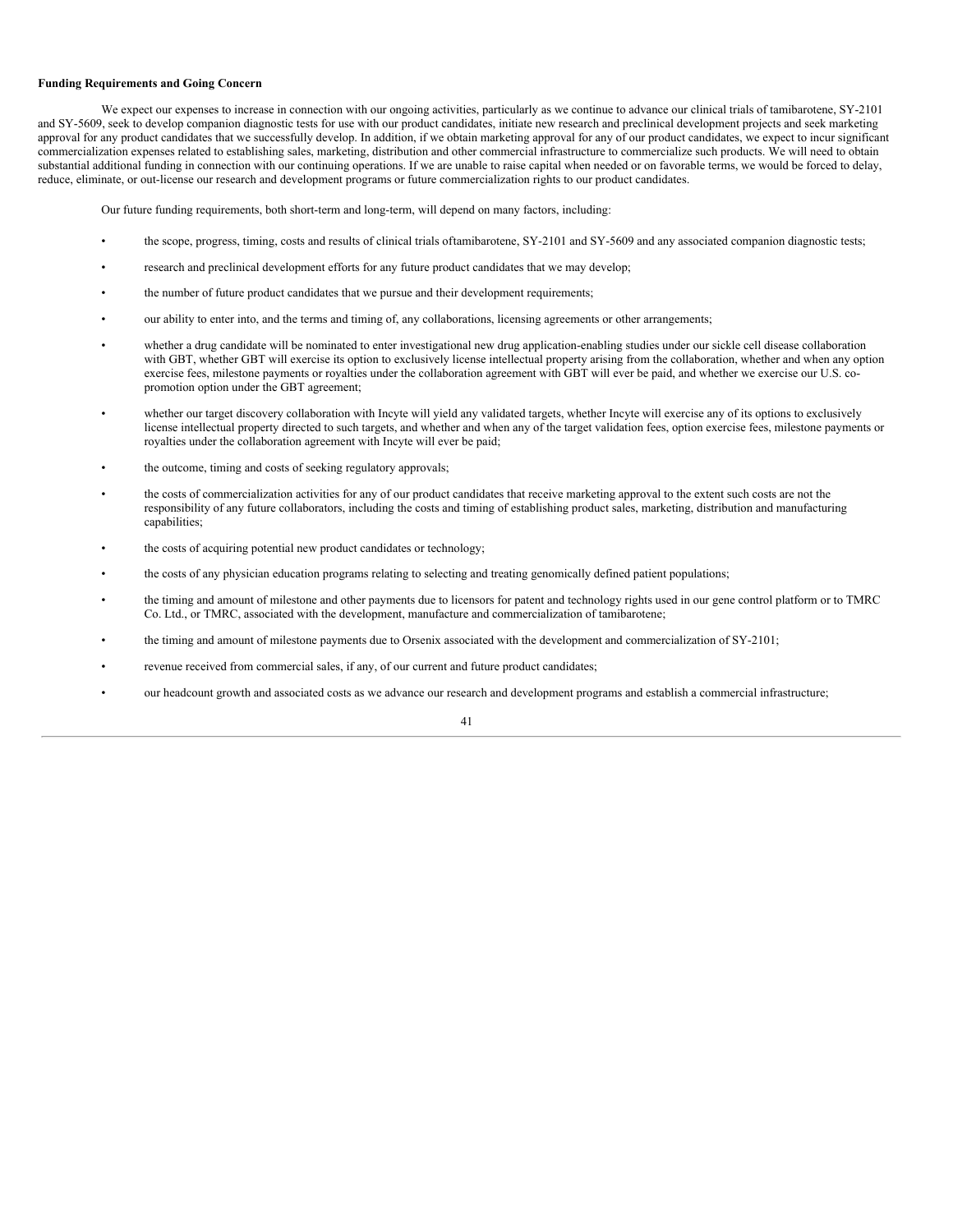#### **Funding Requirements and Going Concern**

We expect our expenses to increase in connection with our ongoing activities, particularly as we continue to advance our clinical trials of tamibarotene, SY-2101 and SY-5609, seek to develop companion diagnostic tests for use with our product candidates, initiate new research and preclinical development projects and seek marketing approval for any product candidates that we successfully develop. In addition, if we obtain marketing approval for any of our product candidates, we expect to incur significant commercialization expenses related to establishing sales, marketing, distribution and other commercial infrastructure to commercialize such products. We will need to obtain substantial additional funding in connection with our continuing operations. If we are unable to raise capital when needed or on favorable terms, we would be forced to delay, reduce, eliminate, or out-license our research and development programs or future commercialization rights to our product candidates.

Our future funding requirements, both short-term and long-term, will depend on many factors, including:

- the scope, progress, timing, costs and results of clinical trials oftamibarotene, SY-2101 and SY-5609 and any associated companion diagnostic tests;
- research and preclinical development efforts for any future product candidates that we may develop;
- the number of future product candidates that we pursue and their development requirements;
- our ability to enter into, and the terms and timing of, any collaborations, licensing agreements or other arrangements;
- whether a drug candidate will be nominated to enter investigational new drug application-enabling studies under our sickle cell disease collaboration with GBT, whether GBT will exercise its option to exclusively license intellectual property arising from the collaboration, whether and when any option exercise fees, milestone payments or royalties under the collaboration agreement with GBT will ever be paid, and whether we exercise our U.S. copromotion option under the GBT agreement;
- whether our target discovery collaboration with Incyte will yield any validated targets, whether Incyte will exercise any of its options to exclusively license intellectual property directed to such targets, and whether and when any of the target validation fees, option exercise fees, milestone payments or royalties under the collaboration agreement with Incyte will ever be paid;
- the outcome, timing and costs of seeking regulatory approvals;
- the costs of commercialization activities for any of our product candidates that receive marketing approval to the extent such costs are not the responsibility of any future collaborators, including the costs and timing of establishing product sales, marketing, distribution and manufacturing capabilities;
- the costs of acquiring potential new product candidates or technology;
- the costs of any physician education programs relating to selecting and treating genomically defined patient populations;
- the timing and amount of milestone and other payments due to licensors for patent and technology rights used in our gene control platform or to TMRC Co. Ltd., or TMRC, associated with the development, manufacture and commercialization of tamibarotene;
- the timing and amount of milestone payments due to Orsenix associated with the development and commercialization of SY-2101;
- revenue received from commercial sales, if any, of our current and future product candidates;
- our headcount growth and associated costs as we advance our research and development programs and establish a commercial infrastructure;

41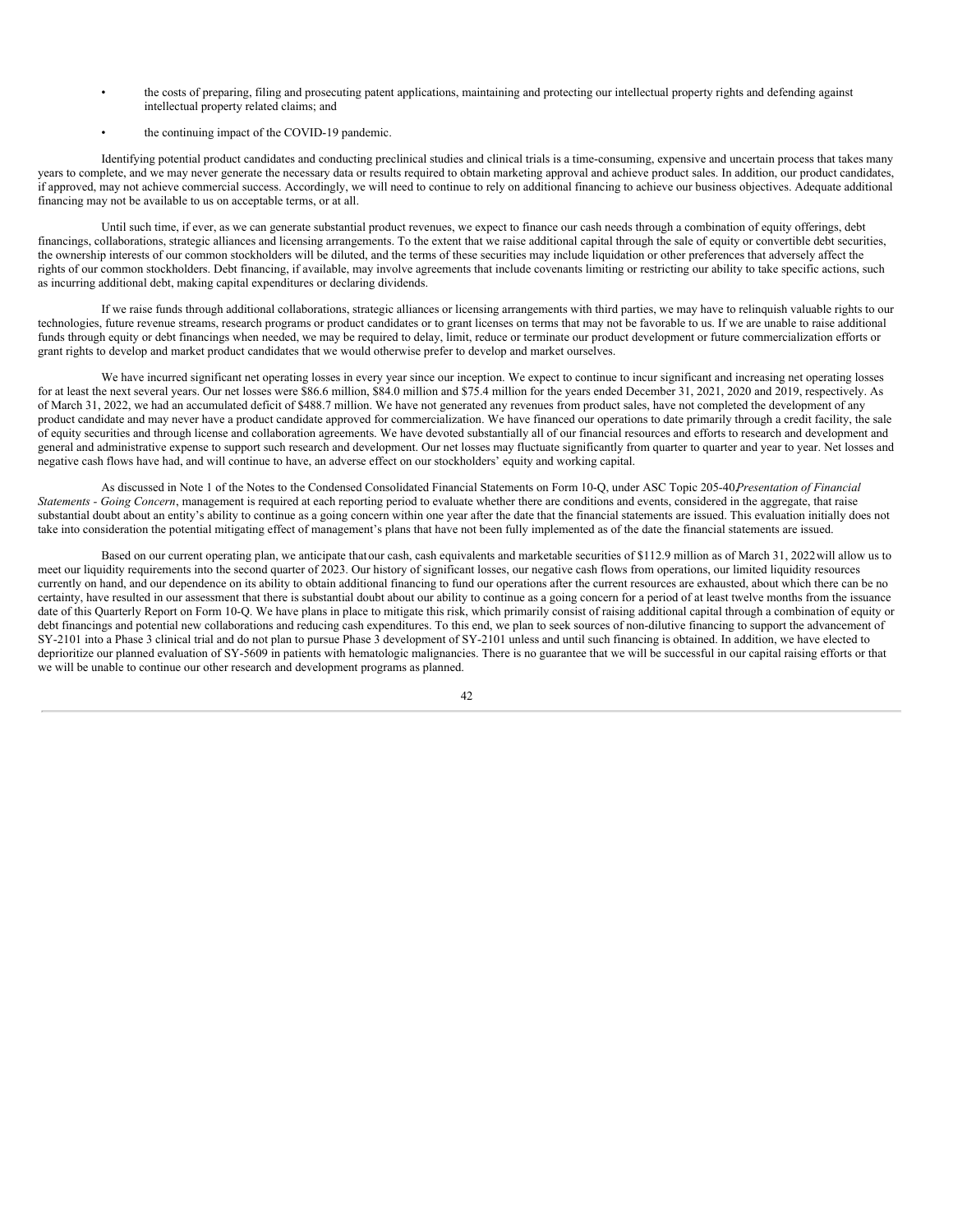- the costs of preparing, filing and prosecuting patent applications, maintaining and protecting our intellectual property rights and defending against intellectual property related claims; and
- the continuing impact of the COVID-19 pandemic.

Identifying potential product candidates and conducting preclinical studies and clinical trials is a time-consuming, expensive and uncertain process that takes many years to complete, and we may never generate the necessary data or results required to obtain marketing approval and achieve product sales. In addition, our product candidates, if approved, may not achieve commercial success. Accordingly, we will need to continue to rely on additional financing to achieve our business objectives. Adequate additional financing may not be available to us on acceptable terms, or at all.

Until such time, if ever, as we can generate substantial product revenues, we expect to finance our cash needs through a combination of equity offerings, debt financings, collaborations, strategic alliances and licensing arrangements. To the extent that we raise additional capital through the sale of equity or convertible debt securities, the ownership interests of our common stockholders will be diluted, and the terms of these securities may include liquidation or other preferences that adversely affect the rights of our common stockholders. Debt financing, if available, may involve agreements that include covenants limiting or restricting our ability to take specific actions, such as incurring additional debt, making capital expenditures or declaring dividends.

If we raise funds through additional collaborations, strategic alliances or licensing arrangements with third parties, we may have to relinquish valuable rights to our technologies, future revenue streams, research programs or product candidates or to grant licenses on terms that may not be favorable to us. If we are unable to raise additional funds through equity or debt financings when needed, we may be required to delay, limit, reduce or terminate our product development or future commercialization efforts or grant rights to develop and market product candidates that we would otherwise prefer to develop and market ourselves.

We have incurred significant net operating losses in every year since our inception. We expect to continue to incur significant and increasing net operating losses for at least the next several years. Our net losses were \$86.6 million, \$84.0 million and \$75.4 million for the years ended December 31, 2021, 2020 and 2019, respectively. As of March 31, 2022, we had an accumulated deficit of \$488.7 million. We have not generated any revenues from product sales, have not completed the development of any product candidate and may never have a product candidate approved for commercialization. We have financed our operations to date primarily through a credit facility, the sale of equity securities and through license and collaboration agreements. We have devoted substantially all of our financial resources and efforts to research and development and general and administrative expense to support such research and development. Our net losses may fluctuate significantly from quarter to quarter and year to year. Net losses and negative cash flows have had, and will continue to have, an adverse effect on our stockholders' equity and working capital.

As discussed in Note 1 of the Notes to the Condensed Consolidated Financial Statements on Form 10-Q, under ASC Topic 205-40,*Presentation of Financial Statements - Going Concern*, management is required at each reporting period to evaluate whether there are conditions and events, considered in the aggregate, that raise substantial doubt about an entity's ability to continue as a going concern within one year after the date that the financial statements are issued. This evaluation initially does not take into consideration the potential mitigating effect of management's plans that have not been fully implemented as of the date the financial statements are issued.

Based on our current operating plan, we anticipate thatour cash, cash equivalents and marketable securities of \$112.9 million as of March 31, 2022will allow us to meet our liquidity requirements into the second quarter of 2023. Our history of significant losses, our negative cash flows from operations, our limited liquidity resources currently on hand, and our dependence on its ability to obtain additional financing to fund our operations after the current resources are exhausted, about which there can be no certainty, have resulted in our assessment that there is substantial doubt about our ability to continue as a going concern for a period of at least twelve months from the issuance date of this Quarterly Report on Form 10-Q. We have plans in place to mitigate this risk, which primarily consist of raising additional capital through a combination of equity or debt financings and potential new collaborations and reducing cash expenditures. To this end, we plan to seek sources of non-dilutive financing to support the advancement of SY-2101 into a Phase 3 clinical trial and do not plan to pursue Phase 3 development of SY-2101 unless and until such financing is obtained. In addition, we have elected to deprioritize our planned evaluation of SY-5609 in patients with hematologic malignancies. There is no guarantee that we will be successful in our capital raising efforts or that we will be unable to continue our other research and development programs as planned.

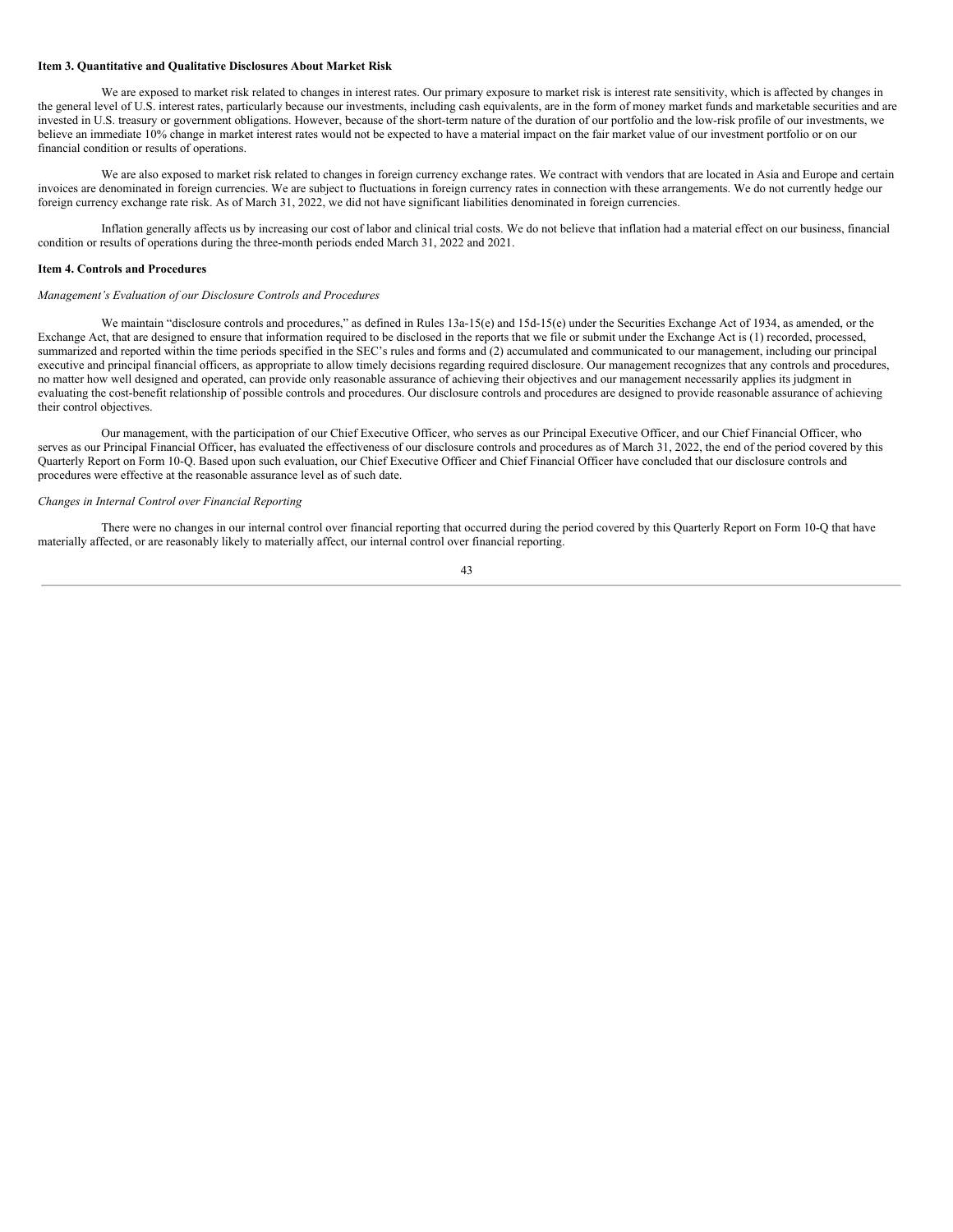#### **Item 3. Quantitative and Qualitative Disclosures About Market Risk**

We are exposed to market risk related to changes in interest rates. Our primary exposure to market risk is interest rate sensitivity, which is affected by changes in the general level of U.S. interest rates, particularly because our investments, including cash equivalents, are in the form of money market funds and marketable securities and are invested in U.S. treasury or government obligations. However, because of the short-term nature of the duration of our portfolio and the low-risk profile of our investments, we believe an immediate 10% change in market interest rates would not be expected to have a material impact on the fair market value of our investment portfolio or on our financial condition or results of operations.

We are also exposed to market risk related to changes in foreign currency exchange rates. We contract with vendors that are located in Asia and Europe and certain invoices are denominated in foreign currencies. We are subject to fluctuations in foreign currency rates in connection with these arrangements. We do not currently hedge our foreign currency exchange rate risk. As of March 31, 2022, we did not have significant liabilities denominated in foreign currencies.

Inflation generally affects us by increasing our cost of labor and clinical trial costs. We do not believe that inflation had a material effect on our business, financial condition or results of operations during the three-month periods ended March 31, 2022 and 2021.

#### **Item 4. Controls and Procedures**

#### *Management's Evaluation of our Disclosure Controls and Procedures*

We maintain "disclosure controls and procedures," as defined in Rules 13a-15(e) and 15d-15(e) under the Securities Exchange Act of 1934, as amended, or the Exchange Act, that are designed to ensure that information required to be disclosed in the reports that we file or submit under the Exchange Act is (1) recorded, processed, summarized and reported within the time periods specified in the SEC's rules and forms and (2) accumulated and communicated to our management, including our principal executive and principal financial officers, as appropriate to allow timely decisions regarding required disclosure. Our management recognizes that any controls and procedures, no matter how well designed and operated, can provide only reasonable assurance of achieving their objectives and our management necessarily applies its judgment in evaluating the cost-benefit relationship of possible controls and procedures. Our disclosure controls and procedures are designed to provide reasonable assurance of achieving their control objectives.

Our management, with the participation of our Chief Executive Officer, who serves as our Principal Executive Officer, and our Chief Financial Officer, who serves as our Principal Financial Officer, has evaluated the effectiveness of our disclosure controls and procedures as of March 31, 2022, the end of the period covered by this Quarterly Report on Form 10-Q. Based upon such evaluation, our Chief Executive Officer and Chief Financial Officer have concluded that our disclosure controls and procedures were effective at the reasonable assurance level as of such date.

#### *Changes in Internal Control over Financial Reporting*

There were no changes in our internal control over financial reporting that occurred during the period covered by this Quarterly Report on Form 10-Q that have materially affected, or are reasonably likely to materially affect, our internal control over financial reporting.

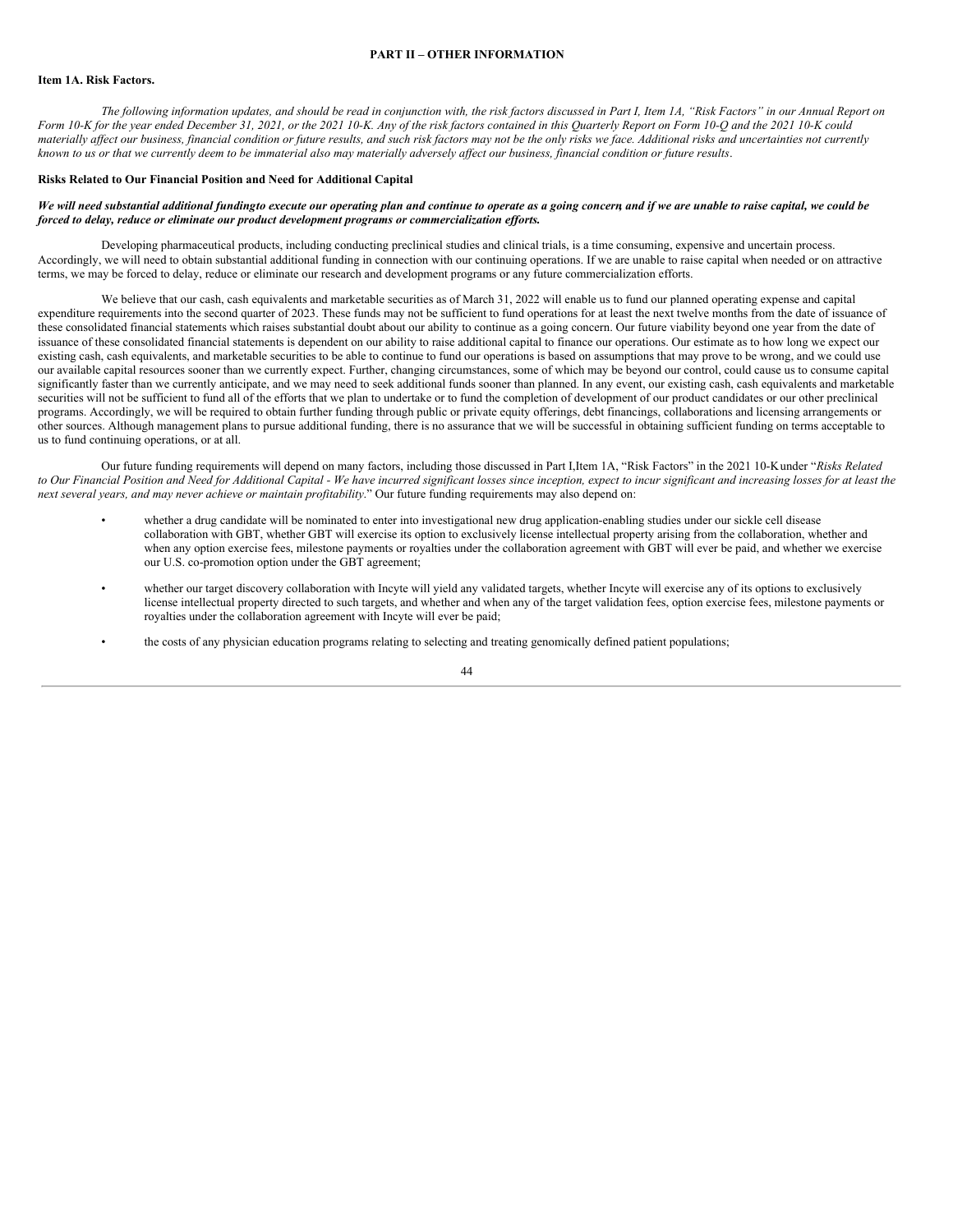### **PART II – OTHER INFORMATION**

#### **Item 1A. Risk Factors.**

The following information updates, and should be read in conjunction with, the risk factors discussed in Part I, Item 1A, "Risk Factors" in our Annual Report on Form 10-K for the year ended December 31, 2021, or the 2021 10-K. Any of the risk factors contained in this Quarterly Report on Form 10-Q and the 2021 10-K could materially affect our business, financial condition or future results, and such risk factors may not be the only risks we face. Additional risks and uncertainties not currently known to us or that we currently deem to be immaterial also may materially adversely affect our business, financial condition or future results.

#### **Risks Related to Our Financial Position and Need for Additional Capital**

#### We will need substantial additional fundingto execute our operating plan and continue to operate as a going concern, and if we are unable to raise capital, we could be *forced to delay, reduce or eliminate our product development programs or commercialization ef orts.*

Developing pharmaceutical products, including conducting preclinical studies and clinical trials, is a time consuming, expensive and uncertain process. Accordingly, we will need to obtain substantial additional funding in connection with our continuing operations. If we are unable to raise capital when needed or on attractive terms, we may be forced to delay, reduce or eliminate our research and development programs or any future commercialization efforts.

We believe that our cash, cash equivalents and marketable securities as of March 31, 2022 will enable us to fund our planned operating expense and capital expenditure requirements into the second quarter of 2023. These funds may not be sufficient to fund operations for at least the next twelve months from the date of issuance of these consolidated financial statements which raises substantial doubt about our ability to continue as a going concern. Our future viability beyond one year from the date of issuance of these consolidated financial statements is dependent on our ability to raise additional capital to finance our operations. Our estimate as to how long we expect our existing cash, cash equivalents, and marketable securities to be able to continue to fund our operations is based on assumptions that may prove to be wrong, and we could use our available capital resources sooner than we currently expect. Further, changing circumstances, some of which may be beyond our control, could cause us to consume capital significantly faster than we currently anticipate, and we may need to seek additional funds sooner than planned. In any event, our existing cash, cash equivalents and marketable securities will not be sufficient to fund all of the efforts that we plan to undertake or to fund the completion of development of our product candidates or our other preclinical programs. Accordingly, we will be required to obtain further funding through public or private equity offerings, debt financings, collaborations and licensing arrangements or other sources. Although management plans to pursue additional funding, there is no assurance that we will be successful in obtaining sufficient funding on terms acceptable to us to fund continuing operations, or at all.

Our future funding requirements will depend on many factors, including those discussed in Part I,Item 1A, "Risk Factors" in the 2021 10-Kunder "*Risks Related* to Our Financial Position and Need for Additional Capital - We have incurred significant losses since inception, expect to incur significant and increasing losses for at least the *next several years, and may never achieve or maintain profitability*." Our future funding requirements may also depend on:

- whether a drug candidate will be nominated to enter into investigational new drug application-enabling studies under our sickle cell disease collaboration with GBT, whether GBT will exercise its option to exclusively license intellectual property arising from the collaboration, whether and when any option exercise fees, milestone payments or royalties under the collaboration agreement with GBT will ever be paid, and whether we exercise our U.S. co-promotion option under the GBT agreement;
- whether our target discovery collaboration with Incyte will yield any validated targets, whether Incyte will exercise any of its options to exclusively license intellectual property directed to such targets, and whether and when any of the target validation fees, option exercise fees, milestone payments or royalties under the collaboration agreement with Incyte will ever be paid;
- the costs of any physician education programs relating to selecting and treating genomically defined patient populations;

44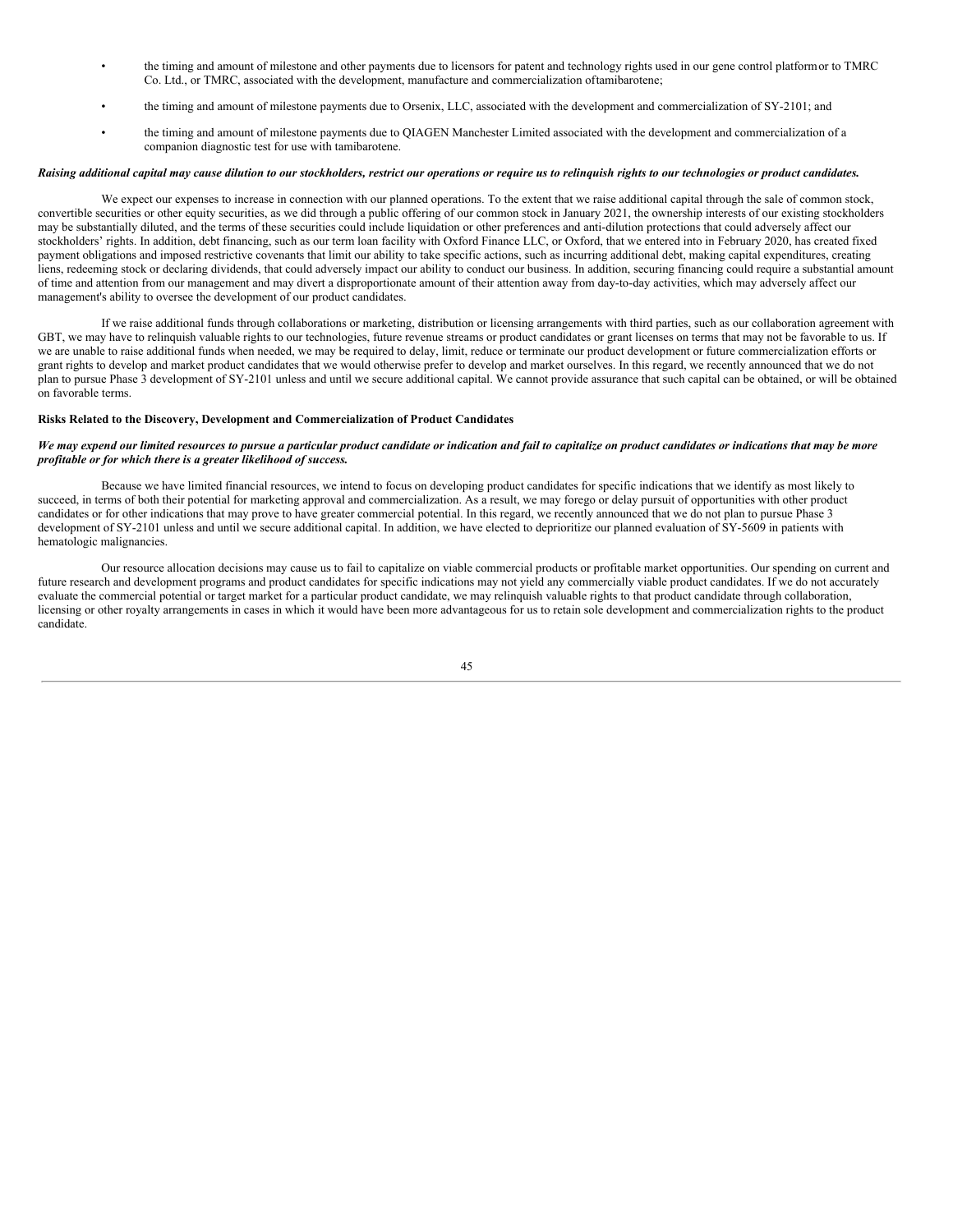- the timing and amount of milestone and other payments due to licensors for patent and technology rights used in our gene control platformor to TMRC Co. Ltd., or TMRC, associated with the development, manufacture and commercialization oftamibarotene;
- the timing and amount of milestone payments due to Orsenix, LLC, associated with the development and commercialization of SY-2101; and
- the timing and amount of milestone payments due to QIAGEN Manchester Limited associated with the development and commercialization of a companion diagnostic test for use with tamibarotene.

#### Raising additional capital may cause dilution to our stockholders, restrict our operations or require us to relinquish rights to our technologies or product candidates.

We expect our expenses to increase in connection with our planned operations. To the extent that we raise additional capital through the sale of common stock, convertible securities or other equity securities, as we did through a public offering of our common stock in January 2021, the ownership interests of our existing stockholders may be substantially diluted, and the terms of these securities could include liquidation or other preferences and anti-dilution protections that could adversely affect our stockholders' rights. In addition, debt financing, such as our term loan facility with Oxford Finance LLC, or Oxford, that we entered into in February 2020, has created fixed payment obligations and imposed restrictive covenants that limit our ability to take specific actions, such as incurring additional debt, making capital expenditures, creating liens, redeeming stock or declaring dividends, that could adversely impact our ability to conduct our business. In addition, securing financing could require a substantial amount of time and attention from our management and may divert a disproportionate amount of their attention away from day-to-day activities, which may adversely affect our management's ability to oversee the development of our product candidates.

If we raise additional funds through collaborations or marketing, distribution or licensing arrangements with third parties, such as our collaboration agreement with GBT, we may have to relinquish valuable rights to our technologies, future revenue streams or product candidates or grant licenses on terms that may not be favorable to us. If we are unable to raise additional funds when needed, we may be required to delay, limit, reduce or terminate our product development or future commercialization efforts or grant rights to develop and market product candidates that we would otherwise prefer to develop and market ourselves. In this regard, we recently announced that we do not plan to pursue Phase 3 development of SY-2101 unless and until we secure additional capital. We cannot provide assurance that such capital can be obtained, or will be obtained on favorable terms.

### **Risks Related to the Discovery, Development and Commercialization of Product Candidates**

#### We may expend our limited resources to pursue a particular product candidate or indication and fail to capitalize on product candidates or indications that may be more *profitable or for which there is a greater likelihood of success.*

Because we have limited financial resources, we intend to focus on developing product candidates for specific indications that we identify as most likely to succeed, in terms of both their potential for marketing approval and commercialization. As a result, we may forego or delay pursuit of opportunities with other product candidates or for other indications that may prove to have greater commercial potential. In this regard, we recently announced that we do not plan to pursue Phase 3 development of SY-2101 unless and until we secure additional capital. In addition, we have elected to deprioritize our planned evaluation of SY-5609 in patients with hematologic malignancies.

Our resource allocation decisions may cause us to fail to capitalize on viable commercial products or profitable market opportunities. Our spending on current and future research and development programs and product candidates for specific indications may not yield any commercially viable product candidates. If we do not accurately evaluate the commercial potential or target market for a particular product candidate, we may relinquish valuable rights to that product candidate through collaboration, licensing or other royalty arrangements in cases in which it would have been more advantageous for us to retain sole development and commercialization rights to the product candidate.

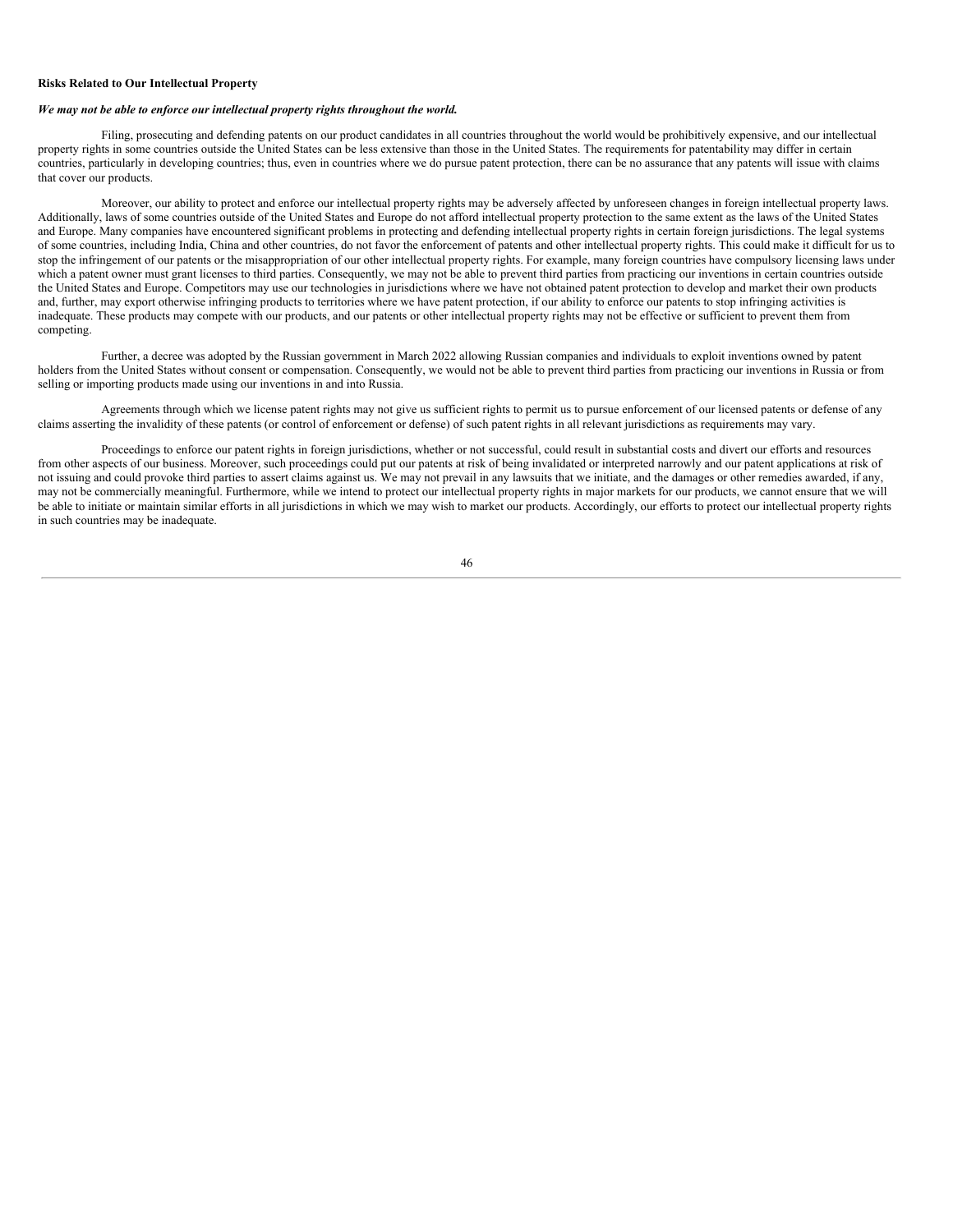#### **Risks Related to Our Intellectual Property**

#### *We may not be able to enforce our intellectual property rights throughout the world.*

Filing, prosecuting and defending patents on our product candidates in all countries throughout the world would be prohibitively expensive, and our intellectual property rights in some countries outside the United States can be less extensive than those in the United States. The requirements for patentability may differ in certain countries, particularly in developing countries; thus, even in countries where we do pursue patent protection, there can be no assurance that any patents will issue with claims that cover our products.

Moreover, our ability to protect and enforce our intellectual property rights may be adversely affected by unforeseen changes in foreign intellectual property laws. Additionally, laws of some countries outside of the United States and Europe do not afford intellectual property protection to the same extent as the laws of the United States and Europe. Many companies have encountered significant problems in protecting and defending intellectual property rights in certain foreign jurisdictions. The legal systems of some countries, including India, China and other countries, do not favor the enforcement of patents and other intellectual property rights. This could make it difficult for us to stop the infringement of our patents or the misappropriation of our other intellectual property rights. For example, many foreign countries have compulsory licensing laws under which a patent owner must grant licenses to third parties. Consequently, we may not be able to prevent third parties from practicing our inventions in certain countries outside the United States and Europe. Competitors may use our technologies in jurisdictions where we have not obtained patent protection to develop and market their own products and, further, may export otherwise infringing products to territories where we have patent protection, if our ability to enforce our patents to stop infringing activities is inadequate. These products may compete with our products, and our patents or other intellectual property rights may not be effective or sufficient to prevent them from competing.

Further, a decree was adopted by the Russian government in March 2022 allowing Russian companies and individuals to exploit inventions owned by patent holders from the United States without consent or compensation. Consequently, we would not be able to prevent third parties from practicing our inventions in Russia or from selling or importing products made using our inventions in and into Russia.

Agreements through which we license patent rights may not give us sufficient rights to permit us to pursue enforcement of our licensed patents or defense of any claims asserting the invalidity of these patents (or control of enforcement or defense) of such patent rights in all relevant jurisdictions as requirements may vary.

Proceedings to enforce our patent rights in foreign jurisdictions, whether or not successful, could result in substantial costs and divert our efforts and resources from other aspects of our business. Moreover, such proceedings could put our patents at risk of being invalidated or interpreted narrowly and our patent applications at risk of not issuing and could provoke third parties to assert claims against us. We may not prevail in any lawsuits that we initiate, and the damages or other remedies awarded, if any, may not be commercially meaningful. Furthermore, while we intend to protect our intellectual property rights in major markets for our products, we cannot ensure that we will be able to initiate or maintain similar efforts in all jurisdictions in which we may wish to market our products. Accordingly, our efforts to protect our intellectual property rights in such countries may be inadequate.

46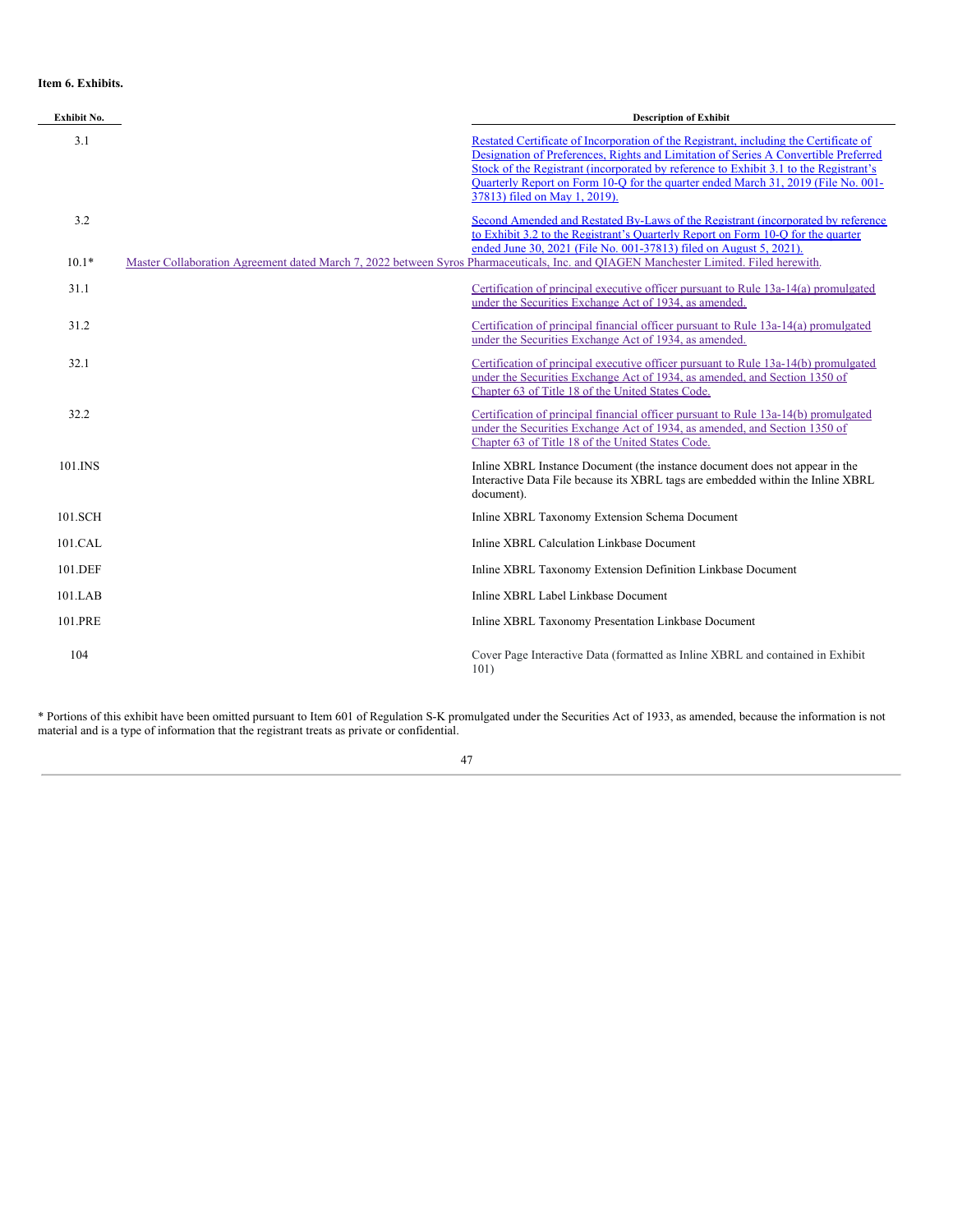### **Item 6. Exhibits.**

| Exhibit No. | <b>Description of Exhibit</b>                                                                                                                                                                                                                                                                                                                                                               |
|-------------|---------------------------------------------------------------------------------------------------------------------------------------------------------------------------------------------------------------------------------------------------------------------------------------------------------------------------------------------------------------------------------------------|
| 3.1         | Restated Certificate of Incorporation of the Registrant, including the Certificate of<br>Designation of Preferences, Rights and Limitation of Series A Convertible Preferred<br>Stock of the Registrant (incorporated by reference to Exhibit 3.1 to the Registrant's<br>Quarterly Report on Form 10-Q for the quarter ended March 31, 2019 (File No. 001-<br>37813) filed on May 1, 2019). |
| 3.2         | Second Amended and Restated By-Laws of the Registrant (incorporated by reference<br>to Exhibit 3.2 to the Registrant's Quarterly Report on Form 10-Q for the quarter<br>ended June 30, 2021 (File No. 001-37813) filed on August 5, 2021).                                                                                                                                                  |
| $10.1*$     | Master Collaboration Agreement dated March 7, 2022 between Syros Pharmaceuticals, Inc. and QIAGEN Manchester Limited. Filed herewith.                                                                                                                                                                                                                                                       |
| 31.1        | Certification of principal executive officer pursuant to Rule 13a-14(a) promulgated<br>under the Securities Exchange Act of 1934, as amended.                                                                                                                                                                                                                                               |
| 31.2        | Certification of principal financial officer pursuant to Rule 13a-14(a) promulgated<br>under the Securities Exchange Act of 1934, as amended.                                                                                                                                                                                                                                               |
| 32.1        | Certification of principal executive officer pursuant to Rule 13a-14(b) promulgated<br>under the Securities Exchange Act of 1934, as amended, and Section 1350 of<br>Chapter 63 of Title 18 of the United States Code.                                                                                                                                                                      |
| 32.2        | Certification of principal financial officer pursuant to Rule 13a-14(b) promulgated<br>under the Securities Exchange Act of 1934, as amended, and Section 1350 of<br>Chapter 63 of Title 18 of the United States Code.                                                                                                                                                                      |
| 101.INS     | Inline XBRL Instance Document (the instance document does not appear in the<br>Interactive Data File because its XBRL tags are embedded within the Inline XBRL<br>document).                                                                                                                                                                                                                |
| 101.SCH     | Inline XBRL Taxonomy Extension Schema Document                                                                                                                                                                                                                                                                                                                                              |
| 101.CAL     | Inline XBRL Calculation Linkbase Document                                                                                                                                                                                                                                                                                                                                                   |
| 101.DEF     | Inline XBRL Taxonomy Extension Definition Linkbase Document                                                                                                                                                                                                                                                                                                                                 |
| 101.LAB     | Inline XBRL Label Linkbase Document                                                                                                                                                                                                                                                                                                                                                         |
| 101.PRE     | Inline XBRL Taxonomy Presentation Linkbase Document                                                                                                                                                                                                                                                                                                                                         |
| 104         | Cover Page Interactive Data (formatted as Inline XBRL and contained in Exhibit<br>101)                                                                                                                                                                                                                                                                                                      |

\* Portions of this exhibit have been omitted pursuant to Item 601 of Regulation S-K promulgated under the Securities Act of 1933, as amended, because the information is not material and is a type of information that the registrant treats as private or confidential.

47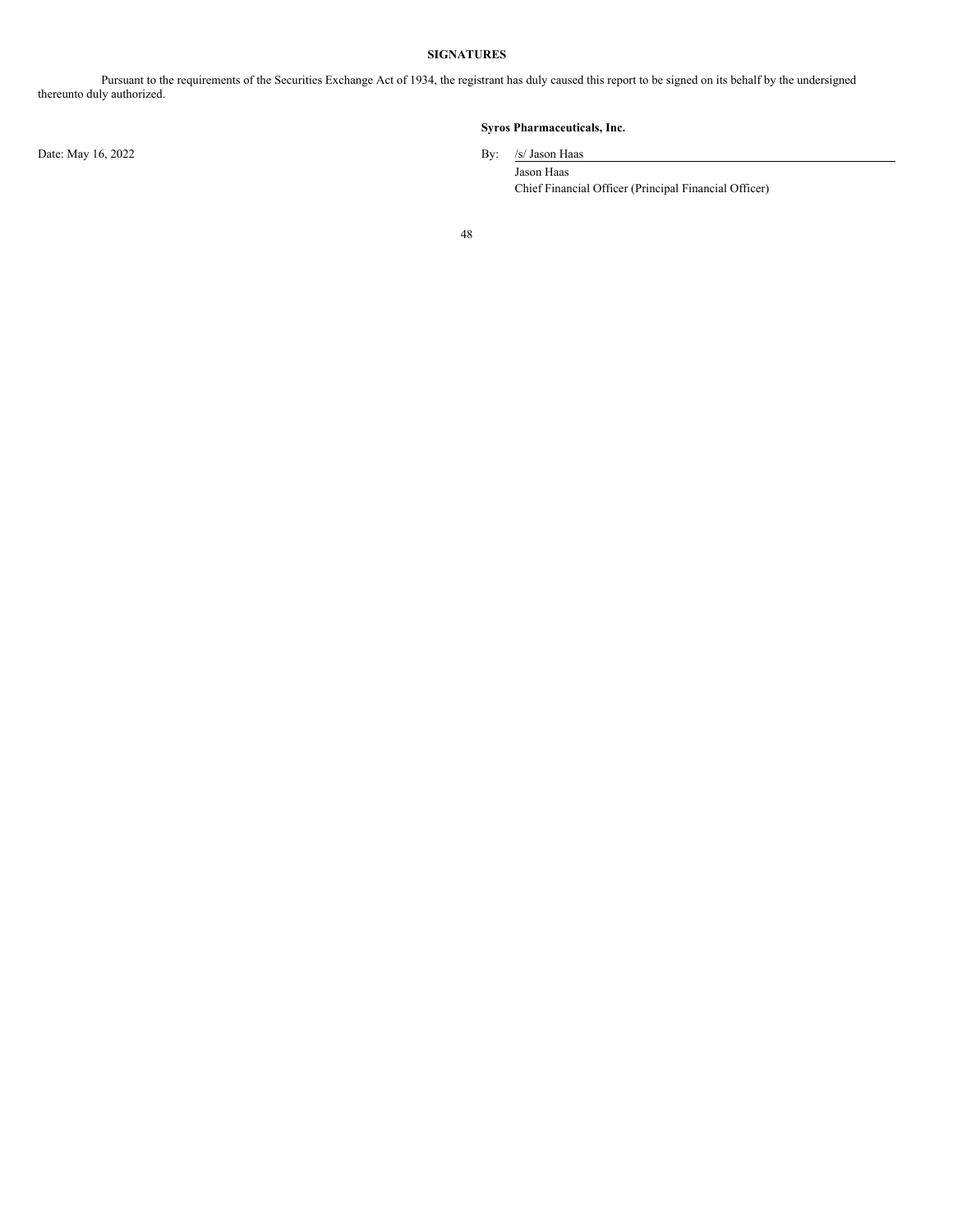### **SIGNATURES**

Pursuant to the requirements of the Securities Exchange Act of 1934, the registrant has duly caused this report to be signed on its behalf by the undersigned thereunto duly authorized.

**Syros Pharmaceuticals, Inc.**

Jason Haas Chief Financial Officer (Principal Financial Officer)

Date: May 16, 2022 By: /s/ Jason Haas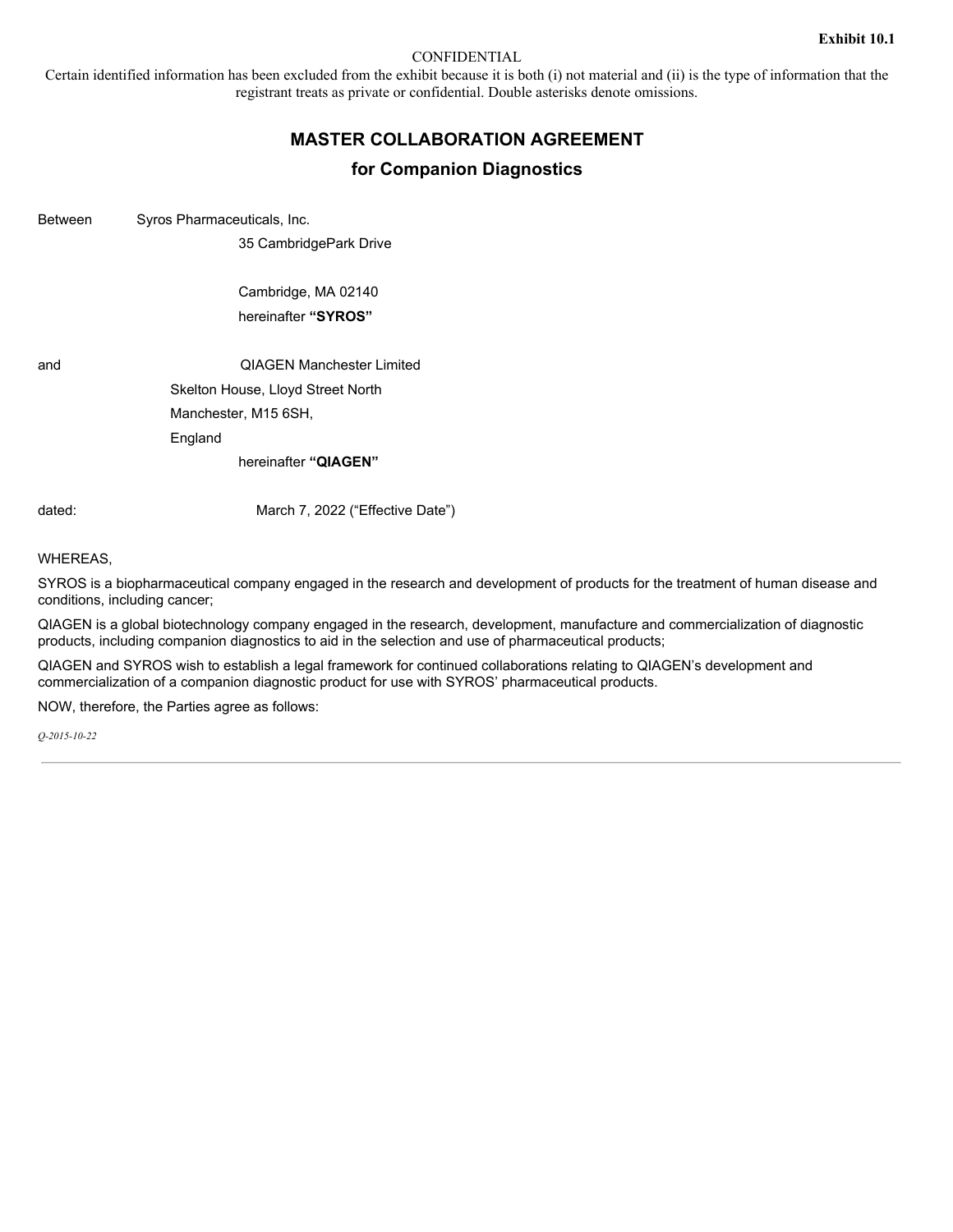## CONFIDENTIAL

Certain identified information has been excluded from the exhibit because it is both (i) not material and (ii) is the type of information that the registrant treats as private or confidential. Double asterisks denote omissions.

# **MASTER COLLABORATION AGREEMENT**

# **for Companion Diagnostics**

Between Syros Pharmaceuticals, Inc.

35 CambridgePark Drive

Cambridge, MA 02140 hereinafter **"SYROS"**

and QIAGEN Manchester Limited

Skelton House, Lloyd Street North

Manchester, M15 6SH,

England

hereinafter **"QIAGEN"**

dated: March 7, 2022 ("Effective Date")

### WHEREAS,

SYROS is a biopharmaceutical company engaged in the research and development of products for the treatment of human disease and conditions, including cancer;

QIAGEN is a global biotechnology company engaged in the research, development, manufacture and commercialization of diagnostic products, including companion diagnostics to aid in the selection and use of pharmaceutical products;

QIAGEN and SYROS wish to establish a legal framework for continued collaborations relating to QIAGEN's development and commercialization of a companion diagnostic product for use with SYROS' pharmaceutical products.

NOW, therefore, the Parties agree as follows:

*Q-2015-10-22*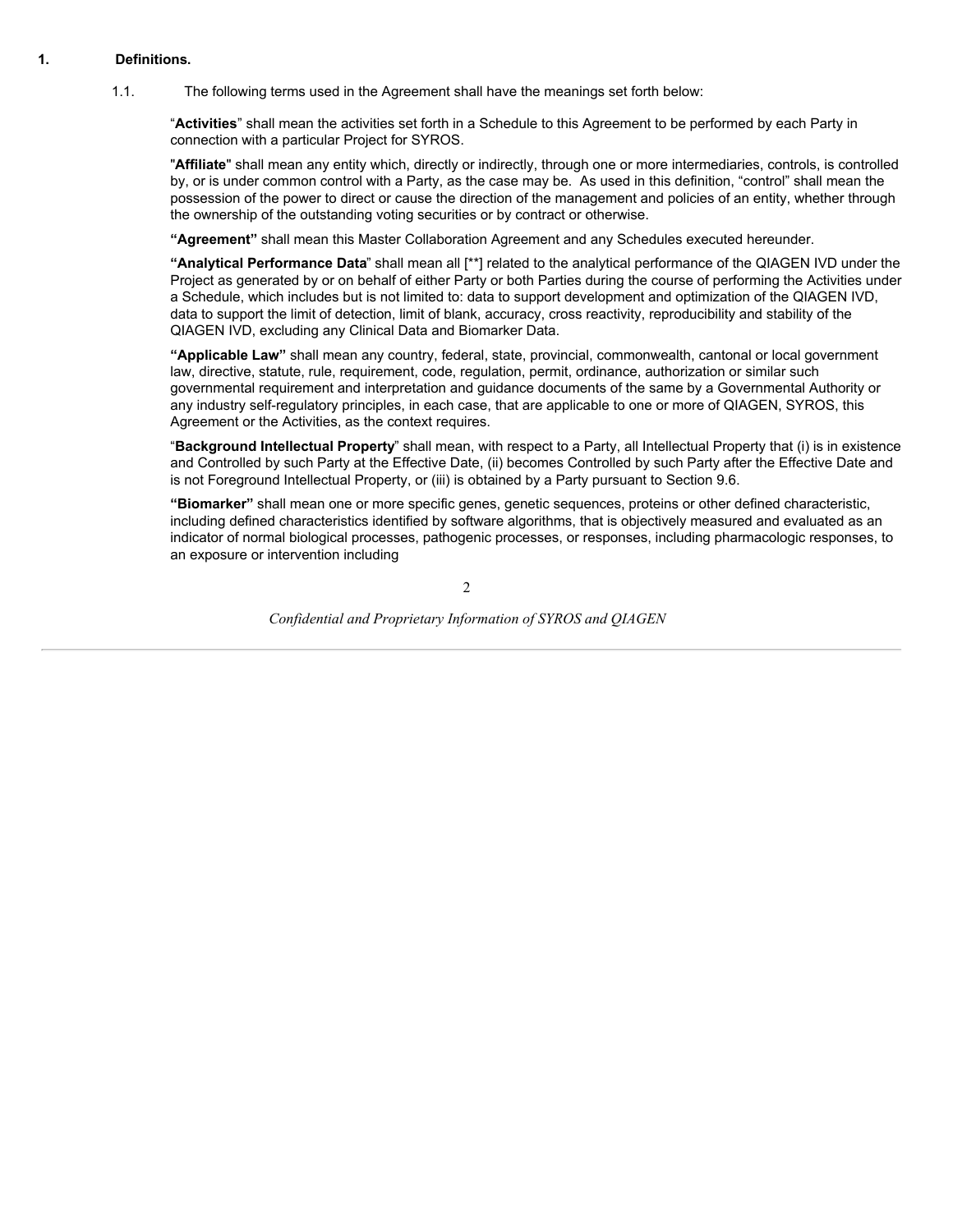## **1. Definitions.**

1.1. The following terms used in the Agreement shall have the meanings set forth below:

"**Activities**" shall mean the activities set forth in a Schedule to this Agreement to be performed by each Party in connection with a particular Project for SYROS.

"**Affiliate**" shall mean any entity which, directly or indirectly, through one or more intermediaries, controls, is controlled by, or is under common control with a Party, as the case may be. As used in this definition, "control" shall mean the possession of the power to direct or cause the direction of the management and policies of an entity, whether through the ownership of the outstanding voting securities or by contract or otherwise.

**"Agreement"** shall mean this Master Collaboration Agreement and any Schedules executed hereunder.

**"Analytical Performance Data**" shall mean all [\*\*] related to the analytical performance of the QIAGEN IVD under the Project as generated by or on behalf of either Party or both Parties during the course of performing the Activities under a Schedule, which includes but is not limited to: data to support development and optimization of the QIAGEN IVD, data to support the limit of detection, limit of blank, accuracy, cross reactivity, reproducibility and stability of the QIAGEN IVD, excluding any Clinical Data and Biomarker Data.

**"Applicable Law"** shall mean any country, federal, state, provincial, commonwealth, cantonal or local government law, directive, statute, rule, requirement, code, regulation, permit, ordinance, authorization or similar such governmental requirement and interpretation and guidance documents of the same by a Governmental Authority or any industry self-regulatory principles, in each case, that are applicable to one or more of QIAGEN, SYROS, this Agreement or the Activities, as the context requires.

"**Background Intellectual Property**" shall mean, with respect to a Party, all Intellectual Property that (i) is in existence and Controlled by such Party at the Effective Date, (ii) becomes Controlled by such Party after the Effective Date and is not Foreground Intellectual Property, or (iii) is obtained by a Party pursuant to Section 9.6.

**"Biomarker"** shall mean one or more specific genes, genetic sequences, proteins or other defined characteristic, including defined characteristics identified by software algorithms, that is objectively measured and evaluated as an indicator of normal biological processes, pathogenic processes, or responses, including pharmacologic responses, to an exposure or intervention including

2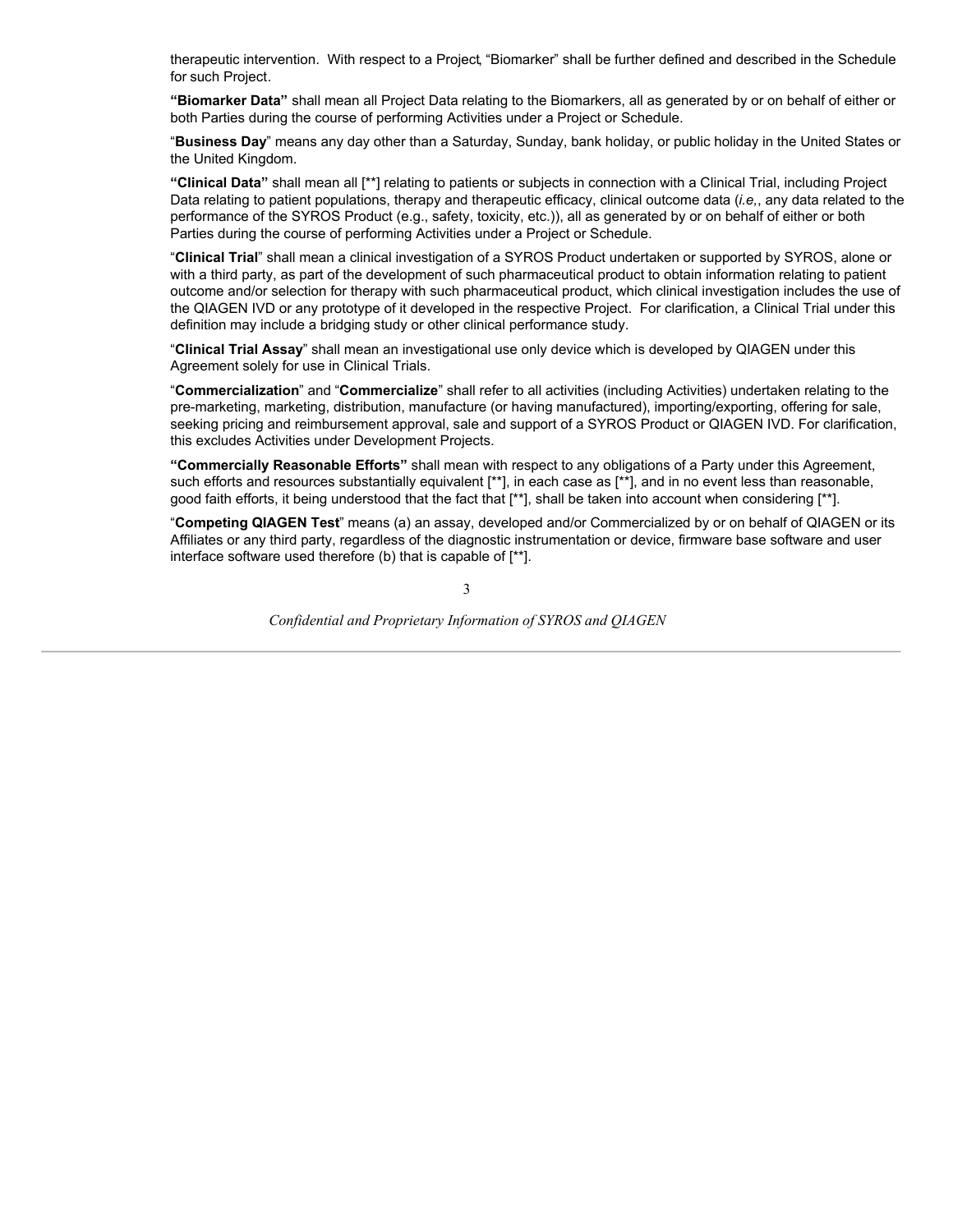therapeutic intervention. With respect to a Project, "Biomarker" shall be further defined and described in the Schedule for such Project.

**"Biomarker Data"** shall mean all Project Data relating to the Biomarkers, all as generated by or on behalf of either or both Parties during the course of performing Activities under a Project or Schedule.

"**Business Day**" means any day other than a Saturday, Sunday, bank holiday, or public holiday in the United States or the United Kingdom.

**"Clinical Data"** shall mean all [\*\*] relating to patients or subjects in connection with a Clinical Trial, including Project Data relating to patient populations, therapy and therapeutic efficacy, clinical outcome data (*i.e,*, any data related to the performance of the SYROS Product (e.g., safety, toxicity, etc.)), all as generated by or on behalf of either or both Parties during the course of performing Activities under a Project or Schedule.

"**Clinical Trial**" shall mean a clinical investigation of a SYROS Product undertaken or supported by SYROS, alone or with a third party, as part of the development of such pharmaceutical product to obtain information relating to patient outcome and/or selection for therapy with such pharmaceutical product, which clinical investigation includes the use of the QIAGEN IVD or any prototype of it developed in the respective Project. For clarification, a Clinical Trial under this definition may include a bridging study or other clinical performance study.

"**Clinical Trial Assay**" shall mean an investigational use only device which is developed by QIAGEN under this Agreement solely for use in Clinical Trials.

"**Commercialization**" and "**Commercialize**" shall refer to all activities (including Activities) undertaken relating to the pre-marketing, marketing, distribution, manufacture (or having manufactured), importing/exporting, offering for sale, seeking pricing and reimbursement approval, sale and support of a SYROS Product or QIAGEN IVD. For clarification, this excludes Activities under Development Projects.

**"Commercially Reasonable Efforts"** shall mean with respect to any obligations of a Party under this Agreement, such efforts and resources substantially equivalent [\*\*], in each case as [\*\*], and in no event less than reasonable, good faith efforts, it being understood that the fact that [\*\*], shall be taken into account when considering [\*\*].

"**Competing QIAGEN Test**" means (a) an assay, developed and/or Commercialized by or on behalf of QIAGEN or its Affiliates or any third party, regardless of the diagnostic instrumentation or device, firmware base software and user interface software used therefore (b) that is capable of [\*\*].

3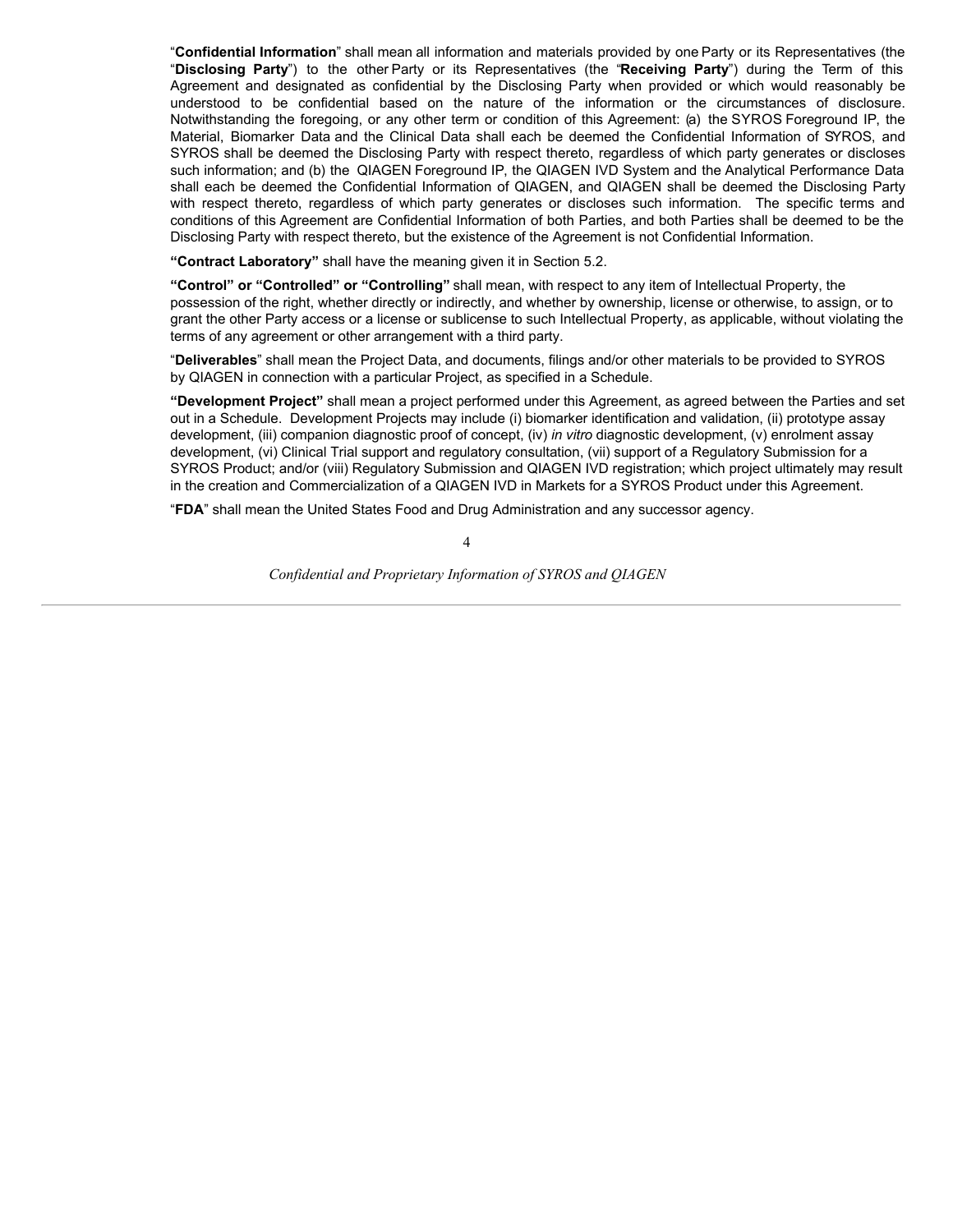"**Confidential Information**" shall mean all information and materials provided by one Party or its Representatives (the "**Disclosing Party**") to the other Party or its Representatives (the "**Receiving Party**") during the Term of this Agreement and designated as confidential by the Disclosing Party when provided or which would reasonably be understood to be confidential based on the nature of the information or the circumstances of disclosure. Notwithstanding the foregoing, or any other term or condition of this Agreement: (a) the SYROS Foreground IP, the Material, Biomarker Data and the Clinical Data shall each be deemed the Confidential Information of SYROS, and SYROS shall be deemed the Disclosing Party with respect thereto, regardless of which party generates or discloses such information; and (b) the QIAGEN Foreground IP, the QIAGEN IVD System and the Analytical Performance Data shall each be deemed the Confidential Information of QIAGEN, and QIAGEN shall be deemed the Disclosing Party with respect thereto, regardless of which party generates or discloses such information. The specific terms and conditions of this Agreement are Confidential Information of both Parties, and both Parties shall be deemed to be the Disclosing Party with respect thereto, but the existence of the Agreement is not Confidential Information.

**"Contract Laboratory"** shall have the meaning given it in Section 5.2.

**"Control" or "Controlled" or "Controlling"** shall mean, with respect to any item of Intellectual Property, the possession of the right, whether directly or indirectly, and whether by ownership, license or otherwise, to assign, or to grant the other Party access or a license or sublicense to such Intellectual Property, as applicable, without violating the terms of any agreement or other arrangement with a third party.

"**Deliverables**" shall mean the Project Data, and documents, filings and/or other materials to be provided to SYROS by QIAGEN in connection with a particular Project, as specified in a Schedule.

**"Development Project"** shall mean a project performed under this Agreement, as agreed between the Parties and set out in a Schedule. Development Projects may include (i) biomarker identification and validation, (ii) prototype assay development, (iii) companion diagnostic proof of concept, (iv) *in vitro* diagnostic development, (v) enrolment assay development, (vi) Clinical Trial support and regulatory consultation, (vii) support of a Regulatory Submission for a SYROS Product; and/or (viii) Regulatory Submission and QIAGEN IVD registration; which project ultimately may result in the creation and Commercialization of a QIAGEN IVD in Markets for a SYROS Product under this Agreement.

"**FDA**" shall mean the United States Food and Drug Administration and any successor agency.

4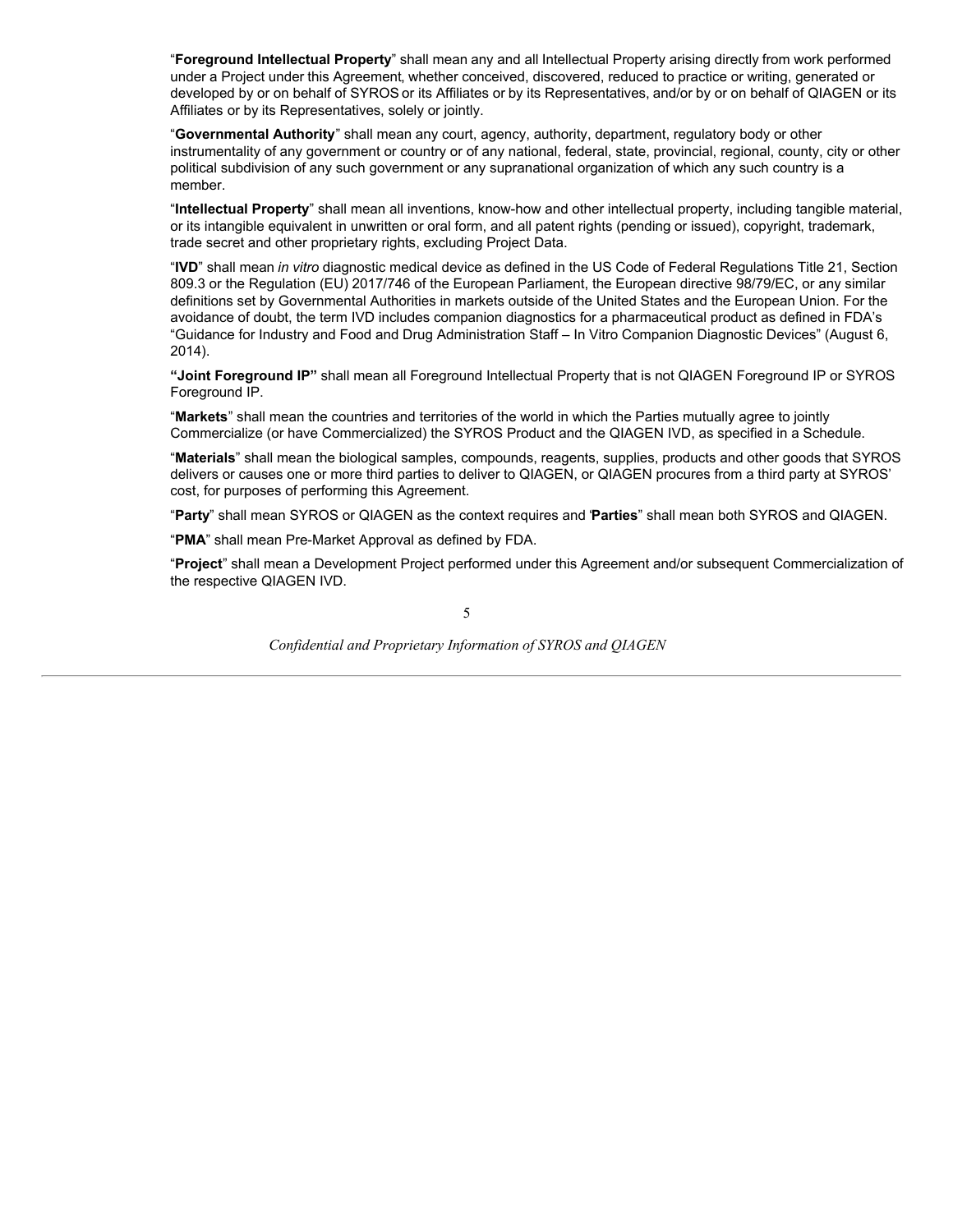"**Foreground Intellectual Property**" shall mean any and all Intellectual Property arising directly from work performed under a Project under this Agreement, whether conceived, discovered, reduced to practice or writing, generated or developed by or on behalf of SYROS or its Affiliates or by its Representatives, and/or by or on behalf of QIAGEN or its Affiliates or by its Representatives, solely or jointly.

"**Governmental Authority**" shall mean any court, agency, authority, department, regulatory body or other instrumentality of any government or country or of any national, federal, state, provincial, regional, county, city or other political subdivision of any such government or any supranational organization of which any such country is a member.

"**Intellectual Property**" shall mean all inventions, know-how and other intellectual property, including tangible material, or its intangible equivalent in unwritten or oral form, and all patent rights (pending or issued), copyright, trademark, trade secret and other proprietary rights, excluding Project Data.

"**IVD**" shall mean *in vitro* diagnostic medical device as defined in the US Code of Federal Regulations Title 21, Section 809.3 or the Regulation (EU) 2017/746 of the European Parliament, the European directive 98/79/EC, or any similar definitions set by Governmental Authorities in markets outside of the United States and the European Union. For the avoidance of doubt, the term IVD includes companion diagnostics for a pharmaceutical product as defined in FDA's "Guidance for Industry and Food and Drug Administration Staff – In Vitro Companion Diagnostic Devices" (August 6, 2014).

**"Joint Foreground IP"** shall mean all Foreground Intellectual Property that is not QIAGEN Foreground IP or SYROS Foreground IP.

"**Markets**" shall mean the countries and territories of the world in which the Parties mutually agree to jointly Commercialize (or have Commercialized) the SYROS Product and the QIAGEN IVD, as specified in a Schedule.

"**Materials**" shall mean the biological samples, compounds, reagents, supplies, products and other goods that SYROS delivers or causes one or more third parties to deliver to QIAGEN, or QIAGEN procures from a third party at SYROS' cost, for purposes of performing this Agreement.

"**Party**" shall mean SYROS or QIAGEN as the context requires and "**Parties**" shall mean both SYROS and QIAGEN.

"**PMA**" shall mean Pre-Market Approval as defined by FDA.

"**Project**" shall mean a Development Project performed under this Agreement and/or subsequent Commercialization of the respective QIAGEN IVD.

5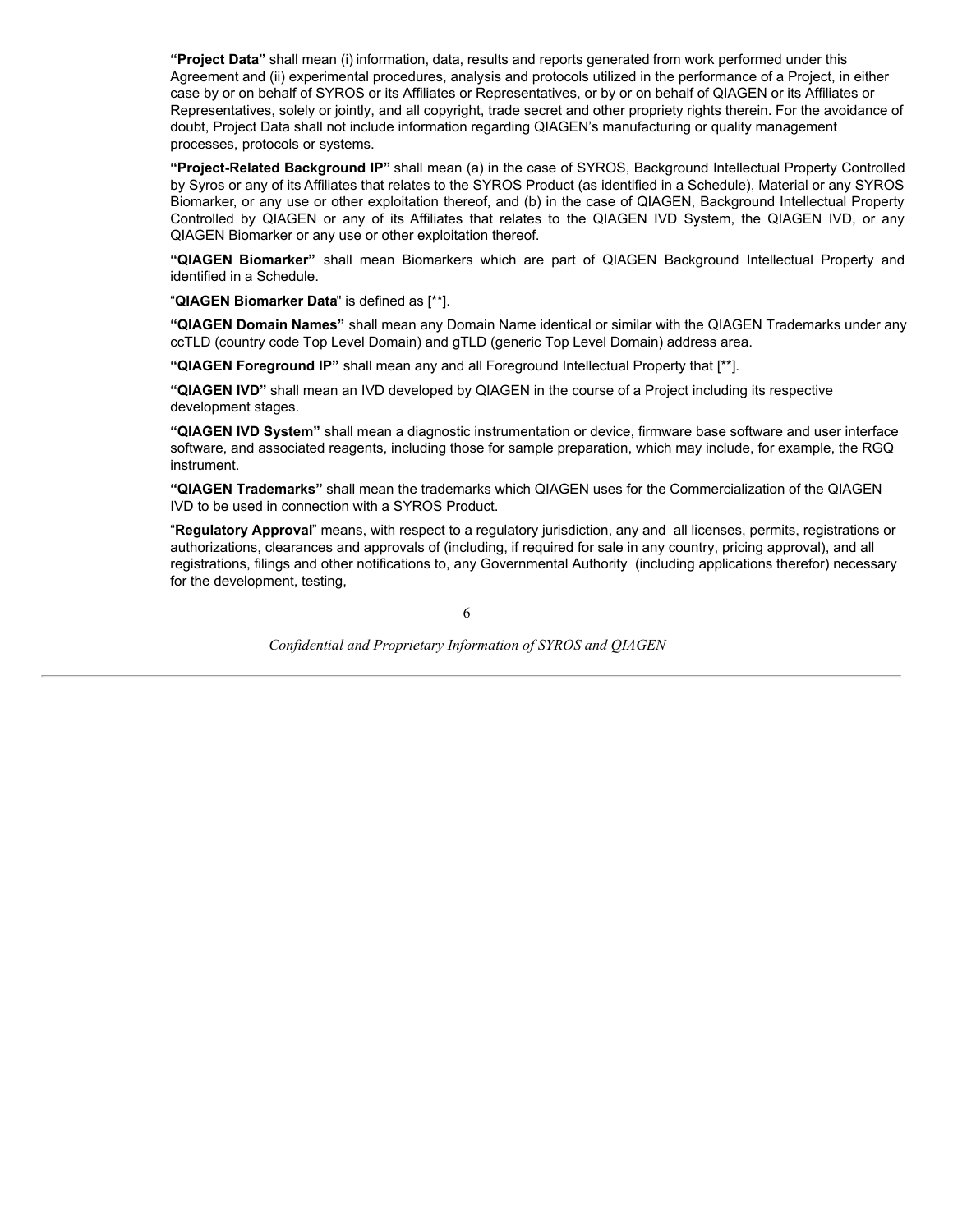**"Project Data"** shall mean (i) information, data, results and reports generated from work performed under this Agreement and (ii) experimental procedures, analysis and protocols utilized in the performance of a Project, in either case by or on behalf of SYROS or its Affiliates or Representatives, or by or on behalf of QIAGEN or its Affiliates or Representatives, solely or jointly, and all copyright, trade secret and other propriety rights therein. For the avoidance of doubt, Project Data shall not include information regarding QIAGEN's manufacturing or quality management processes, protocols or systems.

**"Project-Related Background IP"** shall mean (a) in the case of SYROS, Background Intellectual Property Controlled by Syros or any of its Affiliates that relates to the SYROS Product (as identified in a Schedule), Material or any SYROS Biomarker, or any use or other exploitation thereof, and (b) in the case of QIAGEN, Background Intellectual Property Controlled by QIAGEN or any of its Affiliates that relates to the QIAGEN IVD System, the QIAGEN IVD, or any QIAGEN Biomarker or any use or other exploitation thereof.

**"QIAGEN Biomarker"** shall mean Biomarkers which are part of QIAGEN Background Intellectual Property and identified in a Schedule.

"**QIAGEN Biomarker Data**" is defined as [\*\*].

**"QIAGEN Domain Names"** shall mean any Domain Name identical or similar with the QIAGEN Trademarks under any ccTLD (country code Top Level Domain) and gTLD (generic Top Level Domain) address area.

**"QIAGEN Foreground IP"** shall mean any and all Foreground Intellectual Property that [\*\*].

**"QIAGEN IVD"** shall mean an IVD developed by QIAGEN in the course of a Project including its respective development stages.

**"QIAGEN IVD System"** shall mean a diagnostic instrumentation or device, firmware base software and user interface software, and associated reagents, including those for sample preparation, which may include, for example, the RGQ instrument.

**"QIAGEN Trademarks"** shall mean the trademarks which QIAGEN uses for the Commercialization of the QIAGEN IVD to be used in connection with a SYROS Product.

"**Regulatory Approval**" means, with respect to a regulatory jurisdiction, any and all licenses, permits, registrations or authorizations, clearances and approvals of (including, if required for sale in any country, pricing approval), and all registrations, filings and other notifications to, any Governmental Authority (including applications therefor) necessary for the development, testing,

6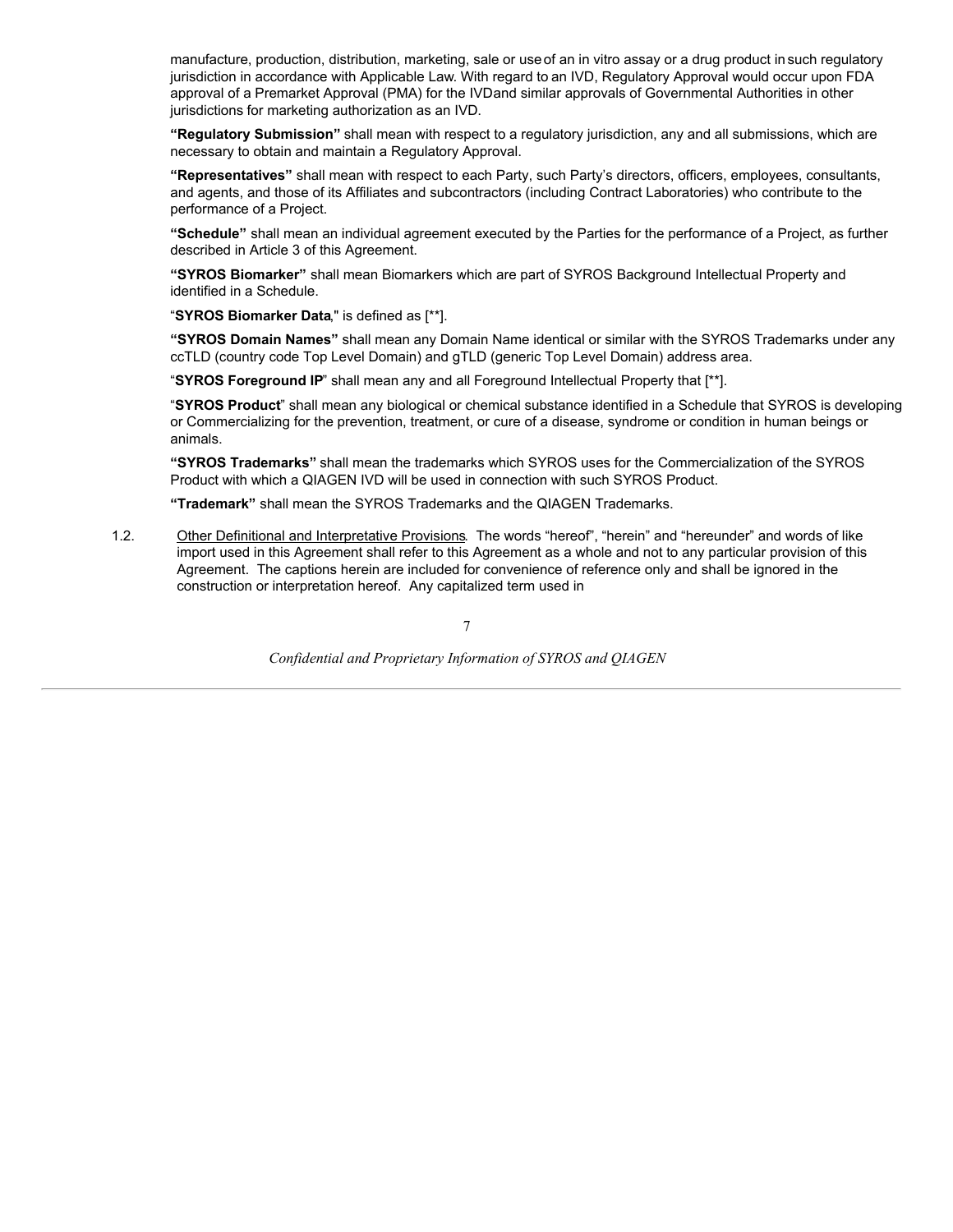manufacture, production, distribution, marketing, sale or use of an in vitro assay or a drug product in such regulatory jurisdiction in accordance with Applicable Law. With regard to an IVD, Regulatory Approval would occur upon FDA approval of a Premarket Approval (PMA) for the IVDand similar approvals of Governmental Authorities in other jurisdictions for marketing authorization as an IVD.

**"Regulatory Submission"** shall mean with respect to a regulatory jurisdiction, any and all submissions, which are necessary to obtain and maintain a Regulatory Approval.

**"Representatives"** shall mean with respect to each Party, such Party's directors, officers, employees, consultants, and agents, and those of its Affiliates and subcontractors (including Contract Laboratories) who contribute to the performance of a Project.

**"Schedule"** shall mean an individual agreement executed by the Parties for the performance of a Project, as further described in Article 3 of this Agreement.

**"SYROS Biomarker"** shall mean Biomarkers which are part of SYROS Background Intellectual Property and identified in a Schedule.

"**SYROS Biomarker Data**," is defined as [\*\*].

**"SYROS Domain Names"** shall mean any Domain Name identical or similar with the SYROS Trademarks under any ccTLD (country code Top Level Domain) and gTLD (generic Top Level Domain) address area.

"**SYROS Foreground IP**" shall mean any and all Foreground Intellectual Property that [\*\*].

"**SYROS Product**" shall mean any biological or chemical substance identified in a Schedule that SYROS is developing or Commercializing for the prevention, treatment, or cure of a disease, syndrome or condition in human beings or animals.

**"SYROS Trademarks"** shall mean the trademarks which SYROS uses for the Commercialization of the SYROS Product with which a QIAGEN IVD will be used in connection with such SYROS Product.

**"Trademark"** shall mean the SYROS Trademarks and the QIAGEN Trademarks.

1.2. Other Definitional and Interpretative Provisions. The words "hereof", "herein" and "hereunder" and words of like import used in this Agreement shall refer to this Agreement as a whole and not to any particular provision of this Agreement. The captions herein are included for convenience of reference only and shall be ignored in the construction or interpretation hereof. Any capitalized term used in

7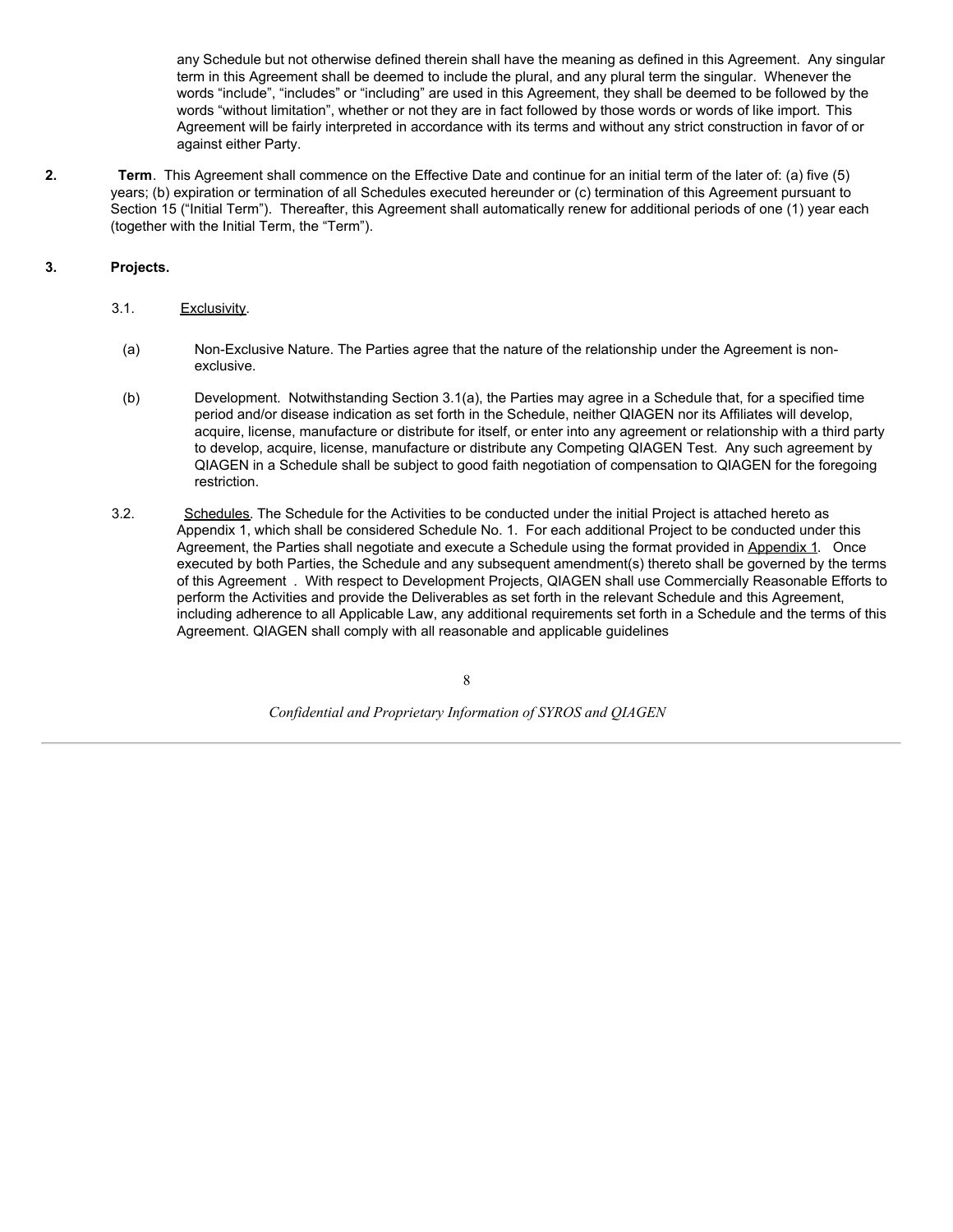any Schedule but not otherwise defined therein shall have the meaning as defined in this Agreement. Any singular term in this Agreement shall be deemed to include the plural, and any plural term the singular. Whenever the words "include", "includes" or "including" are used in this Agreement, they shall be deemed to be followed by the words "without limitation", whether or not they are in fact followed by those words or words of like import. This Agreement will be fairly interpreted in accordance with its terms and without any strict construction in favor of or against either Party.

**2. Term**. This Agreement shall commence on the Effective Date and continue for an initial term of the later of: (a) five (5) years; (b) expiration or termination of all Schedules executed hereunder or (c) termination of this Agreement pursuant to Section 15 ("Initial Term"). Thereafter, this Agreement shall automatically renew for additional periods of one (1) year each (together with the Initial Term, the "Term").

# **3. Projects.**

## 3.1. Exclusivity.

- (a) Non-Exclusive Nature. The Parties agree that the nature of the relationship under the Agreement is nonexclusive.
- (b) Development. Notwithstanding Section 3.1(a), the Parties may agree in a Schedule that, for a specified time period and/or disease indication as set forth in the Schedule, neither QIAGEN nor its Affiliates will develop, acquire, license, manufacture or distribute for itself, or enter into any agreement or relationship with a third party to develop, acquire, license, manufacture or distribute any Competing QIAGEN Test. Any such agreement by QIAGEN in a Schedule shall be subject to good faith negotiation of compensation to QIAGEN for the foregoing restriction.
- 3.2. Schedules. The Schedule for the Activities to be conducted under the initial Project is attached hereto as Appendix 1, which shall be considered Schedule No. 1. For each additional Project to be conducted under this Agreement, the Parties shall negotiate and execute a Schedule using the format provided in Appendix 1. Once executed by both Parties, the Schedule and any subsequent amendment(s) thereto shall be governed by the terms of this Agreement . With respect to Development Projects, QIAGEN shall use Commercially Reasonable Efforts to perform the Activities and provide the Deliverables as set forth in the relevant Schedule and this Agreement, including adherence to all Applicable Law, any additional requirements set forth in a Schedule and the terms of this Agreement. QIAGEN shall comply with all reasonable and applicable guidelines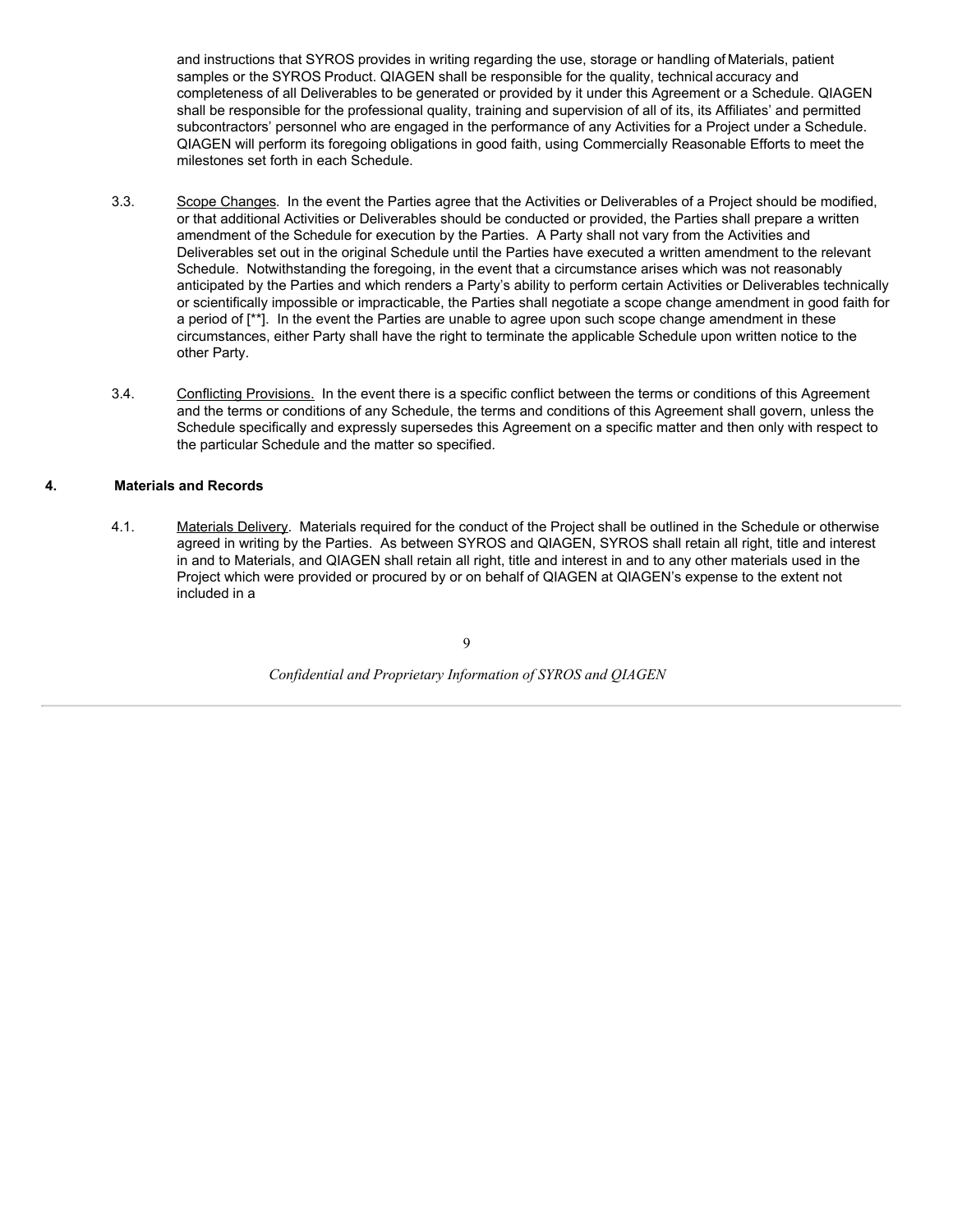and instructions that SYROS provides in writing regarding the use, storage or handling of Materials, patient samples or the SYROS Product. QIAGEN shall be responsible for the quality, technical accuracy and completeness of all Deliverables to be generated or provided by it under this Agreement or a Schedule. QIAGEN shall be responsible for the professional quality, training and supervision of all of its, its Affiliates' and permitted subcontractors' personnel who are engaged in the performance of any Activities for a Project under a Schedule. QIAGEN will perform its foregoing obligations in good faith, using Commercially Reasonable Efforts to meet the milestones set forth in each Schedule.

- 3.3. Scope Changes. In the event the Parties agree that the Activities or Deliverables of a Project should be modified, or that additional Activities or Deliverables should be conducted or provided, the Parties shall prepare a written amendment of the Schedule for execution by the Parties. A Party shall not vary from the Activities and Deliverables set out in the original Schedule until the Parties have executed a written amendment to the relevant Schedule. Notwithstanding the foregoing, in the event that a circumstance arises which was not reasonably anticipated by the Parties and which renders a Party's ability to perform certain Activities or Deliverables technically or scientifically impossible or impracticable, the Parties shall negotiate a scope change amendment in good faith for a period of [<sup>\*\*</sup>]. In the event the Parties are unable to agree upon such scope change amendment in these circumstances, either Party shall have the right to terminate the applicable Schedule upon written notice to the other Party.
- 3.4. Conflicting Provisions. In the event there is a specific conflict between the terms or conditions of this Agreement and the terms or conditions of any Schedule, the terms and conditions of this Agreement shall govern, unless the Schedule specifically and expressly supersedes this Agreement on a specific matter and then only with respect to the particular Schedule and the matter so specified.

## **4. Materials and Records**

4.1. Materials Delivery. Materials required for the conduct of the Project shall be outlined in the Schedule or otherwise agreed in writing by the Parties. As between SYROS and QIAGEN, SYROS shall retain all right, title and interest in and to Materials, and QIAGEN shall retain all right, title and interest in and to any other materials used in the Project which were provided or procured by or on behalf of QIAGEN at QIAGEN's expense to the extent not included in a

9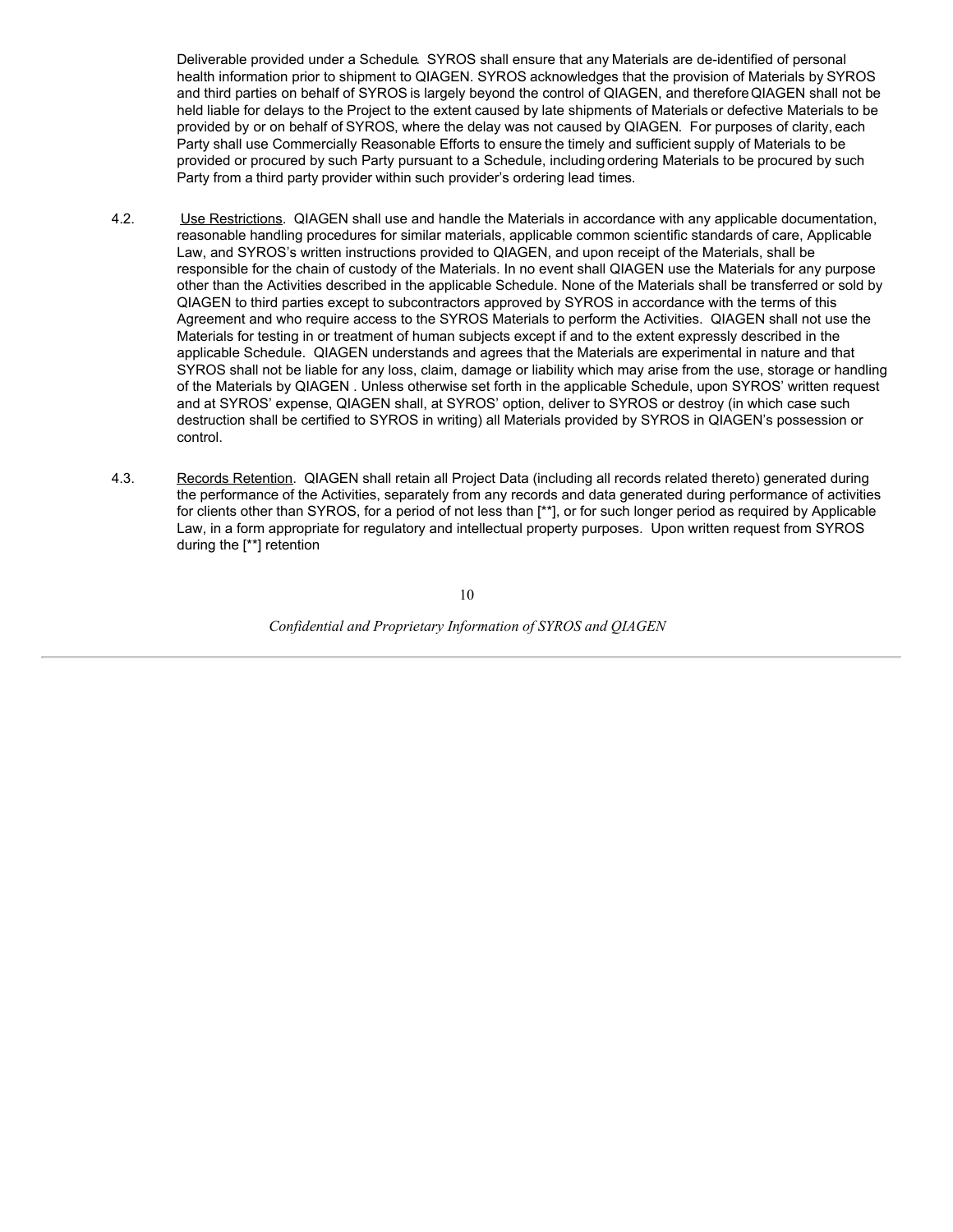Deliverable provided under a Schedule. SYROS shall ensure that any Materials are de-identified of personal health information prior to shipment to QIAGEN. SYROS acknowledges that the provision of Materials by SYROS and third parties on behalf of SYROS is largely beyond the control of QIAGEN, and thereforeQIAGEN shall not be held liable for delays to the Project to the extent caused by late shipments of Materials or defective Materials to be provided by or on behalf of SYROS, where the delay was not caused by QIAGEN. For purposes of clarity, each Party shall use Commercially Reasonable Efforts to ensure the timely and sufficient supply of Materials to be provided or procured by such Party pursuant to a Schedule, including ordering Materials to be procured by such Party from a third party provider within such provider's ordering lead times.

- 4.2. Use Restrictions. QIAGEN shall use and handle the Materials in accordance with any applicable documentation, reasonable handling procedures for similar materials, applicable common scientific standards of care, Applicable Law, and SYROS's written instructions provided to QIAGEN, and upon receipt of the Materials, shall be responsible for the chain of custody of the Materials. In no event shall QIAGEN use the Materials for any purpose other than the Activities described in the applicable Schedule. None of the Materials shall be transferred or sold by QIAGEN to third parties except to subcontractors approved by SYROS in accordance with the terms of this Agreement and who require access to the SYROS Materials to perform the Activities. QIAGEN shall not use the Materials for testing in or treatment of human subjects except if and to the extent expressly described in the applicable Schedule. QIAGEN understands and agrees that the Materials are experimental in nature and that SYROS shall not be liable for any loss, claim, damage or liability which may arise from the use, storage or handling of the Materials by QIAGEN . Unless otherwise set forth in the applicable Schedule, upon SYROS' written request and at SYROS' expense, QIAGEN shall, at SYROS' option, deliver to SYROS or destroy (in which case such destruction shall be certified to SYROS in writing) all Materials provided by SYROS in QIAGEN's possession or control.
- 4.3. Records Retention. QIAGEN shall retain all Project Data (including all records related thereto) generated during the performance of the Activities, separately from any records and data generated during performance of activities for clients other than SYROS, for a period of not less than [\*\*], or for such longer period as required by Applicable Law, in a form appropriate for regulatory and intellectual property purposes. Upon written request from SYROS during the [\*\*] retention

10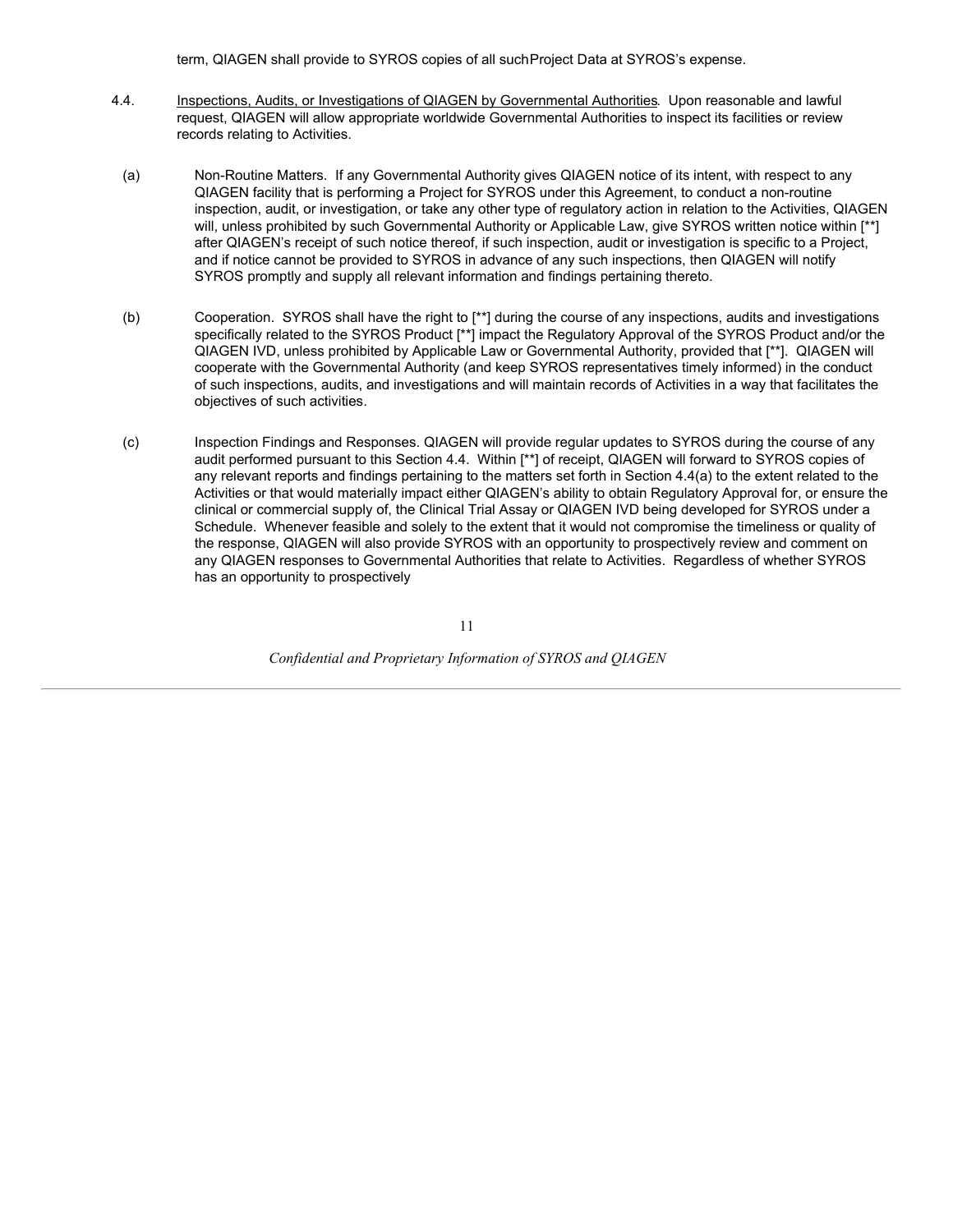term, QIAGEN shall provide to SYROS copies of all suchProject Data at SYROS's expense.

- 4.4. Inspections, Audits, or Investigations of QIAGEN by Governmental Authorities. Upon reasonable and lawful request, QIAGEN will allow appropriate worldwide Governmental Authorities to inspect its facilities or review records relating to Activities.
	- (a) Non-Routine Matters. If any Governmental Authority gives QIAGEN notice of its intent, with respect to any QIAGEN facility that is performing a Project for SYROS under this Agreement, to conduct a non-routine inspection, audit, or investigation, or take any other type of regulatory action in relation to the Activities, QIAGEN will, unless prohibited by such Governmental Authority or Applicable Law, give SYROS written notice within [\*\*] after QIAGEN's receipt of such notice thereof, if such inspection, audit or investigation is specific to a Project, and if notice cannot be provided to SYROS in advance of any such inspections, then QIAGEN will notify SYROS promptly and supply all relevant information and findings pertaining thereto.
	- (b) Cooperation. SYROS shall have the right to [\*\*] during the course of any inspections, audits and investigations specifically related to the SYROS Product [\*\*] impact the Regulatory Approval of the SYROS Product and/or the QIAGEN IVD, unless prohibited by Applicable Law or Governmental Authority, provided that [\*\*]. QIAGEN will cooperate with the Governmental Authority (and keep SYROS representatives timely informed) in the conduct of such inspections, audits, and investigations and will maintain records of Activities in a way that facilitates the objectives of such activities.
	- (c) Inspection Findings and Responses. QIAGEN will provide regular updates to SYROS during the course of any audit performed pursuant to this Section 4.4. Within [\*\*] of receipt, QIAGEN will forward to SYROS copies of any relevant reports and findings pertaining to the matters set forth in Section 4.4(a) to the extent related to the Activities or that would materially impact either QIAGEN's ability to obtain Regulatory Approval for, or ensure the clinical or commercial supply of, the Clinical Trial Assay or QIAGEN IVD being developed for SYROS under a Schedule. Whenever feasible and solely to the extent that it would not compromise the timeliness or quality of the response, QIAGEN will also provide SYROS with an opportunity to prospectively review and comment on any QIAGEN responses to Governmental Authorities that relate to Activities. Regardless of whether SYROS has an opportunity to prospectively

$$
11^{-}
$$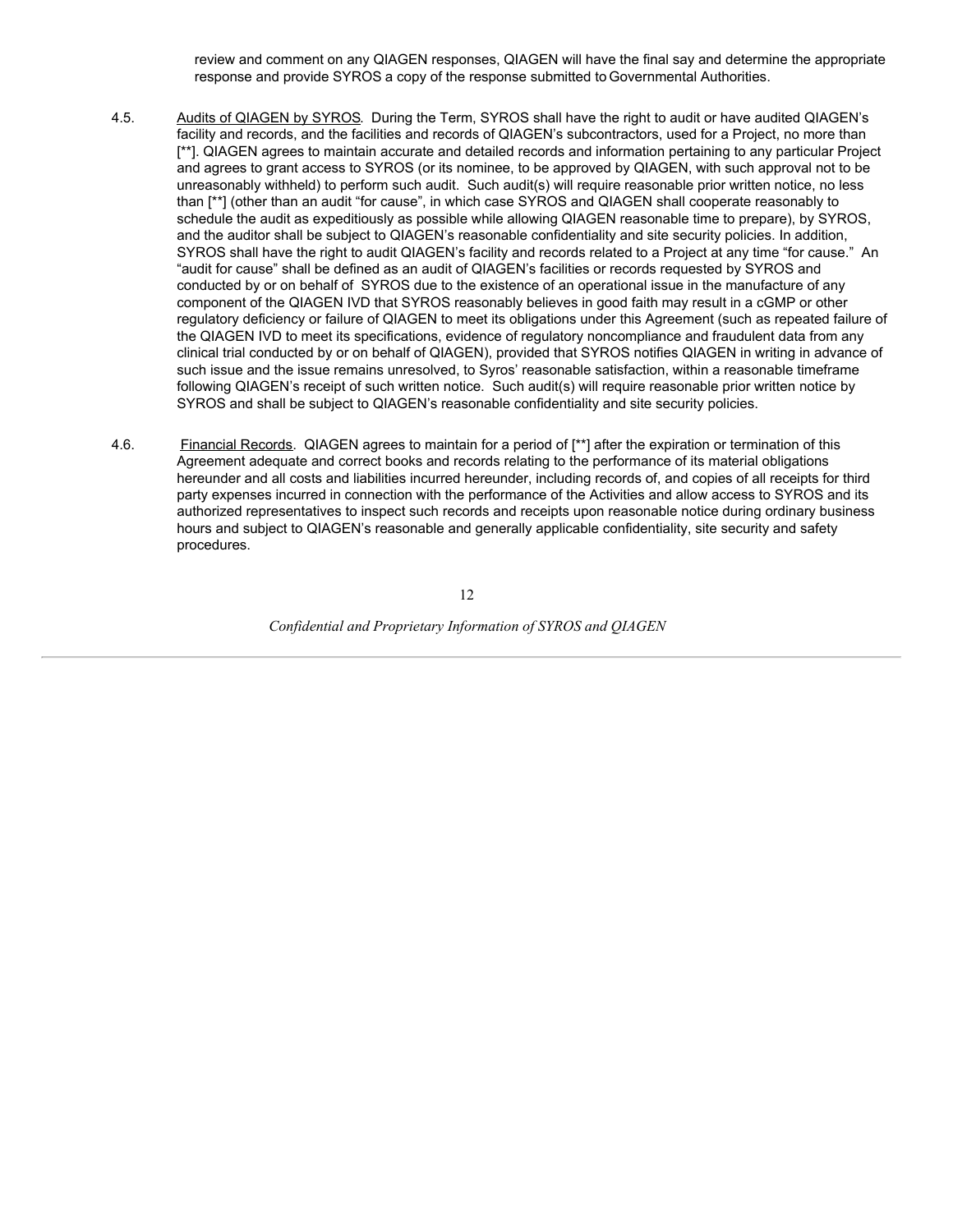review and comment on any QIAGEN responses, QIAGEN will have the final say and determine the appropriate response and provide SYROS a copy of the response submitted to Governmental Authorities.

- 4.5. Audits of QIAGEN by SYROS. During the Term, SYROS shall have the right to audit or have audited QIAGEN's facility and records, and the facilities and records of QIAGEN's subcontractors, used for a Project, no more than [\*\*]. QIAGEN agrees to maintain accurate and detailed records and information pertaining to any particular Project and agrees to grant access to SYROS (or its nominee, to be approved by QIAGEN, with such approval not to be unreasonably withheld) to perform such audit. Such audit(s) will require reasonable prior written notice, no less than [\*\*] (other than an audit "for cause", in which case SYROS and QIAGEN shall cooperate reasonably to schedule the audit as expeditiously as possible while allowing QIAGEN reasonable time to prepare), by SYROS, and the auditor shall be subject to QIAGEN's reasonable confidentiality and site security policies. In addition, SYROS shall have the right to audit QIAGEN's facility and records related to a Project at any time "for cause." An "audit for cause" shall be defined as an audit of QIAGEN's facilities or records requested by SYROS and conducted by or on behalf of SYROS due to the existence of an operational issue in the manufacture of any component of the QIAGEN IVD that SYROS reasonably believes in good faith may result in a cGMP or other regulatory deficiency or failure of QIAGEN to meet its obligations under this Agreement (such as repeated failure of the QIAGEN IVD to meet its specifications, evidence of regulatory noncompliance and fraudulent data from any clinical trial conducted by or on behalf of QIAGEN), provided that SYROS notifies QIAGEN in writing in advance of such issue and the issue remains unresolved, to Syros' reasonable satisfaction, within a reasonable timeframe following QIAGEN's receipt of such written notice. Such audit(s) will require reasonable prior written notice by SYROS and shall be subject to QIAGEN's reasonable confidentiality and site security policies.
- 4.6. Financial Records. QIAGEN agrees to maintain for a period of [\*\*] after the expiration or termination of this Agreement adequate and correct books and records relating to the performance of its material obligations hereunder and all costs and liabilities incurred hereunder, including records of, and copies of all receipts for third party expenses incurred in connection with the performance of the Activities and allow access to SYROS and its authorized representatives to inspect such records and receipts upon reasonable notice during ordinary business hours and subject to QIAGEN's reasonable and generally applicable confidentiality, site security and safety procedures.

12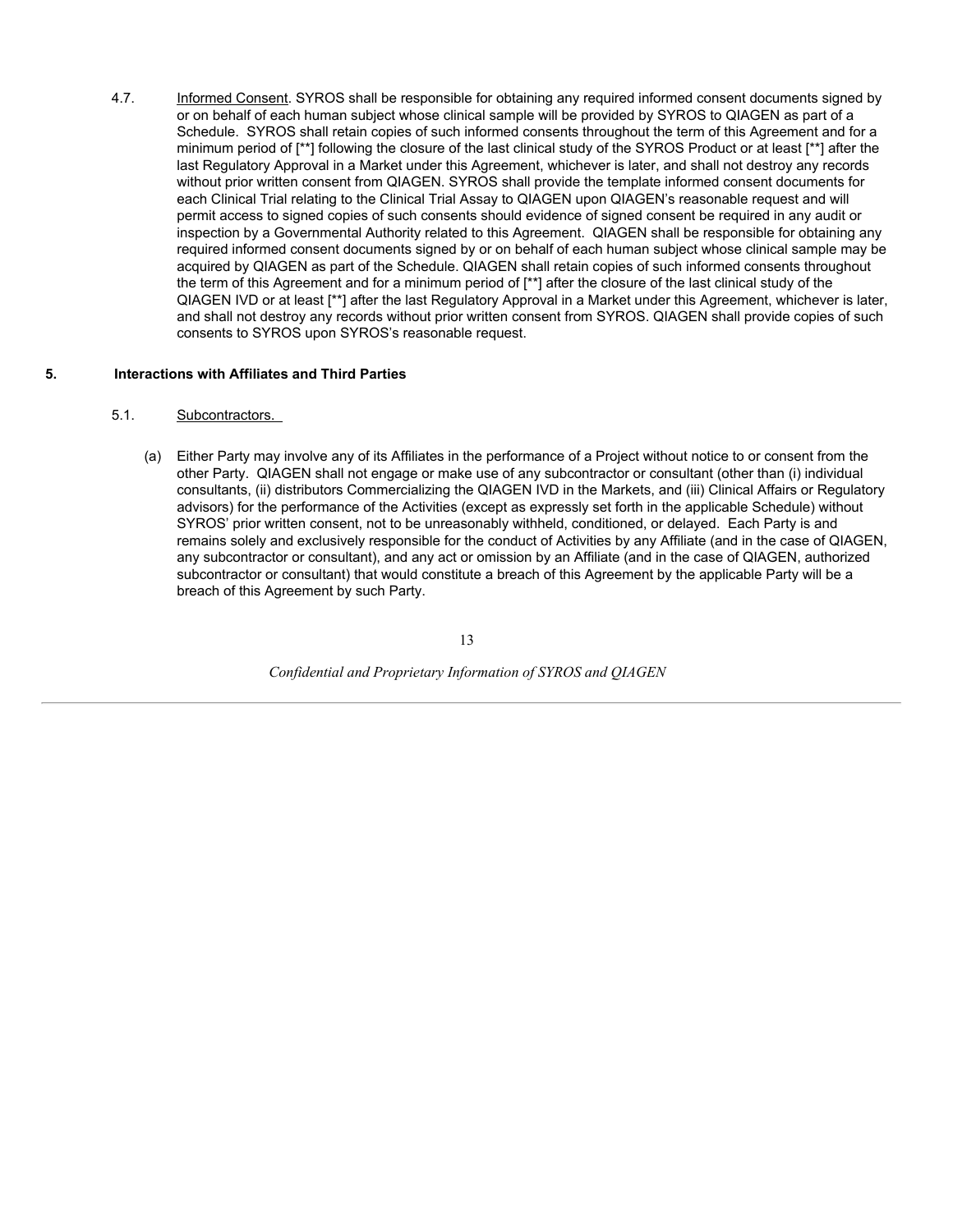4.7. Informed Consent. SYROS shall be responsible for obtaining any required informed consent documents signed by or on behalf of each human subject whose clinical sample will be provided by SYROS to QIAGEN as part of a Schedule. SYROS shall retain copies of such informed consents throughout the term of this Agreement and for a minimum period of [\*\*] following the closure of the last clinical study of the SYROS Product or at least [\*\*] after the last Regulatory Approval in a Market under this Agreement, whichever is later, and shall not destroy any records without prior written consent from QIAGEN. SYROS shall provide the template informed consent documents for each Clinical Trial relating to the Clinical Trial Assay to QIAGEN upon QIAGEN's reasonable request and will permit access to signed copies of such consents should evidence of signed consent be required in any audit or inspection by a Governmental Authority related to this Agreement. QIAGEN shall be responsible for obtaining any required informed consent documents signed by or on behalf of each human subject whose clinical sample may be acquired by QIAGEN as part of the Schedule. QIAGEN shall retain copies of such informed consents throughout the term of this Agreement and for a minimum period of [\*\*] after the closure of the last clinical study of the QIAGEN IVD or at least [\*\*] after the last Regulatory Approval in a Market under this Agreement, whichever is later, and shall not destroy any records without prior written consent from SYROS. QIAGEN shall provide copies of such consents to SYROS upon SYROS's reasonable request.

## **5. Interactions with Affiliates and Third Parties**

- 5.1. Subcontractors.
	- (a) Either Party may involve any of its Affiliates in the performance of a Project without notice to or consent from the other Party. QIAGEN shall not engage or make use of any subcontractor or consultant (other than (i) individual consultants, (ii) distributors Commercializing the QIAGEN IVD in the Markets, and (iii) Clinical Affairs or Regulatory advisors) for the performance of the Activities (except as expressly set forth in the applicable Schedule) without SYROS' prior written consent, not to be unreasonably withheld, conditioned, or delayed. Each Party is and remains solely and exclusively responsible for the conduct of Activities by any Affiliate (and in the case of QIAGEN, any subcontractor or consultant), and any act or omission by an Affiliate (and in the case of QIAGEN, authorized subcontractor or consultant) that would constitute a breach of this Agreement by the applicable Party will be a breach of this Agreement by such Party.

13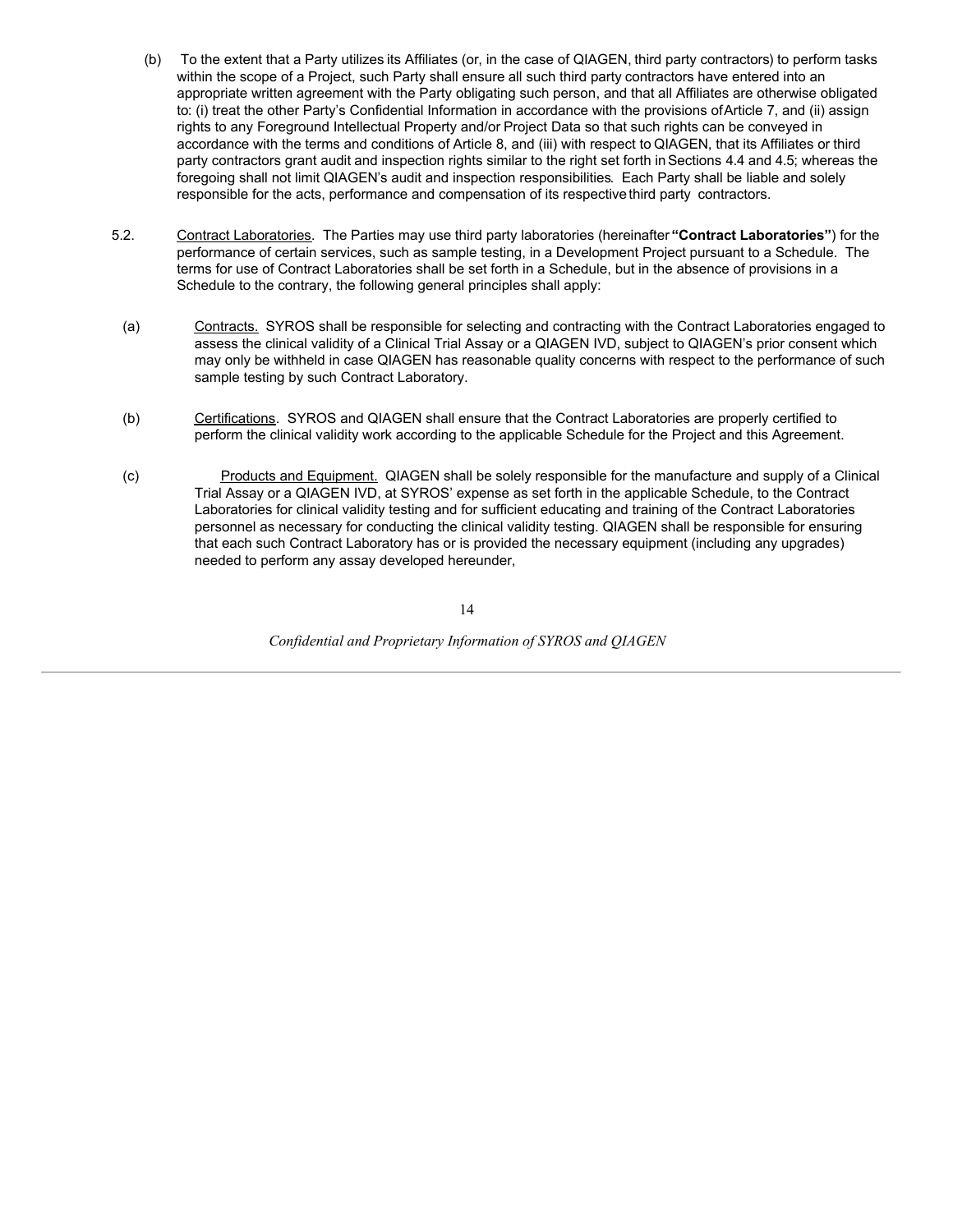- (b) To the extent that a Party utilizes its Affiliates (or, in the case of QIAGEN, third party contractors) to perform tasks within the scope of a Project, such Party shall ensure all such third party contractors have entered into an appropriate written agreement with the Party obligating such person, and that all Affiliates are otherwise obligated to: (i) treat the other Party's Confidential Information in accordance with the provisions ofArticle 7, and (ii) assign rights to any Foreground Intellectual Property and/or Project Data so that such rights can be conveyed in accordance with the terms and conditions of Article 8, and (iii) with respect to QIAGEN, that its Affiliates or third party contractors grant audit and inspection rights similar to the right set forth inSections 4.4 and 4.5; whereas the foregoing shall not limit QIAGEN's audit and inspection responsibilities. Each Party shall be liable and solely responsible for the acts, performance and compensation of its respective third party contractors.
- 5.2. Contract Laboratories. The Parties may use third party laboratories (hereinafter **"Contract Laboratories"**) for the performance of certain services, such as sample testing, in a Development Project pursuant to a Schedule. The terms for use of Contract Laboratories shall be set forth in a Schedule, but in the absence of provisions in a Schedule to the contrary, the following general principles shall apply:
	- (a) Contracts. SYROS shall be responsible for selecting and contracting with the Contract Laboratories engaged to assess the clinical validity of a Clinical Trial Assay or a QIAGEN IVD, subject to QIAGEN's prior consent which may only be withheld in case QIAGEN has reasonable quality concerns with respect to the performance of such sample testing by such Contract Laboratory.
	- (b) Certifications. SYROS and QIAGEN shall ensure that the Contract Laboratories are properly certified to perform the clinical validity work according to the applicable Schedule for the Project and this Agreement.
	- (c) Products and Equipment. QIAGEN shall be solely responsible for the manufacture and supply of a Clinical Trial Assay or a QIAGEN IVD, at SYROS' expense as set forth in the applicable Schedule, to the Contract Laboratories for clinical validity testing and for sufficient educating and training of the Contract Laboratories personnel as necessary for conducting the clinical validity testing. QIAGEN shall be responsible for ensuring that each such Contract Laboratory has or is provided the necessary equipment (including any upgrades) needed to perform any assay developed hereunder,

14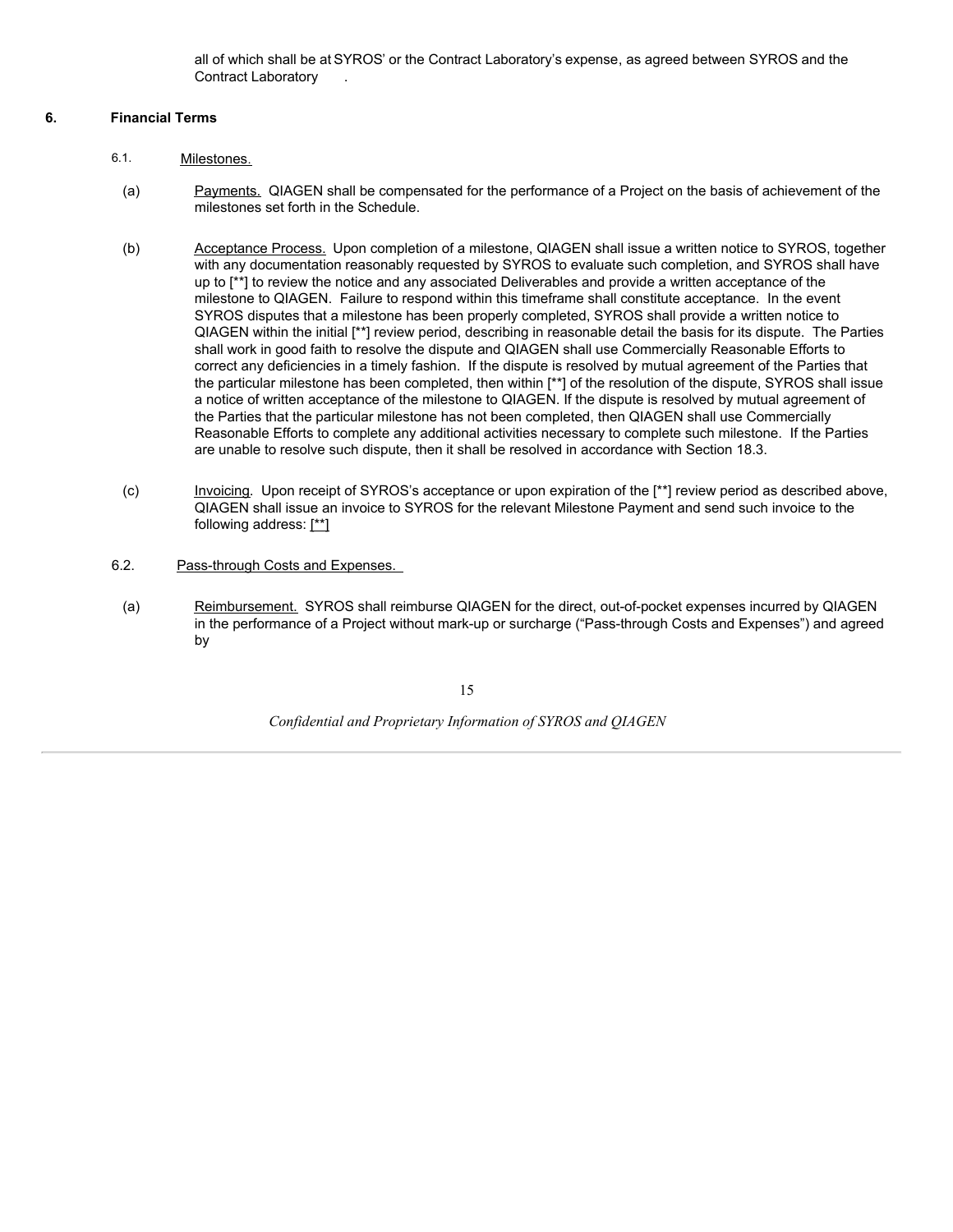all of which shall be at SYROS' or the Contract Laboratory's expense, as agreed between SYROS and the Contract Laboratory .

## **6. Financial Terms**

- 6.1. Milestones.
	- (a) Payments. QIAGEN shall be compensated for the performance of a Project on the basis of achievement of the milestones set forth in the Schedule.
	- (b) Acceptance Process. Upon completion of a milestone, QIAGEN shall issue a written notice to SYROS, together with any documentation reasonably requested by SYROS to evaluate such completion, and SYROS shall have up to [\*\*] to review the notice and any associated Deliverables and provide a written acceptance of the milestone to QIAGEN. Failure to respond within this timeframe shall constitute acceptance. In the event SYROS disputes that a milestone has been properly completed, SYROS shall provide a written notice to QIAGEN within the initial [\*\*] review period, describing in reasonable detail the basis for its dispute. The Parties shall work in good faith to resolve the dispute and QIAGEN shall use Commercially Reasonable Efforts to correct any deficiencies in a timely fashion. If the dispute is resolved by mutual agreement of the Parties that the particular milestone has been completed, then within [\*\*] of the resolution of the dispute, SYROS shall issue a notice of written acceptance of the milestone to QIAGEN. If the dispute is resolved by mutual agreement of the Parties that the particular milestone has not been completed, then QIAGEN shall use Commercially Reasonable Efforts to complete any additional activities necessary to complete such milestone. If the Parties are unable to resolve such dispute, then it shall be resolved in accordance with Section 18.3.
	- (c) Invoicing. Upon receipt of SYROS's acceptance or upon expiration of the [\*\*] review period as described above, QIAGEN shall issue an invoice to SYROS for the relevant Milestone Payment and send such invoice to the following address: [\*\*]
- 6.2. Pass-through Costs and Expenses.
	- (a) Reimbursement. SYROS shall reimburse QIAGEN for the direct, out-of-pocket expenses incurred by QIAGEN in the performance of a Project without mark-up or surcharge ("Pass-through Costs and Expenses") and agreed by

15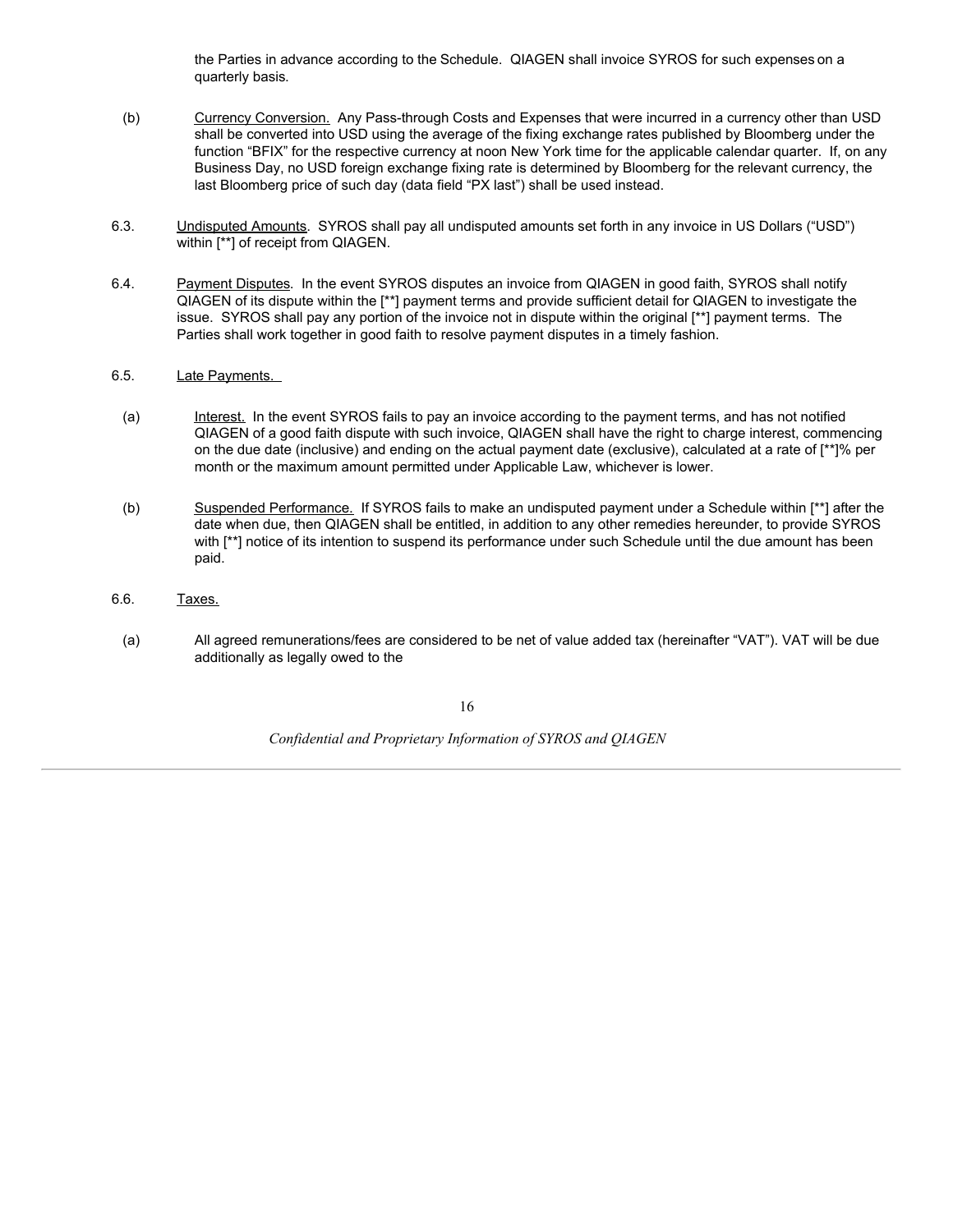the Parties in advance according to the Schedule. QIAGEN shall invoice SYROS for such expenses on a quarterly basis.

- (b) Currency Conversion. Any Pass-through Costs and Expenses that were incurred in a currency other than USD shall be converted into USD using the average of the fixing exchange rates published by Bloomberg under the function "BFIX" for the respective currency at noon New York time for the applicable calendar quarter. If, on any Business Day, no USD foreign exchange fixing rate is determined by Bloomberg for the relevant currency, the last Bloomberg price of such day (data field "PX last") shall be used instead.
- 6.3. Undisputed Amounts. SYROS shall pay all undisputed amounts set forth in any invoice in US Dollars ("USD") within  $[$ <sup>\*\*</sup> $]$  of receipt from QIAGEN.
- 6.4. Payment Disputes. In the event SYROS disputes an invoice from QIAGEN in good faith, SYROS shall notify QIAGEN of its dispute within the [\*\*] payment terms and provide sufficient detail for QIAGEN to investigate the issue. SYROS shall pay any portion of the invoice not in dispute within the original [\*\*] payment terms. The Parties shall work together in good faith to resolve payment disputes in a timely fashion.
- 6.5. Late Payments.
- (a) Interest. In the event SYROS fails to pay an invoice according to the payment terms, and has not notified QIAGEN of a good faith dispute with such invoice, QIAGEN shall have the right to charge interest, commencing on the due date (inclusive) and ending on the actual payment date (exclusive), calculated at a rate of [\*\*]% per month or the maximum amount permitted under Applicable Law, whichever is lower.
- (b) Suspended Performance. If SYROS fails to make an undisputed payment under a Schedule within [\*\*] after the date when due, then QIAGEN shall be entitled, in addition to any other remedies hereunder, to provide SYROS with [<sup>\*\*</sup>] notice of its intention to suspend its performance under such Schedule until the due amount has been paid.
- 6.6. Taxes.
- (a) All agreed remunerations/fees are considered to be net of value added tax (hereinafter "VAT"). VAT will be due additionally as legally owed to the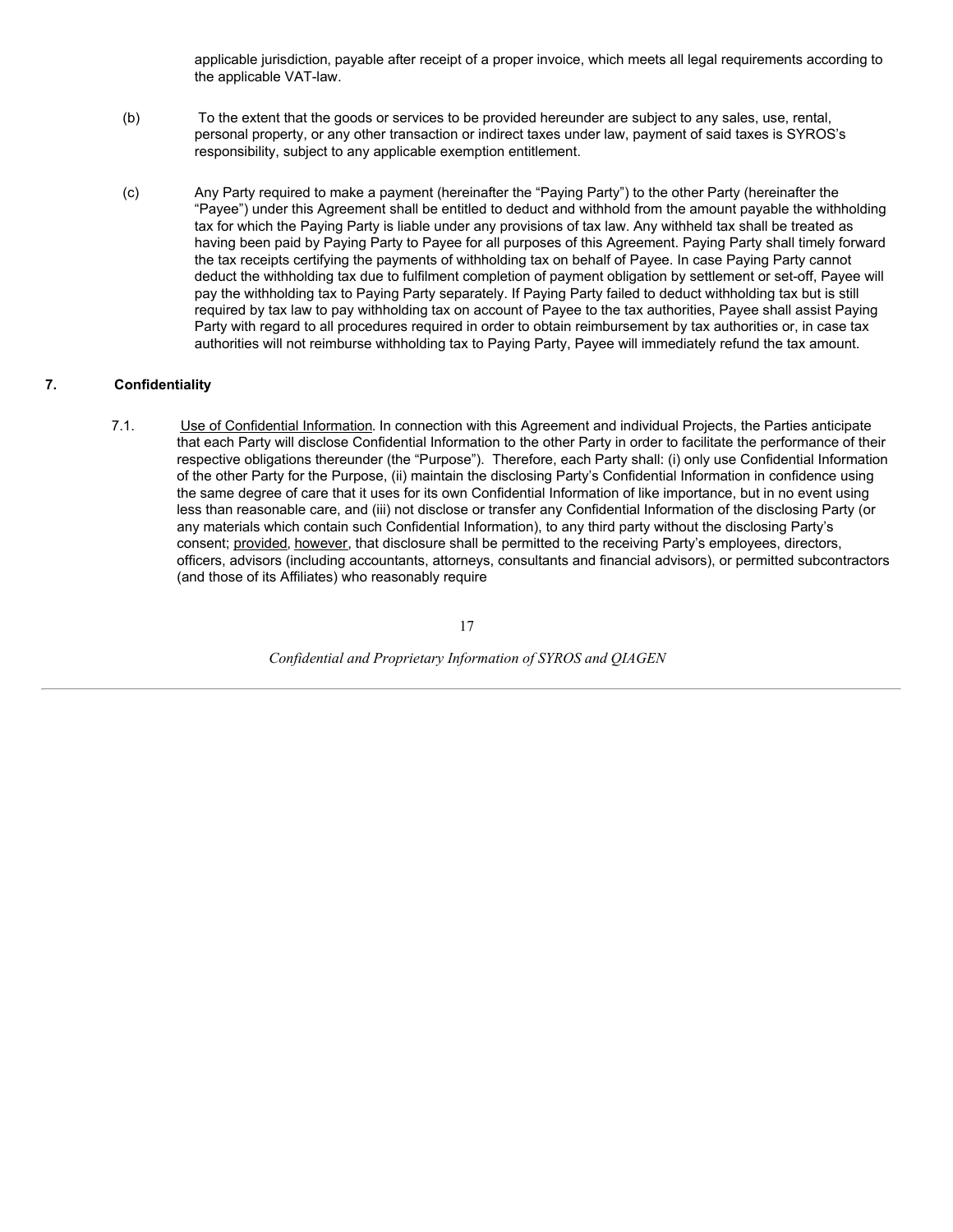applicable jurisdiction, payable after receipt of a proper invoice, which meets all legal requirements according to the applicable VAT-law.

- (b) To the extent that the goods or services to be provided hereunder are subject to any sales, use, rental, personal property, or any other transaction or indirect taxes under law, payment of said taxes is SYROS's responsibility, subject to any applicable exemption entitlement.
- (c) Any Party required to make a payment (hereinafter the "Paying Party") to the other Party (hereinafter the "Payee") under this Agreement shall be entitled to deduct and withhold from the amount payable the withholding tax for which the Paying Party is liable under any provisions of tax law. Any withheld tax shall be treated as having been paid by Paying Party to Payee for all purposes of this Agreement. Paying Party shall timely forward the tax receipts certifying the payments of withholding tax on behalf of Payee. In case Paying Party cannot deduct the withholding tax due to fulfilment completion of payment obligation by settlement or set-off, Payee will pay the withholding tax to Paying Party separately. If Paying Party failed to deduct withholding tax but is still required by tax law to pay withholding tax on account of Payee to the tax authorities, Payee shall assist Paying Party with regard to all procedures required in order to obtain reimbursement by tax authorities or, in case tax authorities will not reimburse withholding tax to Paying Party, Payee will immediately refund the tax amount.

# **7. Confidentiality**

7.1. Use of Confidential Information. In connection with this Agreement and individual Projects, the Parties anticipate that each Party will disclose Confidential Information to the other Party in order to facilitate the performance of their respective obligations thereunder (the "Purpose"). Therefore, each Party shall: (i) only use Confidential Information of the other Party for the Purpose, (ii) maintain the disclosing Party's Confidential Information in confidence using the same degree of care that it uses for its own Confidential Information of like importance, but in no event using less than reasonable care, and (iii) not disclose or transfer any Confidential Information of the disclosing Party (or any materials which contain such Confidential Information), to any third party without the disclosing Party's consent; provided, however, that disclosure shall be permitted to the receiving Party's employees, directors, officers, advisors (including accountants, attorneys, consultants and financial advisors), or permitted subcontractors (and those of its Affiliates) who reasonably require

17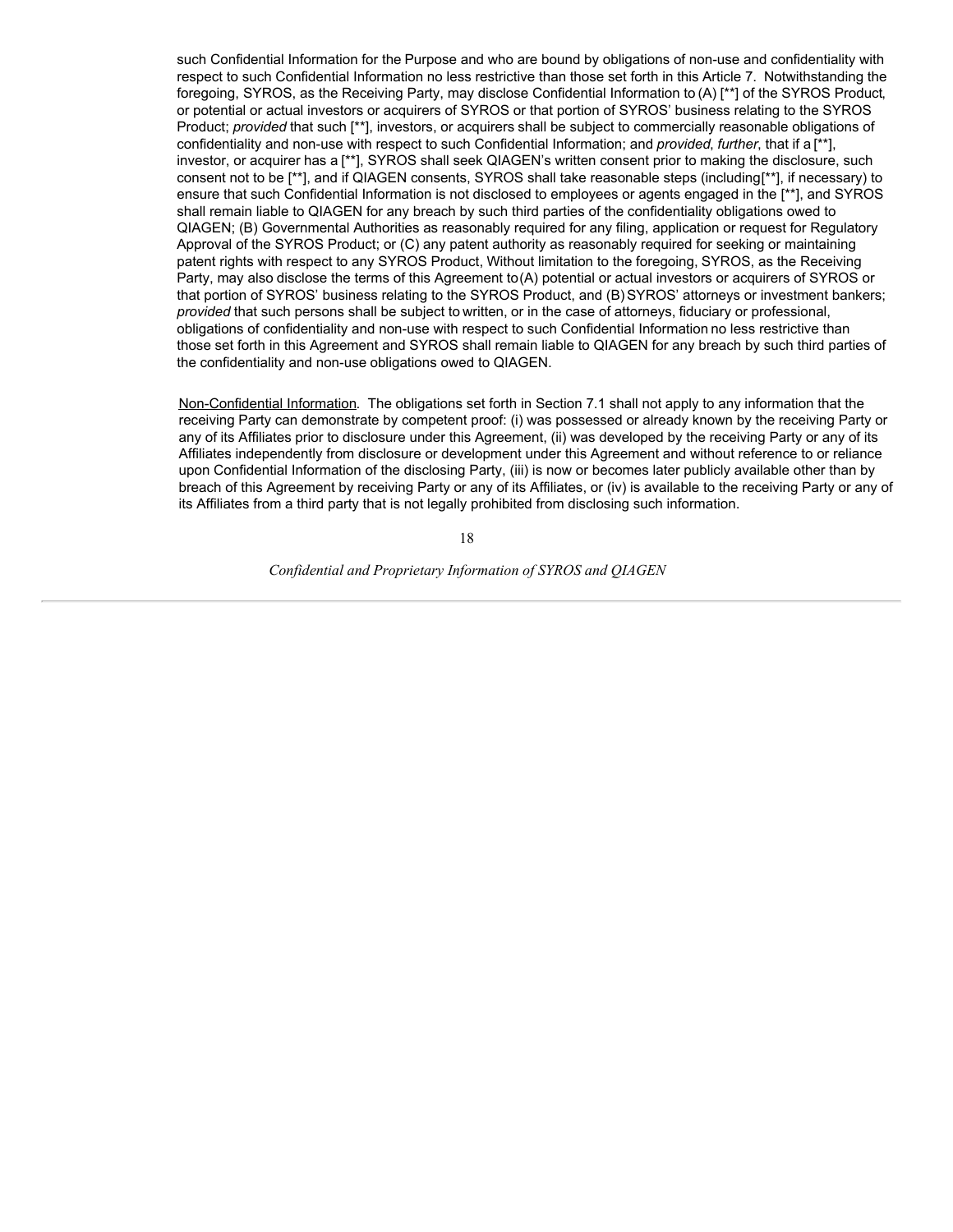such Confidential Information for the Purpose and who are bound by obligations of non-use and confidentiality with respect to such Confidential Information no less restrictive than those set forth in this Article 7. Notwithstanding the foregoing, SYROS, as the Receiving Party, may disclose Confidential Information to (A) [\*\*] of the SYROS Product, or potential or actual investors or acquirers of SYROS or that portion of SYROS' business relating to the SYROS Product; *provided* that such [\*\*], investors, or acquirers shall be subject to commercially reasonable obligations of confidentiality and non-use with respect to such Confidential Information; and *provided*, *further*, that if a [\*\*], investor, or acquirer has a [\*\*], SYROS shall seek QIAGEN's written consent prior to making the disclosure, such consent not to be [\*\*], and if QIAGEN consents, SYROS shall take reasonable steps (including[\*\*], if necessary) to ensure that such Confidential Information is not disclosed to employees or agents engaged in the [\*\*], and SYROS shall remain liable to QIAGEN for any breach by such third parties of the confidentiality obligations owed to QIAGEN; (B) Governmental Authorities as reasonably required for any filing, application or request for Regulatory Approval of the SYROS Product; or (C) any patent authority as reasonably required for seeking or maintaining patent rights with respect to any SYROS Product, Without limitation to the foregoing, SYROS, as the Receiving Party, may also disclose the terms of this Agreement to(A) potential or actual investors or acquirers of SYROS or that portion of SYROS' business relating to the SYROS Product, and (B)SYROS' attorneys or investment bankers; *provided* that such persons shall be subject to written, or in the case of attorneys, fiduciary or professional, obligations of confidentiality and non-use with respect to such Confidential Information no less restrictive than those set forth in this Agreement and SYROS shall remain liable to QIAGEN for any breach by such third parties of the confidentiality and non-use obligations owed to QIAGEN.

Non-Confidential Information. The obligations set forth in Section 7.1 shall not apply to any information that the receiving Party can demonstrate by competent proof: (i) was possessed or already known by the receiving Party or any of its Affiliates prior to disclosure under this Agreement, (ii) was developed by the receiving Party or any of its Affiliates independently from disclosure or development under this Agreement and without reference to or reliance upon Confidential Information of the disclosing Party, (iii) is now or becomes later publicly available other than by breach of this Agreement by receiving Party or any of its Affiliates, or (iv) is available to the receiving Party or any of its Affiliates from a third party that is not legally prohibited from disclosing such information.

18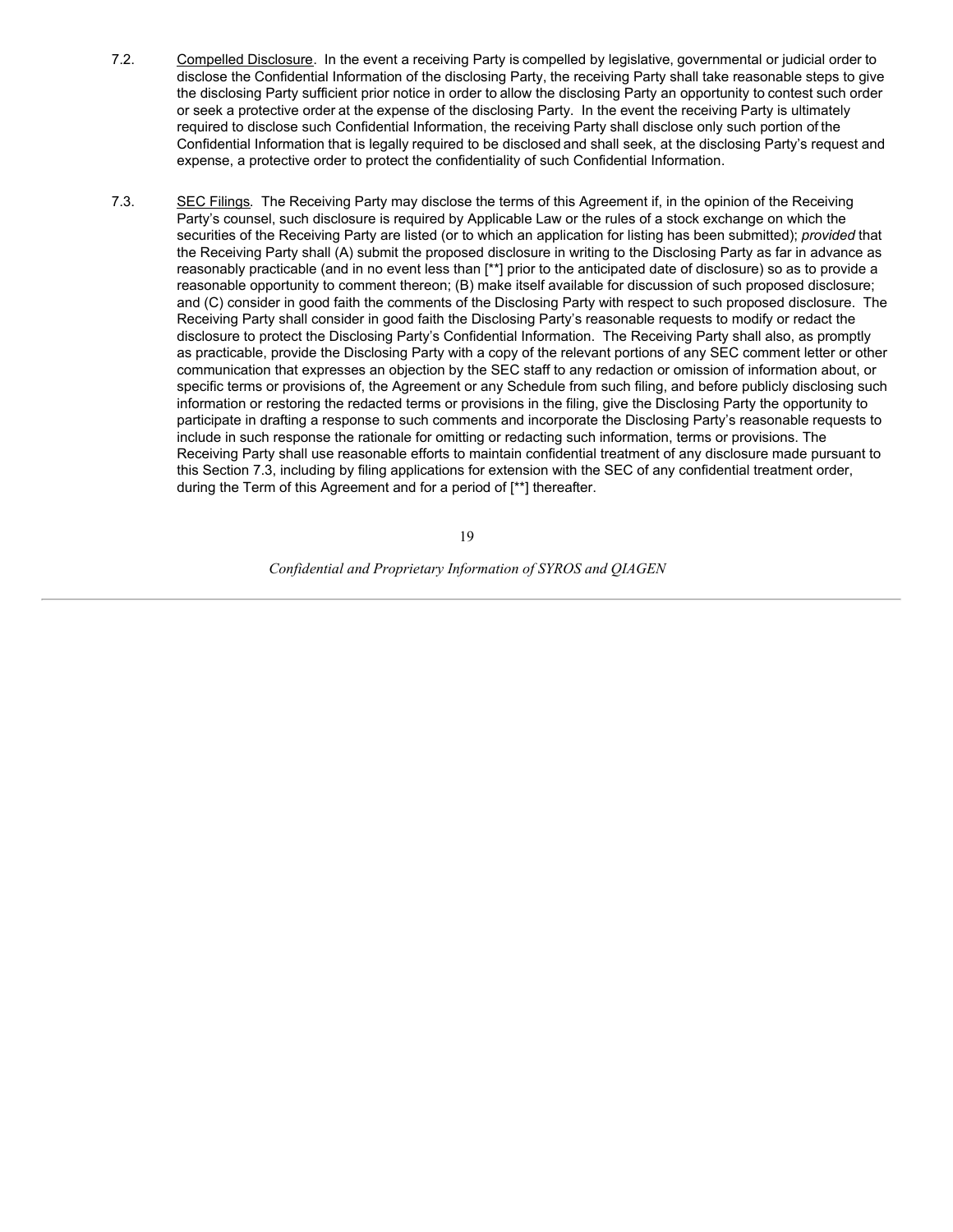- 7.2. Compelled Disclosure. In the event a receiving Party is compelled by legislative, governmental or judicial order to disclose the Confidential Information of the disclosing Party, the receiving Party shall take reasonable steps to give the disclosing Party sufficient prior notice in order to allow the disclosing Party an opportunity to contest such order or seek a protective order at the expense of the disclosing Party. In the event the receiving Party is ultimately required to disclose such Confidential Information, the receiving Party shall disclose only such portion of the Confidential Information that is legally required to be disclosed and shall seek, at the disclosing Party's request and expense, a protective order to protect the confidentiality of such Confidential Information.
- 7.3. SEC Filings. The Receiving Party may disclose the terms of this Agreement if, in the opinion of the Receiving Party's counsel, such disclosure is required by Applicable Law or the rules of a stock exchange on which the securities of the Receiving Party are listed (or to which an application for listing has been submitted); *provided* that the Receiving Party shall (A) submit the proposed disclosure in writing to the Disclosing Party as far in advance as reasonably practicable (and in no event less than [\*\*] prior to the anticipated date of disclosure) so as to provide a reasonable opportunity to comment thereon; (B) make itself available for discussion of such proposed disclosure; and (C) consider in good faith the comments of the Disclosing Party with respect to such proposed disclosure. The Receiving Party shall consider in good faith the Disclosing Party's reasonable requests to modify or redact the disclosure to protect the Disclosing Party's Confidential Information. The Receiving Party shall also, as promptly as practicable, provide the Disclosing Party with a copy of the relevant portions of any SEC comment letter or other communication that expresses an objection by the SEC staff to any redaction or omission of information about, or specific terms or provisions of, the Agreement or any Schedule from such filing, and before publicly disclosing such information or restoring the redacted terms or provisions in the filing, give the Disclosing Party the opportunity to participate in drafting a response to such comments and incorporate the Disclosing Party's reasonable requests to include in such response the rationale for omitting or redacting such information, terms or provisions. The Receiving Party shall use reasonable efforts to maintain confidential treatment of any disclosure made pursuant to this Section 7.3, including by filing applications for extension with the SEC of any confidential treatment order, during the Term of this Agreement and for a period of [\*\*] thereafter.

19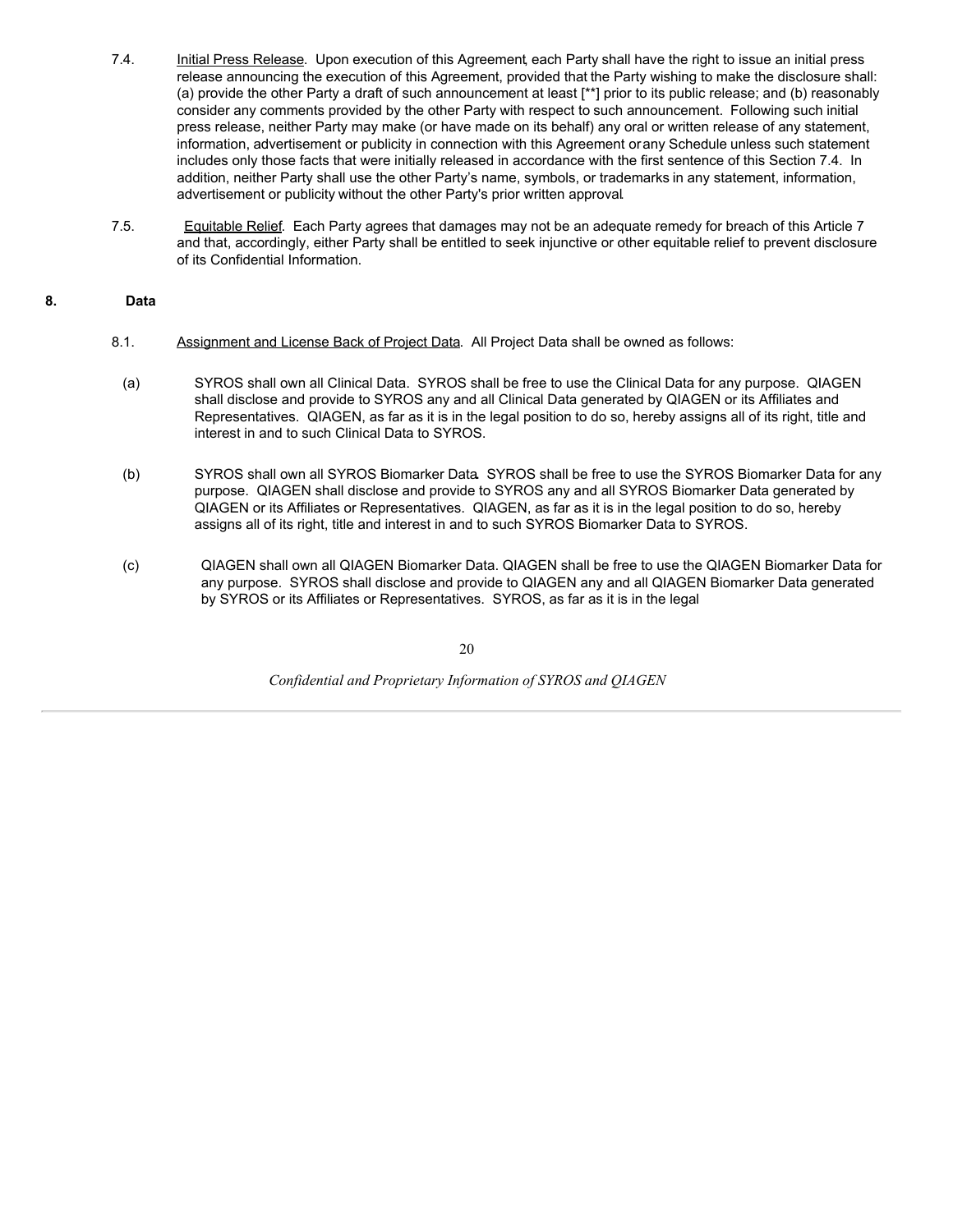- 7.4. Initial Press Release. Upon execution of this Agreement, each Party shall have the right to issue an initial press release announcing the execution of this Agreement, provided that the Party wishing to make the disclosure shall: (a) provide the other Party a draft of such announcement at least [\*\*] prior to its public release; and (b) reasonably consider any comments provided by the other Party with respect to such announcement. Following such initial press release, neither Party may make (or have made on its behalf) any oral or written release of any statement, information, advertisement or publicity in connection with this Agreement orany Schedule unless such statement includes only those facts that were initially released in accordance with the first sentence of this Section 7.4. In addition, neither Party shall use the other Party's name, symbols, or trademarks in any statement, information, advertisement or publicity without the other Party's prior written approval.
- 7.5. Equitable Relief. Each Party agrees that damages may not be an adequate remedy for breach of this Article 7 and that, accordingly, either Party shall be entitled to seek injunctive or other equitable relief to prevent disclosure of its Confidential Information.

## **8. Data**

- 8.1. Assignment and License Back of Project Data. All Project Data shall be owned as follows:
- (a) SYROS shall own all Clinical Data. SYROS shall be free to use the Clinical Data for any purpose. QIAGEN shall disclose and provide to SYROS any and all Clinical Data generated by QIAGEN or its Affiliates and Representatives. QIAGEN, as far as it is in the legal position to do so, hereby assigns all of its right, title and interest in and to such Clinical Data to SYROS.
- (b) SYROS shall own all SYROS Biomarker Data**.** SYROS shall be free to use the SYROS Biomarker Data for any purpose. QIAGEN shall disclose and provide to SYROS any and all SYROS Biomarker Data generated by QIAGEN or its Affiliates or Representatives. QIAGEN, as far as it is in the legal position to do so, hereby assigns all of its right, title and interest in and to such SYROS Biomarker Data to SYROS.
- (c) QIAGEN shall own all QIAGEN Biomarker Data. QIAGEN shall be free to use the QIAGEN Biomarker Data for any purpose. SYROS shall disclose and provide to QIAGEN any and all QIAGEN Biomarker Data generated by SYROS or its Affiliates or Representatives. SYROS, as far as it is in the legal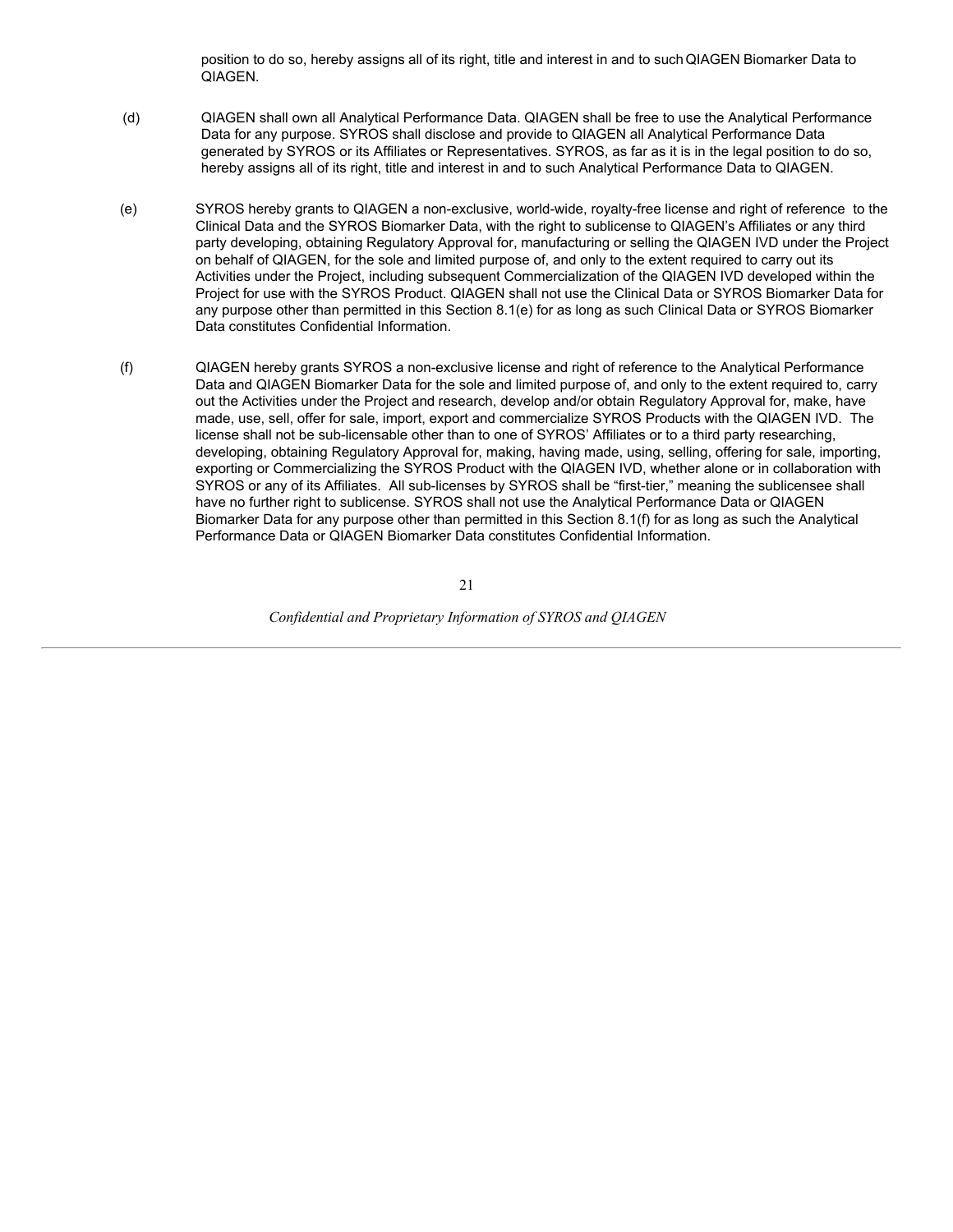position to do so, hereby assigns all of its right, title and interest in and to suchQIAGEN Biomarker Data to QIAGEN.

- (d) QIAGEN shall own all Analytical Performance Data. QIAGEN shall be free to use the Analytical Performance Data for any purpose. SYROS shall disclose and provide to QIAGEN all Analytical Performance Data generated by SYROS or its Affiliates or Representatives. SYROS, as far as it is in the legal position to do so, hereby assigns all of its right, title and interest in and to such Analytical Performance Data to QIAGEN.
- (e) SYROS hereby grants to QIAGEN a non-exclusive, world-wide, royalty-free license and right of reference to the Clinical Data and the SYROS Biomarker Data, with the right to sublicense to QIAGEN's Affiliates or any third party developing, obtaining Regulatory Approval for, manufacturing or selling the QIAGEN IVD under the Project on behalf of QIAGEN, for the sole and limited purpose of, and only to the extent required to carry out its Activities under the Project, including subsequent Commercialization of the QIAGEN IVD developed within the Project for use with the SYROS Product. QIAGEN shall not use the Clinical Data or SYROS Biomarker Data for any purpose other than permitted in this Section 8.1(e) for as long as such Clinical Data or SYROS Biomarker Data constitutes Confidential Information.
- (f) QIAGEN hereby grants SYROS a non-exclusive license and right of reference to the Analytical Performance Data and QIAGEN Biomarker Data for the sole and limited purpose of, and only to the extent required to, carry out the Activities under the Project and research, develop and/or obtain Regulatory Approval for, make, have made, use, sell, offer for sale, import, export and commercialize SYROS Products with the QIAGEN IVD. The license shall not be sub-licensable other than to one of SYROS' Affiliates or to a third party researching, developing, obtaining Regulatory Approval for, making, having made, using, selling, offering for sale, importing, exporting or Commercializing the SYROS Product with the QIAGEN IVD, whether alone or in collaboration with SYROS or any of its Affiliates. All sub-licenses by SYROS shall be "first-tier," meaning the sublicensee shall have no further right to sublicense. SYROS shall not use the Analytical Performance Data or QIAGEN Biomarker Data for any purpose other than permitted in this Section 8.1(f) for as long as such the Analytical Performance Data or QIAGEN Biomarker Data constitutes Confidential Information.

21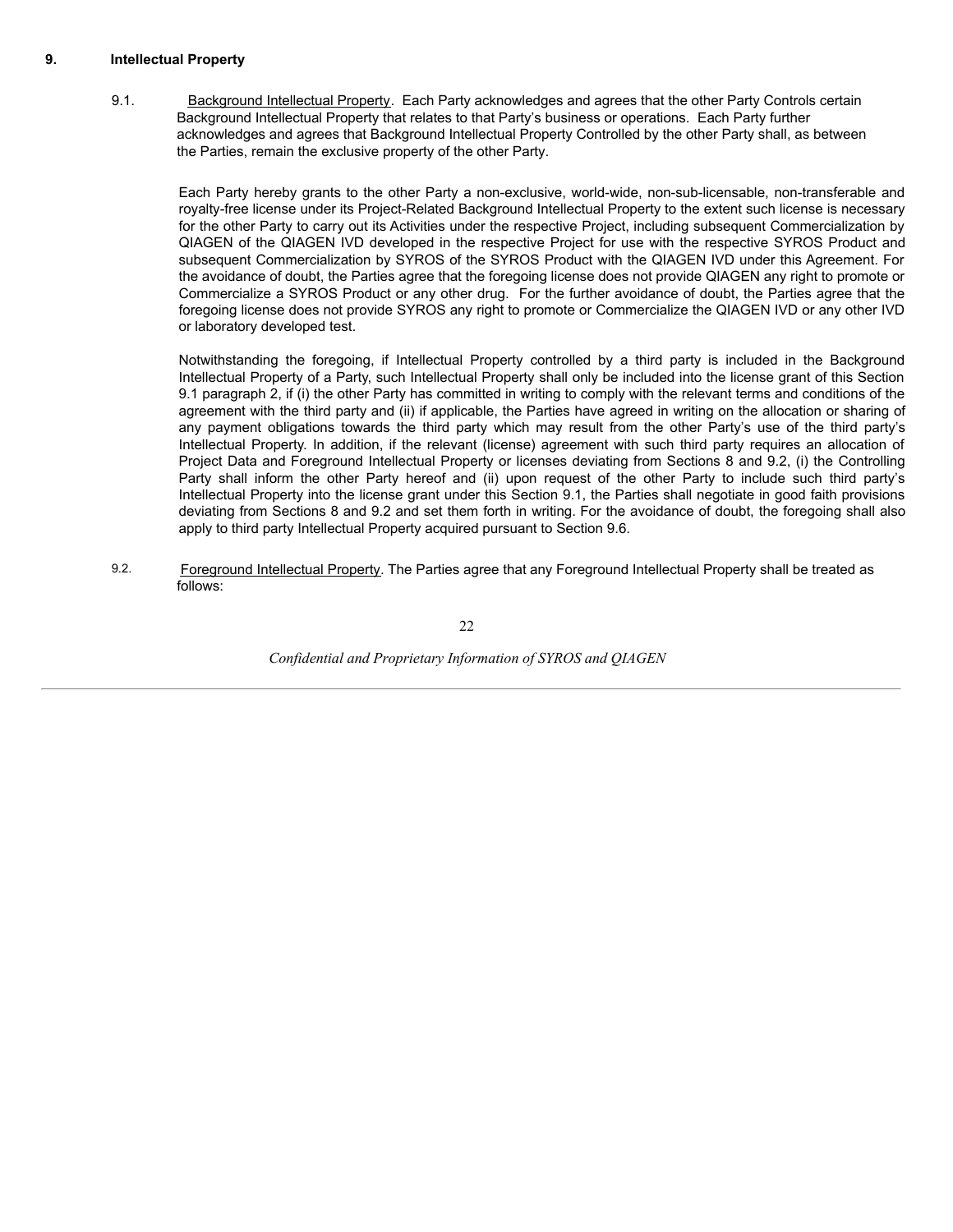### **9. Intellectual Property**

9.1. Background Intellectual Property. Each Party acknowledges and agrees that the other Party Controls certain Background Intellectual Property that relates to that Party's business or operations. Each Party further acknowledges and agrees that Background Intellectual Property Controlled by the other Party shall, as between the Parties, remain the exclusive property of the other Party.

Each Party hereby grants to the other Party a non-exclusive, world-wide, non-sub-licensable, non-transferable and royalty-free license under its Project-Related Background Intellectual Property to the extent such license is necessary for the other Party to carry out its Activities under the respective Project, including subsequent Commercialization by QIAGEN of the QIAGEN IVD developed in the respective Project for use with the respective SYROS Product and subsequent Commercialization by SYROS of the SYROS Product with the QIAGEN IVD under this Agreement. For the avoidance of doubt, the Parties agree that the foregoing license does not provide QIAGEN any right to promote or Commercialize a SYROS Product or any other drug. For the further avoidance of doubt, the Parties agree that the foregoing license does not provide SYROS any right to promote or Commercialize the QIAGEN IVD or any other IVD or laboratory developed test.

Notwithstanding the foregoing, if Intellectual Property controlled by a third party is included in the Background Intellectual Property of a Party, such Intellectual Property shall only be included into the license grant of this Section 9.1 paragraph 2, if (i) the other Party has committed in writing to comply with the relevant terms and conditions of the agreement with the third party and (ii) if applicable, the Parties have agreed in writing on the allocation or sharing of any payment obligations towards the third party which may result from the other Party's use of the third party's Intellectual Property. In addition, if the relevant (license) agreement with such third party requires an allocation of Project Data and Foreground Intellectual Property or licenses deviating from Sections 8 and 9.2, (i) the Controlling Party shall inform the other Party hereof and (ii) upon request of the other Party to include such third party's Intellectual Property into the license grant under this Section 9.1, the Parties shall negotiate in good faith provisions deviating from Sections 8 and 9.2 and set them forth in writing. For the avoidance of doubt, the foregoing shall also apply to third party Intellectual Property acquired pursuant to Section 9.6.

9.2. Foreground Intellectual Property. The Parties agree that any Foreground Intellectual Property shall be treated as follows:

22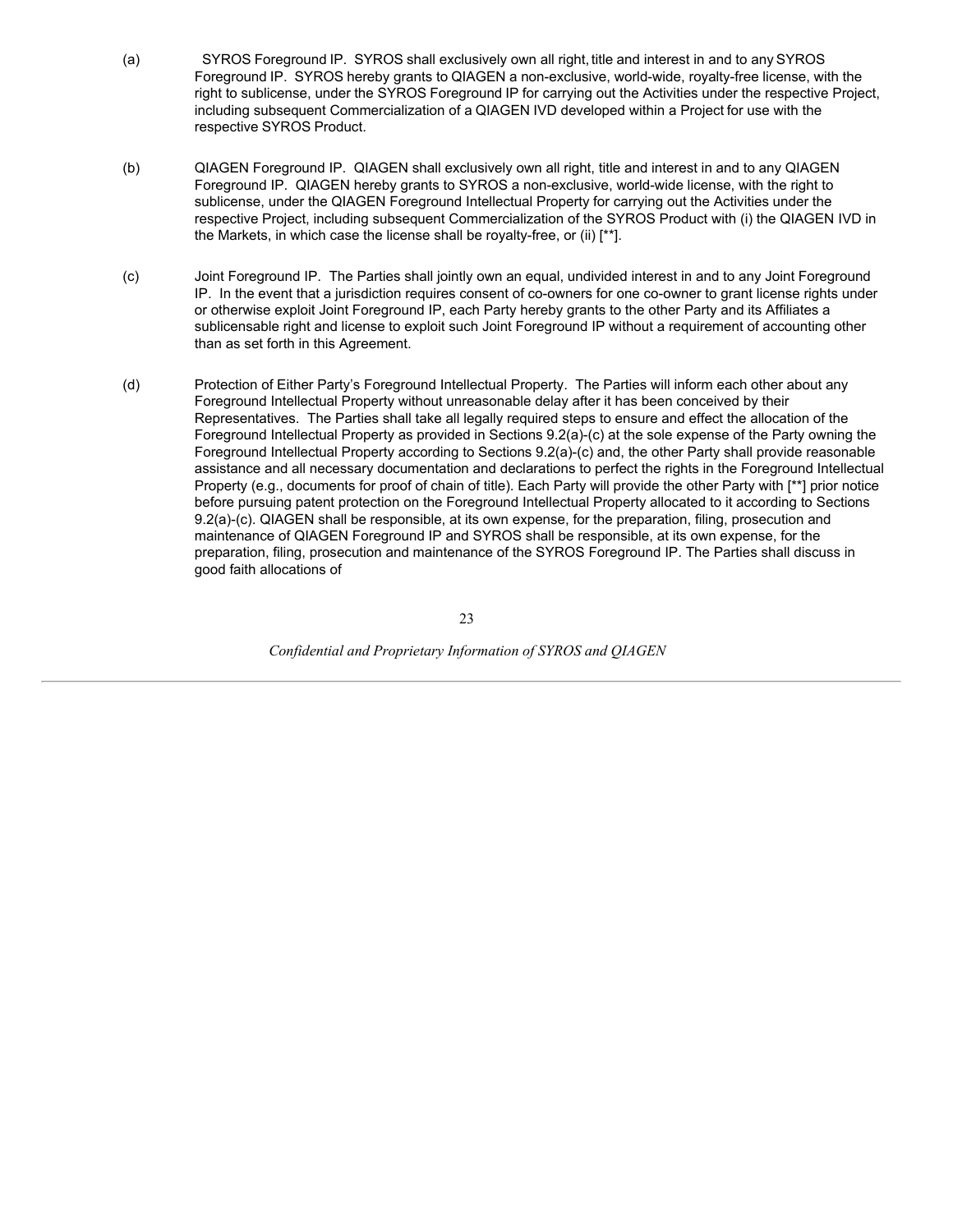- (a) SYROS Foreground IP. SYROS shall exclusively own all right, title and interest in and to any SYROS Foreground IP. SYROS hereby grants to QIAGEN a non-exclusive, world-wide, royalty-free license, with the right to sublicense, under the SYROS Foreground IP for carrying out the Activities under the respective Project, including subsequent Commercialization of a QIAGEN IVD developed within a Project for use with the respective SYROS Product.
- (b) QIAGEN Foreground IP. QIAGEN shall exclusively own all right, title and interest in and to any QIAGEN Foreground IP. QIAGEN hereby grants to SYROS a non-exclusive, world-wide license, with the right to sublicense, under the QIAGEN Foreground Intellectual Property for carrying out the Activities under the respective Project, including subsequent Commercialization of the SYROS Product with (i) the QIAGEN IVD in the Markets, in which case the license shall be royalty-free, or (ii) [\*\*].
- (c) Joint Foreground IP. The Parties shall jointly own an equal, undivided interest in and to any Joint Foreground IP. In the event that a jurisdiction requires consent of co-owners for one co-owner to grant license rights under or otherwise exploit Joint Foreground IP, each Party hereby grants to the other Party and its Affiliates a sublicensable right and license to exploit such Joint Foreground IP without a requirement of accounting other than as set forth in this Agreement.
- (d) Protection of Either Party's Foreground Intellectual Property. The Parties will inform each other about any Foreground Intellectual Property without unreasonable delay after it has been conceived by their Representatives. The Parties shall take all legally required steps to ensure and effect the allocation of the Foreground Intellectual Property as provided in Sections 9.2(a)-(c) at the sole expense of the Party owning the Foreground Intellectual Property according to Sections 9.2(a)-(c) and, the other Party shall provide reasonable assistance and all necessary documentation and declarations to perfect the rights in the Foreground Intellectual Property (e.g., documents for proof of chain of title). Each Party will provide the other Party with [\*\*] prior notice before pursuing patent protection on the Foreground Intellectual Property allocated to it according to Sections 9.2(a)-(c). QIAGEN shall be responsible, at its own expense, for the preparation, filing, prosecution and maintenance of QIAGEN Foreground IP and SYROS shall be responsible, at its own expense, for the preparation, filing, prosecution and maintenance of the SYROS Foreground IP. The Parties shall discuss in good faith allocations of

23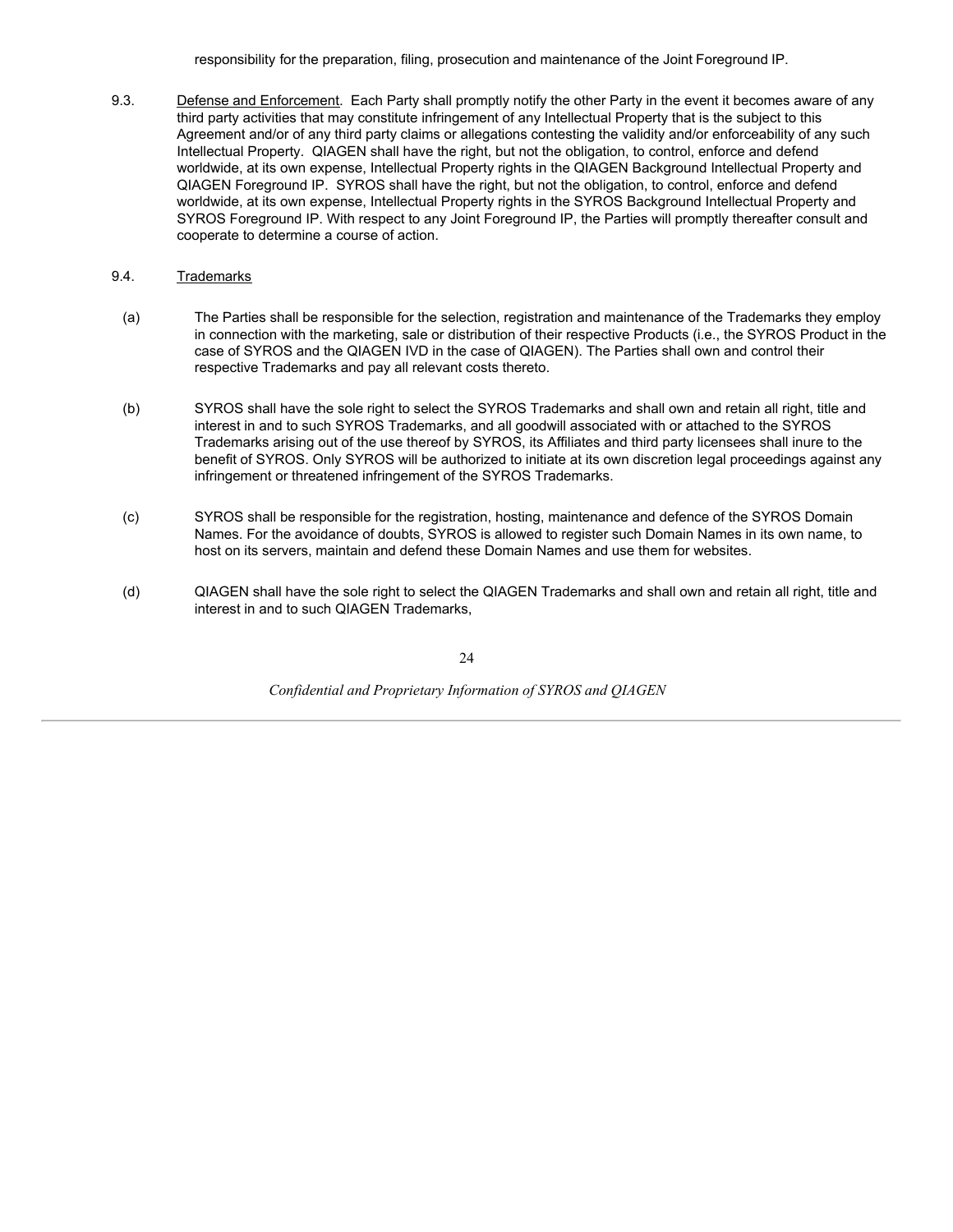responsibility for the preparation, filing, prosecution and maintenance of the Joint Foreground IP.

- 9.3. Defense and Enforcement. Each Party shall promptly notify the other Party in the event it becomes aware of any third party activities that may constitute infringement of any Intellectual Property that is the subject to this Agreement and/or of any third party claims or allegations contesting the validity and/or enforceability of any such Intellectual Property. QIAGEN shall have the right, but not the obligation, to control, enforce and defend worldwide, at its own expense, Intellectual Property rights in the QIAGEN Background Intellectual Property and QIAGEN Foreground IP. SYROS shall have the right, but not the obligation, to control, enforce and defend worldwide, at its own expense, Intellectual Property rights in the SYROS Background Intellectual Property and SYROS Foreground IP. With respect to any Joint Foreground IP, the Parties will promptly thereafter consult and cooperate to determine a course of action.
- 9.4. Trademarks
- (a) The Parties shall be responsible for the selection, registration and maintenance of the Trademarks they employ in connection with the marketing, sale or distribution of their respective Products (i.e., the SYROS Product in the case of SYROS and the QIAGEN IVD in the case of QIAGEN). The Parties shall own and control their respective Trademarks and pay all relevant costs thereto.
- (b) SYROS shall have the sole right to select the SYROS Trademarks and shall own and retain all right, title and interest in and to such SYROS Trademarks, and all goodwill associated with or attached to the SYROS Trademarks arising out of the use thereof by SYROS, its Affiliates and third party licensees shall inure to the benefit of SYROS. Only SYROS will be authorized to initiate at its own discretion legal proceedings against any infringement or threatened infringement of the SYROS Trademarks.
- (c) SYROS shall be responsible for the registration, hosting, maintenance and defence of the SYROS Domain Names. For the avoidance of doubts, SYROS is allowed to register such Domain Names in its own name, to host on its servers, maintain and defend these Domain Names and use them for websites.
- (d) QIAGEN shall have the sole right to select the QIAGEN Trademarks and shall own and retain all right, title and interest in and to such QIAGEN Trademarks,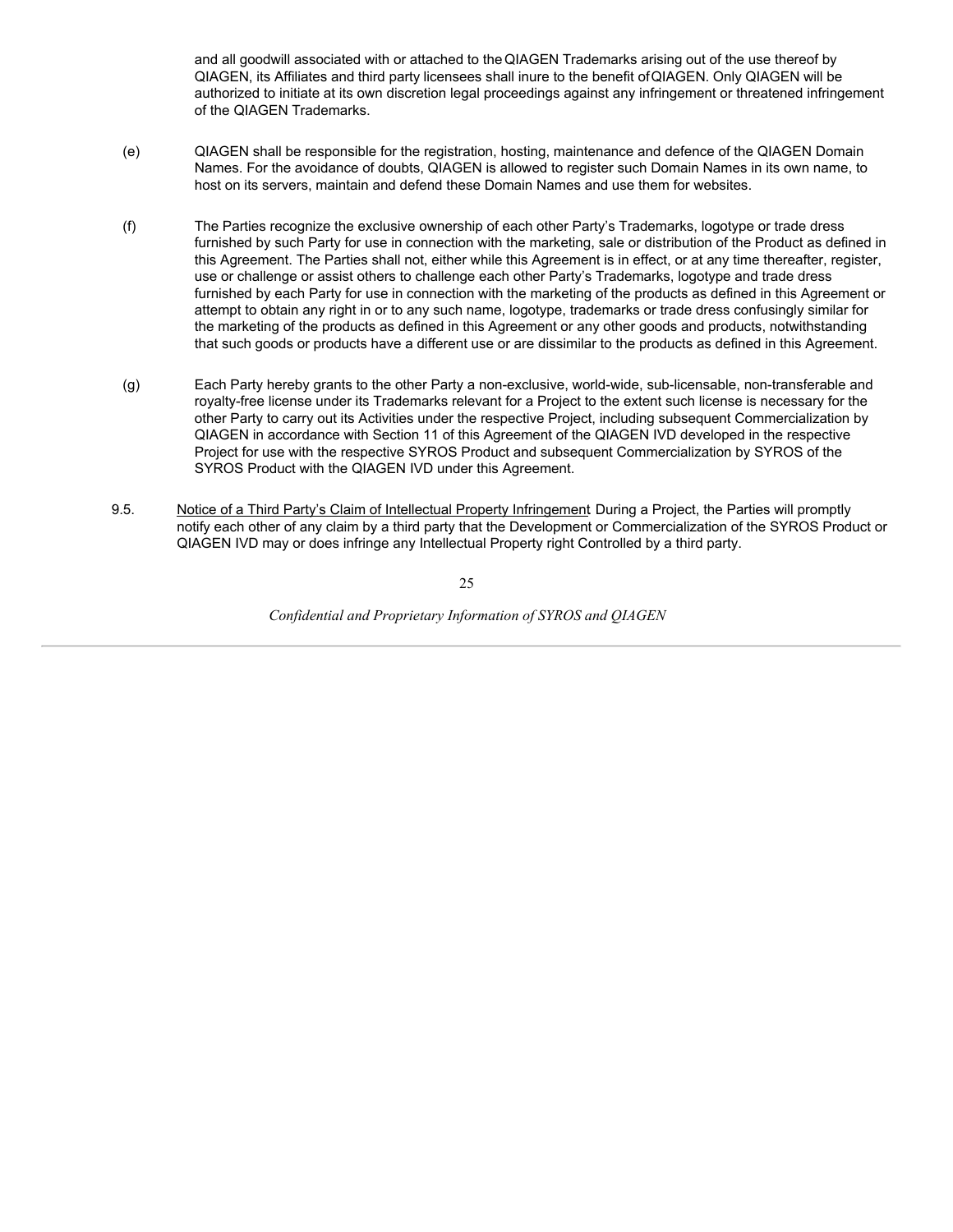and all goodwill associated with or attached to the QIAGEN Trademarks arising out of the use thereof by QIAGEN, its Affiliates and third party licensees shall inure to the benefit ofQIAGEN. Only QIAGEN will be authorized to initiate at its own discretion legal proceedings against any infringement or threatened infringement of the QIAGEN Trademarks.

- (e) QIAGEN shall be responsible for the registration, hosting, maintenance and defence of the QIAGEN Domain Names. For the avoidance of doubts, QIAGEN is allowed to register such Domain Names in its own name, to host on its servers, maintain and defend these Domain Names and use them for websites.
- (f) The Parties recognize the exclusive ownership of each other Party's Trademarks, logotype or trade dress furnished by such Party for use in connection with the marketing, sale or distribution of the Product as defined in this Agreement. The Parties shall not, either while this Agreement is in effect, or at any time thereafter, register, use or challenge or assist others to challenge each other Party's Trademarks, logotype and trade dress furnished by each Party for use in connection with the marketing of the products as defined in this Agreement or attempt to obtain any right in or to any such name, logotype, trademarks or trade dress confusingly similar for the marketing of the products as defined in this Agreement or any other goods and products, notwithstanding that such goods or products have a different use or are dissimilar to the products as defined in this Agreement.
- (g) Each Party hereby grants to the other Party a non-exclusive, world-wide, sub-licensable, non-transferable and royalty-free license under its Trademarks relevant for a Project to the extent such license is necessary for the other Party to carry out its Activities under the respective Project, including subsequent Commercialization by QIAGEN in accordance with Section 11 of this Agreement of the QIAGEN IVD developed in the respective Project for use with the respective SYROS Product and subsequent Commercialization by SYROS of the SYROS Product with the QIAGEN IVD under this Agreement.
- 9.5. Notice of a Third Party's Claim of Intellectual Property Infringement During a Project, the Parties will promptly notify each other of any claim by a third party that the Development or Commercialization of the SYROS Product or QIAGEN IVD may or does infringe any Intellectual Property right Controlled by a third party.

25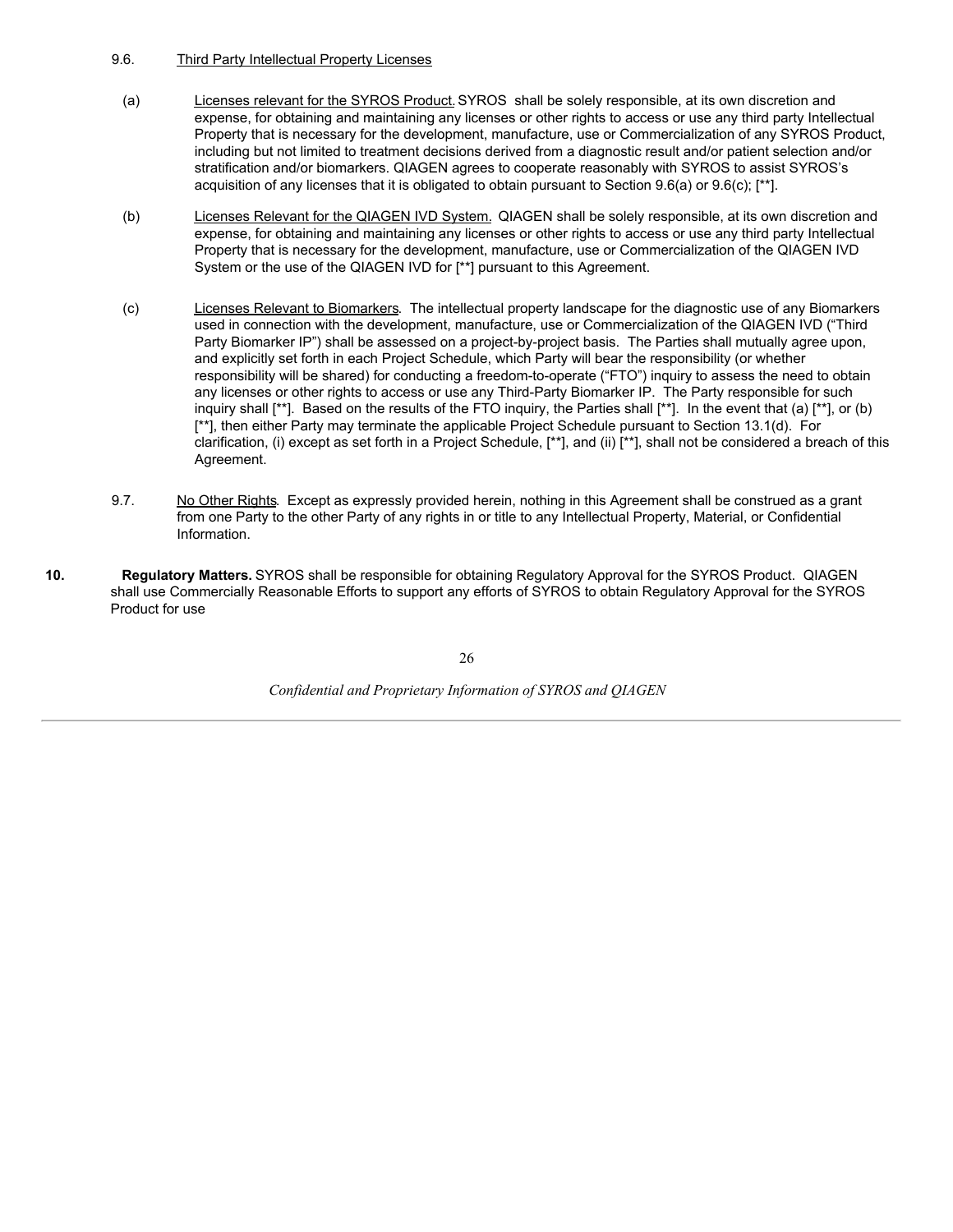## 9.6. Third Party Intellectual Property Licenses

- (a) Licenses relevant for the SYROS Product. SYROS shall be solely responsible, at its own discretion and expense, for obtaining and maintaining any licenses or other rights to access or use any third party Intellectual Property that is necessary for the development, manufacture, use or Commercialization of any SYROS Product, including but not limited to treatment decisions derived from a diagnostic result and/or patient selection and/or stratification and/or biomarkers. QIAGEN agrees to cooperate reasonably with SYROS to assist SYROS's acquisition of any licenses that it is obligated to obtain pursuant to Section 9.6(a) or 9.6(c); [\*\*].
- (b) Licenses Relevant for the QIAGEN IVD System. QIAGEN shall be solely responsible, at its own discretion and expense, for obtaining and maintaining any licenses or other rights to access or use any third party Intellectual Property that is necessary for the development, manufacture, use or Commercialization of the QIAGEN IVD System or the use of the QIAGEN IVD for [\*\*] pursuant to this Agreement.
- (c) Licenses Relevant to Biomarkers. The intellectual property landscape for the diagnostic use of any Biomarkers used in connection with the development, manufacture, use or Commercialization of the QIAGEN IVD ("Third Party Biomarker IP") shall be assessed on a project-by-project basis. The Parties shall mutually agree upon, and explicitly set forth in each Project Schedule, which Party will bear the responsibility (or whether responsibility will be shared) for conducting a freedom-to-operate ("FTO") inquiry to assess the need to obtain any licenses or other rights to access or use any Third-Party Biomarker IP. The Party responsible for such inquiry shall [\*\*]. Based on the results of the FTO inquiry, the Parties shall [\*\*]. In the event that (a) [\*\*], or (b) [\*\*], then either Party may terminate the applicable Project Schedule pursuant to Section 13.1(d). For clarification, (i) except as set forth in a Project Schedule, [\*\*], and (ii) [\*\*], shall not be considered a breach of this Agreement.
- 9.7. No Other Rights. Except as expressly provided herein, nothing in this Agreement shall be construed as a grant from one Party to the other Party of any rights in or title to any Intellectual Property, Material, or Confidential Information.
- **10. Regulatory Matters.** SYROS shall be responsible for obtaining Regulatory Approval for the SYROS Product. QIAGEN shall use Commercially Reasonable Efforts to support any efforts of SYROS to obtain Regulatory Approval for the SYROS Product for use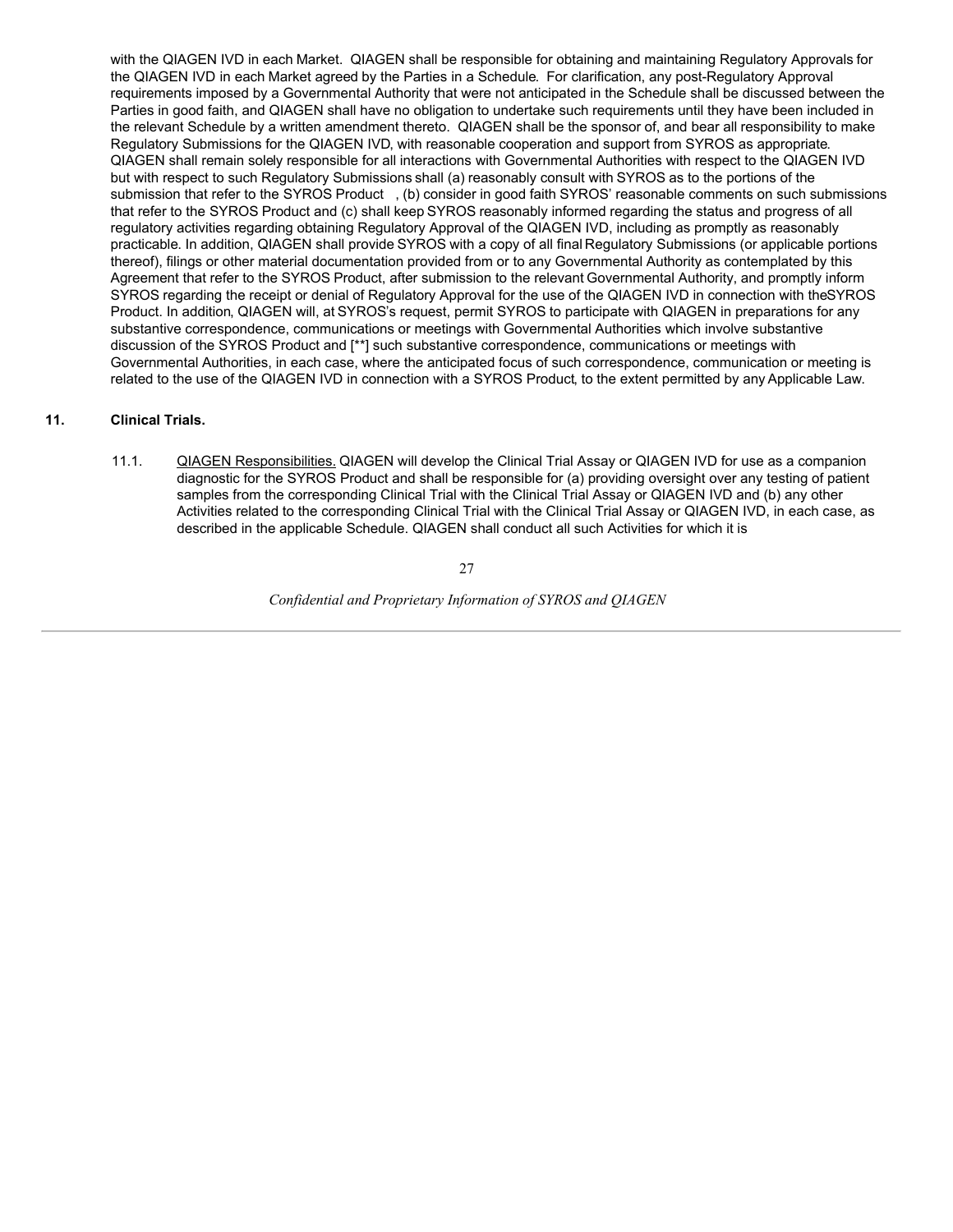with the QIAGEN IVD in each Market. QIAGEN shall be responsible for obtaining and maintaining Regulatory Approvals for the QIAGEN IVD in each Market agreed by the Parties in a Schedule. For clarification, any post-Regulatory Approval requirements imposed by a Governmental Authority that were not anticipated in the Schedule shall be discussed between the Parties in good faith, and QIAGEN shall have no obligation to undertake such requirements until they have been included in the relevant Schedule by a written amendment thereto. QIAGEN shall be the sponsor of, and bear all responsibility to make Regulatory Submissions for the QIAGEN IVD, with reasonable cooperation and support from SYROS as appropriate. QIAGEN shall remain solely responsible for all interactions with Governmental Authorities with respect to the QIAGEN IVD but with respect to such Regulatory Submissions shall (a) reasonably consult with SYROS as to the portions of the submission that refer to the SYROS Product , (b) consider in good faith SYROS' reasonable comments on such submissions that refer to the SYROS Product and (c) shall keep SYROS reasonably informed regarding the status and progress of all regulatory activities regarding obtaining Regulatory Approval of the QIAGEN IVD, including as promptly as reasonably practicable. In addition, QIAGEN shall provide SYROS with a copy of all final Regulatory Submissions (or applicable portions thereof), filings or other material documentation provided from or to any Governmental Authority as contemplated by this Agreement that refer to the SYROS Product, after submission to the relevant Governmental Authority, and promptly inform SYROS regarding the receipt or denial of Regulatory Approval for the use of the QIAGEN IVD in connection with theSYROS Product. In addition, QIAGEN will, at SYROS's request, permit SYROS to participate with QIAGEN in preparations for any substantive correspondence, communications or meetings with Governmental Authorities which involve substantive discussion of the SYROS Product and [\*\*] such substantive correspondence, communications or meetings with Governmental Authorities, in each case, where the anticipated focus of such correspondence, communication or meeting is related to the use of the QIAGEN IVD in connection with a SYROS Product, to the extent permitted by any Applicable Law.

## **11. Clinical Trials.**

11.1. QIAGEN Responsibilities. QIAGEN will develop the Clinical Trial Assay or QIAGEN IVD for use as a companion diagnostic for the SYROS Product and shall be responsible for (a) providing oversight over any testing of patient samples from the corresponding Clinical Trial with the Clinical Trial Assay or QIAGEN IVD and (b) any other Activities related to the corresponding Clinical Trial with the Clinical Trial Assay or QIAGEN IVD, in each case, as described in the applicable Schedule. QIAGEN shall conduct all such Activities for which it is

27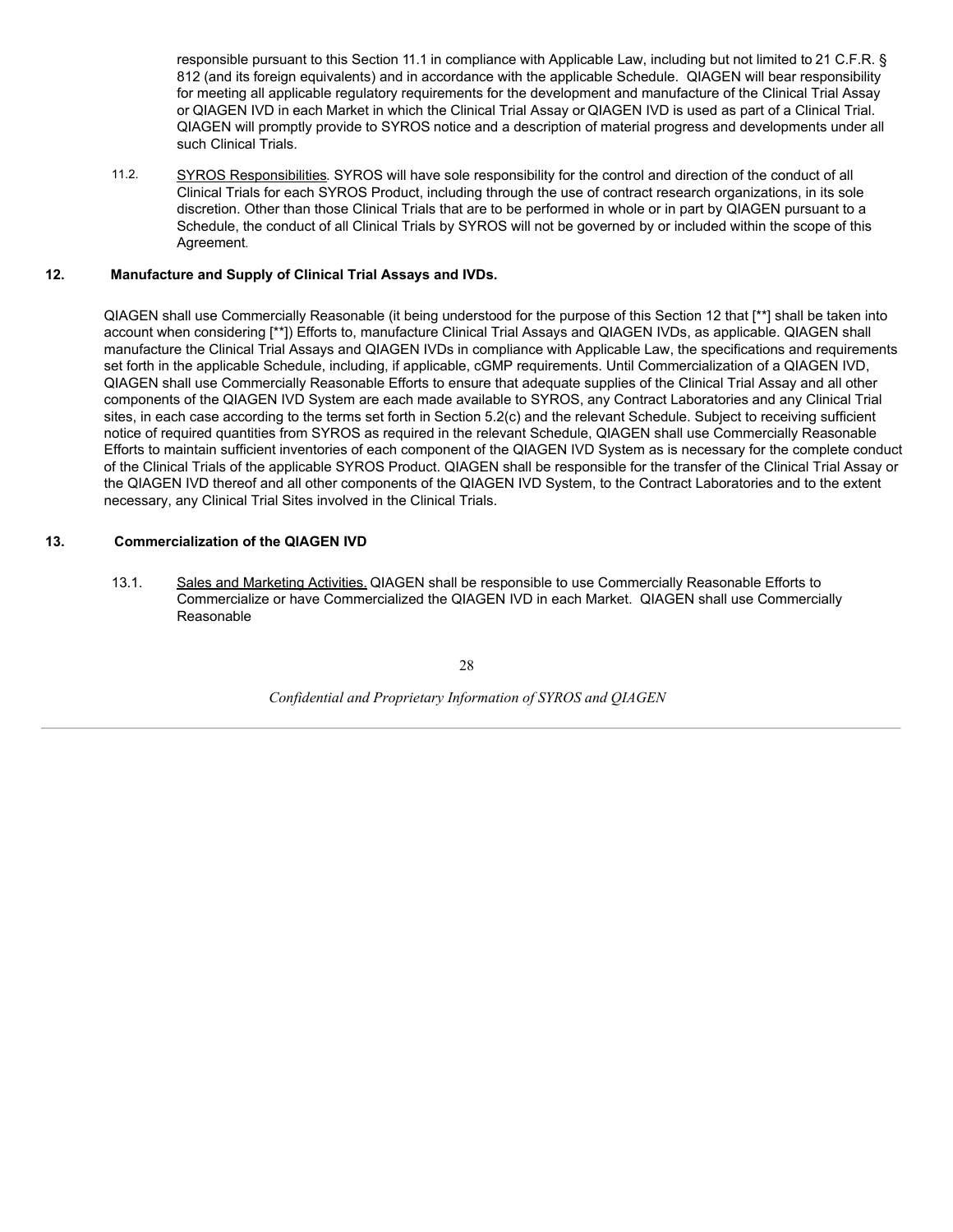responsible pursuant to this Section 11.1 in compliance with Applicable Law, including but not limited to 21 C.F.R. § 812 (and its foreign equivalents) and in accordance with the applicable Schedule. QIAGEN will bear responsibility for meeting all applicable regulatory requirements for the development and manufacture of the Clinical Trial Assay or QIAGEN IVD in each Market in which the Clinical Trial Assay or QIAGEN IVD is used as part of a Clinical Trial. QIAGEN will promptly provide to SYROS notice and a description of material progress and developments under all such Clinical Trials.

11.2. SYROS Responsibilities. SYROS will have sole responsibility for the control and direction of the conduct of all Clinical Trials for each SYROS Product, including through the use of contract research organizations, in its sole discretion. Other than those Clinical Trials that are to be performed in whole or in part by QIAGEN pursuant to a Schedule, the conduct of all Clinical Trials by SYROS will not be governed by or included within the scope of this Agreement.

## **12. Manufacture and Supply of Clinical Trial Assays and IVDs.**

QIAGEN shall use Commercially Reasonable (it being understood for the purpose of this Section 12 that [\*\*] shall be taken into account when considering [\*\*]) Efforts to, manufacture Clinical Trial Assays and QIAGEN IVDs, as applicable. QIAGEN shall manufacture the Clinical Trial Assays and QIAGEN IVDs in compliance with Applicable Law, the specifications and requirements set forth in the applicable Schedule, including, if applicable, cGMP requirements. Until Commercialization of a QIAGEN IVD, QIAGEN shall use Commercially Reasonable Efforts to ensure that adequate supplies of the Clinical Trial Assay and all other components of the QIAGEN IVD System are each made available to SYROS, any Contract Laboratories and any Clinical Trial sites, in each case according to the terms set forth in Section 5.2(c) and the relevant Schedule. Subject to receiving sufficient notice of required quantities from SYROS as required in the relevant Schedule, QIAGEN shall use Commercially Reasonable Efforts to maintain sufficient inventories of each component of the QIAGEN IVD System as is necessary for the complete conduct of the Clinical Trials of the applicable SYROS Product. QIAGEN shall be responsible for the transfer of the Clinical Trial Assay or the QIAGEN IVD thereof and all other components of the QIAGEN IVD System, to the Contract Laboratories and to the extent necessary, any Clinical Trial Sites involved in the Clinical Trials.

#### **13. Commercialization of the QIAGEN IVD**

13.1. Sales and Marketing Activities. QIAGEN shall be responsible to use Commercially Reasonable Efforts to Commercialize or have Commercialized the QIAGEN IVD in each Market. QIAGEN shall use Commercially Reasonable

28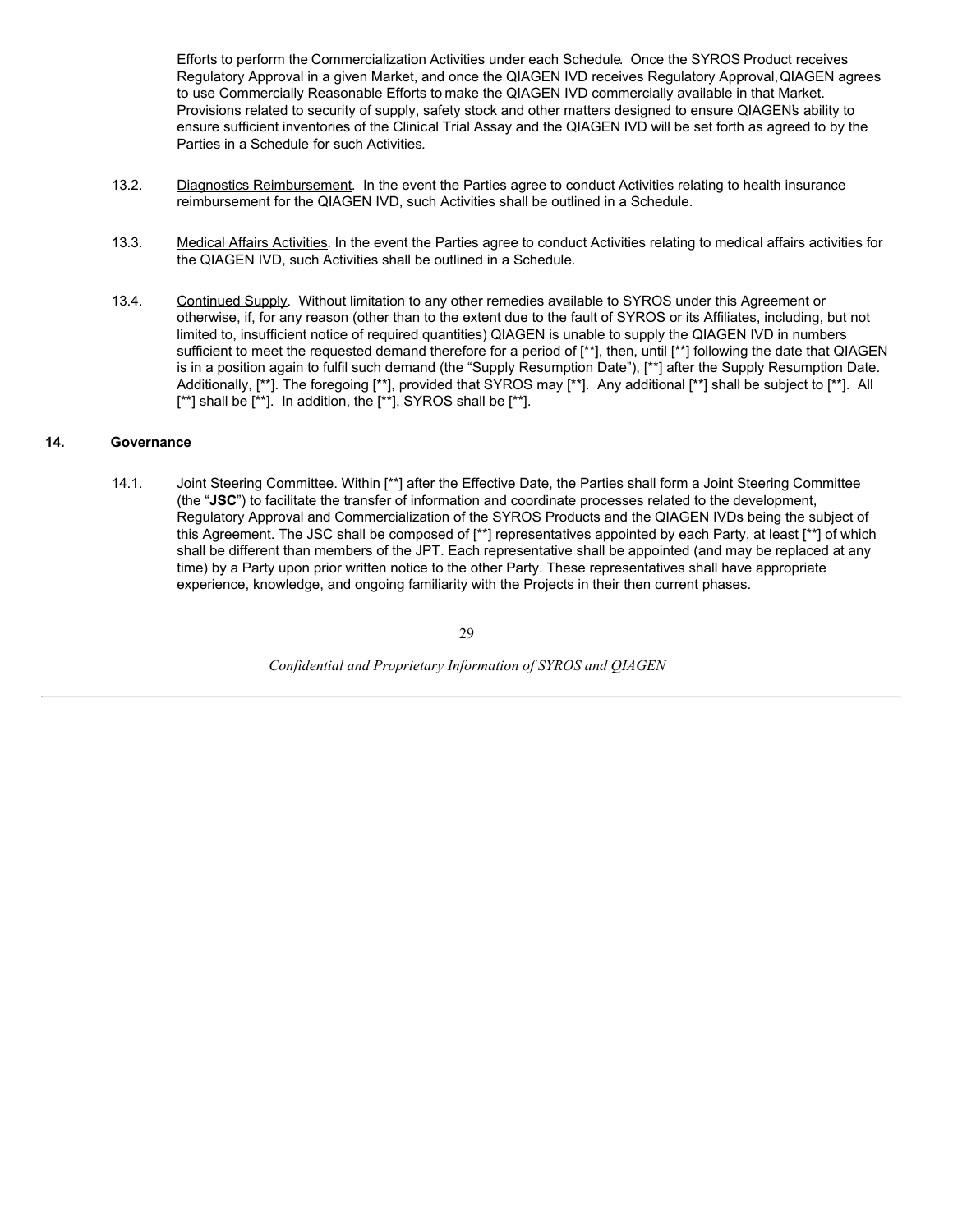Efforts to perform the Commercialization Activities under each Schedule. Once the SYROS Product receives Regulatory Approval in a given Market, and once the QIAGEN IVD receives Regulatory Approval, QIAGEN agrees to use Commercially Reasonable Efforts to make the QIAGEN IVD commercially available in that Market. Provisions related to security of supply, safety stock and other matters designed to ensure QIAGEN's ability to ensure sufficient inventories of the Clinical Trial Assay and the QIAGEN IVD will be set forth as agreed to by the Parties in a Schedule for such Activities.

- 13.2. Diagnostics Reimbursement. In the event the Parties agree to conduct Activities relating to health insurance reimbursement for the QIAGEN IVD, such Activities shall be outlined in a Schedule.
- 13.3. Medical Affairs Activities. In the event the Parties agree to conduct Activities relating to medical affairs activities for the QIAGEN IVD, such Activities shall be outlined in a Schedule.
- 13.4. Continued Supply. Without limitation to any other remedies available to SYROS under this Agreement or otherwise, if, for any reason (other than to the extent due to the fault of SYROS or its Affiliates, including, but not limited to, insufficient notice of required quantities) QIAGEN is unable to supply the QIAGEN IVD in numbers sufficient to meet the requested demand therefore for a period of [\*\*], then, until [\*\*] following the date that QIAGEN is in a position again to fulfil such demand (the "Supply Resumption Date"), [\*\*] after the Supply Resumption Date. Additionally, [\*\*]. The foregoing [\*\*], provided that SYROS may [\*\*]. Any additional [\*\*] shall be subject to [\*\*]. All  $[$ <sup>\*\*</sup>] shall be  $[$ <sup>\*\*</sup>]. In addition, the  $[$ <sup>\*\*</sup>], SYROS shall be  $[$ <sup>\*\*</sup>].

#### **14. Governance**

14.1. Joint Steering Committee. Within [\*\*] after the Effective Date, the Parties shall form a Joint Steering Committee (the "**JSC**") to facilitate the transfer of information and coordinate processes related to the development, Regulatory Approval and Commercialization of the SYROS Products and the QIAGEN IVDs being the subject of this Agreement. The JSC shall be composed of [\*\*] representatives appointed by each Party, at least [\*\*] of which shall be different than members of the JPT. Each representative shall be appointed (and may be replaced at any time) by a Party upon prior written notice to the other Party. These representatives shall have appropriate experience, knowledge, and ongoing familiarity with the Projects in their then current phases.

29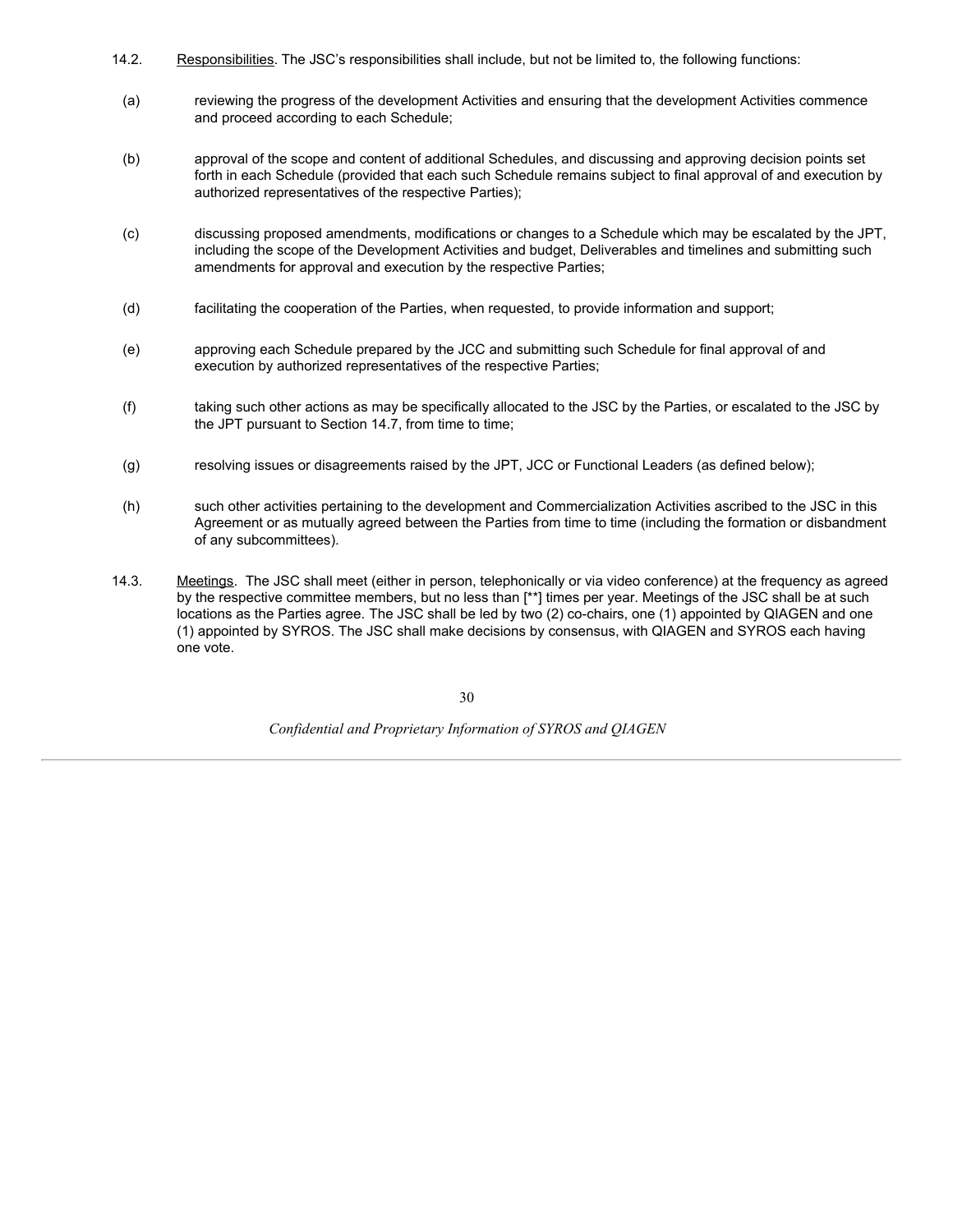- 14.2. Responsibilities. The JSC's responsibilities shall include, but not be limited to, the following functions:
- (a) reviewing the progress of the development Activities and ensuring that the development Activities commence and proceed according to each Schedule;
- (b) approval of the scope and content of additional Schedules, and discussing and approving decision points set forth in each Schedule (provided that each such Schedule remains subject to final approval of and execution by authorized representatives of the respective Parties);
- (c) discussing proposed amendments, modifications or changes to a Schedule which may be escalated by the JPT, including the scope of the Development Activities and budget, Deliverables and timelines and submitting such amendments for approval and execution by the respective Parties;
- (d) facilitating the cooperation of the Parties, when requested, to provide information and support;
- (e) approving each Schedule prepared by the JCC and submitting such Schedule for final approval of and execution by authorized representatives of the respective Parties;
- (f) taking such other actions as may be specifically allocated to the JSC by the Parties, or escalated to the JSC by the JPT pursuant to Section 14.7, from time to time;
- (g) resolving issues or disagreements raised by the JPT, JCC or Functional Leaders (as defined below);
- (h) such other activities pertaining to the development and Commercialization Activities ascribed to the JSC in this Agreement or as mutually agreed between the Parties from time to time (including the formation or disbandment of any subcommittees).
- 14.3. Meetings. The JSC shall meet (either in person, telephonically or via video conference) at the frequency as agreed by the respective committee members, but no less than [<sup>\*\*</sup>] times per year. Meetings of the JSC shall be at such locations as the Parties agree. The JSC shall be led by two (2) co-chairs, one (1) appointed by QIAGEN and one (1) appointed by SYROS. The JSC shall make decisions by consensus, with QIAGEN and SYROS each having one vote.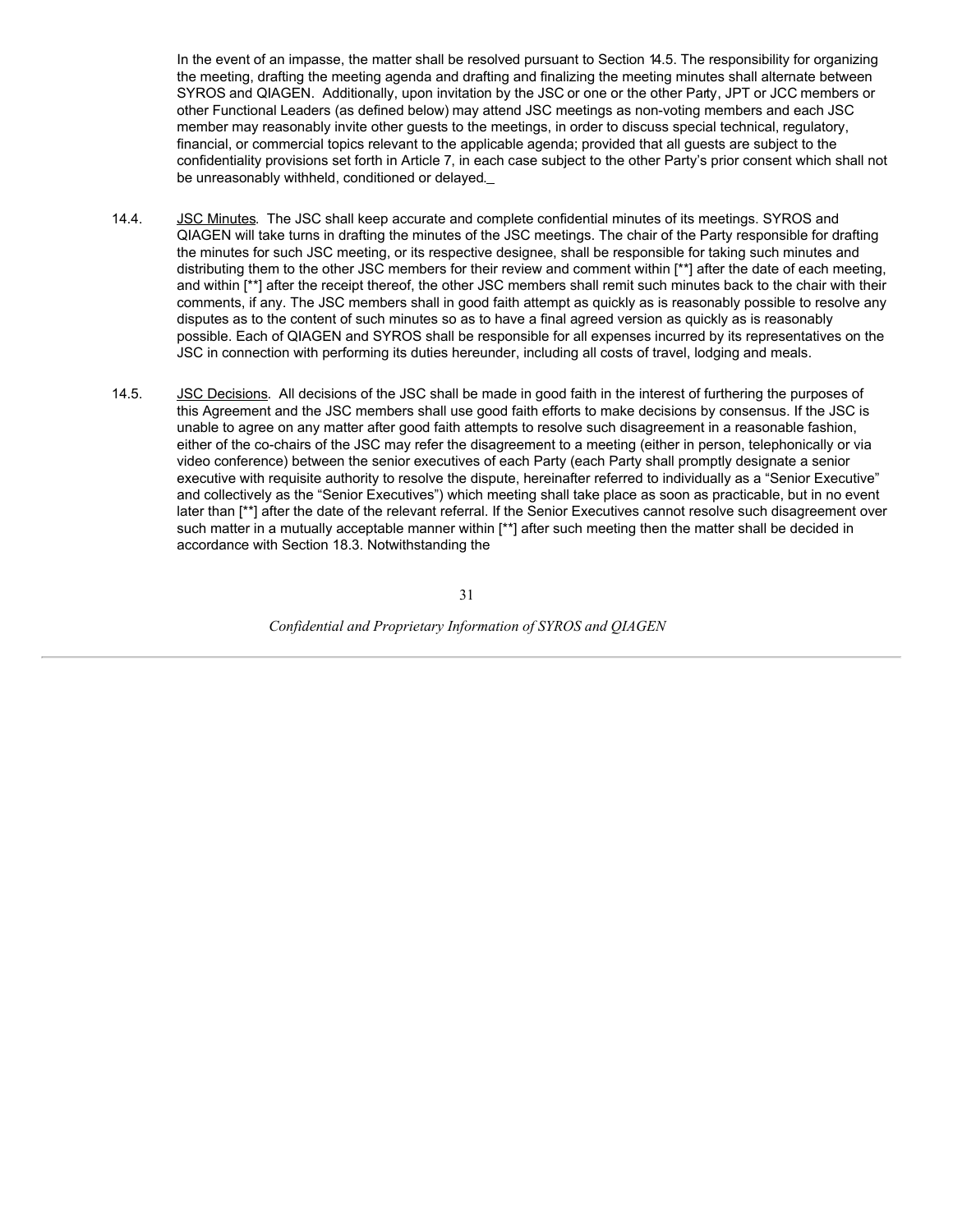In the event of an impasse, the matter shall be resolved pursuant to Section 14.5. The responsibility for organizing the meeting, drafting the meeting agenda and drafting and finalizing the meeting minutes shall alternate between SYROS and QIAGEN. Additionally, upon invitation by the JSC or one or the other Party, JPT or JCC members or other Functional Leaders (as defined below) may attend JSC meetings as non-voting members and each JSC member may reasonably invite other guests to the meetings, in order to discuss special technical, regulatory, financial, or commercial topics relevant to the applicable agenda; provided that all guests are subject to the confidentiality provisions set forth in Article 7, in each case subject to the other Party's prior consent which shall not be unreasonably withheld, conditioned or delayed.

- 14.4. JSC Minutes. The JSC shall keep accurate and complete confidential minutes of its meetings. SYROS and QIAGEN will take turns in drafting the minutes of the JSC meetings. The chair of the Party responsible for drafting the minutes for such JSC meeting, or its respective designee, shall be responsible for taking such minutes and distributing them to the other JSC members for their review and comment within [\*\*] after the date of each meeting, and within [\*\*] after the receipt thereof, the other JSC members shall remit such minutes back to the chair with their comments, if any. The JSC members shall in good faith attempt as quickly as is reasonably possible to resolve any disputes as to the content of such minutes so as to have a final agreed version as quickly as is reasonably possible. Each of QIAGEN and SYROS shall be responsible for all expenses incurred by its representatives on the JSC in connection with performing its duties hereunder, including all costs of travel, lodging and meals.
- 14.5. JSC Decisions. All decisions of the JSC shall be made in good faith in the interest of furthering the purposes of this Agreement and the JSC members shall use good faith efforts to make decisions by consensus. If the JSC is unable to agree on any matter after good faith attempts to resolve such disagreement in a reasonable fashion, either of the co-chairs of the JSC may refer the disagreement to a meeting (either in person, telephonically or via video conference) between the senior executives of each Party (each Party shall promptly designate a senior executive with requisite authority to resolve the dispute, hereinafter referred to individually as a "Senior Executive" and collectively as the "Senior Executives") which meeting shall take place as soon as practicable, but in no event later than [\*\*] after the date of the relevant referral. If the Senior Executives cannot resolve such disagreement over such matter in a mutually acceptable manner within [\*\*] after such meeting then the matter shall be decided in accordance with Section 18.3. Notwithstanding the

31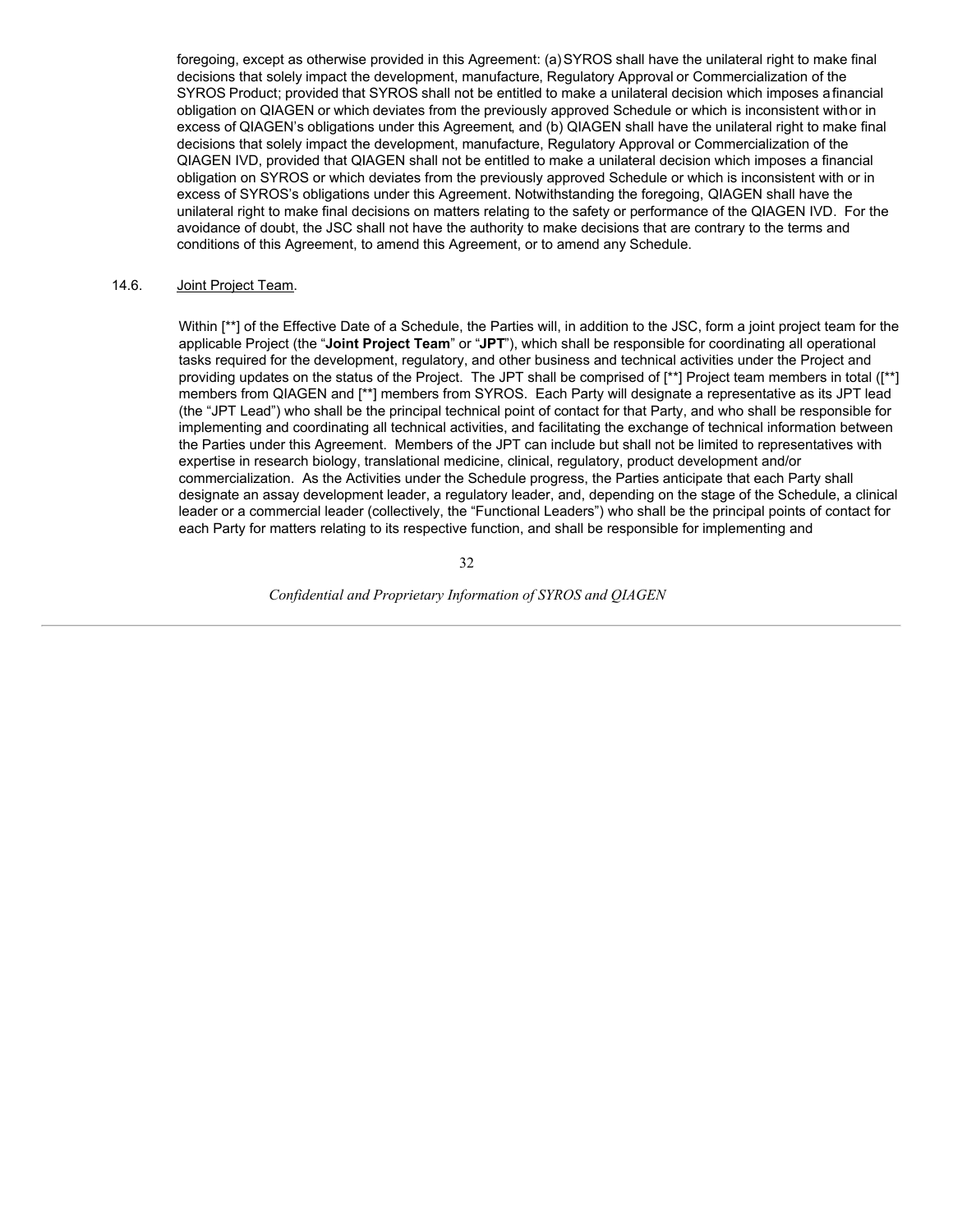foregoing, except as otherwise provided in this Agreement: (a)SYROS shall have the unilateral right to make final decisions that solely impact the development, manufacture, Regulatory Approval or Commercialization of the SYROS Product; provided that SYROS shall not be entitled to make a unilateral decision which imposes a financial obligation on QIAGEN or which deviates from the previously approved Schedule or which is inconsistent withor in excess of QIAGEN's obligations under this Agreement, and (b) QIAGEN shall have the unilateral right to make final decisions that solely impact the development, manufacture, Regulatory Approval or Commercialization of the QIAGEN IVD, provided that QIAGEN shall not be entitled to make a unilateral decision which imposes a financial obligation on SYROS or which deviates from the previously approved Schedule or which is inconsistent with or in excess of SYROS's obligations under this Agreement. Notwithstanding the foregoing, QIAGEN shall have the unilateral right to make final decisions on matters relating to the safety or performance of the QIAGEN IVD. For the avoidance of doubt, the JSC shall not have the authority to make decisions that are contrary to the terms and conditions of this Agreement, to amend this Agreement, or to amend any Schedule.

#### 14.6. Joint Project Team.

Within [\*\*] of the Effective Date of a Schedule, the Parties will, in addition to the JSC, form a joint project team for the applicable Project (the "**Joint Project Team**" or "**JPT**"), which shall be responsible for coordinating all operational tasks required for the development, regulatory, and other business and technical activities under the Project and providing updates on the status of the Project. The JPT shall be comprised of [\*\*] Project team members in total ([\*\*] members from QIAGEN and [\*\*] members from SYROS. Each Party will designate a representative as its JPT lead (the "JPT Lead") who shall be the principal technical point of contact for that Party, and who shall be responsible for implementing and coordinating all technical activities, and facilitating the exchange of technical information between the Parties under this Agreement. Members of the JPT can include but shall not be limited to representatives with expertise in research biology, translational medicine, clinical, regulatory, product development and/or commercialization. As the Activities under the Schedule progress, the Parties anticipate that each Party shall designate an assay development leader, a regulatory leader, and, depending on the stage of the Schedule, a clinical leader or a commercial leader (collectively, the "Functional Leaders") who shall be the principal points of contact for each Party for matters relating to its respective function, and shall be responsible for implementing and

32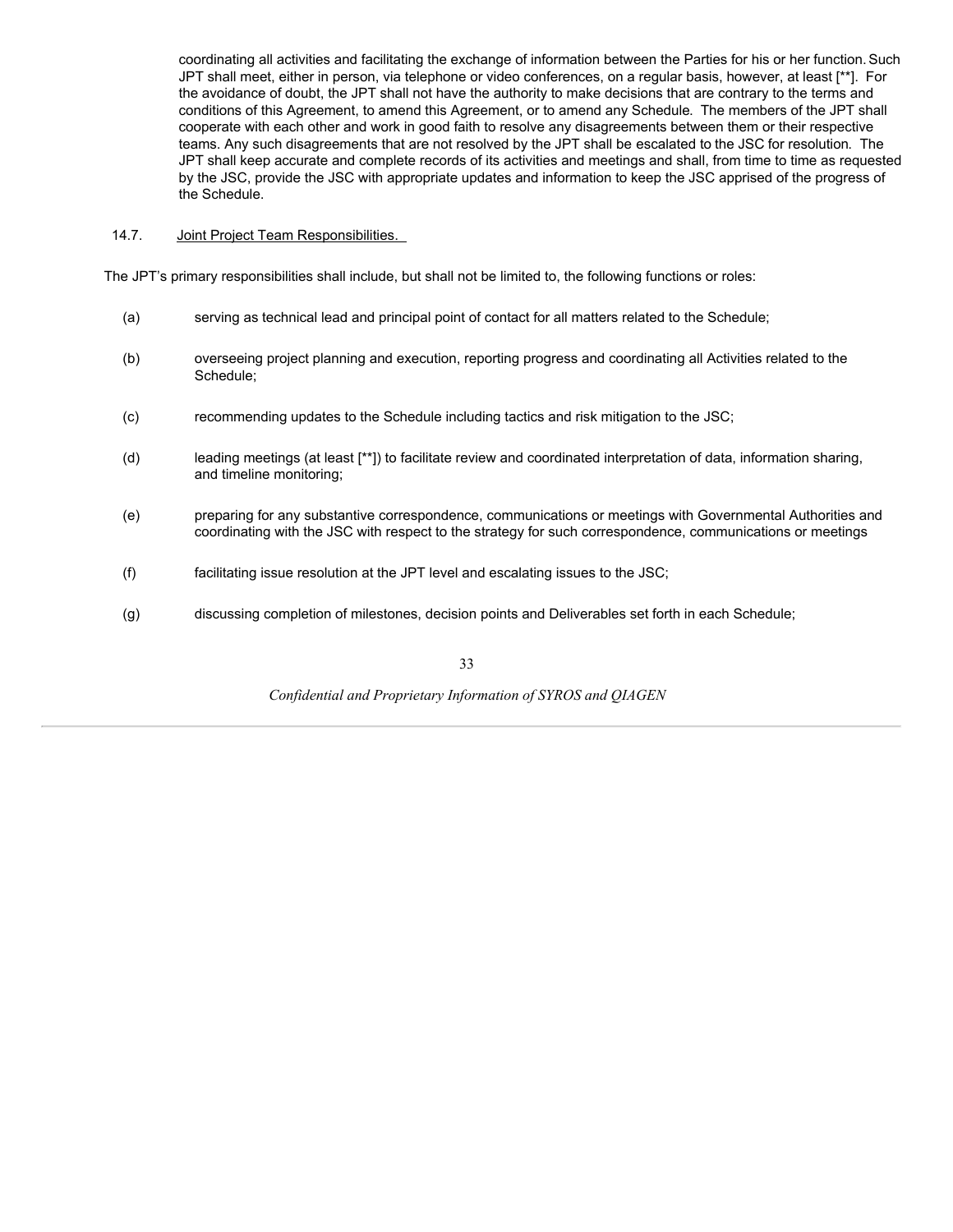coordinating all activities and facilitating the exchange of information between the Parties for his or her function.Such JPT shall meet, either in person, via telephone or video conferences, on a regular basis, however, at least [\*\*]. For the avoidance of doubt, the JPT shall not have the authority to make decisions that are contrary to the terms and conditions of this Agreement, to amend this Agreement, or to amend any Schedule. The members of the JPT shall cooperate with each other and work in good faith to resolve any disagreements between them or their respective teams. Any such disagreements that are not resolved by the JPT shall be escalated to the JSC for resolution. The JPT shall keep accurate and complete records of its activities and meetings and shall, from time to time as requested by the JSC, provide the JSC with appropriate updates and information to keep the JSC apprised of the progress of the Schedule.

#### 14.7. Joint Project Team Responsibilities.

The JPT's primary responsibilities shall include, but shall not be limited to, the following functions or roles:

- (a) serving as technical lead and principal point of contact for all matters related to the Schedule;
- (b) overseeing project planning and execution, reporting progress and coordinating all Activities related to the Schedule;
- (c) recommending updates to the Schedule including tactics and risk mitigation to the JSC;
- (d) leading meetings (at least [\*\*]) to facilitate review and coordinated interpretation of data, information sharing, and timeline monitoring;
- (e) preparing for any substantive correspondence, communications or meetings with Governmental Authorities and coordinating with the JSC with respect to the strategy for such correspondence, communications or meetings
- (f) facilitating issue resolution at the JPT level and escalating issues to the JSC;
- (g) discussing completion of milestones, decision points and Deliverables set forth in each Schedule;

## 33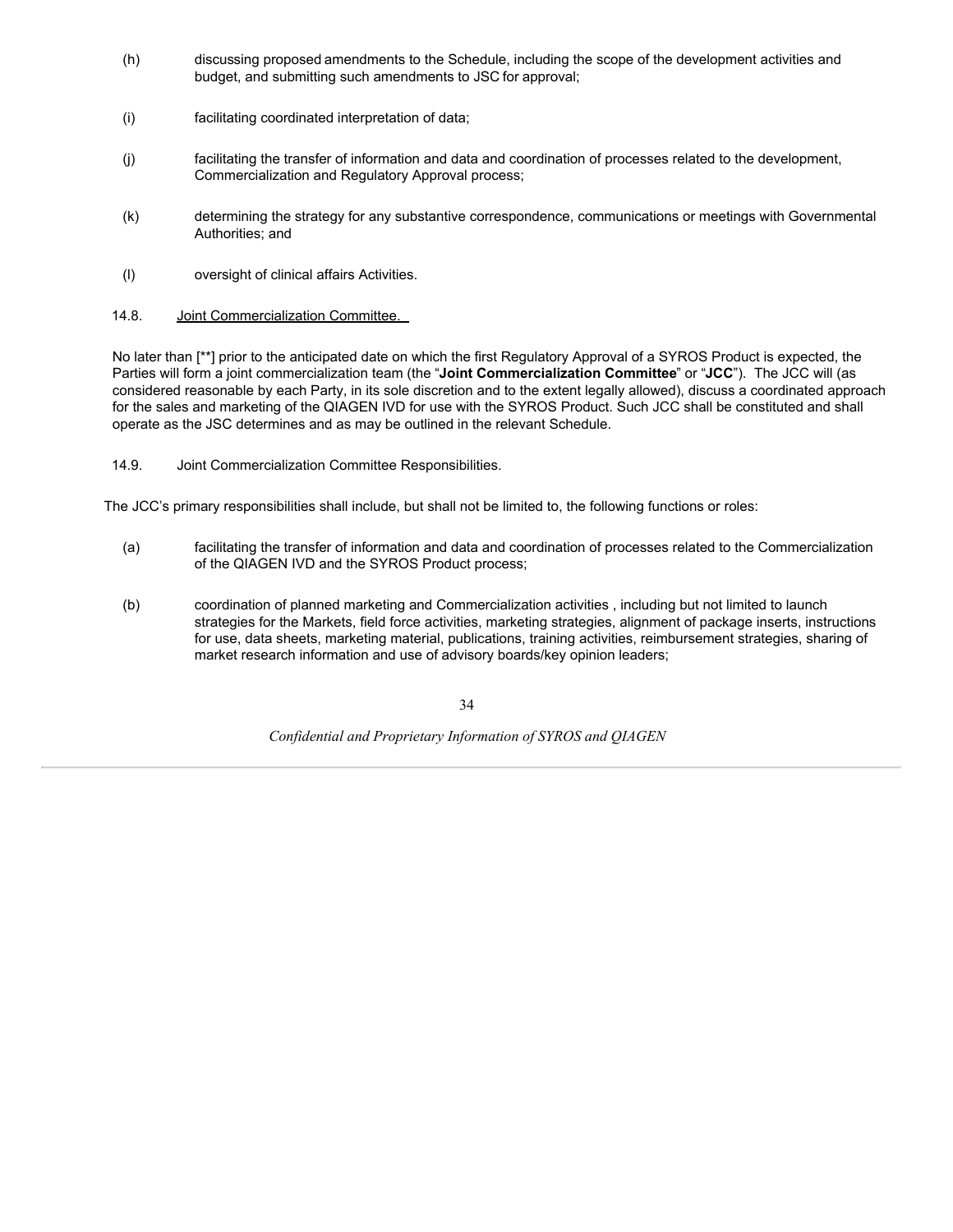- (h) discussing proposed amendments to the Schedule, including the scope of the development activities and budget, and submitting such amendments to JSC for approval;
- (i) facilitating coordinated interpretation of data;
- (j) facilitating the transfer of information and data and coordination of processes related to the development, Commercialization and Regulatory Approval process;
- (k) determining the strategy for any substantive correspondence, communications or meetings with Governmental Authorities; and
- (l) oversight of clinical affairs Activities.
- 14.8. Joint Commercialization Committee.

No later than [<sup>\*\*</sup>] prior to the anticipated date on which the first Regulatory Approval of a SYROS Product is expected, the Parties will form a joint commercialization team (the "**Joint Commercialization Committee**" or "**JCC**"). The JCC will (as considered reasonable by each Party, in its sole discretion and to the extent legally allowed), discuss a coordinated approach for the sales and marketing of the QIAGEN IVD for use with the SYROS Product. Such JCC shall be constituted and shall operate as the JSC determines and as may be outlined in the relevant Schedule.

14.9. Joint Commercialization Committee Responsibilities.

The JCC's primary responsibilities shall include, but shall not be limited to, the following functions or roles:

- (a) facilitating the transfer of information and data and coordination of processes related to the Commercialization of the QIAGEN IVD and the SYROS Product process;
- (b) coordination of planned marketing and Commercialization activities , including but not limited to launch strategies for the Markets, field force activities, marketing strategies, alignment of package inserts, instructions for use, data sheets, marketing material, publications, training activities, reimbursement strategies, sharing of market research information and use of advisory boards/key opinion leaders;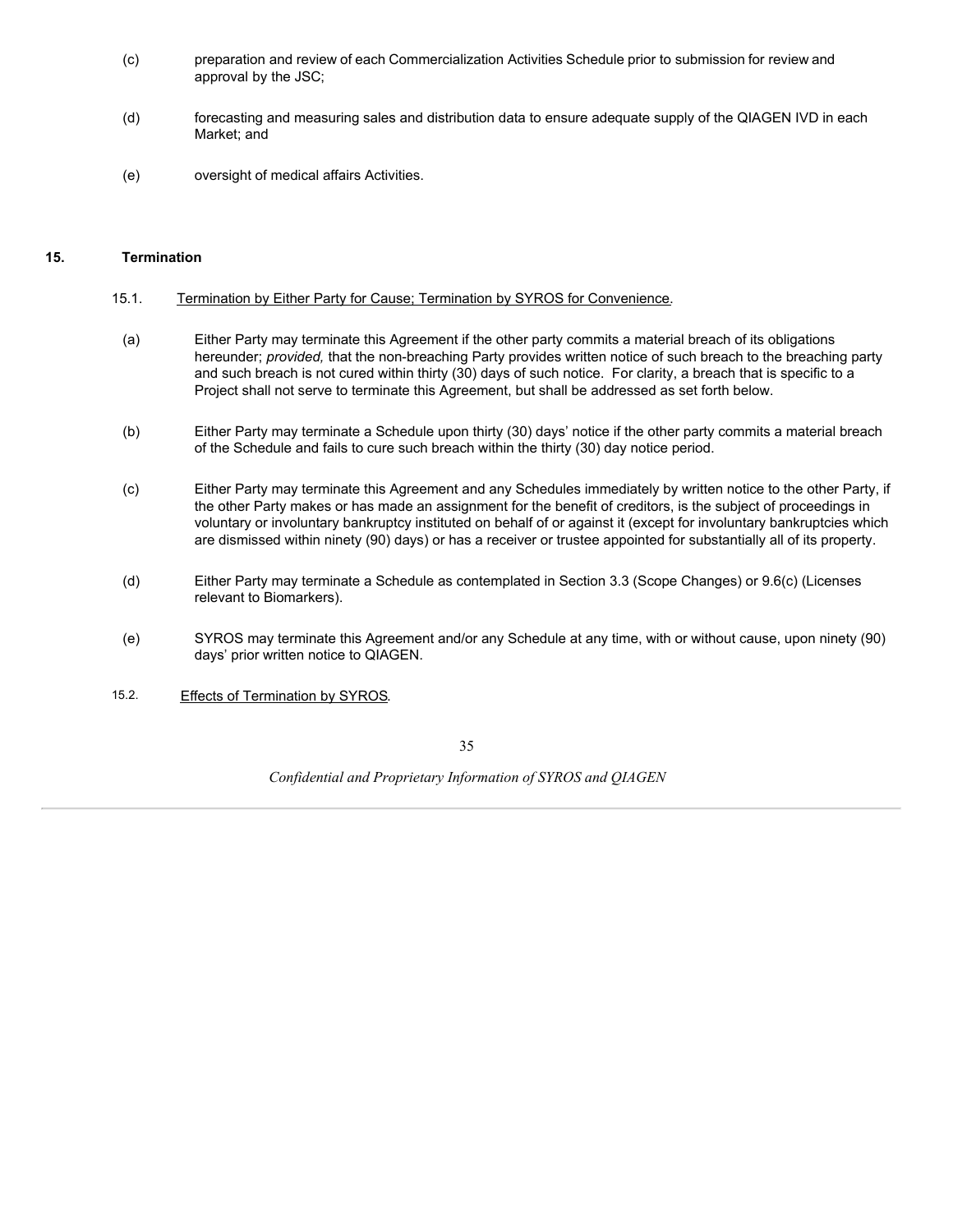- (c) preparation and review of each Commercialization Activities Schedule prior to submission for review and approval by the JSC;
- (d) forecasting and measuring sales and distribution data to ensure adequate supply of the QIAGEN IVD in each Market; and
- (e) oversight of medical affairs Activities.

## **15. Termination**

#### 15.1. Termination by Either Party for Cause; Termination by SYROS for Convenience.

- (a) Either Party may terminate this Agreement if the other party commits a material breach of its obligations hereunder; *provided,* that the non-breaching Party provides written notice of such breach to the breaching party and such breach is not cured within thirty (30) days of such notice. For clarity, a breach that is specific to a Project shall not serve to terminate this Agreement, but shall be addressed as set forth below.
- (b) Either Party may terminate a Schedule upon thirty (30) days' notice if the other party commits a material breach of the Schedule and fails to cure such breach within the thirty (30) day notice period.
- (c) Either Party may terminate this Agreement and any Schedules immediately by written notice to the other Party, if the other Party makes or has made an assignment for the benefit of creditors, is the subject of proceedings in voluntary or involuntary bankruptcy instituted on behalf of or against it (except for involuntary bankruptcies which are dismissed within ninety (90) days) or has a receiver or trustee appointed for substantially all of its property.
- (d) Either Party may terminate a Schedule as contemplated in Section 3.3 (Scope Changes) or 9.6(c) (Licenses relevant to Biomarkers).
- (e) SYROS may terminate this Agreement and/or any Schedule at any time, with or without cause, upon ninety (90) days' prior written notice to QIAGEN.
- 15.2. Effects of Termination by SYROS.

35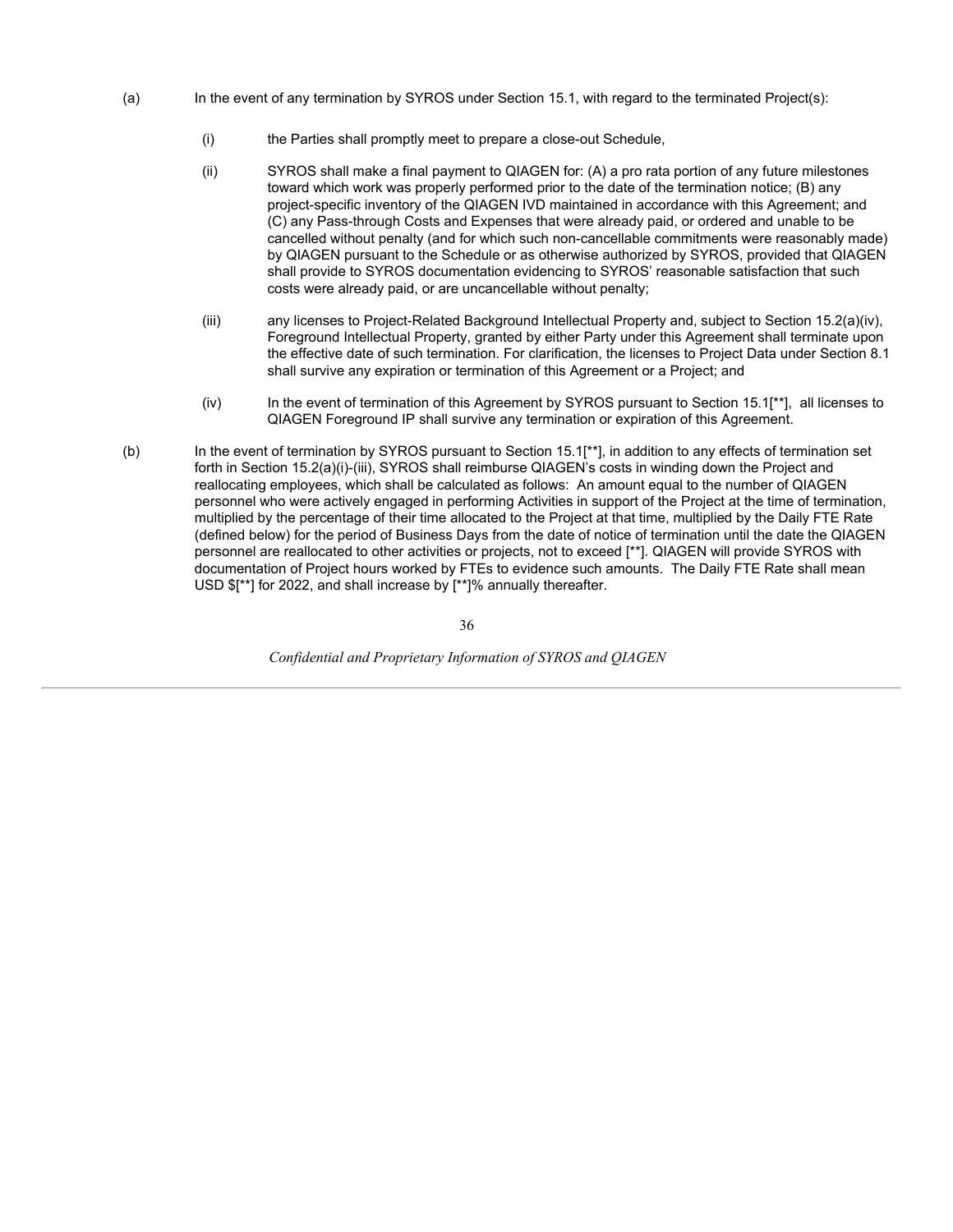- (a) In the event of any termination by SYROS under Section 15.1, with regard to the terminated Project(s):
	- (i) the Parties shall promptly meet to prepare a close-out Schedule,
	- (ii) SYROS shall make a final payment to QIAGEN for: (A) a pro rata portion of any future milestones toward which work was properly performed prior to the date of the termination notice; (B) any project-specific inventory of the QIAGEN IVD maintained in accordance with this Agreement; and (C) any Pass-through Costs and Expenses that were already paid, or ordered and unable to be cancelled without penalty (and for which such non-cancellable commitments were reasonably made) by QIAGEN pursuant to the Schedule or as otherwise authorized by SYROS, provided that QIAGEN shall provide to SYROS documentation evidencing to SYROS' reasonable satisfaction that such costs were already paid, or are uncancellable without penalty;
	- (iii) any licenses to Project-Related Background Intellectual Property and, subject to Section 15.2(a)(iv), Foreground Intellectual Property, granted by either Party under this Agreement shall terminate upon the effective date of such termination. For clarification, the licenses to Project Data under Section 8.1 shall survive any expiration or termination of this Agreement or a Project; and
	- (iv) In the event of termination of this Agreement by SYROS pursuant to Section 15.1[\*\*], all licenses to QIAGEN Foreground IP shall survive any termination or expiration of this Agreement.
- (b) In the event of termination by SYROS pursuant to Section 15.1[\*\*], in addition to any effects of termination set forth in Section 15.2(a)(i)-(iii), SYROS shall reimburse QIAGEN's costs in winding down the Project and reallocating employees, which shall be calculated as follows: An amount equal to the number of QIAGEN personnel who were actively engaged in performing Activities in support of the Project at the time of termination, multiplied by the percentage of their time allocated to the Project at that time, multiplied by the Daily FTE Rate (defined below) for the period of Business Days from the date of notice of termination until the date the QIAGEN personnel are reallocated to other activities or projects, not to exceed [\*\*]. QIAGEN will provide SYROS with documentation of Project hours worked by FTEs to evidence such amounts. The Daily FTE Rate shall mean USD \$[\*\*] for 2022, and shall increase by [\*\*]% annually thereafter.

36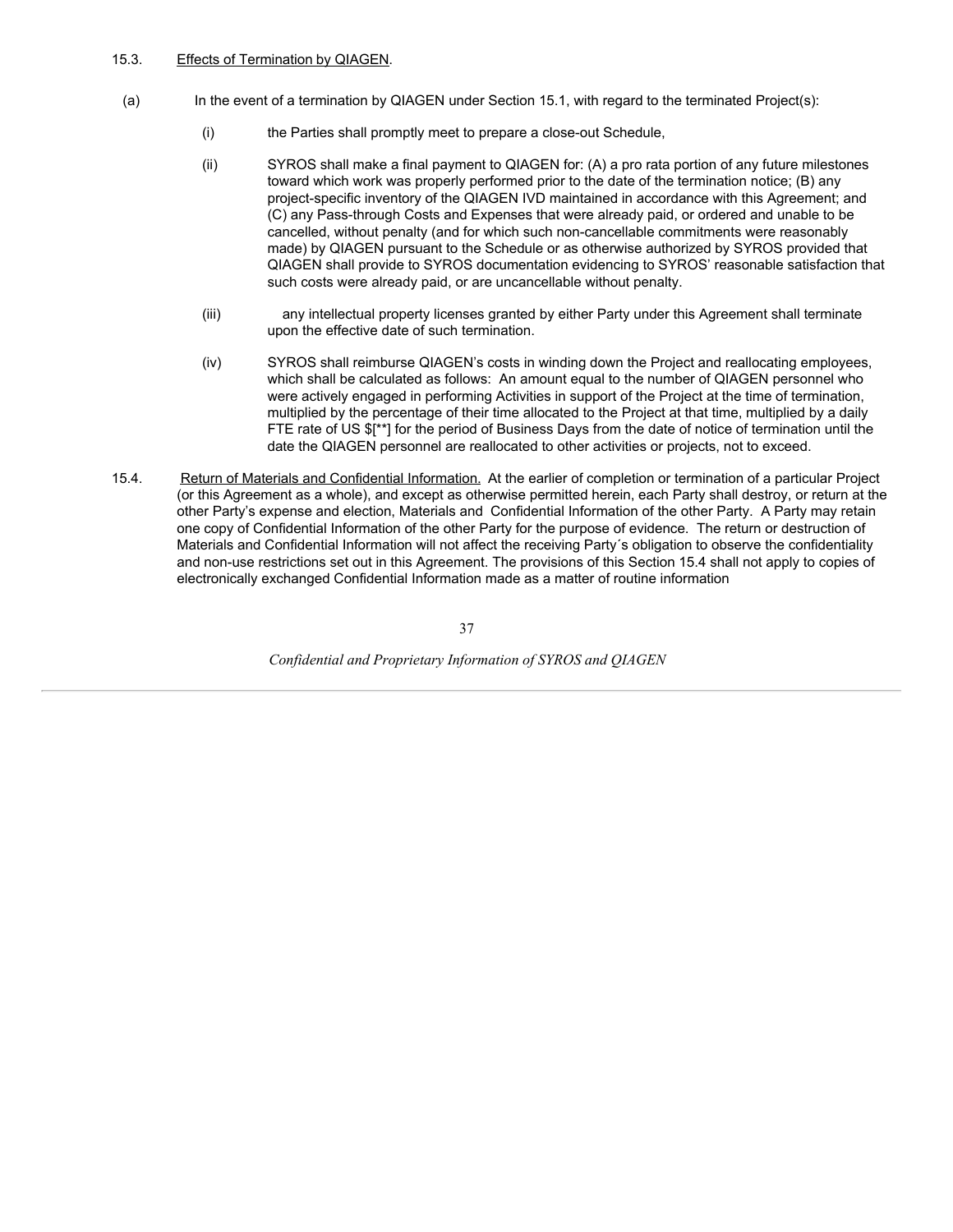### 15.3. Effects of Termination by QIAGEN.

- (a) In the event of a termination by QIAGEN under Section 15.1, with regard to the terminated Project(s):
	- (i) the Parties shall promptly meet to prepare a close-out Schedule,
	- (ii) SYROS shall make a final payment to QIAGEN for: (A) a pro rata portion of any future milestones toward which work was properly performed prior to the date of the termination notice; (B) any project-specific inventory of the QIAGEN IVD maintained in accordance with this Agreement; and (C) any Pass-through Costs and Expenses that were already paid, or ordered and unable to be cancelled, without penalty (and for which such non-cancellable commitments were reasonably made) by QIAGEN pursuant to the Schedule or as otherwise authorized by SYROS provided that QIAGEN shall provide to SYROS documentation evidencing to SYROS' reasonable satisfaction that such costs were already paid, or are uncancellable without penalty.
	- (iii) any intellectual property licenses granted by either Party under this Agreement shall terminate upon the effective date of such termination.
	- (iv) SYROS shall reimburse QIAGEN's costs in winding down the Project and reallocating employees, which shall be calculated as follows: An amount equal to the number of QIAGEN personnel who were actively engaged in performing Activities in support of the Project at the time of termination, multiplied by the percentage of their time allocated to the Project at that time, multiplied by a daily FTE rate of US \$[\*\*] for the period of Business Days from the date of notice of termination until the date the QIAGEN personnel are reallocated to other activities or projects, not to exceed.
- 15.4. Return of Materials and Confidential Information. At the earlier of completion or termination of a particular Project (or this Agreement as a whole), and except as otherwise permitted herein, each Party shall destroy, or return at the other Party's expense and election, Materials and Confidential Information of the other Party. A Party may retain one copy of Confidential Information of the other Party for the purpose of evidence. The return or destruction of Materials and Confidential Information will not affect the receiving Party´s obligation to observe the confidentiality and non-use restrictions set out in this Agreement. The provisions of this Section 15.4 shall not apply to copies of electronically exchanged Confidential Information made as a matter of routine information

37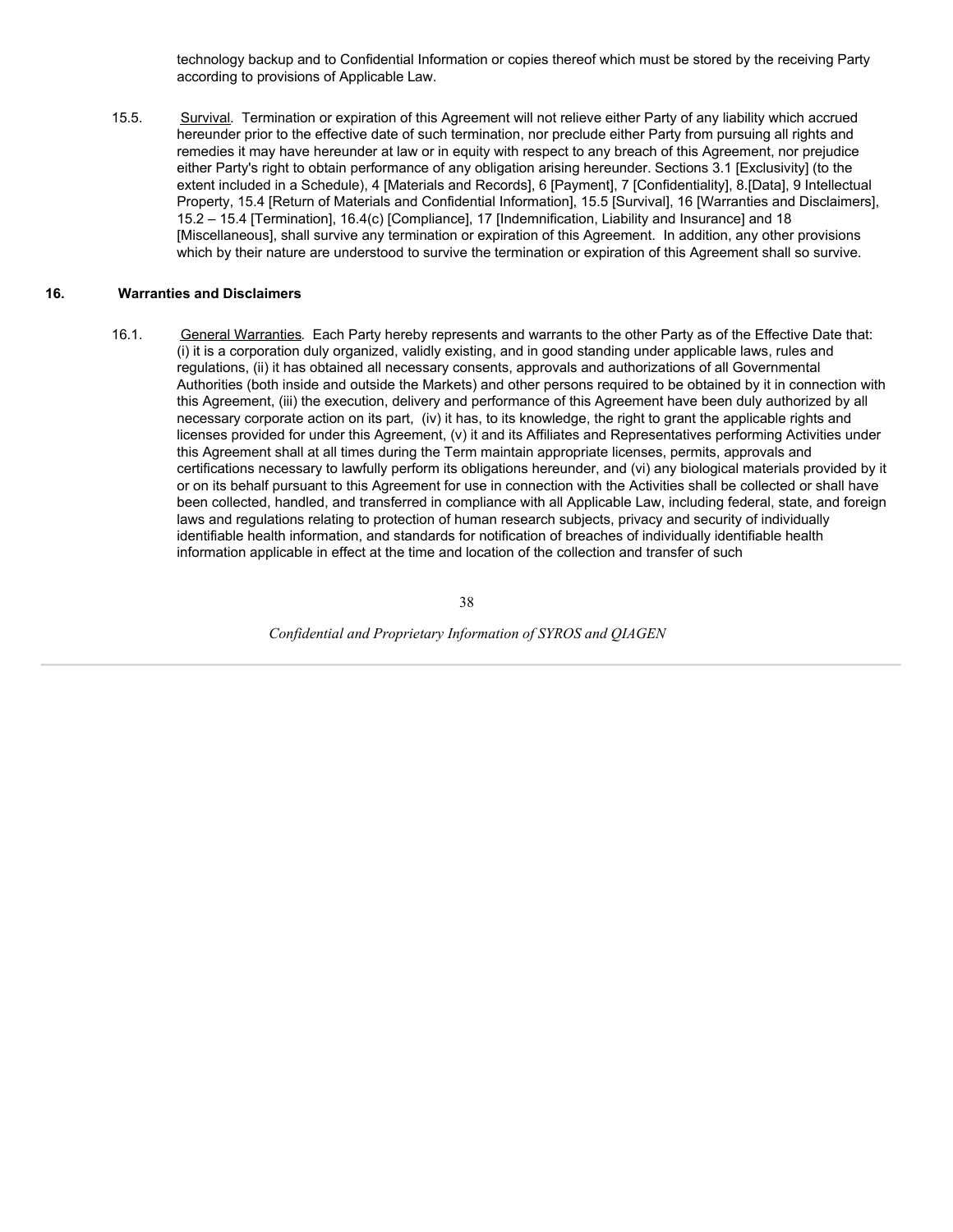technology backup and to Confidential Information or copies thereof which must be stored by the receiving Party according to provisions of Applicable Law.

15.5. Survival. Termination or expiration of this Agreement will not relieve either Party of any liability which accrued hereunder prior to the effective date of such termination, nor preclude either Party from pursuing all rights and remedies it may have hereunder at law or in equity with respect to any breach of this Agreement, nor prejudice either Party's right to obtain performance of any obligation arising hereunder. Sections 3.1 [Exclusivity] (to the extent included in a Schedule), 4 [Materials and Records], 6 [Payment], 7 [Confidentiality], 8.[Data], 9 Intellectual Property, 15.4 [Return of Materials and Confidential Information], 15.5 [Survival], 16 [Warranties and Disclaimers], 15.2 – 15.4 [Termination], 16.4(c) [Compliance], 17 [Indemnification, Liability and Insurance] and 18 [Miscellaneous], shall survive any termination or expiration of this Agreement. In addition, any other provisions which by their nature are understood to survive the termination or expiration of this Agreement shall so survive.

#### **16. Warranties and Disclaimers**

16.1. General Warranties. Each Party hereby represents and warrants to the other Party as of the Effective Date that: (i) it is a corporation duly organized, validly existing, and in good standing under applicable laws, rules and regulations, (ii) it has obtained all necessary consents, approvals and authorizations of all Governmental Authorities (both inside and outside the Markets) and other persons required to be obtained by it in connection with this Agreement, (iii) the execution, delivery and performance of this Agreement have been duly authorized by all necessary corporate action on its part, (iv) it has, to its knowledge, the right to grant the applicable rights and licenses provided for under this Agreement, (v) it and its Affiliates and Representatives performing Activities under this Agreement shall at all times during the Term maintain appropriate licenses, permits, approvals and certifications necessary to lawfully perform its obligations hereunder, and (vi) any biological materials provided by it or on its behalf pursuant to this Agreement for use in connection with the Activities shall be collected or shall have been collected, handled, and transferred in compliance with all Applicable Law, including federal, state, and foreign laws and regulations relating to protection of human research subjects, privacy and security of individually identifiable health information, and standards for notification of breaches of individually identifiable health information applicable in effect at the time and location of the collection and transfer of such

38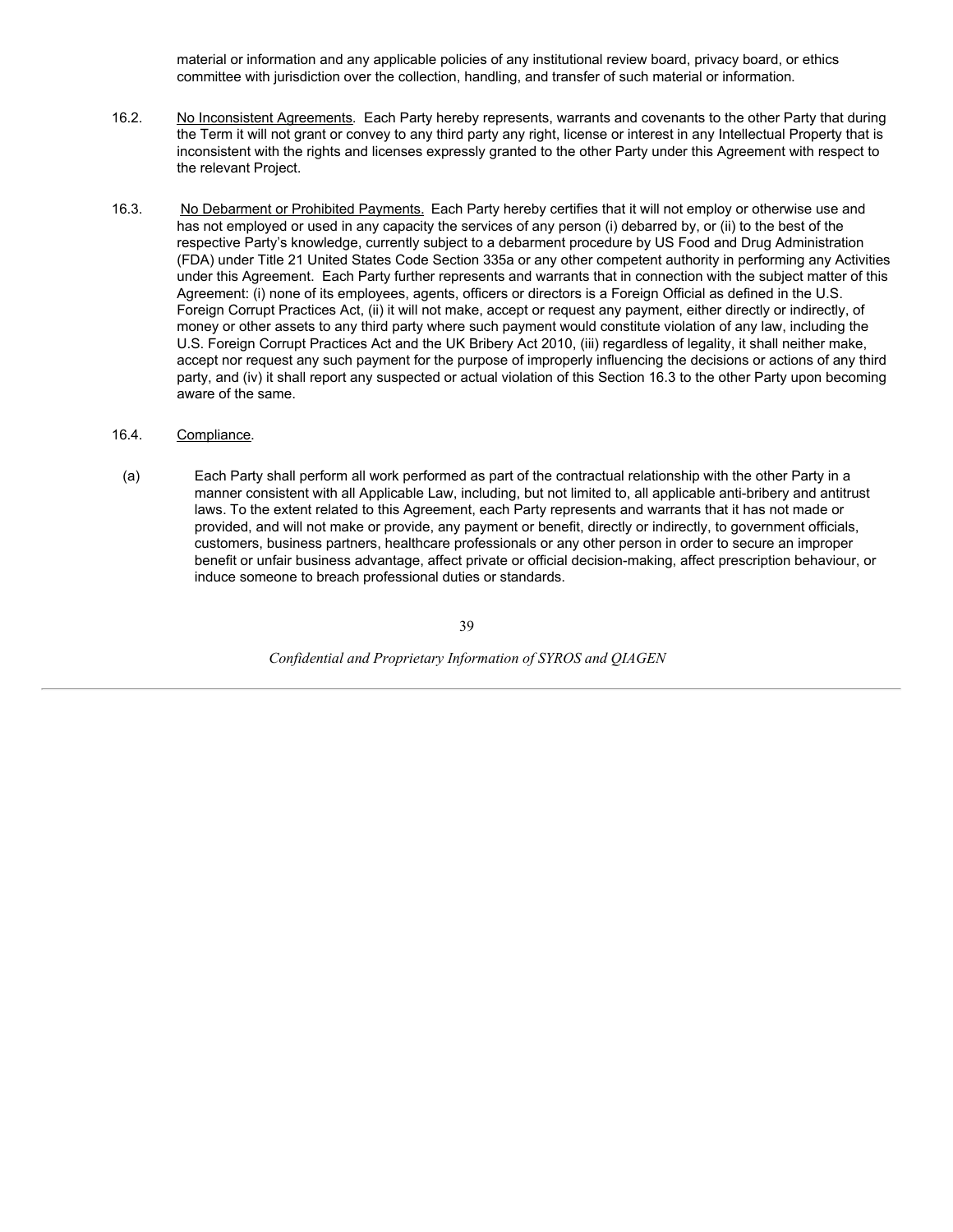material or information and any applicable policies of any institutional review board, privacy board, or ethics committee with jurisdiction over the collection, handling, and transfer of such material or information.

- 16.2. No Inconsistent Agreements. Each Party hereby represents, warrants and covenants to the other Party that during the Term it will not grant or convey to any third party any right, license or interest in any Intellectual Property that is inconsistent with the rights and licenses expressly granted to the other Party under this Agreement with respect to the relevant Project.
- 16.3. No Debarment or Prohibited Payments. Each Party hereby certifies that it will not employ or otherwise use and has not employed or used in any capacity the services of any person (i) debarred by, or (ii) to the best of the respective Party's knowledge, currently subject to a debarment procedure by US Food and Drug Administration (FDA) under Title 21 United States Code Section 335a or any other competent authority in performing any Activities under this Agreement. Each Party further represents and warrants that in connection with the subject matter of this Agreement: (i) none of its employees, agents, officers or directors is a Foreign Official as defined in the U.S. Foreign Corrupt Practices Act, (ii) it will not make, accept or request any payment, either directly or indirectly, of money or other assets to any third party where such payment would constitute violation of any law, including the U.S. Foreign Corrupt Practices Act and the UK Bribery Act 2010, (iii) regardless of legality, it shall neither make, accept nor request any such payment for the purpose of improperly influencing the decisions or actions of any third party, and (iv) it shall report any suspected or actual violation of this Section 16.3 to the other Party upon becoming aware of the same.
- 16.4. Compliance.
- (a) Each Party shall perform all work performed as part of the contractual relationship with the other Party in a manner consistent with all Applicable Law, including, but not limited to, all applicable anti-bribery and antitrust laws. To the extent related to this Agreement, each Party represents and warrants that it has not made or provided, and will not make or provide, any payment or benefit, directly or indirectly, to government officials, customers, business partners, healthcare professionals or any other person in order to secure an improper benefit or unfair business advantage, affect private or official decision-making, affect prescription behaviour, or induce someone to breach professional duties or standards.

39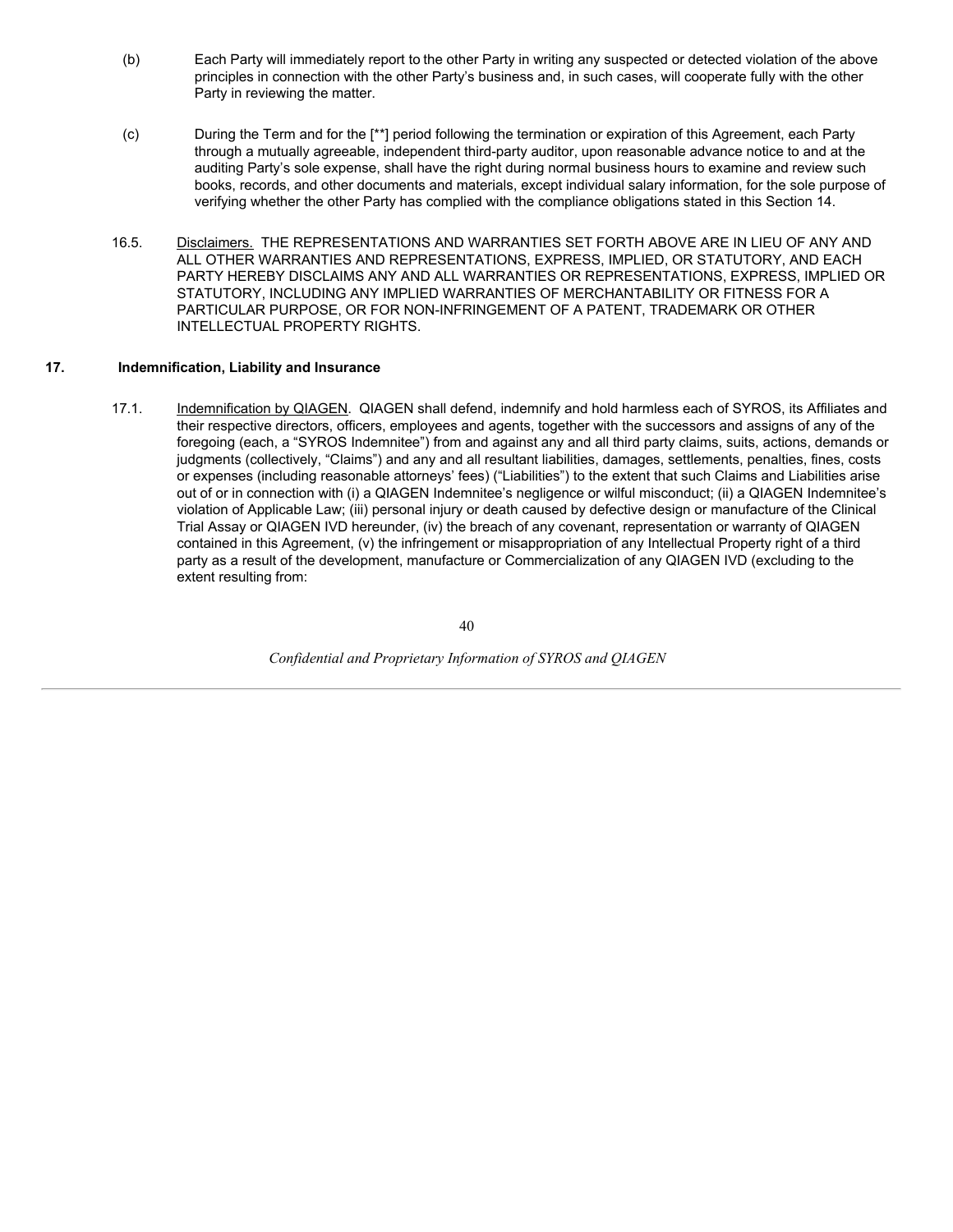- (b) Each Party will immediately report to the other Party in writing any suspected or detected violation of the above principles in connection with the other Party's business and, in such cases, will cooperate fully with the other Party in reviewing the matter.
- (c) During the Term and for the [\*\*] period following the termination or expiration of this Agreement, each Party through a mutually agreeable, independent third-party auditor, upon reasonable advance notice to and at the auditing Party's sole expense, shall have the right during normal business hours to examine and review such books, records, and other documents and materials, except individual salary information, for the sole purpose of verifying whether the other Party has complied with the compliance obligations stated in this Section 14.
- 16.5. Disclaimers. THE REPRESENTATIONS AND WARRANTIES SET FORTH ABOVE ARE IN LIEU OF ANY AND ALL OTHER WARRANTIES AND REPRESENTATIONS, EXPRESS, IMPLIED, OR STATUTORY, AND EACH PARTY HEREBY DISCLAIMS ANY AND ALL WARRANTIES OR REPRESENTATIONS, EXPRESS, IMPLIED OR STATUTORY, INCLUDING ANY IMPLIED WARRANTIES OF MERCHANTABILITY OR FITNESS FOR A PARTICULAR PURPOSE, OR FOR NON-INFRINGEMENT OF A PATENT, TRADEMARK OR OTHER INTELLECTUAL PROPERTY RIGHTS.

## **17. Indemnification, Liability and Insurance**

17.1. Indemnification by QIAGEN. QIAGEN shall defend, indemnify and hold harmless each of SYROS, its Affiliates and their respective directors, officers, employees and agents, together with the successors and assigns of any of the foregoing (each, a "SYROS Indemnitee") from and against any and all third party claims, suits, actions, demands or judgments (collectively, "Claims") and any and all resultant liabilities, damages, settlements, penalties, fines, costs or expenses (including reasonable attorneys' fees) ("Liabilities") to the extent that such Claims and Liabilities arise out of or in connection with (i) a QIAGEN Indemnitee's negligence or wilful misconduct; (ii) a QIAGEN Indemnitee's violation of Applicable Law; (iii) personal injury or death caused by defective design or manufacture of the Clinical Trial Assay or QIAGEN IVD hereunder, (iv) the breach of any covenant, representation or warranty of QIAGEN contained in this Agreement, (v) the infringement or misappropriation of any Intellectual Property right of a third party as a result of the development, manufacture or Commercialization of any QIAGEN IVD (excluding to the extent resulting from:

$$
40\,
$$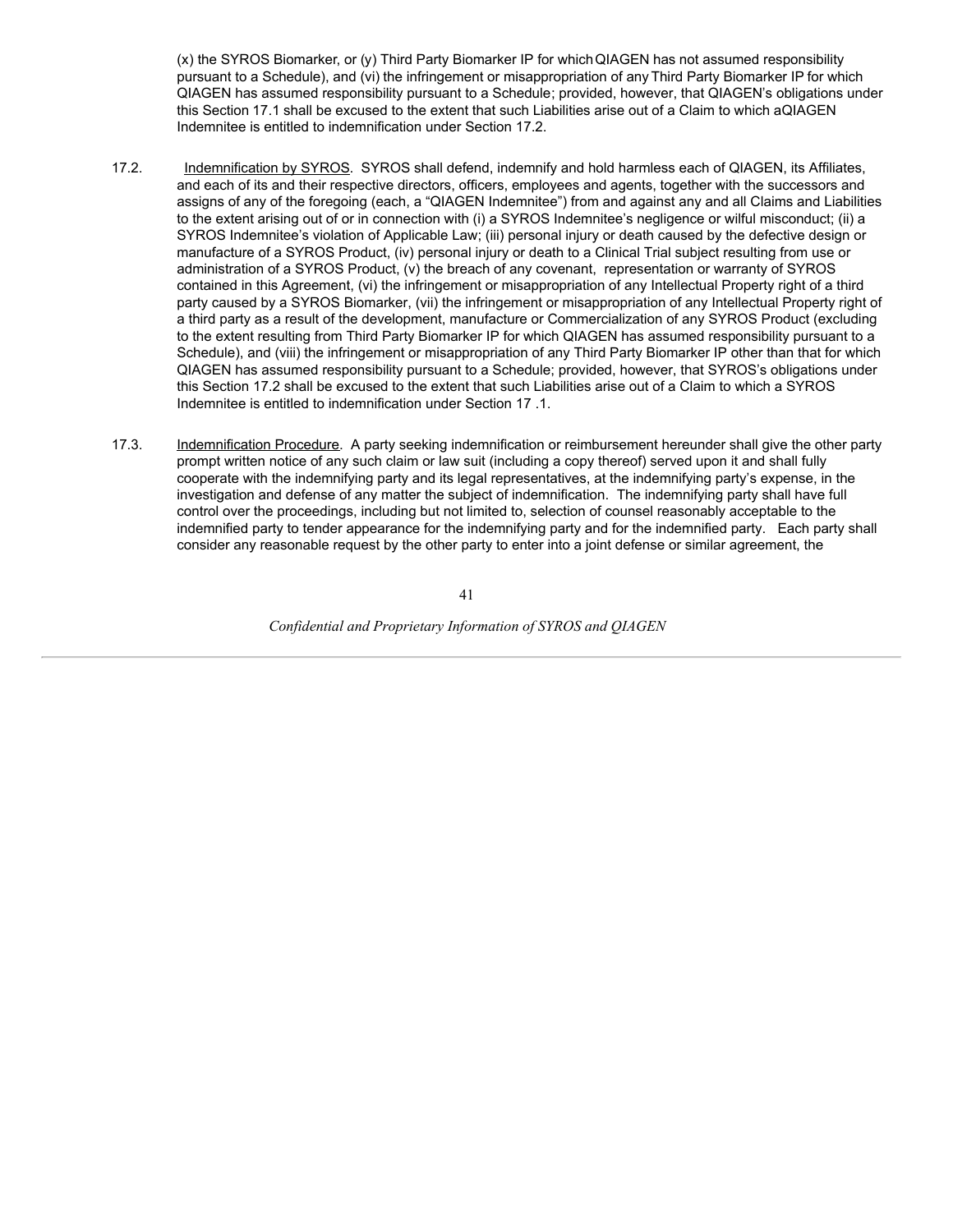(x) the SYROS Biomarker, or (y) Third Party Biomarker IP for whichQIAGEN has not assumed responsibility pursuant to a Schedule), and (vi) the infringement or misappropriation of any Third Party Biomarker IP for which QIAGEN has assumed responsibility pursuant to a Schedule; provided, however, that QIAGEN's obligations under this Section 17.1 shall be excused to the extent that such Liabilities arise out of a Claim to which aQIAGEN Indemnitee is entitled to indemnification under Section 17.2.

- 17.2. Indemnification by SYROS. SYROS shall defend, indemnify and hold harmless each of QIAGEN, its Affiliates, and each of its and their respective directors, officers, employees and agents, together with the successors and assigns of any of the foregoing (each, a "QIAGEN Indemnitee") from and against any and all Claims and Liabilities to the extent arising out of or in connection with (i) a SYROS Indemnitee's negligence or wilful misconduct; (ii) a SYROS Indemnitee's violation of Applicable Law; (iii) personal injury or death caused by the defective design or manufacture of a SYROS Product, (iv) personal injury or death to a Clinical Trial subject resulting from use or administration of a SYROS Product, (v) the breach of any covenant, representation or warranty of SYROS contained in this Agreement, (vi) the infringement or misappropriation of any Intellectual Property right of a third party caused by a SYROS Biomarker, (vii) the infringement or misappropriation of any Intellectual Property right of a third party as a result of the development, manufacture or Commercialization of any SYROS Product (excluding to the extent resulting from Third Party Biomarker IP for which QIAGEN has assumed responsibility pursuant to a Schedule), and (viii) the infringement or misappropriation of any Third Party Biomarker IP other than that for which QIAGEN has assumed responsibility pursuant to a Schedule; provided, however, that SYROS's obligations under this Section 17.2 shall be excused to the extent that such Liabilities arise out of a Claim to which a SYROS Indemnitee is entitled to indemnification under Section 17 .1.
- 17.3. Indemnification Procedure. A party seeking indemnification or reimbursement hereunder shall give the other party prompt written notice of any such claim or law suit (including a copy thereof) served upon it and shall fully cooperate with the indemnifying party and its legal representatives, at the indemnifying party's expense, in the investigation and defense of any matter the subject of indemnification. The indemnifying party shall have full control over the proceedings, including but not limited to, selection of counsel reasonably acceptable to the indemnified party to tender appearance for the indemnifying party and for the indemnified party. Each party shall consider any reasonable request by the other party to enter into a joint defense or similar agreement, the

$$
^{41}
$$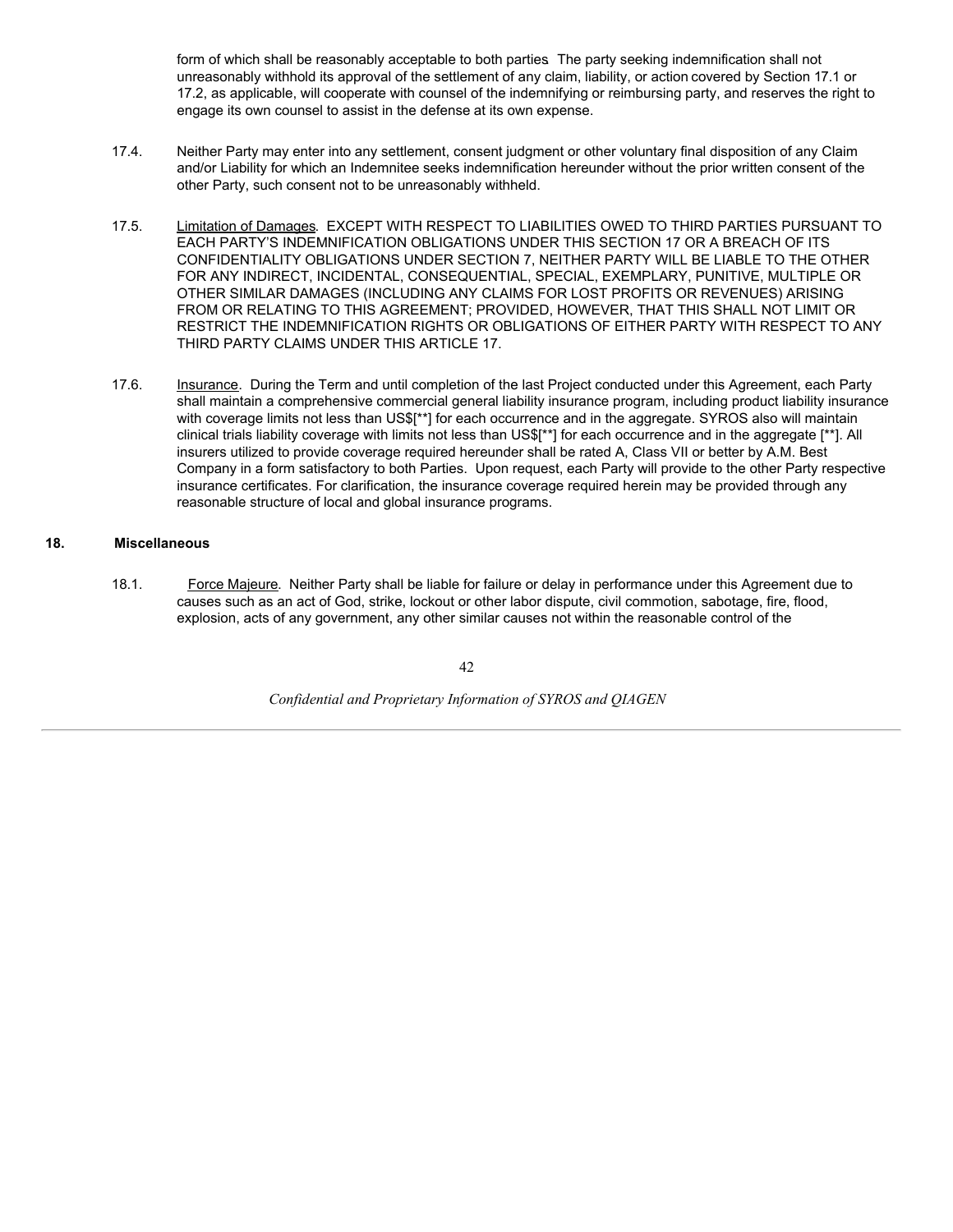form of which shall be reasonably acceptable to both parties. The party seeking indemnification shall not unreasonably withhold its approval of the settlement of any claim, liability, or action covered by Section 17.1 or 17.2, as applicable, will cooperate with counsel of the indemnifying or reimbursing party, and reserves the right to engage its own counsel to assist in the defense at its own expense.

- 17.4. Neither Party may enter into any settlement, consent judgment or other voluntary final disposition of any Claim and/or Liability for which an Indemnitee seeks indemnification hereunder without the prior written consent of the other Party, such consent not to be unreasonably withheld.
- 17.5. Limitation of Damages. EXCEPT WITH RESPECT TO LIABILITIES OWED TO THIRD PARTIES PURSUANT TO EACH PARTY'S INDEMNIFICATION OBLIGATIONS UNDER THIS SECTION 17 OR A BREACH OF ITS CONFIDENTIALITY OBLIGATIONS UNDER SECTION 7, NEITHER PARTY WILL BE LIABLE TO THE OTHER FOR ANY INDIRECT, INCIDENTAL, CONSEQUENTIAL, SPECIAL, EXEMPLARY, PUNITIVE, MULTIPLE OR OTHER SIMILAR DAMAGES (INCLUDING ANY CLAIMS FOR LOST PROFITS OR REVENUES) ARISING FROM OR RELATING TO THIS AGREEMENT; PROVIDED, HOWEVER, THAT THIS SHALL NOT LIMIT OR RESTRICT THE INDEMNIFICATION RIGHTS OR OBLIGATIONS OF EITHER PARTY WITH RESPECT TO ANY THIRD PARTY CLAIMS UNDER THIS ARTICLE 17.
- 17.6. Insurance. During the Term and until completion of the last Project conducted under this Agreement, each Party shall maintain a comprehensive commercial general liability insurance program, including product liability insurance with coverage limits not less than US\$[<sup>\*\*</sup>] for each occurrence and in the aggregate. SYROS also will maintain clinical trials liability coverage with limits not less than US\$[\*\*] for each occurrence and in the aggregate [\*\*]. All insurers utilized to provide coverage required hereunder shall be rated A, Class VII or better by A.M. Best Company in a form satisfactory to both Parties. Upon request, each Party will provide to the other Party respective insurance certificates. For clarification, the insurance coverage required herein may be provided through any reasonable structure of local and global insurance programs.

#### **18. Miscellaneous**

18.1. Force Majeure. Neither Party shall be liable for failure or delay in performance under this Agreement due to causes such as an act of God, strike, lockout or other labor dispute, civil commotion, sabotage, fire, flood, explosion, acts of any government, any other similar causes not within the reasonable control of the

42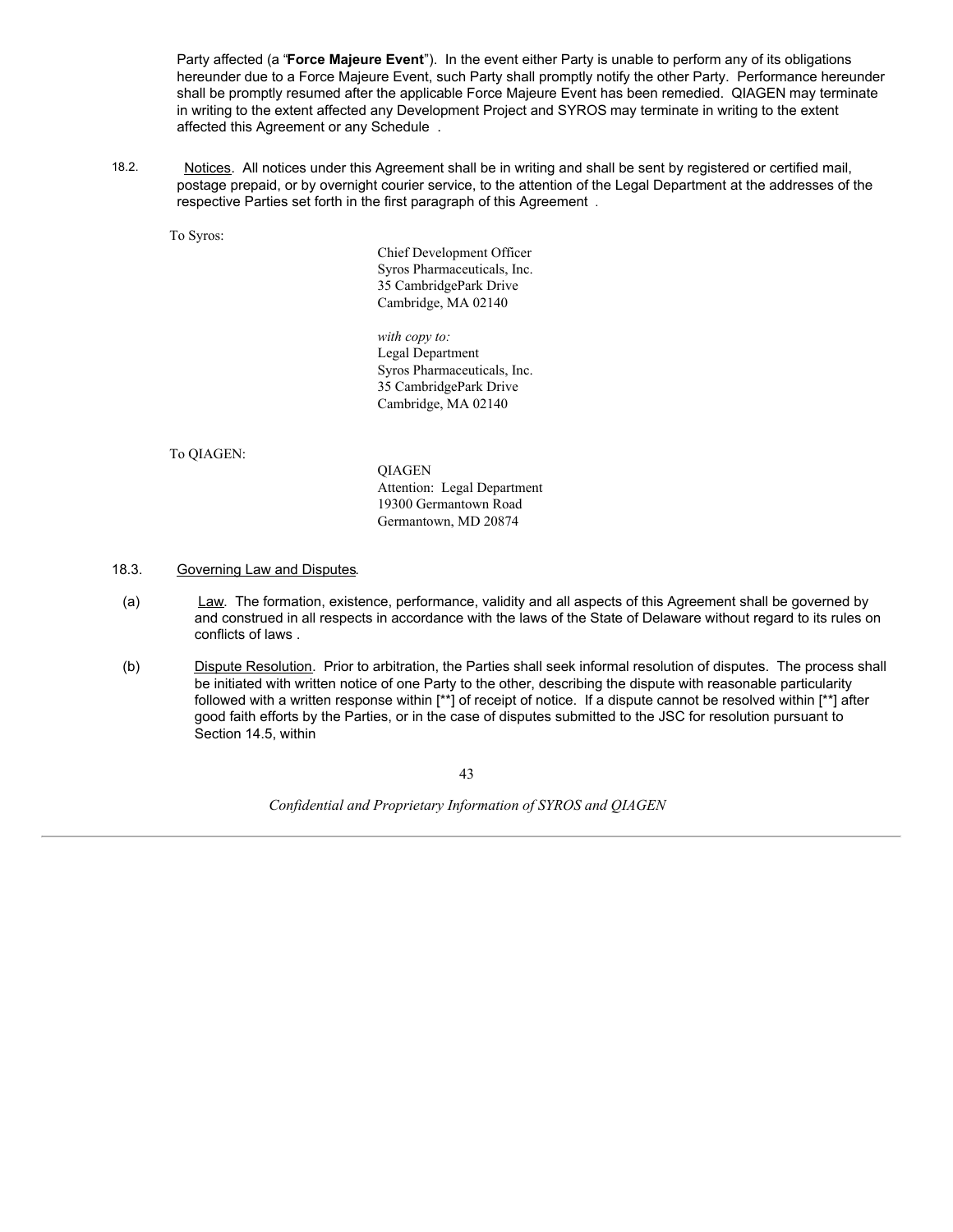Party affected (a "**Force Majeure Event**"). In the event either Party is unable to perform any of its obligations hereunder due to a Force Majeure Event, such Party shall promptly notify the other Party. Performance hereunder shall be promptly resumed after the applicable Force Majeure Event has been remedied. QIAGEN may terminate in writing to the extent affected any Development Project and SYROS may terminate in writing to the extent affected this Agreement or any Schedule .

18.2. Notices. All notices under this Agreement shall be in writing and shall be sent by registered or certified mail, postage prepaid, or by overnight courier service, to the attention of the Legal Department at the addresses of the respective Parties set forth in the first paragraph of this Agreement .

To Syros:

Chief Development Officer Syros Pharmaceuticals, Inc. 35 CambridgePark Drive Cambridge, MA 02140

*with copy to:* Legal Department Syros Pharmaceuticals, Inc. 35 CambridgePark Drive Cambridge, MA 02140

To QIAGEN:

QIAGEN Attention: Legal Department 19300 Germantown Road Germantown, MD 20874

#### 18.3. Governing Law and Disputes.

- (a) Law. The formation, existence, performance, validity and all aspects of this Agreement shall be governed by and construed in all respects in accordance with the laws of the State of Delaware without regard to its rules on conflicts of laws .
- (b) Dispute Resolution. Prior to arbitration, the Parties shall seek informal resolution of disputes. The process shall be initiated with written notice of one Party to the other, describing the dispute with reasonable particularity followed with a written response within [\*\*] of receipt of notice. If a dispute cannot be resolved within [\*\*] after good faith efforts by the Parties, or in the case of disputes submitted to the JSC for resolution pursuant to Section 14.5, within

43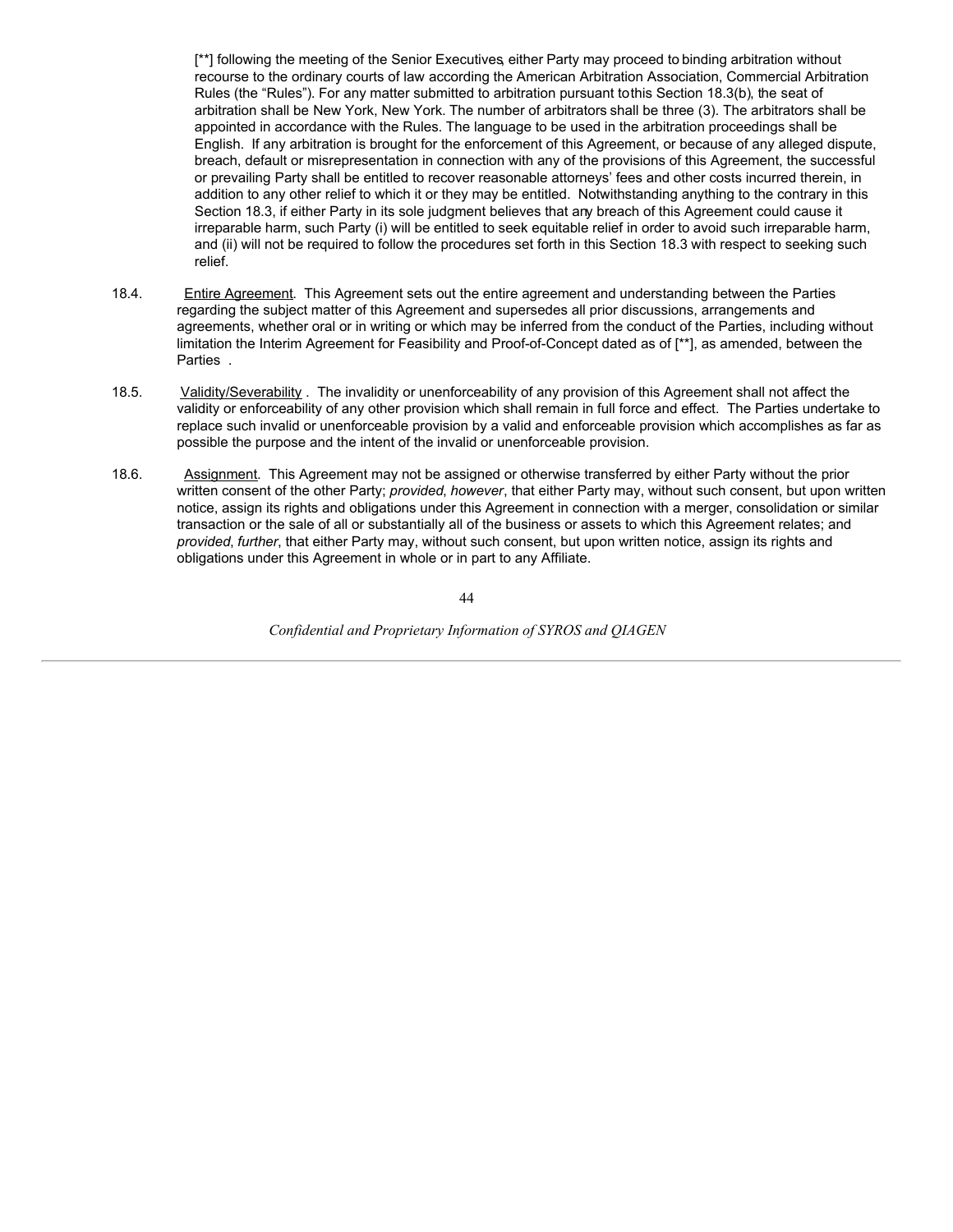[\*\*] following the meeting of the Senior Executives, either Party may proceed to binding arbitration without recourse to the ordinary courts of law according the American Arbitration Association, Commercial Arbitration Rules (the "Rules"). For any matter submitted to arbitration pursuant tothis Section 18.3(b), the seat of arbitration shall be New York, New York. The number of arbitrators shall be three (3). The arbitrators shall be appointed in accordance with the Rules. The language to be used in the arbitration proceedings shall be English. If any arbitration is brought for the enforcement of this Agreement, or because of any alleged dispute, breach, default or misrepresentation in connection with any of the provisions of this Agreement, the successful or prevailing Party shall be entitled to recover reasonable attorneys' fees and other costs incurred therein, in addition to any other relief to which it or they may be entitled. Notwithstanding anything to the contrary in this Section 18.3, if either Party in its sole judgment believes that any breach of this Agreement could cause it irreparable harm, such Party (i) will be entitled to seek equitable relief in order to avoid such irreparable harm, and (ii) will not be required to follow the procedures set forth in this Section 18.3 with respect to seeking such relief.

- 18.4. Entire Agreement. This Agreement sets out the entire agreement and understanding between the Parties regarding the subject matter of this Agreement and supersedes all prior discussions, arrangements and agreements, whether oral or in writing or which may be inferred from the conduct of the Parties, including without limitation the Interim Agreement for Feasibility and Proof-of-Concept dated as of [\*\*], as amended, between the Parties .
- 18.5. Validity/Severability . The invalidity or unenforceability of any provision of this Agreement shall not affect the validity or enforceability of any other provision which shall remain in full force and effect. The Parties undertake to replace such invalid or unenforceable provision by a valid and enforceable provision which accomplishes as far as possible the purpose and the intent of the invalid or unenforceable provision.
- 18.6. Assignment. This Agreement may not be assigned or otherwise transferred by either Party without the prior written consent of the other Party; *provided*, *however*, that either Party may, without such consent, but upon written notice, assign its rights and obligations under this Agreement in connection with a merger, consolidation or similar transaction or the sale of all or substantially all of the business or assets to which this Agreement relates; and *provided*, *further*, that either Party may, without such consent, but upon written notice, assign its rights and obligations under this Agreement in whole or in part to any Affiliate.

44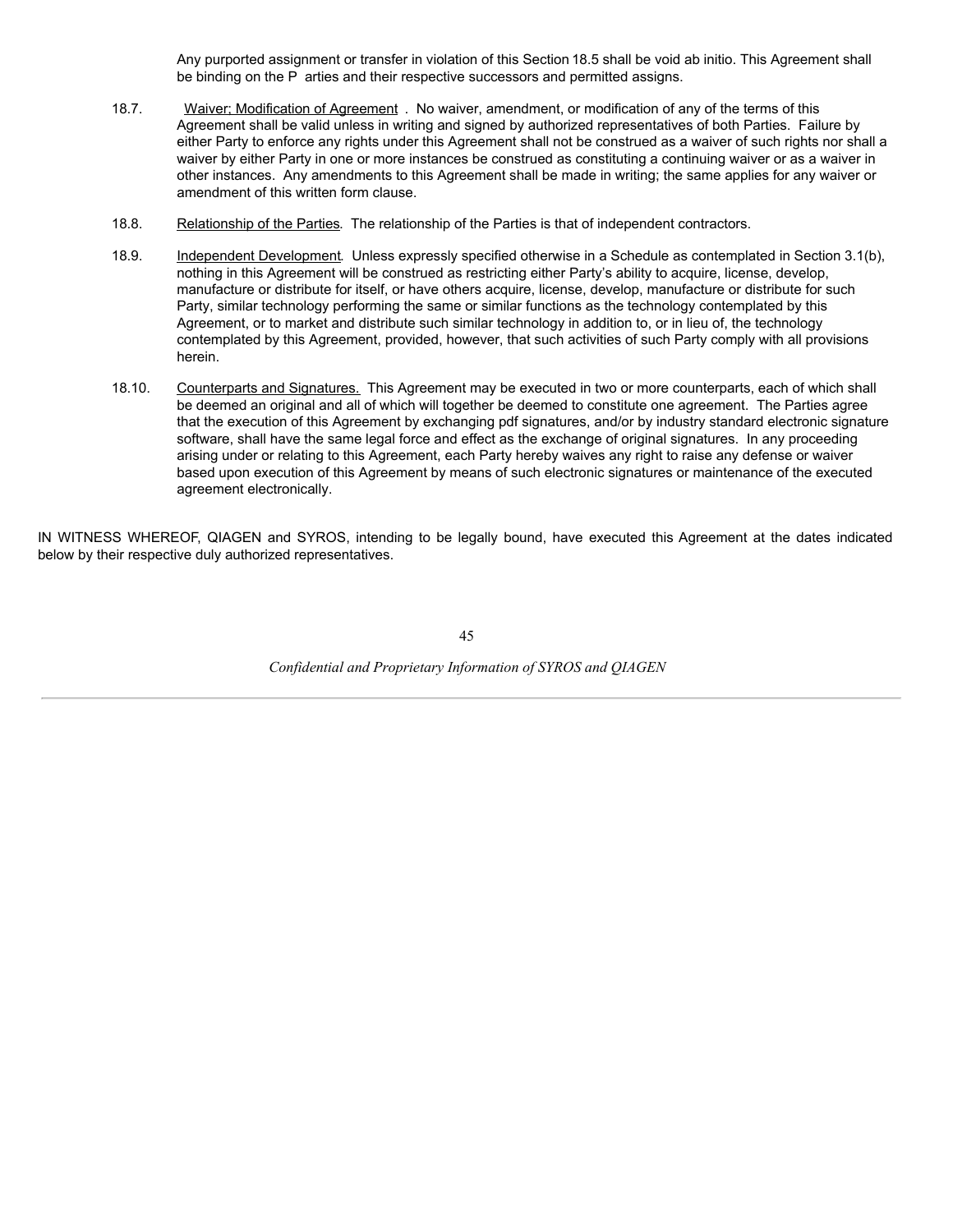Any purported assignment or transfer in violation of this Section 18.5 shall be void ab initio. This Agreement shall be binding on the P arties and their respective successors and permitted assigns.

- 18.7. Waiver; Modification of Agreement . No waiver, amendment, or modification of any of the terms of this Agreement shall be valid unless in writing and signed by authorized representatives of both Parties. Failure by either Party to enforce any rights under this Agreement shall not be construed as a waiver of such rights nor shall a waiver by either Party in one or more instances be construed as constituting a continuing waiver or as a waiver in other instances. Any amendments to this Agreement shall be made in writing; the same applies for any waiver or amendment of this written form clause.
- 18.8. Relationship of the Parties. The relationship of the Parties is that of independent contractors.
- 18.9. Independent Development. Unless expressly specified otherwise in a Schedule as contemplated in Section 3.1(b), nothing in this Agreement will be construed as restricting either Party's ability to acquire, license, develop, manufacture or distribute for itself, or have others acquire, license, develop, manufacture or distribute for such Party, similar technology performing the same or similar functions as the technology contemplated by this Agreement, or to market and distribute such similar technology in addition to, or in lieu of, the technology contemplated by this Agreement, provided, however, that such activities of such Party comply with all provisions herein.
- 18.10. Counterparts and Signatures. This Agreement may be executed in two or more counterparts, each of which shall be deemed an original and all of which will together be deemed to constitute one agreement. The Parties agree that the execution of this Agreement by exchanging pdf signatures, and/or by industry standard electronic signature software, shall have the same legal force and effect as the exchange of original signatures. In any proceeding arising under or relating to this Agreement, each Party hereby waives any right to raise any defense or waiver based upon execution of this Agreement by means of such electronic signatures or maintenance of the executed agreement electronically.

IN WITNESS WHEREOF, QIAGEN and SYROS, intending to be legally bound, have executed this Agreement at the dates indicated below by their respective duly authorized representatives.

45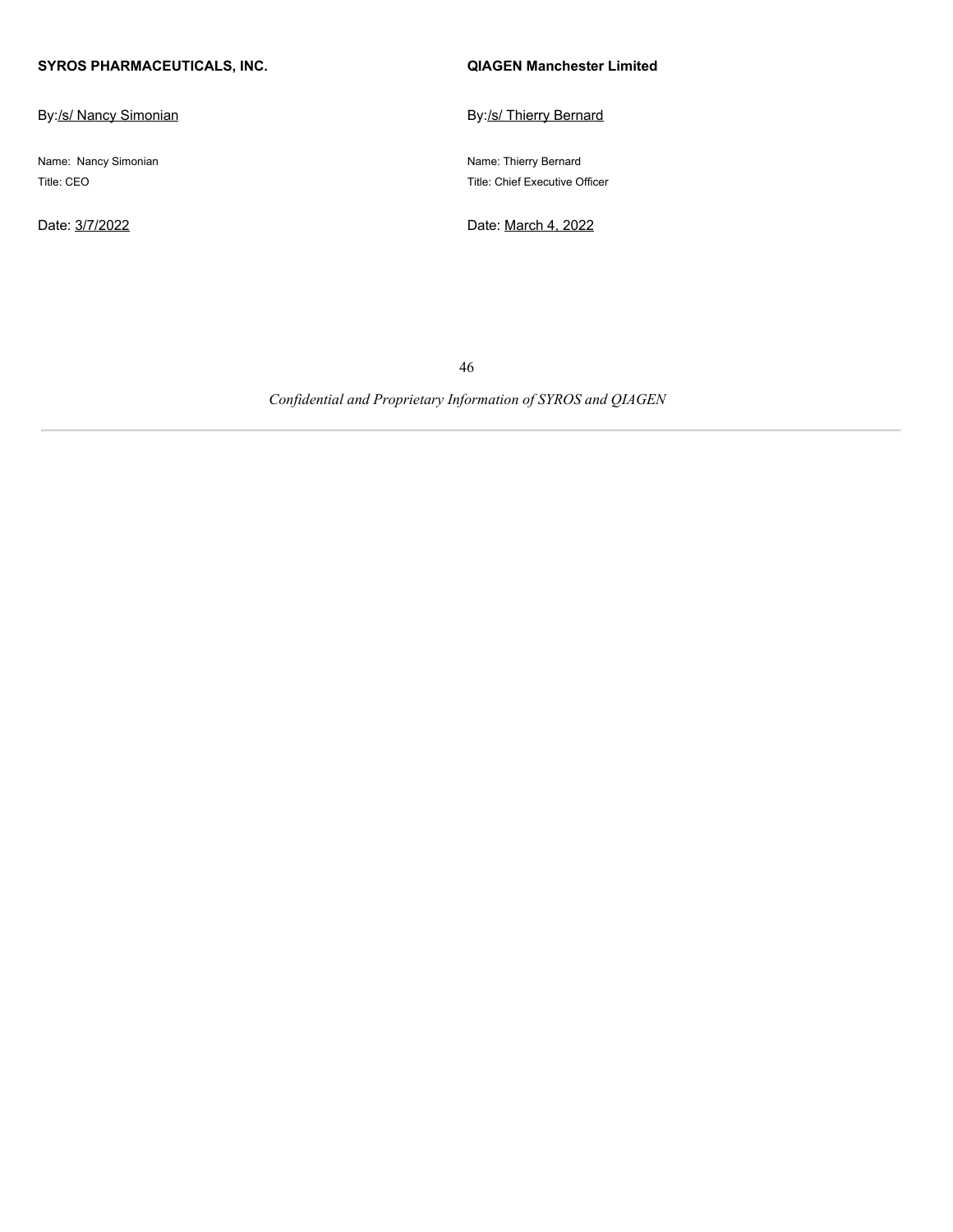## **SYROS PHARMACEUTICALS, INC. QIAGEN Manchester Limited**

# By:/s/ Nancy Simonian bytary and the Bytary Bernard By:/s/ Thierry Bernard

Name: Nancy Simonian Name: Thierry Bernard

Title: CEO Title: CEO The CHIEF CHIEF CHIEF CHIEF CHIEF CHIEF CHIEF CHIEF CHIEF CHIEF CHIEF CHIEF CHIEF CHIEF CHIEF CHIEF CHIEF CHIEF CHIEF CHIEF CHIEF CHIEF CHIEF CHIEF CHIEF CHIEF CHIEF CHIEF CHIEF CHIEF CHIEF CHIEF CHIE

Date: 3/7/2022 Date: 3/7/2022

46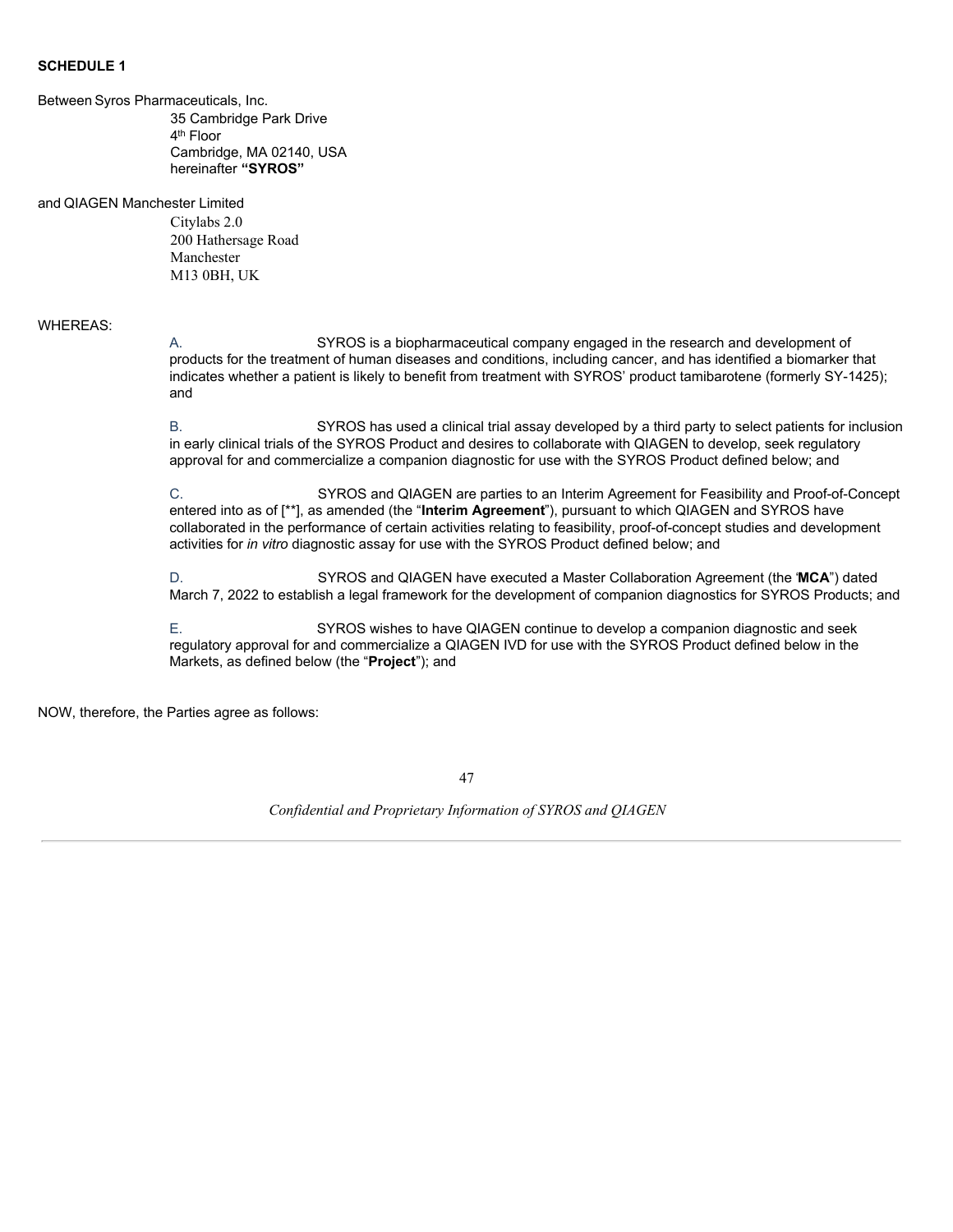#### **SCHEDULE 1**

Between Syros Pharmaceuticals, Inc.

35 Cambridge Park Drive 4th Floor Cambridge, MA 02140, USA hereinafter **"SYROS"**

## and QIAGEN Manchester Limited

Citylabs 2.0 200 Hathersage Road Manchester M13 0BH, UK

#### WHEREAS:

A. SYROS is a biopharmaceutical company engaged in the research and development of products for the treatment of human diseases and conditions, including cancer, and has identified a biomarker that indicates whether a patient is likely to benefit from treatment with SYROS' product tamibarotene (formerly SY-1425); and

B. SYROS has used a clinical trial assay developed by a third party to select patients for inclusion in early clinical trials of the SYROS Product and desires to collaborate with QIAGEN to develop, seek regulatory approval for and commercialize a companion diagnostic for use with the SYROS Product defined below; and

C. SYROS and QIAGEN are parties to an Interim Agreement for Feasibility and Proof-of-Concept entered into as of [\*\*], as amended (the "**Interim Agreement**"), pursuant to which QIAGEN and SYROS have collaborated in the performance of certain activities relating to feasibility, proof-of-concept studies and development activities for *in vitro* diagnostic assay for use with the SYROS Product defined below; and

D. SYROS and QIAGEN have executed a Master Collaboration Agreement (the "**MCA**") dated March 7, 2022 to establish a legal framework for the development of companion diagnostics for SYROS Products; and

E. SYROS wishes to have QIAGEN continue to develop a companion diagnostic and seek regulatory approval for and commercialize a QIAGEN IVD for use with the SYROS Product defined below in the Markets, as defined below (the "**Project**"); and

NOW, therefore, the Parties agree as follows: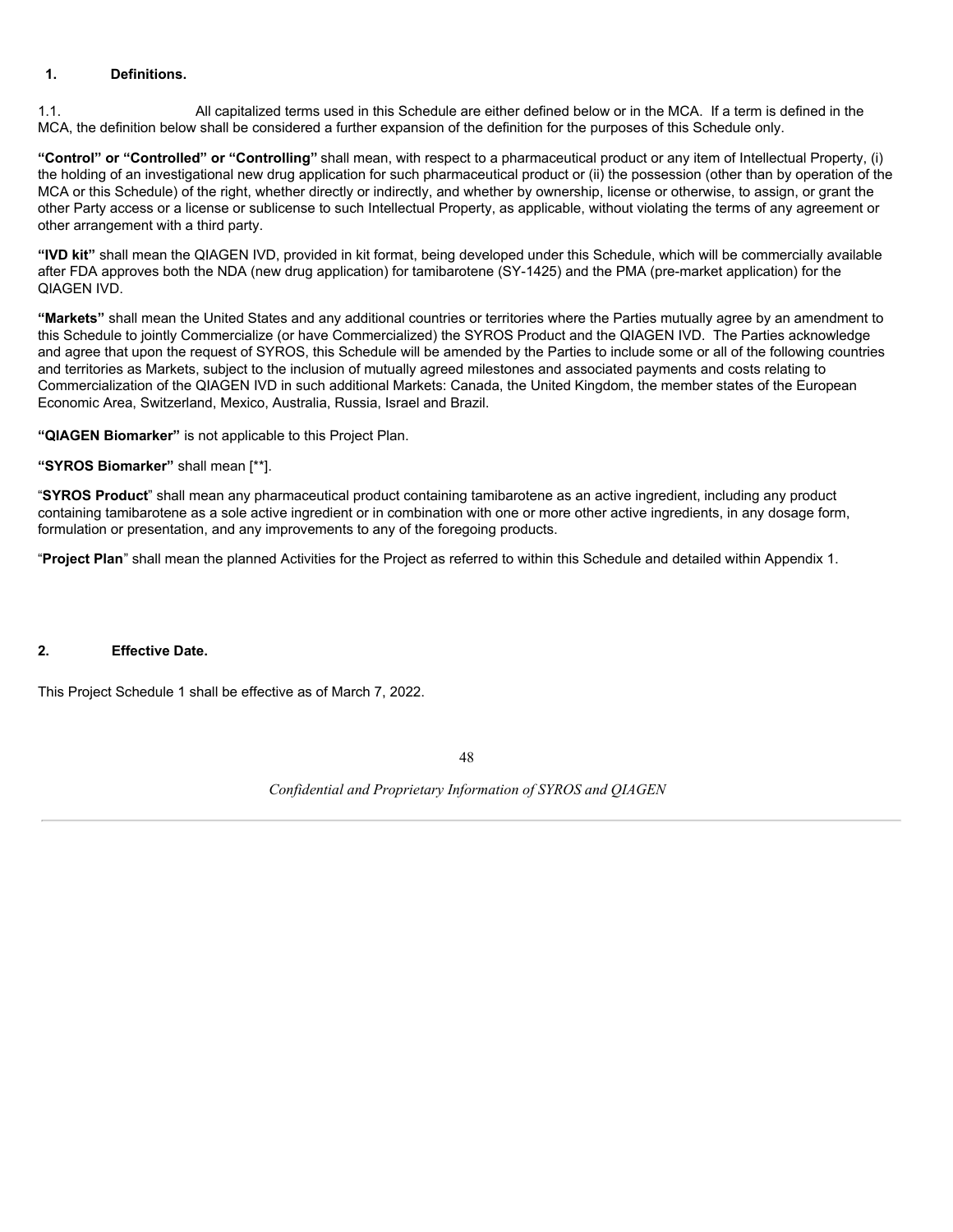## **1. Definitions.**

1.1. All capitalized terms used in this Schedule are either defined below or in the MCA. If a term is defined in the MCA, the definition below shall be considered a further expansion of the definition for the purposes of this Schedule only.

**"Control" or "Controlled" or "Controlling"** shall mean, with respect to a pharmaceutical product or any item of Intellectual Property, (i) the holding of an investigational new drug application for such pharmaceutical product or (ii) the possession (other than by operation of the MCA or this Schedule) of the right, whether directly or indirectly, and whether by ownership, license or otherwise, to assign, or grant the other Party access or a license or sublicense to such Intellectual Property, as applicable, without violating the terms of any agreement or other arrangement with a third party.

**"IVD kit"** shall mean the QIAGEN IVD, provided in kit format, being developed under this Schedule, which will be commercially available after FDA approves both the NDA (new drug application) for tamibarotene (SY-1425) and the PMA (pre-market application) for the QIAGEN IVD.

**"Markets"** shall mean the United States and any additional countries or territories where the Parties mutually agree by an amendment to this Schedule to jointly Commercialize (or have Commercialized) the SYROS Product and the QIAGEN IVD. The Parties acknowledge and agree that upon the request of SYROS, this Schedule will be amended by the Parties to include some or all of the following countries and territories as Markets, subject to the inclusion of mutually agreed milestones and associated payments and costs relating to Commercialization of the QIAGEN IVD in such additional Markets: Canada, the United Kingdom, the member states of the European Economic Area, Switzerland, Mexico, Australia, Russia, Israel and Brazil.

**"QIAGEN Biomarker"** is not applicable to this Project Plan.

## **"SYROS Biomarker"** shall mean [\*\*].

"**SYROS Product**" shall mean any pharmaceutical product containing tamibarotene as an active ingredient, including any product containing tamibarotene as a sole active ingredient or in combination with one or more other active ingredients, in any dosage form, formulation or presentation, and any improvements to any of the foregoing products.

"**Project Plan**" shall mean the planned Activities for the Project as referred to within this Schedule and detailed within Appendix 1.

## **2. Effective Date.**

This Project Schedule 1 shall be effective as of March 7, 2022.

48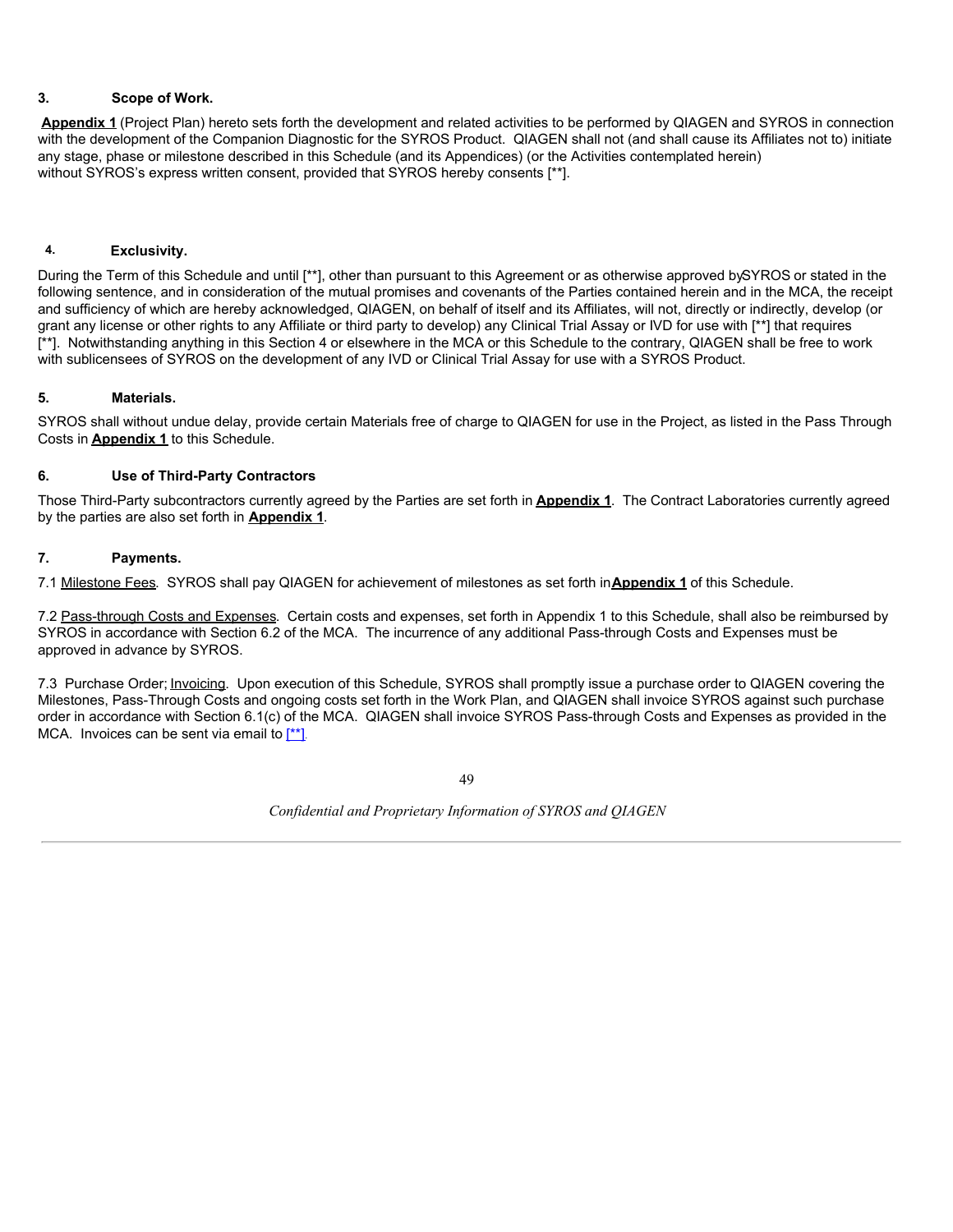## **3. Scope of Work.**

**Appendix 1** (Project Plan) hereto sets forth the development and related activities to be performed by QIAGEN and SYROS in connection with the development of the Companion Diagnostic for the SYROS Product. QIAGEN shall not (and shall cause its Affiliates not to) initiate any stage, phase or milestone described in this Schedule (and its Appendices) (or the Activities contemplated herein) without SYROS's express written consent, provided that SYROS hereby consents [\*\*].

## **4. Exclusivity.**

During the Term of this Schedule and until [\*\*], other than pursuant to this Agreement or as otherwise approved bySYROS or stated in the following sentence, and in consideration of the mutual promises and covenants of the Parties contained herein and in the MCA, the receipt and sufficiency of which are hereby acknowledged, QIAGEN, on behalf of itself and its Affiliates, will not, directly or indirectly, develop (or grant any license or other rights to any Affiliate or third party to develop) any Clinical Trial Assay or IVD for use with [<sup>\*\*</sup>] that requires [\*\*]. Notwithstanding anything in this Section 4 or elsewhere in the MCA or this Schedule to the contrary, QIAGEN shall be free to work with sublicensees of SYROS on the development of any IVD or Clinical Trial Assay for use with a SYROS Product.

## **5. Materials.**

SYROS shall without undue delay, provide certain Materials free of charge to QIAGEN for use in the Project, as listed in the Pass Through Costs in **Appendix 1** to this Schedule.

## **6. Use of Third-Party Contractors**

Those Third-Party subcontractors currently agreed by the Parties are set forth in **Appendix 1**. The Contract Laboratories currently agreed by the parties are also set forth in **Appendix 1**.

## **7. Payments.**

7.1 Milestone Fees. SYROS shall pay QIAGEN for achievement of milestones as set forth in**Appendix 1** of this Schedule.

7.2 Pass-through Costs and Expenses. Certain costs and expenses, set forth in Appendix 1 to this Schedule, shall also be reimbursed by SYROS in accordance with Section 6.2 of the MCA. The incurrence of any additional Pass-through Costs and Expenses must be approved in advance by SYROS.

7.3 Purchase Order; Invoicing. Upon execution of this Schedule, SYROS shall promptly issue a purchase order to QIAGEN covering the Milestones, Pass-Through Costs and ongoing costs set forth in the Work Plan, and QIAGEN shall invoice SYROS against such purchase order in accordance with Section 6.1(c) of the MCA. QIAGEN shall invoice SYROS Pass-through Costs and Expenses as provided in the MCA. Invoices can be sent via email to [\*\*].

49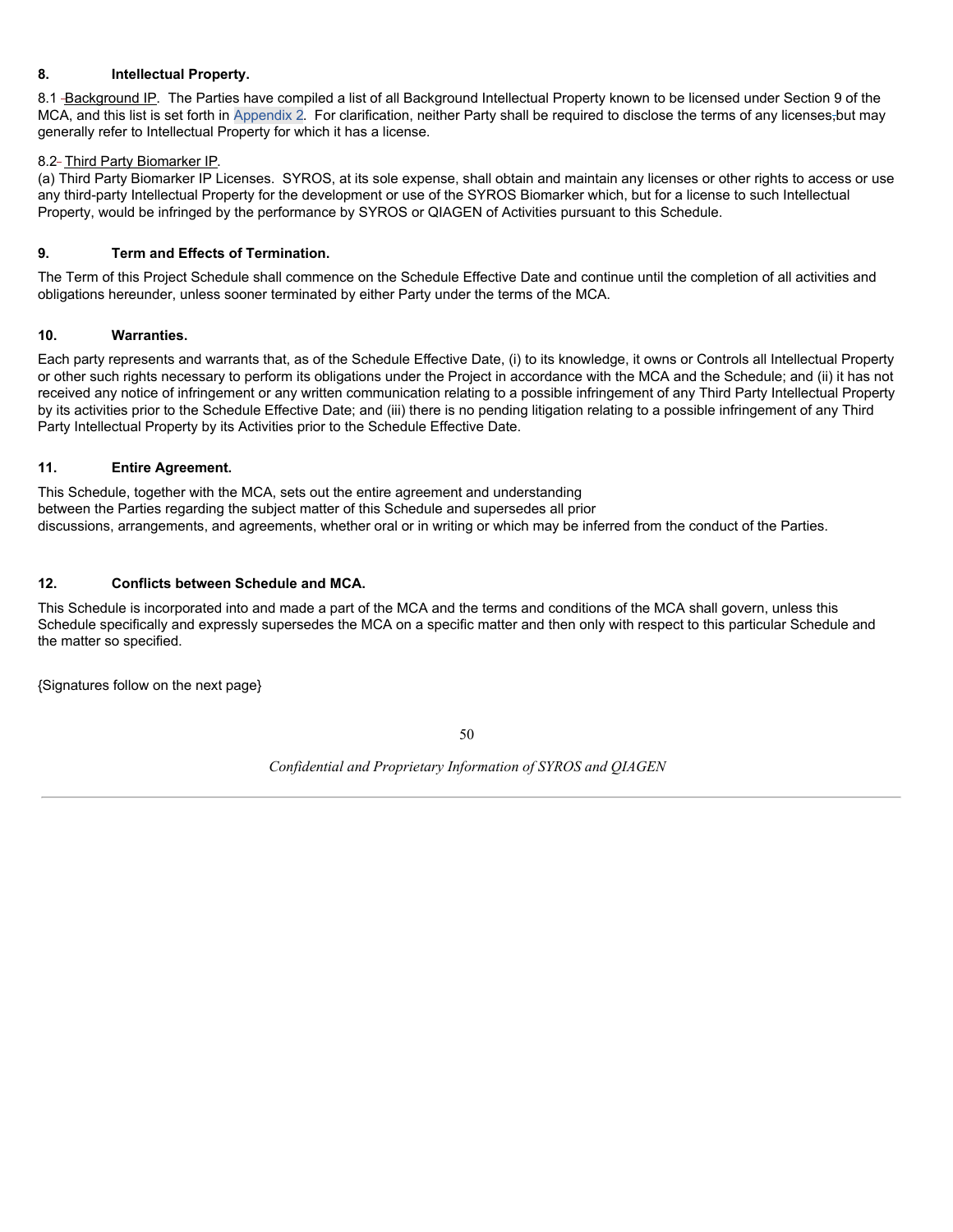## **8. Intellectual Property.**

8.1 Background IP. The Parties have compiled a list of all Background Intellectual Property known to be licensed under Section 9 of the MCA, and this list is set forth in Appendix 2. For clarification, neither Party shall be required to disclose the terms of any licenses-but may generally refer to Intellectual Property for which it has a license.

## 8.2- Third Party Biomarker IP.

(a) Third Party Biomarker IP Licenses. SYROS, at its sole expense, shall obtain and maintain any licenses or other rights to access or use any third-party Intellectual Property for the development or use of the SYROS Biomarker which, but for a license to such Intellectual Property, would be infringed by the performance by SYROS or QIAGEN of Activities pursuant to this Schedule.

## **9. Term and Effects of Termination.**

The Term of this Project Schedule shall commence on the Schedule Effective Date and continue until the completion of all activities and obligations hereunder, unless sooner terminated by either Party under the terms of the MCA.

## **10. Warranties.**

Each party represents and warrants that, as of the Schedule Effective Date, (i) to its knowledge, it owns or Controls all Intellectual Property or other such rights necessary to perform its obligations under the Project in accordance with the MCA and the Schedule; and (ii) it has not received any notice of infringement or any written communication relating to a possible infringement of any Third Party Intellectual Property by its activities prior to the Schedule Effective Date; and (iii) there is no pending litigation relating to a possible infringement of any Third Party Intellectual Property by its Activities prior to the Schedule Effective Date.

## **11. Entire Agreement.**

This Schedule, together with the MCA, sets out the entire agreement and understanding between the Parties regarding the subject matter of this Schedule and supersedes all prior discussions, arrangements, and agreements, whether oral or in writing or which may be inferred from the conduct of the Parties.

## **12. Conflicts between Schedule and MCA.**

This Schedule is incorporated into and made a part of the MCA and the terms and conditions of the MCA shall govern, unless this Schedule specifically and expressly supersedes the MCA on a specific matter and then only with respect to this particular Schedule and the matter so specified.

{Signatures follow on the next page}

50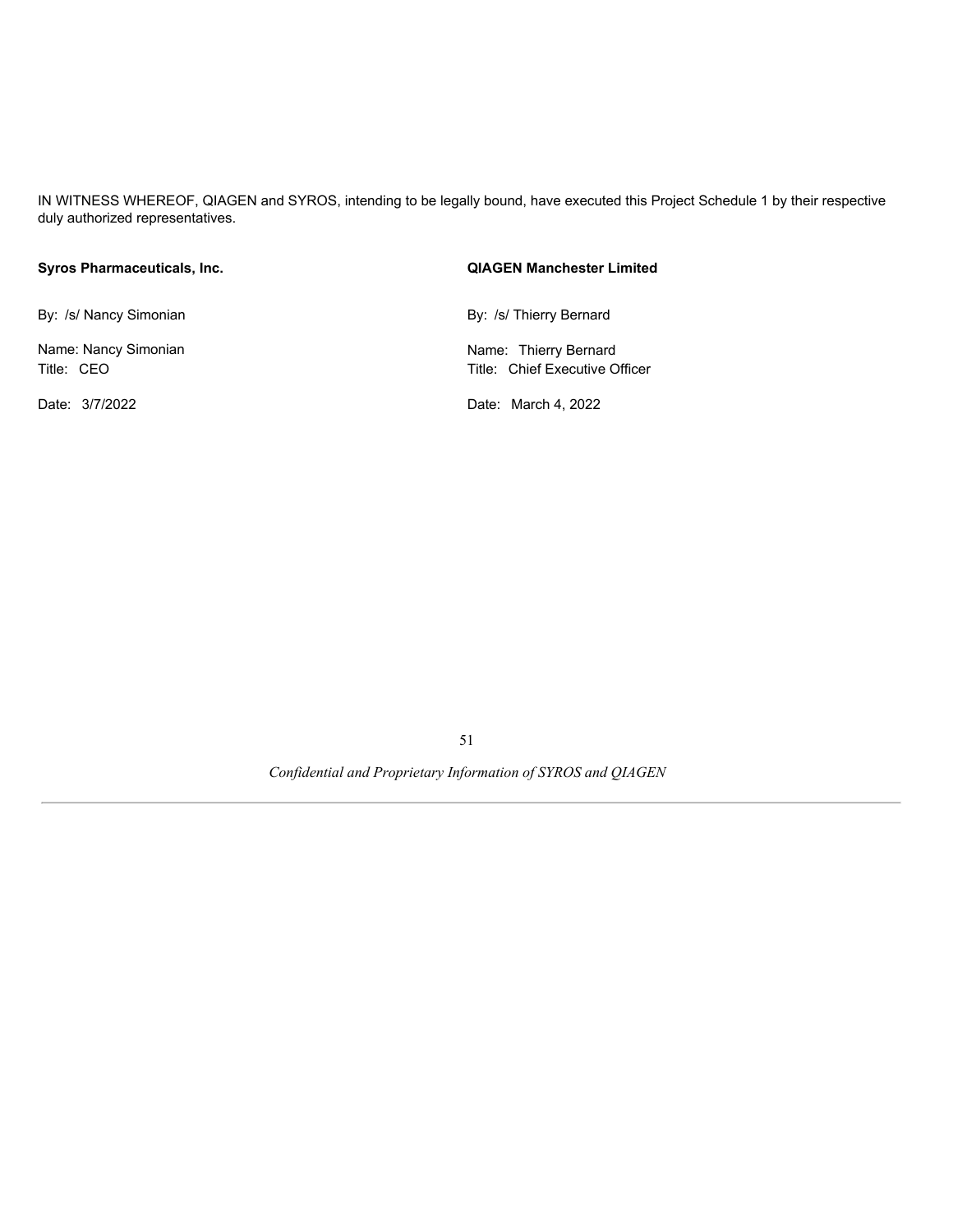IN WITNESS WHEREOF, QIAGEN and SYROS, intending to be legally bound, have executed this Project Schedule 1 by their respective duly authorized representatives.

| Syros Pharmaceuticals, Inc.        | <b>QIAGEN Manchester Limited</b>                        |
|------------------------------------|---------------------------------------------------------|
| By: /s/ Nancy Simonian             | By: /s/ Thierry Bernard                                 |
| Name: Nancy Simonian<br>Title: CEO | Name: Thierry Bernard<br>Title: Chief Executive Officer |
| Date: 3/7/2022                     | Date: March 4, 2022                                     |

51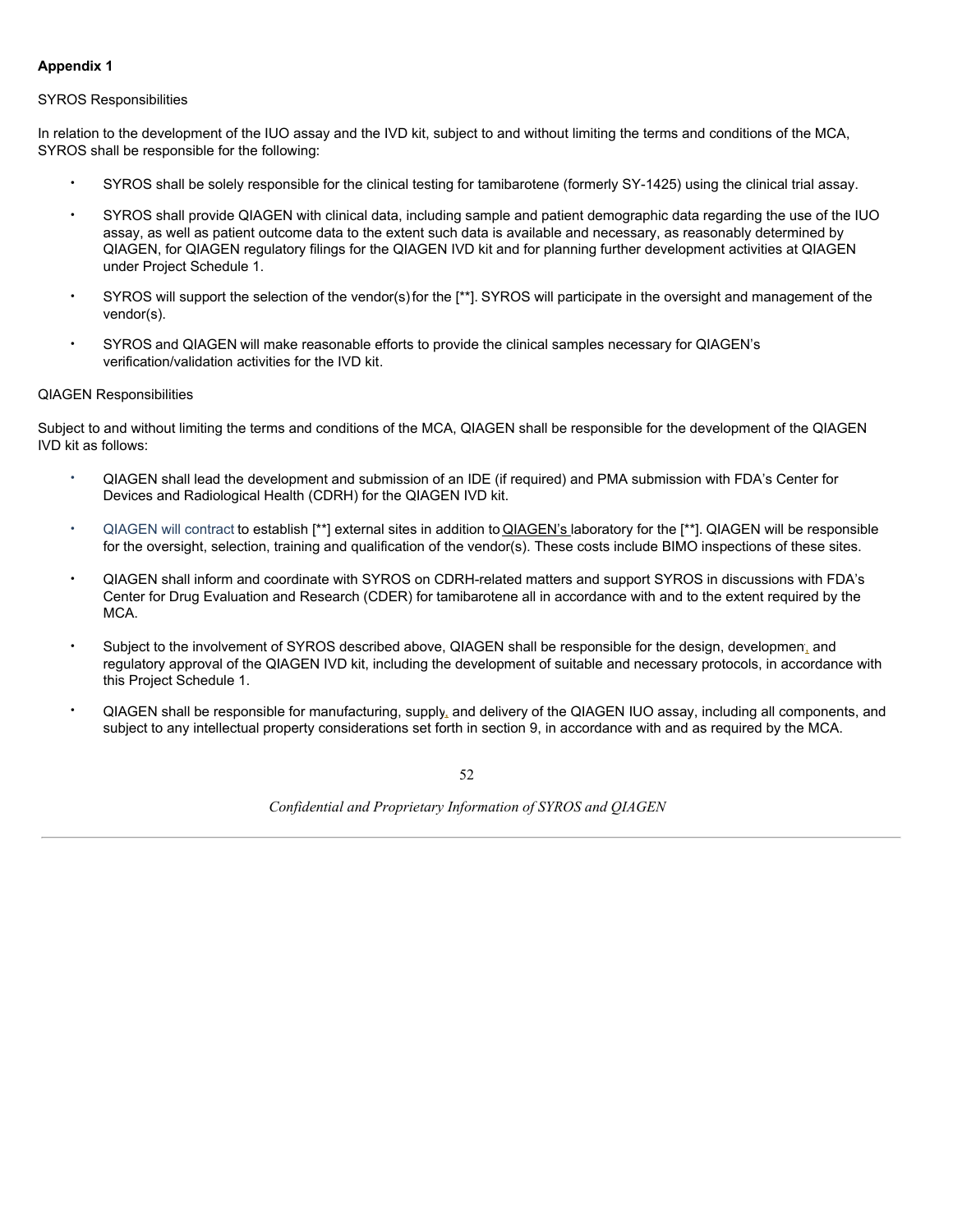## **Appendix 1**

#### SYROS Responsibilities

In relation to the development of the IUO assay and the IVD kit, subject to and without limiting the terms and conditions of the MCA, SYROS shall be responsible for the following:

- SYROS shall be solely responsible for the clinical testing for tamibarotene (formerly SY-1425) using the clinical trial assay.
- SYROS shall provide QIAGEN with clinical data, including sample and patient demographic data regarding the use of the IUO assay, as well as patient outcome data to the extent such data is available and necessary, as reasonably determined by QIAGEN, for QIAGEN regulatory filings for the QIAGEN IVD kit and for planning further development activities at QIAGEN under Project Schedule 1.
- SYROS will support the selection of the vendor(s) for the [\*\*]. SYROS will participate in the oversight and management of the vendor(s).
- SYROS and QIAGEN will make reasonable efforts to provide the clinical samples necessary for QIAGEN's verification/validation activities for the IVD kit.

#### QIAGEN Responsibilities

Subject to and without limiting the terms and conditions of the MCA, QIAGEN shall be responsible for the development of the QIAGEN IVD kit as follows:

- QIAGEN shall lead the development and submission of an IDE (if required) and PMA submission with FDA's Center for Devices and Radiological Health (CDRH) for the QIAGEN IVD kit.
- QIAGEN will contract to establish [<sup>\*\*</sup>] external sites in addition to QIAGEN's laboratory for the [<sup>\*\*</sup>]. QIAGEN will be responsible for the oversight, selection, training and qualification of the vendor(s). These costs include BIMO inspections of these sites.
- QIAGEN shall inform and coordinate with SYROS on CDRH-related matters and support SYROS in discussions with FDA's Center for Drug Evaluation and Research (CDER) for tamibarotene all in accordance with and to the extent required by the MCA.
- Subject to the involvement of SYROS described above, QIAGEN shall be responsible for the design, developmen, and regulatory approval of the QIAGEN IVD kit, including the development of suitable and necessary protocols, in accordance with this Project Schedule 1.
- QIAGEN shall be responsible for manufacturing, supply, and delivery of the QIAGEN IUO assay, including all components, and subject to any intellectual property considerations set forth in section 9, in accordance with and as required by the MCA.

52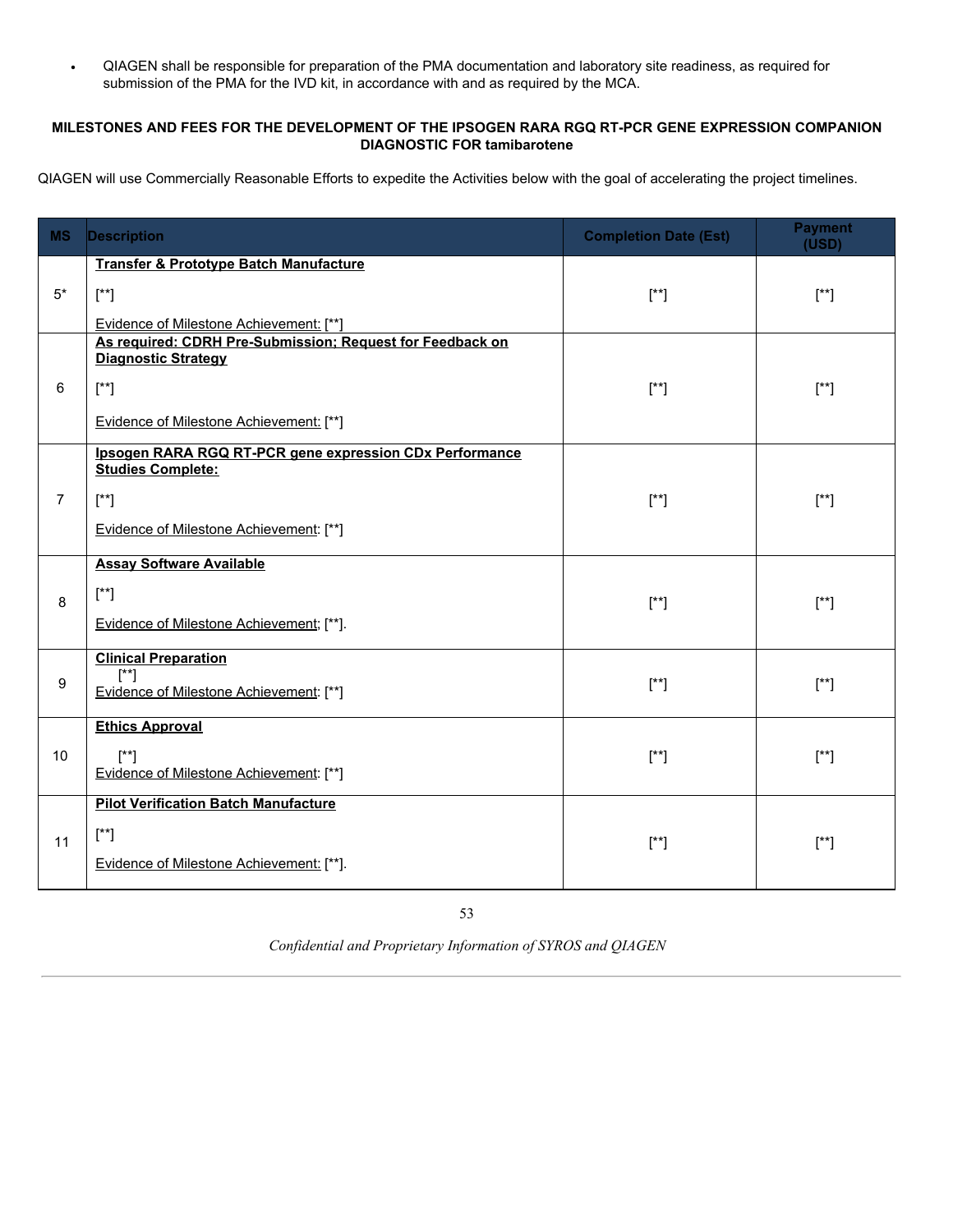• QIAGEN shall be responsible for preparation of the PMA documentation and laboratory site readiness, as required for submission of the PMA for the IVD kit, in accordance with and as required by the MCA.

## **MILESTONES AND FEES FOR THE DEVELOPMENT OF THE IPSOGEN RARA RGQ RT-PCR GENE EXPRESSION COMPANION DIAGNOSTIC FOR tamibarotene**

QIAGEN will use Commercially Reasonable Efforts to expedite the Activities below with the goal of accelerating the project timelines.

| <b>MS</b>      | <b>Description</b>                                                                                                                              | <b>Completion Date (Est)</b> | <b>Payment</b><br>(USD) |
|----------------|-------------------------------------------------------------------------------------------------------------------------------------------------|------------------------------|-------------------------|
| $5*$           | Transfer & Prototype Batch Manufacture<br>$[^{**}]$<br>Evidence of Milestone Achievement: [**]                                                  | $[^{**}]$                    | $[^{**}]$               |
| 6              | As required: CDRH Pre-Submission; Request for Feedback on<br><b>Diagnostic Strategy</b><br>$[^{**}]$<br>Evidence of Milestone Achievement: [**] | $[^{**}]$                    | $[^{**}]$               |
| $\overline{7}$ | Ipsogen RARA RGQ RT-PCR gene expression CDx Performance<br><b>Studies Complete:</b><br>$[^{**}]$<br>Evidence of Milestone Achievement: [**]     | $[^{**}]$                    | $[^{**}]$               |
| 8              | <b>Assay Software Available</b><br>$[^{**}]$<br>Evidence of Milestone Achievement; [**].                                                        | $[^{**}]$                    | $[^{**}]$               |
| 9              | <b>Clinical Preparation</b><br>$\mathfrak{f}^*$ ]<br>Evidence of Milestone Achievement: [**]                                                    | $[^{**}]$                    | $[^{**}]$               |
| 10             | <b>Ethics Approval</b><br>$\mathsf{r}^*$ ]<br>Evidence of Milestone Achievement: [**]                                                           | $[^{**}]$                    | $[^{**}]$               |
| 11             | <b>Pilot Verification Batch Manufacture</b><br>$[^{**}]$<br>Evidence of Milestone Achievement: [**].                                            | $[^{**}]$                    | $[^{**}]$               |

53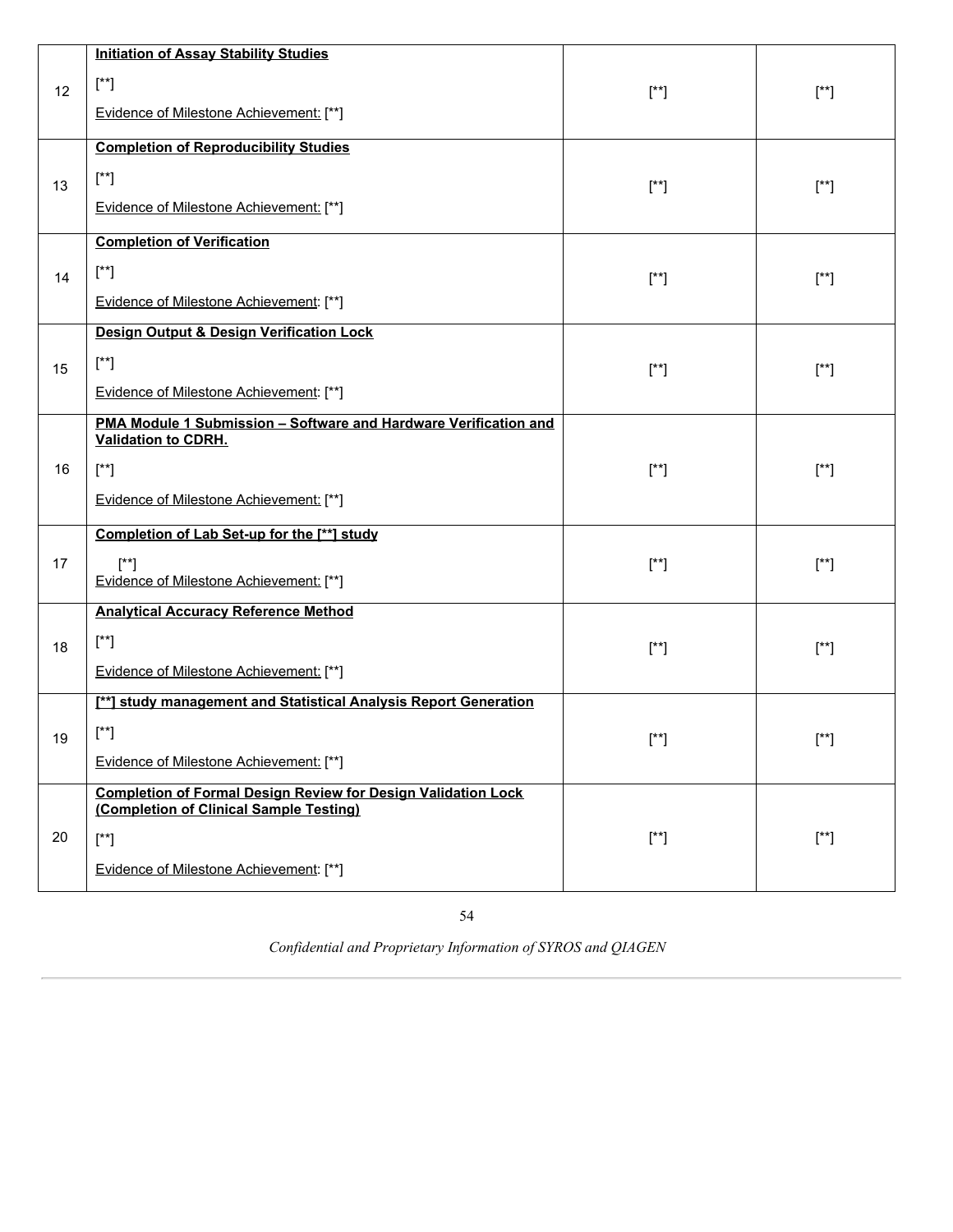|    | <b>Initiation of Assay Stability Studies</b>                                                                    |                                   |                                   |
|----|-----------------------------------------------------------------------------------------------------------------|-----------------------------------|-----------------------------------|
| 12 | $[^{**}]$                                                                                                       | $[^{**}]$                         | $[^{**}]$                         |
|    | Evidence of Milestone Achievement: [**]                                                                         |                                   |                                   |
|    | <b>Completion of Reproducibility Studies</b>                                                                    |                                   |                                   |
| 13 | $[^{**}]$                                                                                                       | $[^{**}]$                         | $[^{**}]$                         |
|    | Evidence of Milestone Achievement: [**]                                                                         |                                   |                                   |
|    | <b>Completion of Verification</b>                                                                               |                                   |                                   |
| 14 | $[^{**}]$                                                                                                       | $[^{**}]$                         | $[^{**}]$                         |
|    | Evidence of Milestone Achievement: [**]                                                                         |                                   |                                   |
|    | <b>Design Output &amp; Design Verification Lock</b>                                                             |                                   |                                   |
| 15 | $[^{**}]$                                                                                                       | $[^{**}]$                         | $\mathfrak{[}}^{**} \mathfrak{]}$ |
|    | Evidence of Milestone Achievement: [**]                                                                         |                                   |                                   |
|    | PMA Module 1 Submission - Software and Hardware Verification and<br><b>Validation to CDRH.</b>                  |                                   |                                   |
| 16 | $[^{**}]$                                                                                                       | $\mathfrak{[}}^{**} \mathfrak{]}$ | $[^{**}]$                         |
|    | Evidence of Milestone Achievement: [**]                                                                         |                                   |                                   |
|    | Completion of Lab Set-up for the [**] study                                                                     |                                   |                                   |
| 17 | $[^{**}]$<br>Evidence of Milestone Achievement: [**]                                                            | $[^{**}]$                         | $[^{**}]$                         |
|    | <b>Analytical Accuracy Reference Method</b>                                                                     |                                   |                                   |
| 18 | $[^{**}]$                                                                                                       | $[^{**}]$                         | $[^{**}]$                         |
|    | Evidence of Milestone Achievement: [**]                                                                         |                                   |                                   |
|    | [**] study management and Statistical Analysis Report Generation                                                |                                   |                                   |
| 19 | $[^{**}]$                                                                                                       | $[^{**}]$                         | $\mathfrak{l}^{**}$               |
|    | Evidence of Milestone Achievement: [**]                                                                         |                                   |                                   |
| 20 | <b>Completion of Formal Design Review for Design Validation Lock</b><br>(Completion of Clinical Sample Testing) |                                   |                                   |
|    | $[^{**}]$                                                                                                       | $[^{**}]$                         | $[^{**}]$                         |
|    | Evidence of Milestone Achievement: [**]                                                                         |                                   |                                   |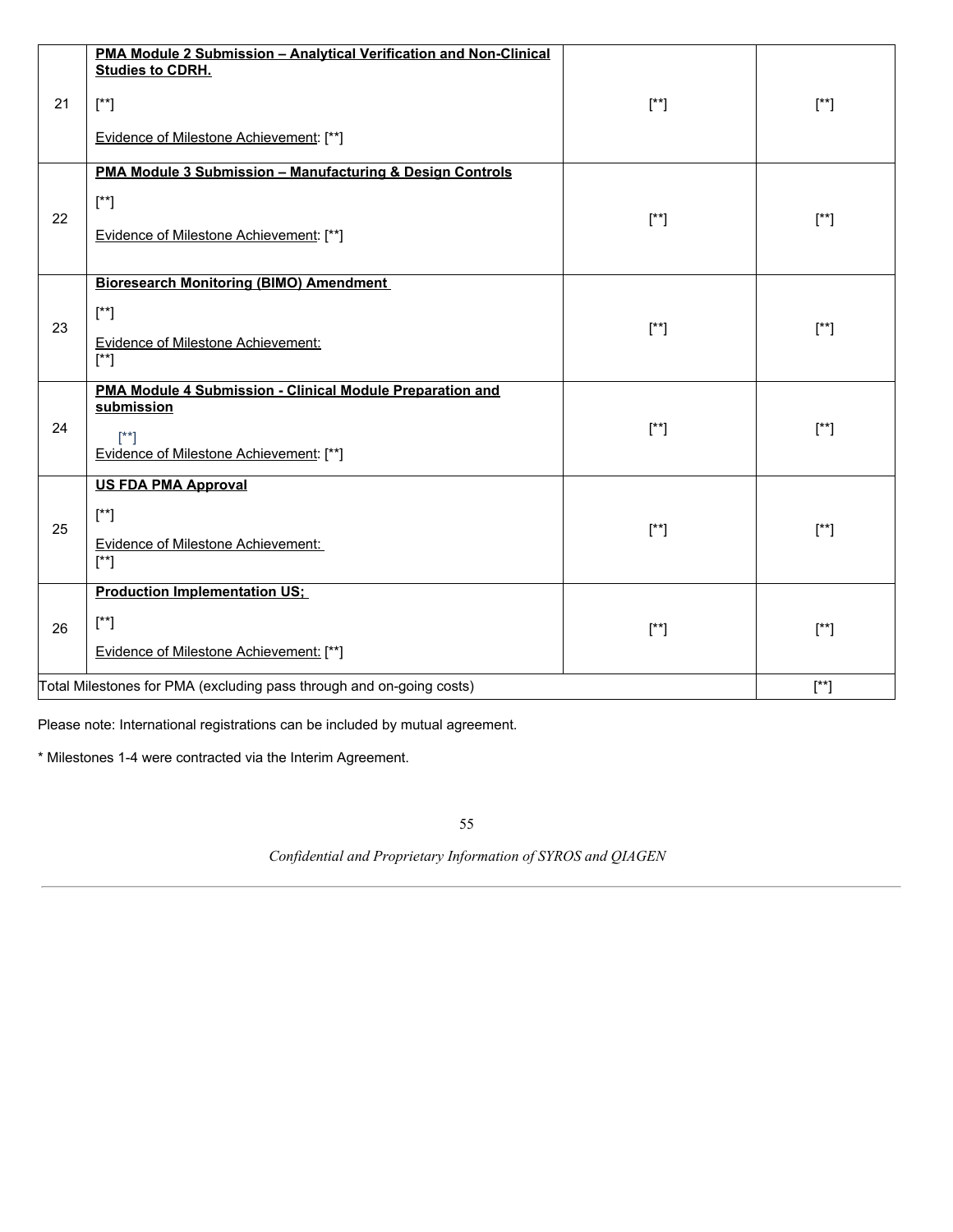| 21                                                                   | PMA Module 2 Submission - Analytical Verification and Non-Clinical<br><b>Studies to CDRH.</b><br>$[^{**}]$<br>Evidence of Milestone Achievement: [**]   | $[^{**}]$ | $[^{**}]$ |
|----------------------------------------------------------------------|---------------------------------------------------------------------------------------------------------------------------------------------------------|-----------|-----------|
| 22                                                                   | PMA Module 3 Submission - Manufacturing & Design Controls<br>$[^{**}]$<br>Evidence of Milestone Achievement: [**]                                       | $[^{**}]$ | $[^{**}]$ |
| 23                                                                   | <b>Bioresearch Monitoring (BIMO) Amendment</b><br>$[^{**}]$<br>Evidence of Milestone Achievement:<br>$[^{**}]$                                          | $[^{**}]$ | $[^{**}]$ |
| 24                                                                   | PMA Module 4 Submission - Clinical Module Preparation and<br>submission<br>$\lceil \cdot \cdot \cdot \rceil$<br>Evidence of Milestone Achievement: [**] | $[^{**}]$ | $[^{**}]$ |
| 25                                                                   | <b>US FDA PMA Approval</b><br>$[^{**}]$<br><b>Evidence of Milestone Achievement:</b><br>$[^{**}]$                                                       | $[^{**}]$ | $[^{**}]$ |
| 26                                                                   | <b>Production Implementation US;</b><br>$[^{**}]$<br>Evidence of Milestone Achievement: [**]                                                            | $[^{**}]$ | $[^{**}]$ |
| Total Milestones for PMA (excluding pass through and on-going costs) |                                                                                                                                                         |           | $[^{**}]$ |

Please note: International registrations can be included by mutual agreement.

\* Milestones 1-4 were contracted via the Interim Agreement.

55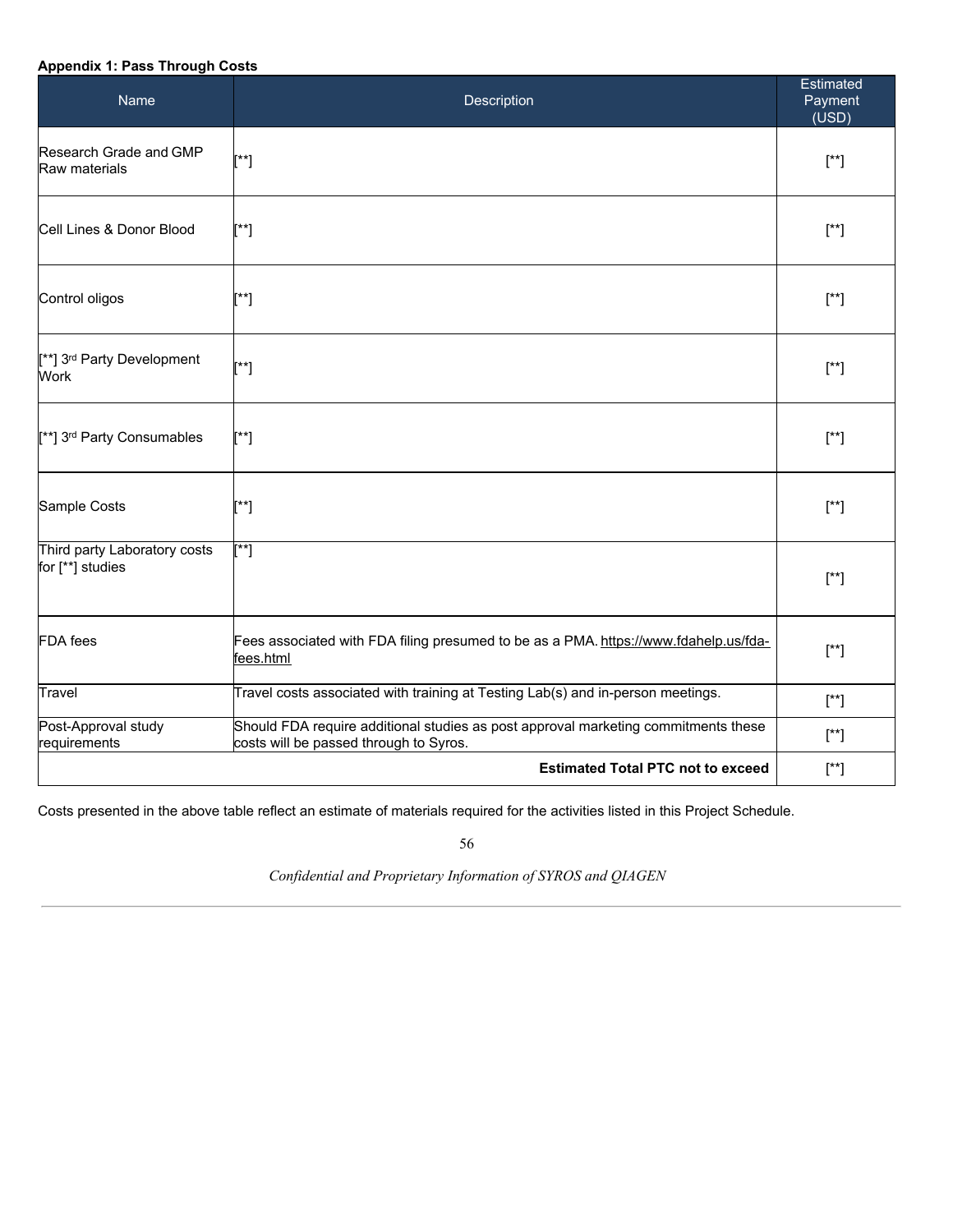# **Appendix 1: Pass Through Costs**

| Name                                             | Description                                                                                                                  | Estimated<br>Payment<br>(USD) |
|--------------------------------------------------|------------------------------------------------------------------------------------------------------------------------------|-------------------------------|
| Research Grade and GMP<br>Raw materials          | $[^{**}]$                                                                                                                    | $[^{**}]$                     |
| Cell Lines & Donor Blood                         | $[^{**}]$                                                                                                                    | $\mathfrak{l}^{**}$           |
| Control oligos                                   | $[^{**}]$                                                                                                                    | $\mathfrak{l}^{**}$           |
| [**] 3rd Party Development<br><b>Work</b>        | $\mathsf{I}^*$                                                                                                               | $[^{**}]$                     |
| [**] 3rd Party Consumables                       | $[^{**}]$                                                                                                                    | $[^{**}]$                     |
| Sample Costs                                     | $[^{**}]$                                                                                                                    | $\mathfrak{l}^{**}$           |
| Third party Laboratory costs<br>for [**] studies | $[^{**}]$                                                                                                                    | $[^{**}]$                     |
| FDA fees                                         | Fees associated with FDA filing presumed to be as a PMA. https://www.fdahelp.us/fda-<br>fees.html                            | $[^{**}]$                     |
| <b>Travel</b>                                    | Travel costs associated with training at Testing Lab(s) and in-person meetings.                                              | $[^{**}]$                     |
| Post-Approval study<br>requirements              | Should FDA require additional studies as post approval marketing commitments these<br>costs will be passed through to Syros. | $[^{**}]$                     |
|                                                  | <b>Estimated Total PTC not to exceed</b>                                                                                     | $[^{**}]$                     |

Costs presented in the above table reflect an estimate of materials required for the activities listed in this Project Schedule.

56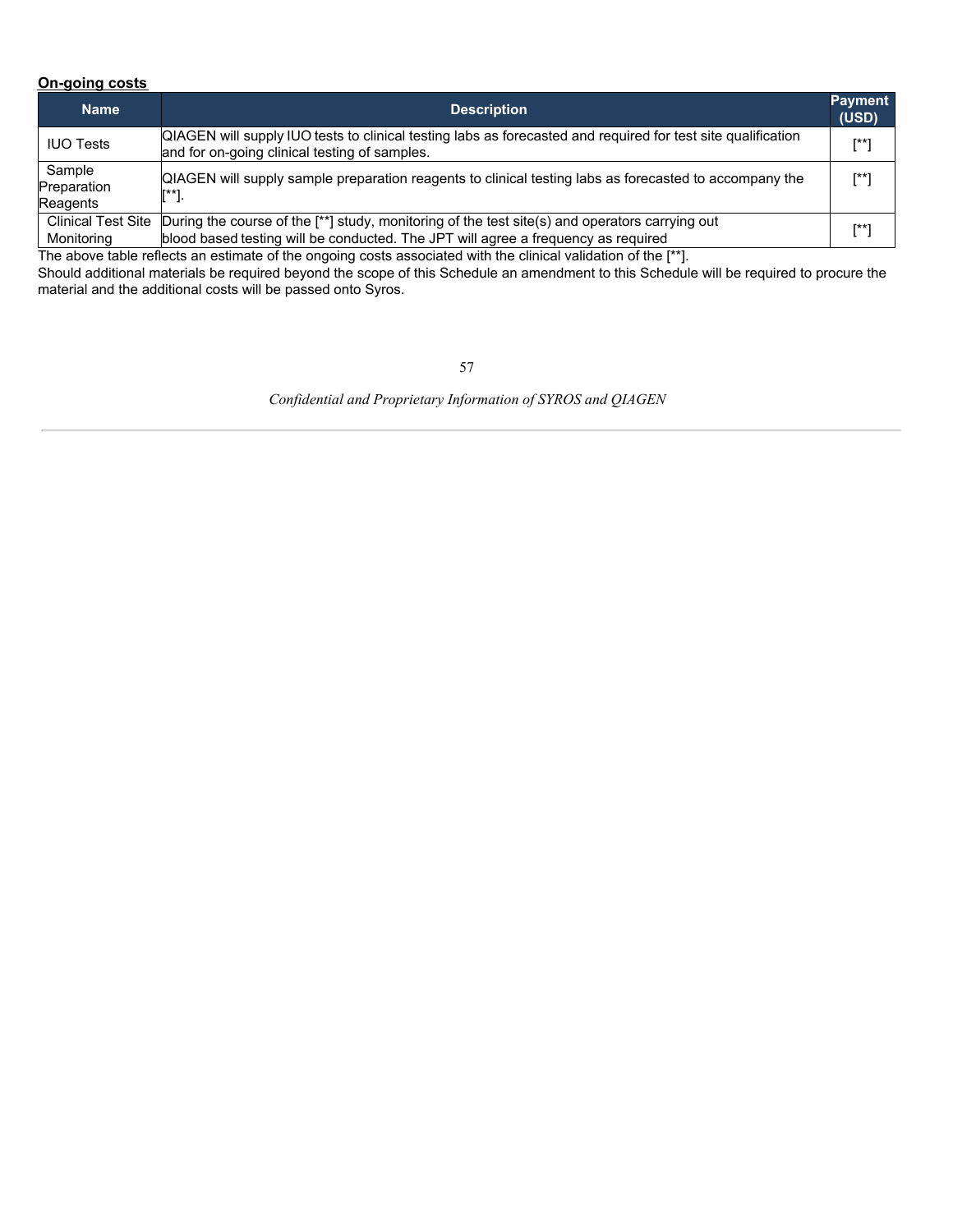# **On-going costs**

| <b>Name</b>                             | <b>Description</b>                                                                                                                                                                  | <b>Payment</b><br>(USD) |
|-----------------------------------------|-------------------------------------------------------------------------------------------------------------------------------------------------------------------------------------|-------------------------|
| <b>IUO Tests</b>                        | QIAGEN will supply IUO tests to clinical testing labs as forecasted and required for test site qualification<br>and for on-going clinical testing of samples.                       | $F$ **]                 |
| Sample<br>Preparation<br>Reagents       | QIAGEN will supply sample preparation reagents to clinical testing labs as forecasted to accompany the<br><b>r**1</b>                                                               | $F^*$                   |
| <b>Clinical Test Site</b><br>Monitorina | During the course of the [**] study, monitoring of the test site(s) and operators carrying out<br>blood based testing will be conducted. The JPT will agree a frequency as required | <b>T**1</b>             |

The above table reflects an estimate of the ongoing costs associated with the clinical validation of the [\*\*].

Should additional materials be required beyond the scope of this Schedule an amendment to this Schedule will be required to procure the material and the additional costs will be passed onto Syros.

57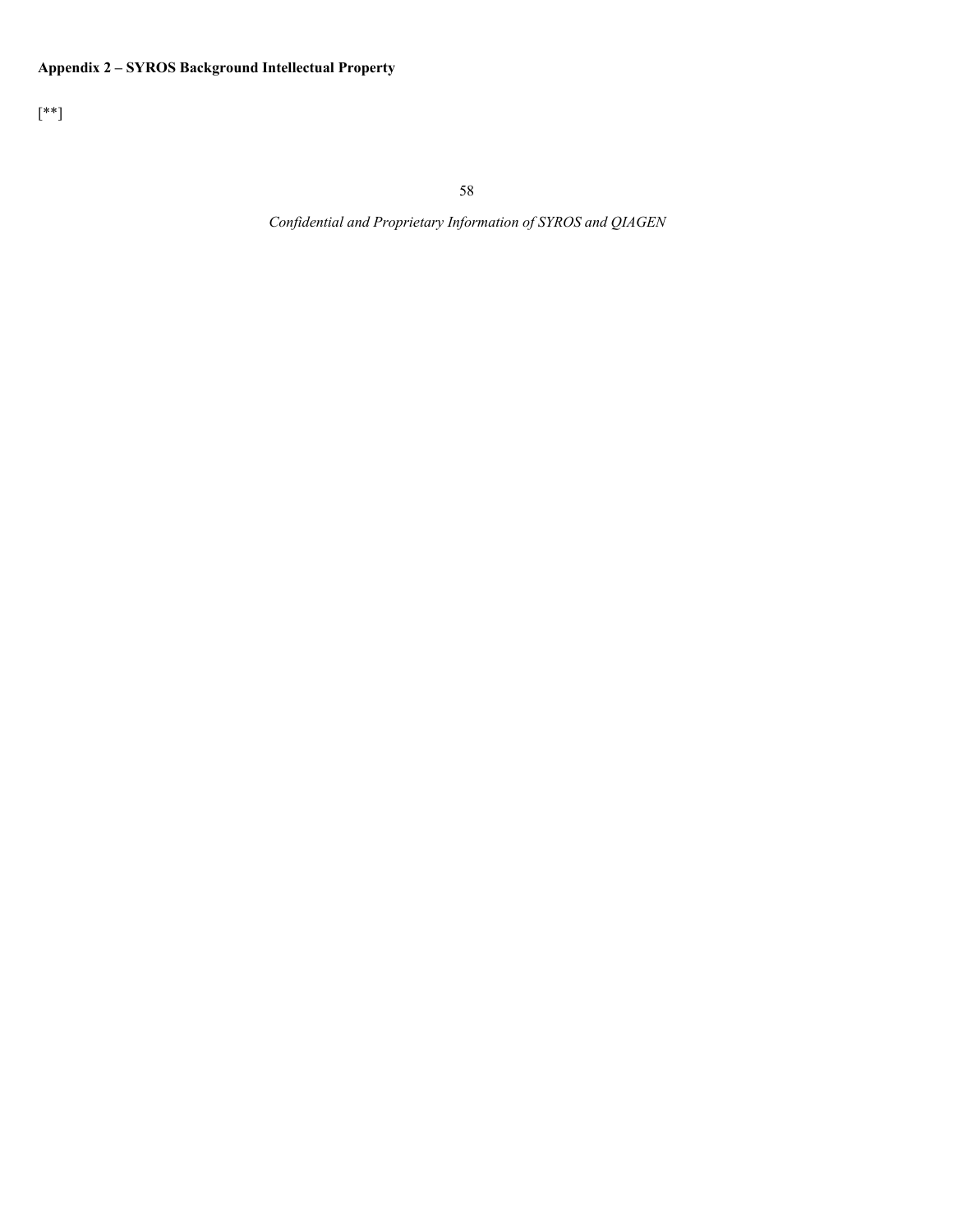$\left[\begin{smallmatrix} * & * \end{smallmatrix}\right]$ 

58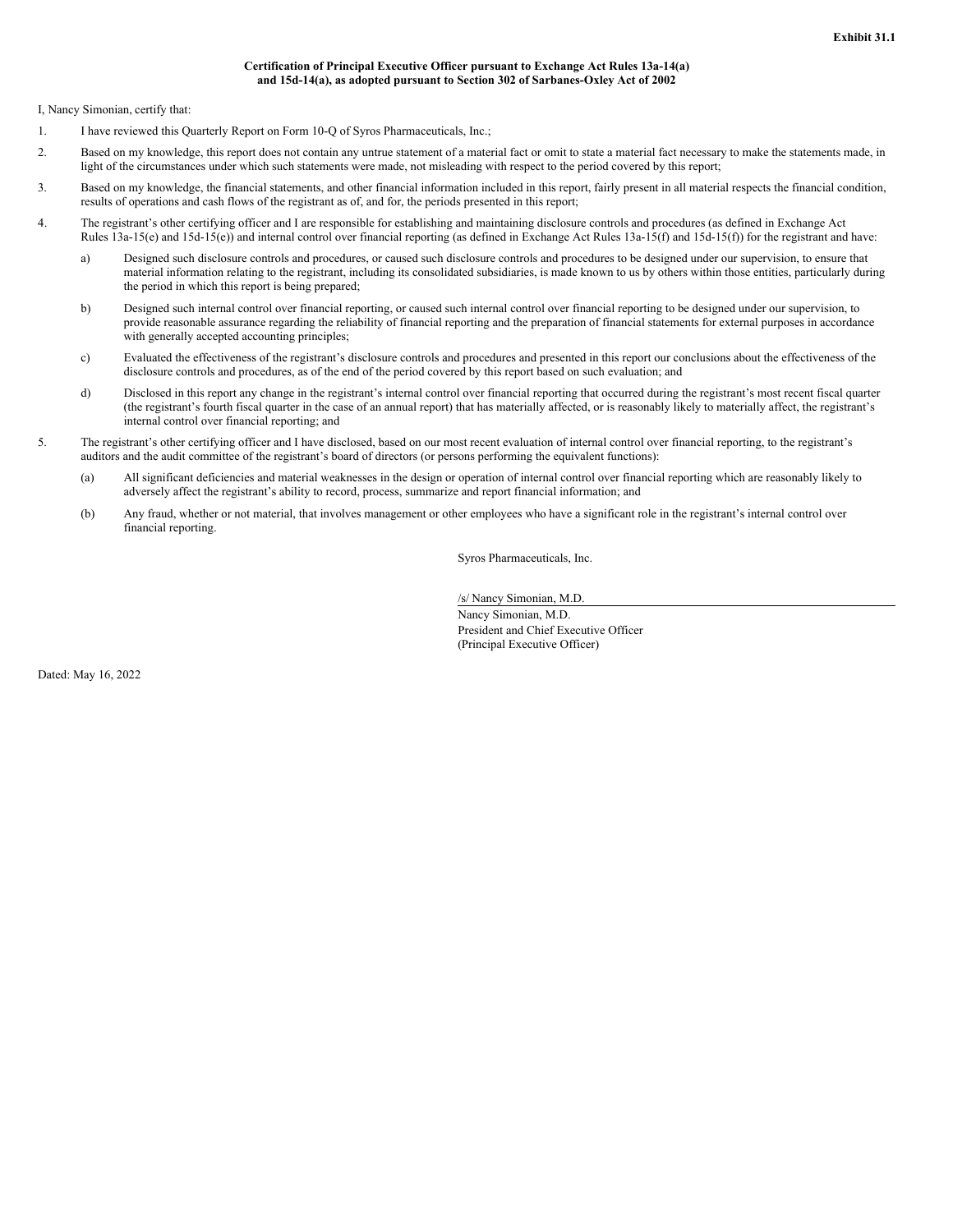#### **Certification of Principal Executive Officer pursuant to Exchange Act Rules 13a-14(a) and 15d-14(a), as adopted pursuant to Section 302 of Sarbanes-Oxley Act of 2002**

I, Nancy Simonian, certify that:

- 1. I have reviewed this Quarterly Report on Form 10-Q of Syros Pharmaceuticals, Inc.;
- 2. Based on my knowledge, this report does not contain any untrue statement of a material fact or omit to state a material fact necessary to make the statements made, in light of the circumstances under which such statements were made, not misleading with respect to the period covered by this report;
- 3. Based on my knowledge, the financial statements, and other financial information included in this report, fairly present in all material respects the financial condition, results of operations and cash flows of the registrant as of, and for, the periods presented in this report;
- 4. The registrant's other certifying officer and I are responsible for establishing and maintaining disclosure controls and procedures (as defined in Exchange Act Rules 13a-15(e) and 15d-15(e)) and internal control over financial reporting (as defined in Exchange Act Rules 13a-15(f) and 15d-15(f)) for the registrant and have:
	- a) Designed such disclosure controls and procedures, or caused such disclosure controls and procedures to be designed under our supervision, to ensure that material information relating to the registrant, including its consolidated subsidiaries, is made known to us by others within those entities, particularly during the period in which this report is being prepared;
	- b) Designed such internal control over financial reporting, or caused such internal control over financial reporting to be designed under our supervision, to provide reasonable assurance regarding the reliability of financial reporting and the preparation of financial statements for external purposes in accordance with generally accepted accounting principles;
	- c) Evaluated the effectiveness of the registrant's disclosure controls and procedures and presented in this report our conclusions about the effectiveness of the disclosure controls and procedures, as of the end of the period covered by this report based on such evaluation; and
	- d) Disclosed in this report any change in the registrant's internal control over financial reporting that occurred during the registrant's most recent fiscal quarter (the registrant's fourth fiscal quarter in the case of an annual report) that has materially affected, or is reasonably likely to materially affect, the registrant's internal control over financial reporting; and
- 5. The registrant's other certifying officer and I have disclosed, based on our most recent evaluation of internal control over financial reporting, to the registrant's auditors and the audit committee of the registrant's board of directors (or persons performing the equivalent functions):
	- (a) All significant deficiencies and material weaknesses in the design or operation of internal control over financial reporting which are reasonably likely to adversely affect the registrant's ability to record, process, summarize and report financial information; and
	- (b) Any fraud, whether or not material, that involves management or other employees who have a significant role in the registrant's internal control over financial reporting.

Syros Pharmaceuticals, Inc.

/s/ Nancy Simonian, M.D.

Nancy Simonian, M.D. President and Chief Executive Officer (Principal Executive Officer)

Dated: May 16, 2022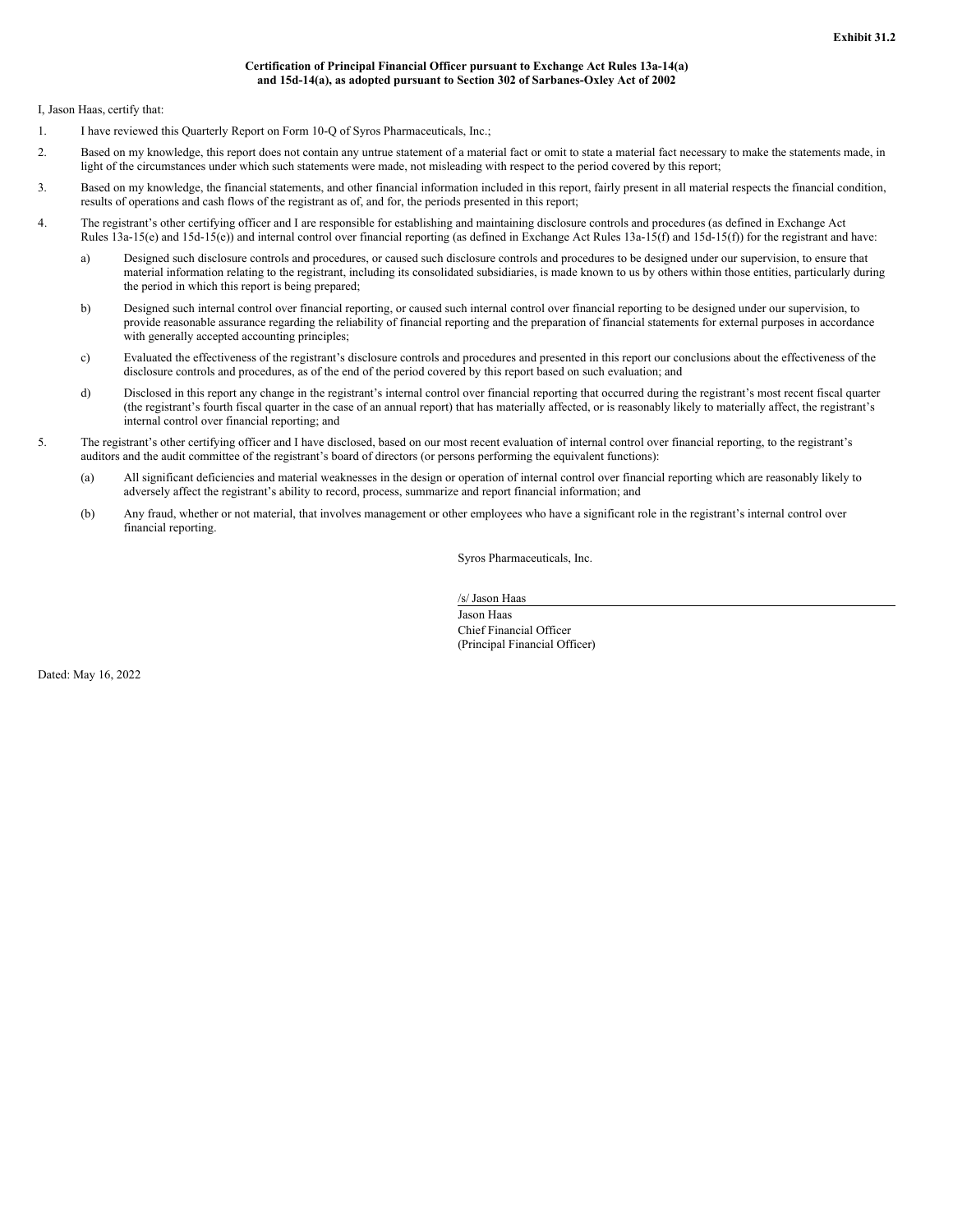#### **Certification of Principal Financial Officer pursuant to Exchange Act Rules 13a-14(a) and 15d-14(a), as adopted pursuant to Section 302 of Sarbanes-Oxley Act of 2002**

I, Jason Haas, certify that:

- 1. I have reviewed this Quarterly Report on Form 10-Q of Syros Pharmaceuticals, Inc.;
- 2. Based on my knowledge, this report does not contain any untrue statement of a material fact or omit to state a material fact necessary to make the statements made, in light of the circumstances under which such statements were made, not misleading with respect to the period covered by this report;
- 3. Based on my knowledge, the financial statements, and other financial information included in this report, fairly present in all material respects the financial condition, results of operations and cash flows of the registrant as of, and for, the periods presented in this report;
- 4. The registrant's other certifying officer and I are responsible for establishing and maintaining disclosure controls and procedures (as defined in Exchange Act Rules 13a-15(e) and 15d-15(e)) and internal control over financial reporting (as defined in Exchange Act Rules 13a-15(f) and 15d-15(f)) for the registrant and have:
	- a) Designed such disclosure controls and procedures, or caused such disclosure controls and procedures to be designed under our supervision, to ensure that material information relating to the registrant, including its consolidated subsidiaries, is made known to us by others within those entities, particularly during the period in which this report is being prepared;
	- b) Designed such internal control over financial reporting, or caused such internal control over financial reporting to be designed under our supervision, to provide reasonable assurance regarding the reliability of financial reporting and the preparation of financial statements for external purposes in accordance with generally accepted accounting principles;
	- c) Evaluated the effectiveness of the registrant's disclosure controls and procedures and presented in this report our conclusions about the effectiveness of the disclosure controls and procedures, as of the end of the period covered by this report based on such evaluation; and
	- d) Disclosed in this report any change in the registrant's internal control over financial reporting that occurred during the registrant's most recent fiscal quarter (the registrant's fourth fiscal quarter in the case of an annual report) that has materially affected, or is reasonably likely to materially affect, the registrant's internal control over financial reporting; and
- 5. The registrant's other certifying officer and I have disclosed, based on our most recent evaluation of internal control over financial reporting, to the registrant's auditors and the audit committee of the registrant's board of directors (or persons performing the equivalent functions):
	- (a) All significant deficiencies and material weaknesses in the design or operation of internal control over financial reporting which are reasonably likely to adversely affect the registrant's ability to record, process, summarize and report financial information; and
	- (b) Any fraud, whether or not material, that involves management or other employees who have a significant role in the registrant's internal control over financial reporting.

Syros Pharmaceuticals, Inc.

/s/ Jason Haas

Jason Haas Chief Financial Officer (Principal Financial Officer)

Dated: May 16, 2022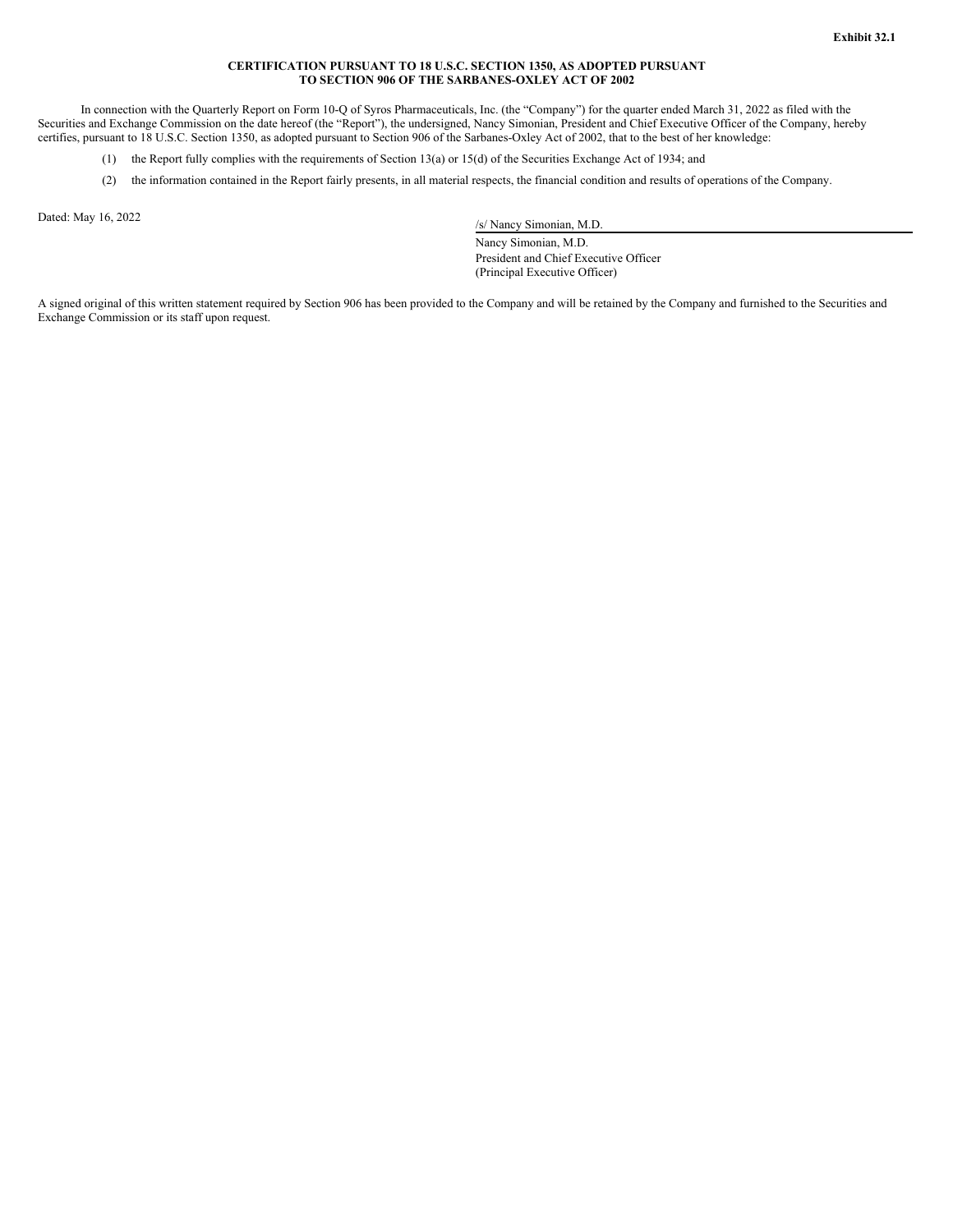## **CERTIFICATION PURSUANT TO 18 U.S.C. SECTION 1350, AS ADOPTED PURSUANT TO SECTION 906 OF THE SARBANES-OXLEY ACT OF 2002**

In connection with the Quarterly Report on Form 10-Q of Syros Pharmaceuticals, Inc. (the "Company") for the quarter ended March 31, 2022 as filed with the Securities and Exchange Commission on the date hereof (the "Report"), the undersigned, Nancy Simonian, President and Chief Executive Officer of the Company, hereby certifies, pursuant to 18 U.S.C. Section 1350, as adopted pursuant to Section 906 of the Sarbanes-Oxley Act of 2002, that to the best of her knowledge:

- (1) the Report fully complies with the requirements of Section 13(a) or 15(d) of the Securities Exchange Act of 1934; and
- (2) the information contained in the Report fairly presents, in all material respects, the financial condition and results of operations of the Company.

Dated: May 16, 2022

/s/ Nancy Simonian, M.D.

Nancy Simonian, M.D. President and Chief Executive Officer (Principal Executive Officer)

A signed original of this written statement required by Section 906 has been provided to the Company and will be retained by the Company and furnished to the Securities and Exchange Commission or its staff upon request.